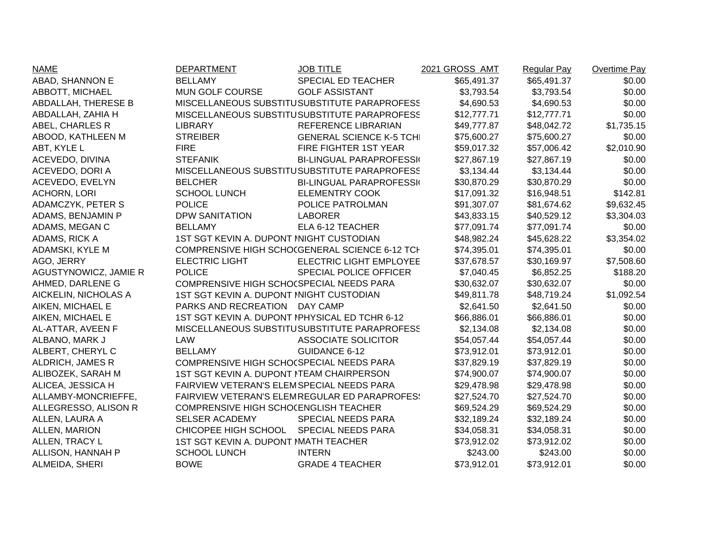| <b>NAME</b>           | <b>DEPARTMENT</b>                              | <b>JOB TITLE</b>                               | 2021 GROSS AMT | <b>Regular Pay</b> | Overtime Pay |
|-----------------------|------------------------------------------------|------------------------------------------------|----------------|--------------------|--------------|
| ABAD, SHANNON E       | <b>BELLAMY</b>                                 | SPECIAL ED TEACHER                             | \$65,491.37    | \$65,491.37        | \$0.00       |
| ABBOTT, MICHAEL       | MUN GOLF COURSE                                | <b>GOLF ASSISTANT</b>                          | \$3,793.54     | \$3,793.54         | \$0.00       |
| ABDALLAH, THERESE B   |                                                | MISCELLANEOUS SUBSTITUSUBSTITUTE PARAPROFESS   | \$4,690.53     | \$4,690.53         | \$0.00       |
| ABDALLAH, ZAHIA H     |                                                | MISCELLANEOUS SUBSTITUSUBSTITUTE PARAPROFESS   | \$12,777.71    | \$12,777.71        | \$0.00       |
| ABEL, CHARLES R       | <b>LIBRARY</b>                                 | REFERENCE LIBRARIAN                            | \$49,777.87    | \$48,042.72        | \$1,735.15   |
| ABOOD, KATHLEEN M     | <b>STREIBER</b>                                | <b>GENERAL SCIENCE K-5 TCHI</b>                | \$75,600.27    | \$75,600.27        | \$0.00       |
| ABT, KYLE L           | <b>FIRE</b>                                    | FIRE FIGHTER 1ST YEAR                          | \$59,017.32    | \$57,006.42        | \$2,010.90   |
| ACEVEDO, DIVINA       | <b>STEFANIK</b>                                | <b>BI-LINGUAL PARAPROFESSI</b>                 | \$27,867.19    | \$27,867.19        | \$0.00       |
| ACEVEDO, DORI A       |                                                | MISCELLANEOUS SUBSTITUSUBSTITUTE PARAPROFESS   | \$3,134.44     | \$3,134.44         | \$0.00       |
| ACEVEDO, EVELYN       | <b>BELCHER</b>                                 | <b>BI-LINGUAL PARAPROFESSI</b>                 | \$30,870.29    | \$30,870.29        | \$0.00       |
| <b>ACHORN, LORI</b>   | <b>SCHOOL LUNCH</b>                            | <b>ELEMENTRY COOK</b>                          | \$17,091.32    | \$16,948.51        | \$142.81     |
| ADAMCZYK, PETER S     | <b>POLICE</b>                                  | POLICE PATROLMAN                               | \$91,307.07    | \$81,674.62        | \$9,632.45   |
| ADAMS, BENJAMIN P     | <b>DPW SANITATION</b>                          | <b>LABORER</b>                                 | \$43,833.15    | \$40,529.12        | \$3,304.03   |
| ADAMS, MEGAN C        | <b>BELLAMY</b>                                 | ELA 6-12 TEACHER                               | \$77,091.74    | \$77,091.74        | \$0.00       |
| ADAMS, RICK A         | 1ST SGT KEVIN A. DUPONT INIGHT CUSTODIAN       |                                                | \$48,982.24    | \$45,628.22        | \$3,354.02   |
| ADAMSKI, KYLE M       |                                                | COMPRENSIVE HIGH SCHO(GENERAL SCIENCE 6-12 TCH | \$74,395.01    | \$74,395.01        | \$0.00       |
| AGO, JERRY            | <b>ELECTRIC LIGHT</b>                          | ELECTRIC LIGHT EMPLOYEE                        | \$37,678.57    | \$30,169.97        | \$7,508.60   |
| AGUSTYNOWICZ, JAMIE R | <b>POLICE</b>                                  | <b>SPECIAL POLICE OFFICER</b>                  | \$7,040.45     | \$6,852.25         | \$188.20     |
| AHMED, DARLENE G      | COMPRENSIVE HIGH SCHO(SPECIAL NEEDS PARA       |                                                | \$30,632.07    | \$30,632.07        | \$0.00       |
| AICKELIN, NICHOLAS A  | 1ST SGT KEVIN A. DUPONT INIGHT CUSTODIAN       |                                                | \$49,811.78    | \$48,719.24        | \$1,092.54   |
| AIKEN, MICHAEL E      | PARKS AND RECREATION                           | DAY CAMP                                       | \$2,641.50     | \$2,641.50         | \$0.00       |
| AIKEN, MICHAEL E      | 1ST SGT KEVIN A. DUPONT IPHYSICAL ED TCHR 6-12 |                                                | \$66,886.01    | \$66,886.01        | \$0.00       |
| AL-ATTAR, AVEEN F     |                                                | MISCELLANEOUS SUBSTITUSUBSTITUTE PARAPROFESS   | \$2,134.08     | \$2,134.08         | \$0.00       |
| ALBANO, MARK J        | <b>LAW</b>                                     | <b>ASSOCIATE SOLICITOR</b>                     | \$54,057.44    | \$54,057.44        | \$0.00       |
| ALBERT, CHERYL C      | <b>BELLAMY</b>                                 | <b>GUIDANCE 6-12</b>                           | \$73,912.01    | \$73,912.01        | \$0.00       |
| ALDRICH, JAMES R      | COMPRENSIVE HIGH SCHO(SPECIAL NEEDS PARA       |                                                | \$37,829.19    | \$37,829.19        | \$0.00       |
| ALIBOZEK, SARAH M     | 1ST SGT KEVIN A. DUPONT ITEAM CHAIRPERSON      |                                                | \$74,900.07    | \$74,900.07        | \$0.00       |
| ALICEA, JESSICA H     | FAIRVIEW VETERAN'S ELEMSPECIAL NEEDS PARA      |                                                | \$29,478.98    | \$29,478.98        | \$0.00       |
| ALLAMBY-MONCRIEFFE,   |                                                | FAIRVIEW VETERAN'S ELEMREGULAR ED PARAPROFES!  | \$27,524.70    | \$27,524.70        | \$0.00       |
| ALLEGRESSO, ALISON R  | COMPRENSIVE HIGH SCHO(ENGLISH TEACHER          |                                                | \$69,524.29    | \$69,524.29        | \$0.00       |
| ALLEN, LAURA A        | <b>SELSER ACADEMY</b>                          | SPECIAL NEEDS PARA                             | \$32,189.24    | \$32,189.24        | \$0.00       |
| ALLEN, MARION         | CHICOPEE HIGH SCHOOL                           | <b>SPECIAL NEEDS PARA</b>                      | \$34,058.31    | \$34,058.31        | \$0.00       |
| ALLEN, TRACY L        | 1ST SGT KEVIN A. DUPONT MATH TEACHER           |                                                | \$73,912.02    | \$73,912.02        | \$0.00       |
| ALLISON, HANNAH P     | <b>SCHOOL LUNCH</b>                            | <b>INTERN</b>                                  | \$243.00       | \$243.00           | \$0.00       |
| ALMEIDA, SHERI        | <b>BOWE</b>                                    | <b>GRADE 4 TEACHER</b>                         | \$73,912.01    | \$73,912.01        | \$0.00       |
|                       |                                                |                                                |                |                    |              |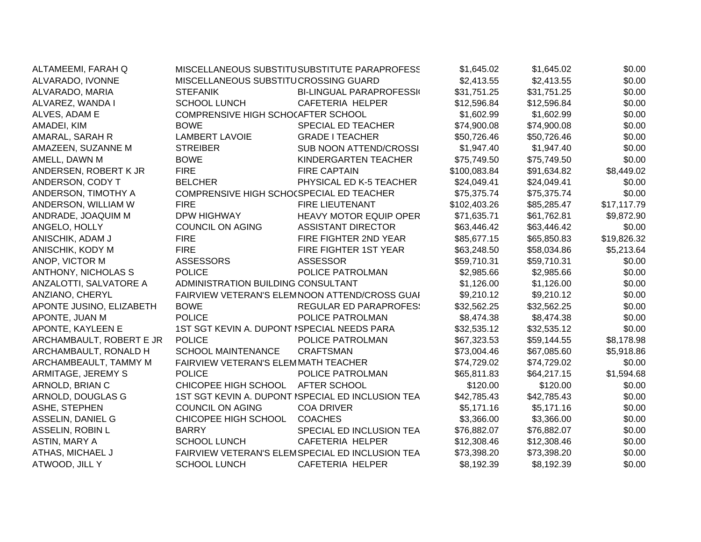| ALTAMEEMI, FARAH Q         |                                             | MISCELLANEOUS SUBSTITUSUBSTITUTE PARAPROFESS      | \$1,645.02   | \$1,645.02  | \$0.00      |
|----------------------------|---------------------------------------------|---------------------------------------------------|--------------|-------------|-------------|
| ALVARADO, IVONNE           | MISCELLANEOUS SUBSTITUCROSSING GUARD        |                                                   | \$2,413.55   | \$2,413.55  | \$0.00      |
| ALVARADO, MARIA            | <b>STEFANIK</b>                             | <b>BI-LINGUAL PARAPROFESSI</b>                    | \$31,751.25  | \$31,751.25 | \$0.00      |
| ALVAREZ, WANDA I           | <b>SCHOOL LUNCH</b>                         | CAFETERIA HELPER                                  | \$12,596.84  | \$12,596.84 | \$0.00      |
| ALVES, ADAM E              | COMPRENSIVE HIGH SCHOCAFTER SCHOOL          |                                                   | \$1,602.99   | \$1,602.99  | \$0.00      |
| AMADEI, KIM                | <b>BOWE</b>                                 | <b>SPECIAL ED TEACHER</b>                         | \$74,900.08  | \$74,900.08 | \$0.00      |
| AMARAL, SARAH R            | <b>LAMBERT LAVOIE</b>                       | <b>GRADE I TEACHER</b>                            | \$50,726.46  | \$50,726.46 | \$0.00      |
| AMAZEEN, SUZANNE M         | <b>STREIBER</b>                             | SUB NOON ATTEND/CROSSI                            | \$1,947.40   | \$1,947.40  | \$0.00      |
| AMELL, DAWN M              | <b>BOWE</b>                                 | KINDERGARTEN TEACHER                              | \$75,749.50  | \$75,749.50 | \$0.00      |
| ANDERSEN, ROBERT K JR      | <b>FIRE</b>                                 | <b>FIRE CAPTAIN</b>                               | \$100,083.84 | \$91,634.82 | \$8,449.02  |
| ANDERSON, CODY T           | <b>BELCHER</b>                              | PHYSICAL ED K-5 TEACHER                           | \$24,049.41  | \$24,049.41 | \$0.00      |
| ANDERSON, TIMOTHY A        | COMPRENSIVE HIGH SCHO(SPECIAL ED TEACHER    |                                                   | \$75,375.74  | \$75,375.74 | \$0.00      |
| ANDERSON, WILLIAM W        | <b>FIRE</b>                                 | <b>FIRE LIEUTENANT</b>                            | \$102,403.26 | \$85,285.47 | \$17,117.79 |
| ANDRADE, JOAQUIM M         | <b>DPW HIGHWAY</b>                          | <b>HEAVY MOTOR EQUIP OPER</b>                     | \$71,635.71  | \$61,762.81 | \$9,872.90  |
| ANGELO, HOLLY              | <b>COUNCIL ON AGING</b>                     | <b>ASSISTANT DIRECTOR</b>                         | \$63,446.42  | \$63,446.42 | \$0.00      |
| ANISCHIK, ADAM J           | <b>FIRE</b>                                 | FIRE FIGHTER 2ND YEAR                             | \$85,677.15  | \$65,850.83 | \$19,826.32 |
| ANISCHIK, KODY M           | <b>FIRE</b>                                 | FIRE FIGHTER 1ST YEAR                             | \$63,248.50  | \$58,034.86 | \$5,213.64  |
| ANOP, VICTOR M             | <b>ASSESSORS</b>                            | <b>ASSESSOR</b>                                   | \$59,710.31  | \$59,710.31 | \$0.00      |
| <b>ANTHONY, NICHOLAS S</b> | <b>POLICE</b>                               | POLICE PATROLMAN                                  | \$2,985.66   | \$2,985.66  | \$0.00      |
| ANZALOTTI, SALVATORE A     | ADMINISTRATION BUILDING CONSULTANT          |                                                   | \$1,126.00   | \$1,126.00  | \$0.00      |
| ANZIANO, CHERYL            |                                             | FAIRVIEW VETERAN'S ELEMNOON ATTEND/CROSS GUAI     | \$9,210.12   | \$9,210.12  | \$0.00      |
| APONTE JUSINO, ELIZABETH   | <b>BOWE</b>                                 | <b>REGULAR ED PARAPROFES:</b>                     | \$32,562.25  | \$32,562.25 | \$0.00      |
| APONTE, JUAN M             | <b>POLICE</b>                               | POLICE PATROLMAN                                  | \$8,474.38   | \$8,474.38  | \$0.00      |
| APONTE, KAYLEEN E          | 1ST SGT KEVIN A. DUPONT ISPECIAL NEEDS PARA |                                                   | \$32,535.12  | \$32,535.12 | \$0.00      |
| ARCHAMBAULT, ROBERT E JR   | <b>POLICE</b>                               | POLICE PATROLMAN                                  | \$67,323.53  | \$59,144.55 | \$8,178.98  |
| ARCHAMBAULT, RONALD H      | <b>SCHOOL MAINTENANCE</b>                   | <b>CRAFTSMAN</b>                                  | \$73,004.46  | \$67,085.60 | \$5,918.86  |
| ARCHAMBEAULT, TAMMY M      | FAIRVIEW VETERAN'S ELEMMATH TEACHER         |                                                   | \$74,729.02  | \$74,729.02 | \$0.00      |
| ARMITAGE, JEREMY S         | <b>POLICE</b>                               | POLICE PATROLMAN                                  | \$65,811.83  | \$64,217.15 | \$1,594.68  |
| ARNOLD, BRIAN C            | CHICOPEE HIGH SCHOOL                        | AFTER SCHOOL                                      | \$120.00     | \$120.00    | \$0.00      |
| ARNOLD, DOUGLAS G          |                                             | 1ST SGT KEVIN A. DUPONT ISPECIAL ED INCLUSION TEA | \$42,785.43  | \$42,785.43 | \$0.00      |
| ASHE, STEPHEN              | <b>COUNCIL ON AGING</b>                     | <b>COA DRIVER</b>                                 | \$5,171.16   | \$5,171.16  | \$0.00      |
| ASSELIN, DANIEL G          | CHICOPEE HIGH SCHOOL                        | <b>COACHES</b>                                    | \$3,366.00   | \$3,366.00  | \$0.00      |
| ASSELIN, ROBIN L           | <b>BARRY</b>                                | SPECIAL ED INCLUSION TEA                          | \$76,882.07  | \$76,882.07 | \$0.00      |
| ASTIN, MARY A              | <b>SCHOOL LUNCH</b>                         | <b>CAFETERIA HELPER</b>                           | \$12,308.46  | \$12,308.46 | \$0.00      |
| ATHAS, MICHAEL J           |                                             | FAIRVIEW VETERAN'S ELEMSPECIAL ED INCLUSION TEA   | \$73,398.20  | \$73,398.20 | \$0.00      |
| ATWOOD, JILL Y             | <b>SCHOOL LUNCH</b>                         | <b>CAFETERIA HELPER</b>                           | \$8,192.39   | \$8,192.39  | \$0.00      |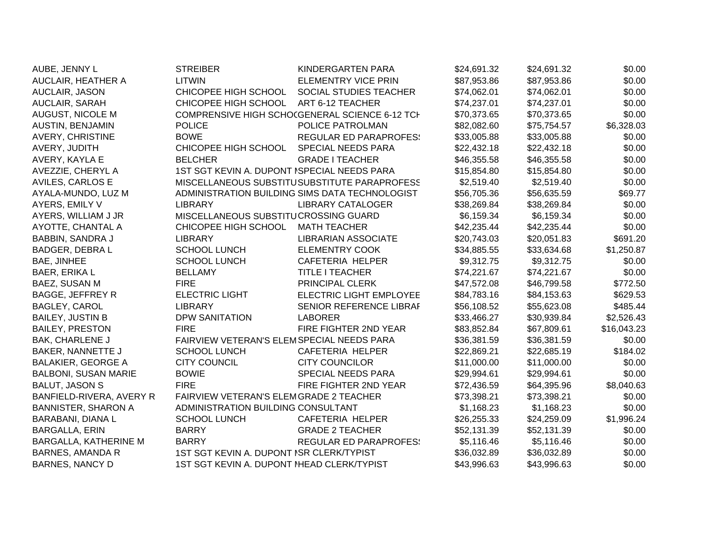| AUBE, JENNY L               | <b>STREIBER</b>                             | KINDERGARTEN PARA                              | \$24,691.32 | \$24,691.32 | \$0.00      |
|-----------------------------|---------------------------------------------|------------------------------------------------|-------------|-------------|-------------|
| AUCLAIR, HEATHER A          | <b>LITWIN</b>                               | <b>ELEMENTRY VICE PRIN</b>                     | \$87,953.86 | \$87,953.86 | \$0.00      |
| AUCLAIR, JASON              | CHICOPEE HIGH SCHOOL                        | SOCIAL STUDIES TEACHER                         | \$74,062.01 | \$74,062.01 | \$0.00      |
| AUCLAIR, SARAH              | CHICOPEE HIGH SCHOOL                        | ART 6-12 TEACHER                               | \$74,237.01 | \$74,237.01 | \$0.00      |
| AUGUST, NICOLE M            |                                             | COMPRENSIVE HIGH SCHOCGENERAL SCIENCE 6-12 TCH | \$70,373.65 | \$70,373.65 | \$0.00      |
| <b>AUSTIN, BENJAMIN</b>     | <b>POLICE</b>                               | POLICE PATROLMAN                               | \$82,082.60 | \$75,754.57 | \$6,328.03  |
| <b>AVERY, CHRISTINE</b>     | <b>BOWE</b>                                 | <b>REGULAR ED PARAPROFES:</b>                  | \$33,005.88 | \$33,005.88 | \$0.00      |
| AVERY, JUDITH               | CHICOPEE HIGH SCHOOL                        | SPECIAL NEEDS PARA                             | \$22,432.18 | \$22,432.18 | \$0.00      |
| AVERY, KAYLA E              | <b>BELCHER</b>                              | <b>GRADE I TEACHER</b>                         | \$46,355.58 | \$46,355.58 | \$0.00      |
| AVEZZIE, CHERYL A           | 1ST SGT KEVIN A. DUPONT ISPECIAL NEEDS PARA |                                                | \$15,854.80 | \$15,854.80 | \$0.00      |
| AVILES, CARLOS E            |                                             | MISCELLANEOUS SUBSTITUSUBSTITUTE PARAPROFESS   | \$2,519.40  | \$2,519.40  | \$0.00      |
| AYALA-MUNDO, LUZ M          |                                             | ADMINISTRATION BUILDING SIMS DATA TECHNOLOGIST | \$56,705.36 | \$56,635.59 | \$69.77     |
| AYERS, EMILY V              | <b>LIBRARY</b>                              | <b>LIBRARY CATALOGER</b>                       | \$38,269.84 | \$38,269.84 | \$0.00      |
| AYERS, WILLIAM J JR         | MISCELLANEOUS SUBSTITUCROSSING GUARD        |                                                | \$6,159.34  | \$6,159.34  | \$0.00      |
| AYOTTE, CHANTAL A           | CHICOPEE HIGH SCHOOL                        | <b>MATH TEACHER</b>                            | \$42,235.44 | \$42,235.44 | \$0.00      |
| <b>BABBIN, SANDRA J</b>     | <b>LIBRARY</b>                              | <b>LIBRARIAN ASSOCIATE</b>                     | \$20,743.03 | \$20,051.83 | \$691.20    |
| BADGER, DEBRA L             | <b>SCHOOL LUNCH</b>                         | <b>ELEMENTRY COOK</b>                          | \$34,885.55 | \$33,634.68 | \$1,250.87  |
| <b>BAE, JINHEE</b>          | <b>SCHOOL LUNCH</b>                         | <b>CAFETERIA HELPER</b>                        | \$9,312.75  | \$9,312.75  | \$0.00      |
| <b>BAER, ERIKA L</b>        | <b>BELLAMY</b>                              | <b>TITLE I TEACHER</b>                         | \$74,221.67 | \$74,221.67 | \$0.00      |
| BAEZ, SUSAN M               | <b>FIRE</b>                                 | PRINCIPAL CLERK                                | \$47,572.08 | \$46,799.58 | \$772.50    |
| <b>BAGGE, JEFFREY R</b>     | <b>ELECTRIC LIGHT</b>                       | <b>ELECTRIC LIGHT EMPLOYEE</b>                 | \$84,783.16 | \$84,153.63 | \$629.53    |
| <b>BAGLEY, CAROL</b>        | <b>LIBRARY</b>                              | SENIOR REFERENCE LIBRAF                        | \$56,108.52 | \$55,623.08 | \$485.44    |
| <b>BAILEY, JUSTIN B</b>     | <b>DPW SANITATION</b>                       | <b>LABORER</b>                                 | \$33,466.27 | \$30,939.84 | \$2,526.43  |
| <b>BAILEY, PRESTON</b>      | <b>FIRE</b>                                 | FIRE FIGHTER 2ND YEAR                          | \$83,852.84 | \$67,809.61 | \$16,043.23 |
| <b>BAK, CHARLENE J</b>      | FAIRVIEW VETERAN'S ELEMSPECIAL NEEDS PARA   |                                                | \$36,381.59 | \$36,381.59 | \$0.00      |
| BAKER, NANNETTE J           | <b>SCHOOL LUNCH</b>                         | <b>CAFETERIA HELPER</b>                        | \$22,869.21 | \$22,685.19 | \$184.02    |
| <b>BALAKIER, GEORGE A</b>   | <b>CITY COUNCIL</b>                         | <b>CITY COUNCILOR</b>                          | \$11,000.00 | \$11,000.00 | \$0.00      |
| <b>BALBONI, SUSAN MARIE</b> | <b>BOWIE</b>                                | SPECIAL NEEDS PARA                             | \$29,994.61 | \$29,994.61 | \$0.00      |
| <b>BALUT, JASON S</b>       | <b>FIRE</b>                                 | FIRE FIGHTER 2ND YEAR                          | \$72,436.59 | \$64,395.96 | \$8,040.63  |
| BANFIELD-RIVERA, AVERY R    | FAIRVIEW VETERAN'S ELEMGRADE 2 TEACHER      |                                                | \$73,398.21 | \$73,398.21 | \$0.00      |
| <b>BANNISTER, SHARON A</b>  | ADMINISTRATION BUILDING CONSULTANT          |                                                | \$1,168.23  | \$1,168.23  | \$0.00      |
| BARABANI, DIANA L           | <b>SCHOOL LUNCH</b>                         | CAFETERIA HELPER                               | \$26,255.33 | \$24,259.09 | \$1,996.24  |
| <b>BARGALLA, ERIN</b>       | <b>BARRY</b>                                | <b>GRADE 2 TEACHER</b>                         | \$52,131.39 | \$52,131.39 | \$0.00      |
| BARGALLA, KATHERINE M       | <b>BARRY</b>                                | <b>REGULAR ED PARAPROFES:</b>                  | \$5,116.46  | \$5,116.46  | \$0.00      |
| <b>BARNES, AMANDA R</b>     | 1ST SGT KEVIN A. DUPONT ISR CLERK/TYPIST    |                                                | \$36,032.89 | \$36,032.89 | \$0.00      |
| <b>BARNES, NANCY D</b>      | 1ST SGT KEVIN A. DUPONT IHEAD CLERK/TYPIST  |                                                | \$43,996.63 | \$43,996.63 | \$0.00      |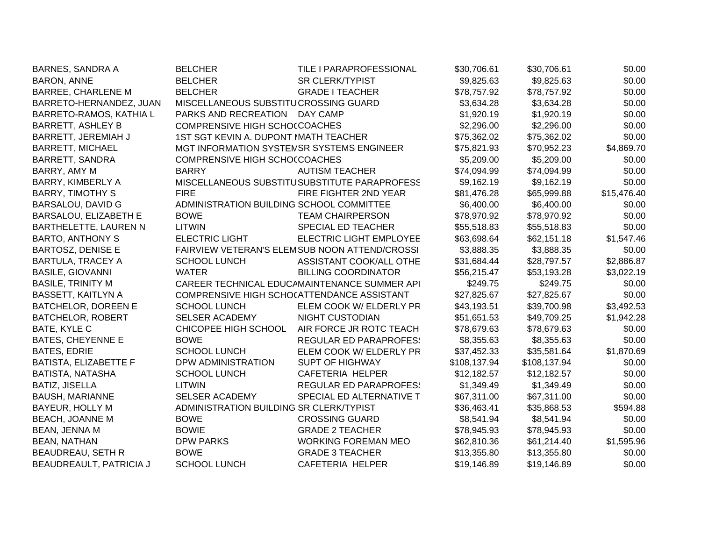| <b>BARNES, SANDRA A</b>   | <b>BELCHER</b>                             | TILE I PARAPROFESSIONAL                       | \$30,706.61  | \$30,706.61  | \$0.00      |
|---------------------------|--------------------------------------------|-----------------------------------------------|--------------|--------------|-------------|
| <b>BARON, ANNE</b>        | <b>BELCHER</b>                             | <b>SR CLERK/TYPIST</b>                        | \$9,825.63   | \$9,825.63   | \$0.00      |
| <b>BARREE, CHARLENE M</b> | <b>BELCHER</b>                             | <b>GRADE I TEACHER</b>                        | \$78,757.92  | \$78,757.92  | \$0.00      |
| BARRETO-HERNANDEZ, JUAN   | MISCELLANEOUS SUBSTITUCROSSING GUARD       |                                               | \$3,634.28   | \$3,634.28   | \$0.00      |
| BARRETO-RAMOS, KATHIA L   | PARKS AND RECREATION DAY CAMP              |                                               | \$1,920.19   | \$1,920.19   | \$0.00      |
| <b>BARRETT, ASHLEY B</b>  | COMPRENSIVE HIGH SCHOCCOACHES              |                                               | \$2,296.00   | \$2,296.00   | \$0.00      |
| BARRETT, JEREMIAH J       | 1ST SGT KEVIN A. DUPONT MATH TEACHER       |                                               | \$75,362.02  | \$75,362.02  | \$0.00      |
| <b>BARRETT, MICHAEL</b>   | MGT INFORMATION SYSTEMSR SYSTEMS ENGINEER  |                                               | \$75,821.93  | \$70,952.23  | \$4,869.70  |
| <b>BARRETT, SANDRA</b>    | <b>COMPRENSIVE HIGH SCHO(COACHES</b>       |                                               | \$5,209.00   | \$5,209.00   | \$0.00      |
| BARRY, AMY M              | <b>BARRY</b>                               | <b>AUTISM TEACHER</b>                         | \$74,094.99  | \$74,094.99  | \$0.00      |
| BARRY, KIMBERLY A         |                                            | MISCELLANEOUS SUBSTITUSUBSTITUTE PARAPROFESS  | \$9,162.19   | \$9,162.19   | \$0.00      |
| <b>BARRY, TIMOTHY S</b>   | <b>FIRE</b>                                | FIRE FIGHTER 2ND YEAR                         | \$81,476.28  | \$65,999.88  | \$15,476.40 |
| <b>BARSALOU, DAVID G</b>  | ADMINISTRATION BUILDING SCHOOL COMMITTEE   |                                               | \$6,400.00   | \$6,400.00   | \$0.00      |
| BARSALOU, ELIZABETH E     | <b>BOWE</b>                                | <b>TEAM CHAIRPERSON</b>                       | \$78,970.92  | \$78,970.92  | \$0.00      |
| BARTHELETTE, LAUREN N     | <b>LITWIN</b>                              | SPECIAL ED TEACHER                            | \$55,518.83  | \$55,518.83  | \$0.00      |
| <b>BARTO, ANTHONY S</b>   | <b>ELECTRIC LIGHT</b>                      | <b>ELECTRIC LIGHT EMPLOYEE</b>                | \$63,698.64  | \$62,151.18  | \$1,547.46  |
| <b>BARTOSZ, DENISE E</b>  |                                            | FAIRVIEW VETERAN'S ELEMSUB NOON ATTEND/CROSSI | \$3,888.35   | \$3,888.35   | \$0.00      |
| <b>BARTULA, TRACEY A</b>  | <b>SCHOOL LUNCH</b>                        | ASSISTANT COOK/ALL OTHE                       | \$31,684.44  | \$28,797.57  | \$2,886.87  |
| <b>BASILE, GIOVANNI</b>   | <b>WATER</b>                               | <b>BILLING COORDINATOR</b>                    | \$56,215.47  | \$53,193.28  | \$3,022.19  |
| <b>BASILE, TRINITY M</b>  |                                            | CAREER TECHNICAL EDUCAMAINTENANCE SUMMER API  | \$249.75     | \$249.75     | \$0.00      |
| <b>BASSETT, KAITLYN A</b> | COMPRENSIVE HIGH SCHO(ATTENDANCE ASSISTANT |                                               | \$27,825.67  | \$27,825.67  | \$0.00      |
| BATCHELOR, DOREEN E       | <b>SCHOOL LUNCH</b>                        | ELEM COOK W/ ELDERLY PR                       | \$43,193.51  | \$39,700.98  | \$3,492.53  |
| <b>BATCHELOR, ROBERT</b>  | <b>SELSER ACADEMY</b>                      | <b>NIGHT CUSTODIAN</b>                        | \$51,651.53  | \$49,709.25  | \$1,942.28  |
| BATE, KYLE C              | CHICOPEE HIGH SCHOOL                       | AIR FORCE JR ROTC TEACH                       | \$78,679.63  | \$78,679.63  | \$0.00      |
| <b>BATES, CHEYENNE E</b>  | <b>BOWE</b>                                | <b>REGULAR ED PARAPROFES:</b>                 | \$8,355.63   | \$8,355.63   | \$0.00      |
| <b>BATES, EDRIE</b>       | <b>SCHOOL LUNCH</b>                        | ELEM COOK W/ ELDERLY PR                       | \$37,452.33  | \$35,581.64  | \$1,870.69  |
| BATISTA, ELIZABETTE F     | DPW ADMINISTRATION                         | <b>SUPT OF HIGHWAY</b>                        | \$108,137.94 | \$108,137.94 | \$0.00      |
| BATISTA, NATASHA          | <b>SCHOOL LUNCH</b>                        | CAFETERIA HELPER                              | \$12,182.57  | \$12,182.57  | \$0.00      |
| <b>BATIZ, JISELLA</b>     | LITWIN                                     | <b>REGULAR ED PARAPROFES:</b>                 | \$1,349.49   | \$1,349.49   | \$0.00      |
| <b>BAUSH, MARIANNE</b>    | <b>SELSER ACADEMY</b>                      | SPECIAL ED ALTERNATIVE T                      | \$67,311.00  | \$67,311.00  | \$0.00      |
| BAYEUR, HOLLY M           | ADMINISTRATION BUILDING SR CLERK/TYPIST    |                                               | \$36,463.41  | \$35,868.53  | \$594.88    |
| <b>BEACH, JOANNE M</b>    | <b>BOWE</b>                                | <b>CROSSING GUARD</b>                         | \$8,541.94   | \$8,541.94   | \$0.00      |
| BEAN, JENNA M             | <b>BOWIE</b>                               | <b>GRADE 2 TEACHER</b>                        | \$78,945.93  | \$78,945.93  | \$0.00      |
| <b>BEAN, NATHAN</b>       | <b>DPW PARKS</b>                           | <b>WORKING FOREMAN MEO</b>                    | \$62,810.36  | \$61,214.40  | \$1,595.96  |
| BEAUDREAU, SETH R         | <b>BOWE</b>                                | <b>GRADE 3 TEACHER</b>                        | \$13,355.80  | \$13,355.80  | \$0.00      |
| BEAUDREAULT, PATRICIA J   | <b>SCHOOL LUNCH</b>                        | <b>CAFETERIA HELPER</b>                       | \$19,146.89  | \$19,146.89  | \$0.00      |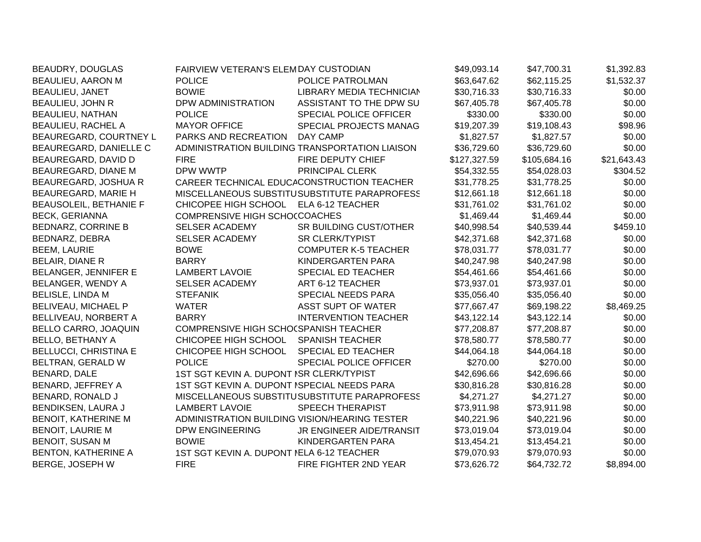| BEAUDRY, DOUGLAS             | FAIRVIEW VETERAN'S ELEMDAY CUSTODIAN          |                                                | \$49,093.14  | \$47,700.31  | \$1,392.83  |
|------------------------------|-----------------------------------------------|------------------------------------------------|--------------|--------------|-------------|
| <b>BEAULIEU, AARON M</b>     | <b>POLICE</b>                                 | POLICE PATROLMAN                               | \$63,647.62  | \$62,115.25  | \$1,532.37  |
| BEAULIEU, JANET              | <b>BOWIE</b>                                  | LIBRARY MEDIA TECHNICIAN                       | \$30,716.33  | \$30,716.33  | \$0.00      |
| <b>BEAULIEU, JOHN R</b>      | DPW ADMINISTRATION                            | ASSISTANT TO THE DPW SU                        | \$67,405.78  | \$67,405.78  | \$0.00      |
| BEAULIEU, NATHAN             | <b>POLICE</b>                                 | SPECIAL POLICE OFFICER                         | \$330.00     | \$330.00     | \$0.00      |
| <b>BEAULIEU, RACHEL A</b>    | <b>MAYOR OFFICE</b>                           | SPECIAL PROJECTS MANAG                         | \$19,207.39  | \$19,108.43  | \$98.96     |
| BEAUREGARD, COURTNEY L       | PARKS AND RECREATION                          | DAY CAMP                                       | \$1,827.57   | \$1,827.57   | \$0.00      |
| BEAUREGARD, DANIELLE C       |                                               | ADMINISTRATION BUILDING TRANSPORTATION LIAISON | \$36,729.60  | \$36,729.60  | \$0.00      |
| BEAUREGARD, DAVID D          | <b>FIRE</b>                                   | FIRE DEPUTY CHIEF                              | \$127,327.59 | \$105,684.16 | \$21,643.43 |
| BEAUREGARD, DIANE M          | DPW WWTP                                      | PRINCIPAL CLERK                                | \$54,332.55  | \$54,028.03  | \$304.52    |
| BEAUREGARD, JOSHUA R         |                                               | CAREER TECHNICAL EDUCACONSTRUCTION TEACHER     | \$31,778.25  | \$31,778.25  | \$0.00      |
| BEAUREGARD, MARIE H          |                                               | MISCELLANEOUS SUBSTITUSUBSTITUTE PARAPROFESS   | \$12,661.18  | \$12,661.18  | \$0.00      |
| BEAUSOLEIL, BETHANIE F       | CHICOPEE HIGH SCHOOL                          | ELA 6-12 TEACHER                               | \$31,761.02  | \$31,761.02  | \$0.00      |
| <b>BECK, GERIANNA</b>        | COMPRENSIVE HIGH SCHOCCOACHES                 |                                                | \$1,469.44   | \$1,469.44   | \$0.00      |
| <b>BEDNARZ, CORRINE B</b>    | SELSER ACADEMY                                | SR BUILDING CUST/OTHER                         | \$40,998.54  | \$40,539.44  | \$459.10    |
| BEDNARZ, DEBRA               | <b>SELSER ACADEMY</b>                         | <b>SR CLERK/TYPIST</b>                         | \$42,371.68  | \$42,371.68  | \$0.00      |
| <b>BEEM, LAURIE</b>          | <b>BOWE</b>                                   | <b>COMPUTER K-5 TEACHER</b>                    | \$78,031.77  | \$78,031.77  | \$0.00      |
| BELAIR, DIANE R              | <b>BARRY</b>                                  | KINDERGARTEN PARA                              | \$40,247.98  | \$40,247.98  | \$0.00      |
| BELANGER, JENNIFER E         | LAMBERT LAVOIE                                | SPECIAL ED TEACHER                             | \$54,461.66  | \$54,461.66  | \$0.00      |
| BELANGER, WENDY A            | <b>SELSER ACADEMY</b>                         | ART 6-12 TEACHER                               | \$73,937.01  | \$73,937.01  | \$0.00      |
| <b>BELISLE, LINDA M</b>      | <b>STEFANIK</b>                               | <b>SPECIAL NEEDS PARA</b>                      | \$35,056.40  | \$35,056.40  | \$0.00      |
| BELIVEAU, MICHAEL P          | <b>WATER</b>                                  | ASST SUPT OF WATER                             | \$77,667.47  | \$69,198.22  | \$8,469.25  |
| BELLIVEAU, NORBERT A         | <b>BARRY</b>                                  | <b>INTERVENTION TEACHER</b>                    | \$43,122.14  | \$43,122.14  | \$0.00      |
| BELLO CARRO, JOAQUIN         | COMPRENSIVE HIGH SCHO(SPANISH TEACHER         |                                                | \$77,208.87  | \$77,208.87  | \$0.00      |
| <b>BELLO, BETHANY A</b>      | CHICOPEE HIGH SCHOOL                          | <b>SPANISH TEACHER</b>                         | \$78,580.77  | \$78,580.77  | \$0.00      |
| <b>BELLUCCI, CHRISTINA E</b> | CHICOPEE HIGH SCHOOL                          | <b>SPECIAL ED TEACHER</b>                      | \$44,064.18  | \$44,064.18  | \$0.00      |
| BELTRAN, GERALD W            | <b>POLICE</b>                                 | SPECIAL POLICE OFFICER                         | \$270.00     | \$270.00     | \$0.00      |
| BENARD, DALE                 | 1ST SGT KEVIN A. DUPONT ISR CLERK/TYPIST      |                                                | \$42,696.66  | \$42,696.66  | \$0.00      |
| BENARD, JEFFREY A            | 1ST SGT KEVIN A. DUPONT ISPECIAL NEEDS PARA   |                                                | \$30,816.28  | \$30,816.28  | \$0.00      |
| BENARD, RONALD J             |                                               | MISCELLANEOUS SUBSTITUSUBSTITUTE PARAPROFESS   | \$4,271.27   | \$4,271.27   | \$0.00      |
| BENDIKSEN, LAURA J           | <b>LAMBERT LAVOIE</b>                         | <b>SPEECH THERAPIST</b>                        | \$73,911.98  | \$73,911.98  | \$0.00      |
| BENOIT, KATHERINE M          | ADMINISTRATION BUILDING VISION/HEARING TESTER |                                                | \$40,221.96  | \$40,221.96  | \$0.00      |
| <b>BENOIT, LAURIE M</b>      | <b>DPW ENGINEERING</b>                        | JR ENGINEER AIDE/TRANSIT                       | \$73,019.04  | \$73,019.04  | \$0.00      |
| <b>BENOIT, SUSAN M</b>       | <b>BOWIE</b>                                  | KINDERGARTEN PARA                              | \$13,454.21  | \$13,454.21  | \$0.00      |
| BENTON, KATHERINE A          | 1ST SGT KEVIN A. DUPONT NELA 6-12 TEACHER     |                                                | \$79,070.93  | \$79,070.93  | \$0.00      |
| BERGE, JOSEPH W              | <b>FIRE</b>                                   | FIRE FIGHTER 2ND YEAR                          | \$73,626.72  | \$64,732.72  | \$8,894.00  |
|                              |                                               |                                                |              |              |             |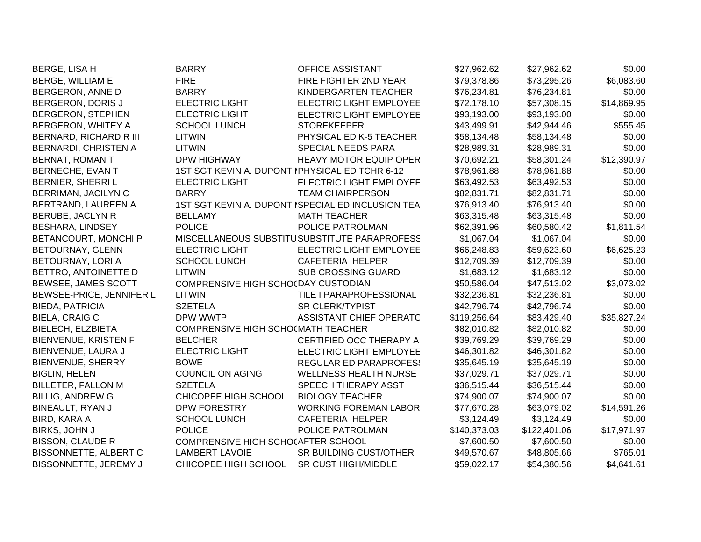| <b>BERGE, LISA H</b>        | <b>BARRY</b>                                   | OFFICE ASSISTANT                                  | \$27,962.62  | \$27,962.62  | \$0.00      |
|-----------------------------|------------------------------------------------|---------------------------------------------------|--------------|--------------|-------------|
| <b>BERGE, WILLIAM E</b>     | <b>FIRE</b>                                    | FIRE FIGHTER 2ND YEAR                             | \$79,378.86  | \$73,295.26  | \$6,083.60  |
| BERGERON, ANNE D            | <b>BARRY</b>                                   | KINDERGARTEN TEACHER                              | \$76,234.81  | \$76,234.81  | \$0.00      |
| BERGERON, DORIS J           | <b>ELECTRIC LIGHT</b>                          | ELECTRIC LIGHT EMPLOYEE                           | \$72,178.10  | \$57,308.15  | \$14,869.95 |
| BERGERON, STEPHEN           | <b>ELECTRIC LIGHT</b>                          | ELECTRIC LIGHT EMPLOYEE                           | \$93,193.00  | \$93,193.00  | \$0.00      |
| BERGERON, WHITEY A          | <b>SCHOOL LUNCH</b>                            | <b>STOREKEEPER</b>                                | \$43,499.91  | \$42,944.46  | \$555.45    |
| BERNARD, RICHARD R III      | <b>LITWIN</b>                                  | PHYSICAL ED K-5 TEACHER                           | \$58,134.48  | \$58,134.48  | \$0.00      |
| BERNARDI, CHRISTEN A        | <b>LITWIN</b>                                  | SPECIAL NEEDS PARA                                | \$28,989.31  | \$28,989.31  | \$0.00      |
| BERNAT, ROMAN T             | DPW HIGHWAY                                    | <b>HEAVY MOTOR EQUIP OPER</b>                     | \$70,692.21  | \$58,301.24  | \$12,390.97 |
| BERNECHE, EVAN T            | 1ST SGT KEVIN A. DUPONT IPHYSICAL ED TCHR 6-12 |                                                   | \$78,961.88  | \$78,961.88  | \$0.00      |
| BERNIER, SHERRI L           | <b>ELECTRIC LIGHT</b>                          | <b>ELECTRIC LIGHT EMPLOYEE</b>                    | \$63,492.53  | \$63,492.53  | \$0.00      |
| BERRIMAN, JACILYN C         | <b>BARRY</b>                                   | <b>TEAM CHAIRPERSON</b>                           | \$82,831.71  | \$82,831.71  | \$0.00      |
| BERTRAND, LAUREEN A         |                                                | 1ST SGT KEVIN A. DUPONT ISPECIAL ED INCLUSION TEA | \$76,913.40  | \$76,913.40  | \$0.00      |
| BERUBE, JACLYN R            | <b>BELLAMY</b>                                 | <b>MATH TEACHER</b>                               | \$63,315.48  | \$63,315.48  | \$0.00      |
| <b>BESHARA, LINDSEY</b>     | <b>POLICE</b>                                  | POLICE PATROLMAN                                  | \$62,391.96  | \$60,580.42  | \$1,811.54  |
| BETANCOURT, MONCHI P        |                                                | MISCELLANEOUS SUBSTITUSUBSTITUTE PARAPROFESS      | \$1,067.04   | \$1,067.04   | \$0.00      |
| BETOURNAY, GLENN            | <b>ELECTRIC LIGHT</b>                          | <b>ELECTRIC LIGHT EMPLOYEE</b>                    | \$66,248.83  | \$59,623.60  | \$6,625.23  |
| BETOURNAY, LORI A           | <b>SCHOOL LUNCH</b>                            | <b>CAFETERIA HELPER</b>                           | \$12,709.39  | \$12,709.39  | \$0.00      |
| BETTRO, ANTOINETTE D        | <b>LITWIN</b>                                  | <b>SUB CROSSING GUARD</b>                         | \$1,683.12   | \$1,683.12   | \$0.00      |
| BEWSEE, JAMES SCOTT         | COMPRENSIVE HIGH SCHO(DAY CUSTODIAN            |                                                   | \$50,586.04  | \$47,513.02  | \$3,073.02  |
| BEWSEE-PRICE, JENNIFER L    | <b>LITWIN</b>                                  | TILE I PARAPROFESSIONAL                           | \$32,236.81  | \$32,236.81  | \$0.00      |
| <b>BIEDA, PATRICIA</b>      | <b>SZETELA</b>                                 | <b>SR CLERK/TYPIST</b>                            | \$42,796.74  | \$42,796.74  | \$0.00      |
| <b>BIELA, CRAIG C</b>       | DPW WWTP                                       | ASSISTANT CHIEF OPERATC                           | \$119,256.64 | \$83,429.40  | \$35,827.24 |
| <b>BIELECH, ELZBIETA</b>    | COMPRENSIVE HIGH SCHO(MATH TEACHER             |                                                   | \$82,010.82  | \$82,010.82  | \$0.00      |
| <b>BIENVENUE, KRISTEN F</b> | <b>BELCHER</b>                                 | CERTIFIED OCC THERAPY A                           | \$39,769.29  | \$39,769.29  | \$0.00      |
| BIENVENUE, LAURA J          | <b>ELECTRIC LIGHT</b>                          | <b>ELECTRIC LIGHT EMPLOYEE</b>                    | \$46,301.82  | \$46,301.82  | \$0.00      |
| <b>BIENVENUE, SHERRY</b>    | <b>BOWE</b>                                    | <b>REGULAR ED PARAPROFES!</b>                     | \$35,645.19  | \$35,645.19  | \$0.00      |
| <b>BIGLIN, HELEN</b>        | <b>COUNCIL ON AGING</b>                        | <b>WELLNESS HEALTH NURSE</b>                      | \$37,029.71  | \$37,029.71  | \$0.00      |
| BILLETER, FALLON M          | <b>SZETELA</b>                                 | SPEECH THERAPY ASST                               | \$36,515.44  | \$36,515.44  | \$0.00      |
| <b>BILLIG, ANDREW G</b>     | CHICOPEE HIGH SCHOOL                           | <b>BIOLOGY TEACHER</b>                            | \$74,900.07  | \$74,900.07  | \$0.00      |
| BINEAULT, RYAN J            | DPW FORESTRY                                   | <b>WORKING FOREMAN LABOR</b>                      | \$77,670.28  | \$63,079.02  | \$14,591.26 |
| BIRD, KARA A                | <b>SCHOOL LUNCH</b>                            | CAFETERIA HELPER                                  | \$3,124.49   | \$3,124.49   | \$0.00      |
| BIRKS, JOHN J               | <b>POLICE</b>                                  | POLICE PATROLMAN                                  | \$140,373.03 | \$122,401.06 | \$17,971.97 |
| <b>BISSON, CLAUDE R</b>     | COMPRENSIVE HIGH SCHOCAFTER SCHOOL             |                                                   | \$7,600.50   | \$7,600.50   | \$0.00      |
| BISSONNETTE, ALBERT C       | <b>LAMBERT LAVOIE</b>                          | SR BUILDING CUST/OTHER                            | \$49,570.67  | \$48,805.66  | \$765.01    |
| BISSONNETTE, JEREMY J       | CHICOPEE HIGH SCHOOL                           | <b>SR CUST HIGH/MIDDLE</b>                        | \$59,022.17  | \$54,380.56  | \$4,641.61  |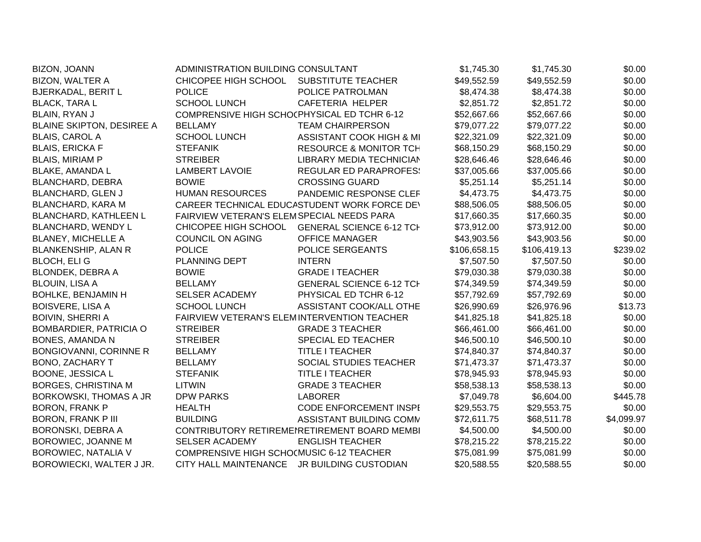| BIZON, JOANN                     | ADMINISTRATION BUILDING CONSULTANT          |                                              | \$1,745.30   | \$1,745.30   | \$0.00     |
|----------------------------------|---------------------------------------------|----------------------------------------------|--------------|--------------|------------|
| <b>BIZON, WALTER A</b>           | CHICOPEE HIGH SCHOOL                        | SUBSTITUTE TEACHER                           | \$49,552.59  | \$49,552.59  | \$0.00     |
| <b>BJERKADAL, BERIT L</b>        | <b>POLICE</b>                               | POLICE PATROLMAN                             | \$8,474.38   | \$8,474.38   | \$0.00     |
| <b>BLACK, TARA L</b>             | <b>SCHOOL LUNCH</b>                         | CAFETERIA HELPER                             | \$2,851.72   | \$2,851.72   | \$0.00     |
| BLAIN, RYAN J                    | COMPRENSIVE HIGH SCHOCPHYSICAL ED TCHR 6-12 |                                              | \$52,667.66  | \$52,667.66  | \$0.00     |
| <b>BLAINE SKIPTON, DESIREE A</b> | <b>BELLAMY</b>                              | <b>TEAM CHAIRPERSON</b>                      | \$79,077.22  | \$79,077.22  | \$0.00     |
| <b>BLAIS, CAROL A</b>            | <b>SCHOOL LUNCH</b>                         | ASSISTANT COOK HIGH & MI                     | \$22,321.09  | \$22,321.09  | \$0.00     |
| <b>BLAIS, ERICKA F</b>           | <b>STEFANIK</b>                             | <b>RESOURCE &amp; MONITOR TCH</b>            | \$68,150.29  | \$68,150.29  | \$0.00     |
| <b>BLAIS, MIRIAM P</b>           | <b>STREIBER</b>                             | LIBRARY MEDIA TECHNICIAN                     | \$28,646.46  | \$28,646.46  | \$0.00     |
| <b>BLAKE, AMANDA L</b>           | <b>LAMBERT LAVOIE</b>                       | <b>REGULAR ED PARAPROFES:</b>                | \$37,005.66  | \$37,005.66  | \$0.00     |
| BLANCHARD, DEBRA                 | <b>BOWIE</b>                                | <b>CROSSING GUARD</b>                        | \$5,251.14   | \$5,251.14   | \$0.00     |
| <b>BLANCHARD, GLEN J</b>         | <b>HUMAN RESOURCES</b>                      | PANDEMIC RESPONSE CLEF                       | \$4,473.75   | \$4,473.75   | \$0.00     |
| <b>BLANCHARD, KARA M</b>         |                                             | CAREER TECHNICAL EDUCASTUDENT WORK FORCE DEV | \$88,506.05  | \$88,506.05  | \$0.00     |
| <b>BLANCHARD, KATHLEEN L</b>     | FAIRVIEW VETERAN'S ELEMSPECIAL NEEDS PARA   |                                              | \$17,660.35  | \$17,660.35  | \$0.00     |
| <b>BLANCHARD, WENDY L</b>        | CHICOPEE HIGH SCHOOL                        | <b>GENERAL SCIENCE 6-12 TCH</b>              | \$73,912.00  | \$73,912.00  | \$0.00     |
| <b>BLANEY, MICHELLE A</b>        | COUNCIL ON AGING                            | <b>OFFICE MANAGER</b>                        | \$43,903.56  | \$43,903.56  | \$0.00     |
| <b>BLANKENSHIP, ALAN R</b>       | <b>POLICE</b>                               | POLICE SERGEANTS                             | \$106,658.15 | \$106,419.13 | \$239.02   |
| BLOCH, ELI G                     | PLANNING DEPT                               | <b>INTERN</b>                                | \$7,507.50   | \$7,507.50   | \$0.00     |
| <b>BLONDEK, DEBRA A</b>          | <b>BOWIE</b>                                | <b>GRADE I TEACHER</b>                       | \$79,030.38  | \$79,030.38  | \$0.00     |
| <b>BLOUIN, LISA A</b>            | <b>BELLAMY</b>                              | <b>GENERAL SCIENCE 6-12 TCH</b>              | \$74,349.59  | \$74,349.59  | \$0.00     |
| <b>BOHLKE, BENJAMIN H</b>        | <b>SELSER ACADEMY</b>                       | PHYSICAL ED TCHR 6-12                        | \$57,792.69  | \$57,792.69  | \$0.00     |
| <b>BOISVERE, LISA A</b>          | <b>SCHOOL LUNCH</b>                         | ASSISTANT COOK/ALL OTHE                      | \$26,990.69  | \$26,976.96  | \$13.73    |
| <b>BOIVIN, SHERRI A</b>          | FAIRVIEW VETERAN'S ELEMINTERVENTION TEACHER |                                              | \$41,825.18  | \$41,825.18  | \$0.00     |
| BOMBARDIER, PATRICIA O           | <b>STREIBER</b>                             | <b>GRADE 3 TEACHER</b>                       | \$66,461.00  | \$66,461.00  | \$0.00     |
| <b>BONES, AMANDA N</b>           | <b>STREIBER</b>                             | SPECIAL ED TEACHER                           | \$46,500.10  | \$46,500.10  | \$0.00     |
| BONGIOVANNI, CORINNE R           | <b>BELLAMY</b>                              | <b>TITLE I TEACHER</b>                       | \$74,840.37  | \$74,840.37  | \$0.00     |
| <b>BONO, ZACHARY T</b>           | <b>BELLAMY</b>                              | SOCIAL STUDIES TEACHER                       | \$71,473.37  | \$71,473.37  | \$0.00     |
| BOONE, JESSICA L                 | <b>STEFANIK</b>                             | <b>TITLE I TEACHER</b>                       | \$78,945.93  | \$78,945.93  | \$0.00     |
| <b>BORGES, CHRISTINA M</b>       | <b>LITWIN</b>                               | <b>GRADE 3 TEACHER</b>                       | \$58,538.13  | \$58,538.13  | \$0.00     |
| BORKOWSKI, THOMAS A JR           | <b>DPW PARKS</b>                            | <b>LABORER</b>                               | \$7,049.78   | \$6,604.00   | \$445.78   |
| <b>BORON, FRANK P</b>            | <b>HEALTH</b>                               | <b>CODE ENFORCEMENT INSPI</b>                | \$29,553.75  | \$29,553.75  | \$0.00     |
| <b>BORON, FRANK P III</b>        | <b>BUILDING</b>                             | ASSISTANT BUILDING COMM                      | \$72,611.75  | \$68,511.78  | \$4,099.97 |
| BORONSKI, DEBRA A                |                                             | CONTRIBUTORY RETIREMENRETIREMENT BOARD MEMBI | \$4,500.00   | \$4,500.00   | \$0.00     |
| BOROWIEC, JOANNE M               | <b>SELSER ACADEMY</b>                       | <b>ENGLISH TEACHER</b>                       | \$78,215.22  | \$78,215.22  | \$0.00     |
| BOROWIEC, NATALIA V              | COMPRENSIVE HIGH SCHO(MUSIC 6-12 TEACHER    |                                              | \$75,081.99  | \$75,081.99  | \$0.00     |
| BOROWIECKI, WALTER J JR.         | <b>CITY HALL MAINTENANCE</b>                | JR BUILDING CUSTODIAN                        | \$20,588.55  | \$20,588.55  | \$0.00     |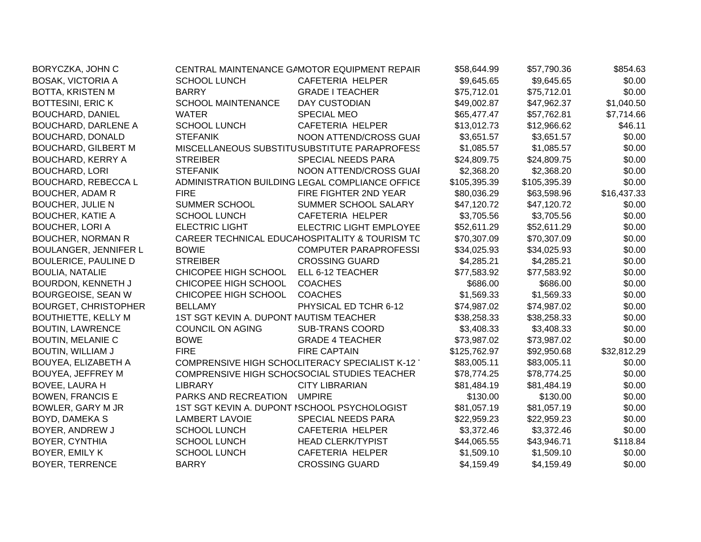| BORYCZKA, JOHN C             |                                         | CENTRAL MAINTENANCE GAMOTOR EQUIPMENT REPAIR    | \$58,644.99  | \$57,790.36  | \$854.63    |
|------------------------------|-----------------------------------------|-------------------------------------------------|--------------|--------------|-------------|
| <b>BOSAK, VICTORIA A</b>     | <b>SCHOOL LUNCH</b>                     | CAFETERIA HELPER                                | \$9,645.65   | \$9,645.65   | \$0.00      |
| BOTTA, KRISTEN M             | <b>BARRY</b>                            | <b>GRADE I TEACHER</b>                          | \$75,712.01  | \$75,712.01  | \$0.00      |
| <b>BOTTESINI, ERIC K</b>     | <b>SCHOOL MAINTENANCE</b>               | <b>DAY CUSTODIAN</b>                            | \$49,002.87  | \$47,962.37  | \$1,040.50  |
| <b>BOUCHARD, DANIEL</b>      | <b>WATER</b>                            | <b>SPECIAL MEO</b>                              | \$65,477.47  | \$57,762.81  | \$7,714.66  |
| <b>BOUCHARD, DARLENE A</b>   | <b>SCHOOL LUNCH</b>                     | CAFETERIA HELPER                                | \$13,012.73  | \$12,966.62  | \$46.11     |
| <b>BOUCHARD, DONALD</b>      | <b>STEFANIK</b>                         | NOON ATTEND/CROSS GUAI                          | \$3,651.57   | \$3,651.57   | \$0.00      |
| <b>BOUCHARD, GILBERT M</b>   |                                         | MISCELLANEOUS SUBSTITUSUBSTITUTE PARAPROFESS    | \$1,085.57   | \$1,085.57   | \$0.00      |
| <b>BOUCHARD, KERRY A</b>     | <b>STREIBER</b>                         | <b>SPECIAL NEEDS PARA</b>                       | \$24,809.75  | \$24,809.75  | \$0.00      |
| <b>BOUCHARD, LORI</b>        | <b>STEFANIK</b>                         | NOON ATTEND/CROSS GUAI                          | \$2,368.20   | \$2,368.20   | \$0.00      |
| <b>BOUCHARD, REBECCA L</b>   |                                         | ADMINISTRATION BUILDING LEGAL COMPLIANCE OFFICE | \$105,395.39 | \$105,395.39 | \$0.00      |
| <b>BOUCHER, ADAM R</b>       | <b>FIRE</b>                             | FIRE FIGHTER 2ND YEAR                           | \$80,036.29  | \$63,598.96  | \$16,437.33 |
| <b>BOUCHER, JULIE N</b>      | <b>SUMMER SCHOOL</b>                    | SUMMER SCHOOL SALARY                            | \$47,120.72  | \$47,120.72  | \$0.00      |
| <b>BOUCHER, KATIE A</b>      | <b>SCHOOL LUNCH</b>                     | CAFETERIA HELPER                                | \$3,705.56   | \$3,705.56   | \$0.00      |
| <b>BOUCHER, LORI A</b>       | <b>ELECTRIC LIGHT</b>                   | <b>ELECTRIC LIGHT EMPLOYEE</b>                  | \$52,611.29  | \$52,611.29  | \$0.00      |
| <b>BOUCHER, NORMAN R</b>     |                                         | CAREER TECHNICAL EDUCAHOSPITALITY & TOURISM TC  | \$70,307.09  | \$70,307.09  | \$0.00      |
| <b>BOULANGER, JENNIFER L</b> | <b>BOWIE</b>                            | <b>COMPUTER PARAPROFESSI</b>                    | \$34,025.93  | \$34,025.93  | \$0.00      |
| <b>BOULERICE, PAULINE D</b>  | <b>STREIBER</b>                         | <b>CROSSING GUARD</b>                           | \$4,285.21   | \$4,285.21   | \$0.00      |
| <b>BOULIA, NATALIE</b>       | CHICOPEE HIGH SCHOOL                    | ELL 6-12 TEACHER                                | \$77,583.92  | \$77,583.92  | \$0.00      |
| BOURDON, KENNETH J           | CHICOPEE HIGH SCHOOL                    | <b>COACHES</b>                                  | \$686.00     | \$686.00     | \$0.00      |
| <b>BOURGEOISE, SEAN W</b>    | CHICOPEE HIGH SCHOOL                    | <b>COACHES</b>                                  | \$1,569.33   | \$1,569.33   | \$0.00      |
| <b>BOURGET, CHRISTOPHER</b>  | <b>BELLAMY</b>                          | PHYSICAL ED TCHR 6-12                           | \$74,987.02  | \$74,987.02  | \$0.00      |
| <b>BOUTHIETTE, KELLY M</b>   | 1ST SGT KEVIN A. DUPONT IAUTISM TEACHER |                                                 | \$38,258.33  | \$38,258.33  | \$0.00      |
| <b>BOUTIN, LAWRENCE</b>      | <b>COUNCIL ON AGING</b>                 | <b>SUB-TRANS COORD</b>                          | \$3,408.33   | \$3,408.33   | \$0.00      |
| <b>BOUTIN, MELANIE C</b>     | <b>BOWE</b>                             | <b>GRADE 4 TEACHER</b>                          | \$73,987.02  | \$73,987.02  | \$0.00      |
| <b>BOUTIN, WILLIAM J</b>     | <b>FIRE</b>                             | <b>FIRE CAPTAIN</b>                             | \$125,762.97 | \$92,950.68  | \$32,812.29 |
| BOUYEA, ELIZABETH A          |                                         | COMPRENSIVE HIGH SCHOCLITERACY SPECIALIST K-12  | \$83,005.11  | \$83,005.11  | \$0.00      |
| <b>BOUYEA, JEFFREY M</b>     |                                         | COMPRENSIVE HIGH SCHO(SOCIAL STUDIES TEACHER    | \$78,774.25  | \$78,774.25  | \$0.00      |
| <b>BOVEE, LAURA H</b>        | <b>LIBRARY</b>                          | <b>CITY LIBRARIAN</b>                           | \$81,484.19  | \$81,484.19  | \$0.00      |
| <b>BOWEN, FRANCIS E</b>      | PARKS AND RECREATION                    | <b>UMPIRE</b>                                   | \$130.00     | \$130.00     | \$0.00      |
| BOWLER, GARY M JR            |                                         | 1ST SGT KEVIN A. DUPONT ISCHOOL PSYCHOLOGIST    | \$81,057.19  | \$81,057.19  | \$0.00      |
| BOYD, DAMEKA S               | <b>LAMBERT LAVOIE</b>                   | SPECIAL NEEDS PARA                              | \$22,959.23  | \$22,959.23  | \$0.00      |
| BOYER, ANDREW J              | <b>SCHOOL LUNCH</b>                     | CAFETERIA HELPER                                | \$3,372.46   | \$3,372.46   | \$0.00      |
| BOYER, CYNTHIA               | <b>SCHOOL LUNCH</b>                     | <b>HEAD CLERK/TYPIST</b>                        | \$44,065.55  | \$43,946.71  | \$118.84    |
| BOYER, EMILY K               | <b>SCHOOL LUNCH</b>                     | CAFETERIA HELPER                                | \$1,509.10   | \$1,509.10   | \$0.00      |
| <b>BOYER, TERRENCE</b>       | <b>BARRY</b>                            | <b>CROSSING GUARD</b>                           | \$4,159.49   | \$4,159.49   | \$0.00      |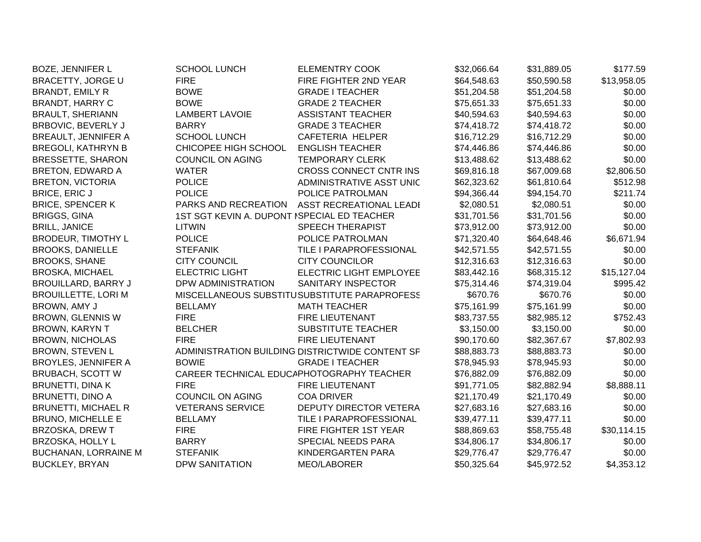| <b>BOZE, JENNIFER L</b>     | <b>SCHOOL LUNCH</b>                         | <b>ELEMENTRY COOK</b>                           | \$32,066.64 | \$31,889.05 | \$177.59    |
|-----------------------------|---------------------------------------------|-------------------------------------------------|-------------|-------------|-------------|
| <b>BRACETTY, JORGE U</b>    | <b>FIRE</b>                                 | FIRE FIGHTER 2ND YEAR                           | \$64,548.63 | \$50,590.58 | \$13,958.05 |
| <b>BRANDT, EMILY R</b>      | <b>BOWE</b>                                 | <b>GRADE I TEACHER</b>                          | \$51,204.58 | \$51,204.58 | \$0.00      |
| <b>BRANDT, HARRY C</b>      | <b>BOWE</b>                                 | <b>GRADE 2 TEACHER</b>                          | \$75,651.33 | \$75,651.33 | \$0.00      |
| <b>BRAULT, SHERIANN</b>     | <b>LAMBERT LAVOIE</b>                       | <b>ASSISTANT TEACHER</b>                        | \$40,594.63 | \$40,594.63 | \$0.00      |
| BRBOVIC, BEVERLY J          | <b>BARRY</b>                                | <b>GRADE 3 TEACHER</b>                          | \$74,418.72 | \$74,418.72 | \$0.00      |
| <b>BREAULT, JENNIFER A</b>  | <b>SCHOOL LUNCH</b>                         | CAFETERIA HELPER                                | \$16,712.29 | \$16,712.29 | \$0.00      |
| <b>BREGOLI, KATHRYN B</b>   | CHICOPEE HIGH SCHOOL                        | <b>ENGLISH TEACHER</b>                          | \$74,446.86 | \$74,446.86 | \$0.00      |
| <b>BRESSETTE, SHARON</b>    | <b>COUNCIL ON AGING</b>                     | <b>TEMPORARY CLERK</b>                          | \$13,488.62 | \$13,488.62 | \$0.00      |
| BRETON, EDWARD A            | <b>WATER</b>                                | CROSS CONNECT CNTR INS                          | \$69,816.18 | \$67,009.68 | \$2,806.50  |
| <b>BRETON, VICTORIA</b>     | <b>POLICE</b>                               | ADMINISTRATIVE ASST UNIC                        | \$62,323.62 | \$61,810.64 | \$512.98    |
| <b>BRICE, ERIC J</b>        | <b>POLICE</b>                               | POLICE PATROLMAN                                | \$94,366.44 | \$94,154.70 | \$211.74    |
| <b>BRICE, SPENCER K</b>     | PARKS AND RECREATION                        | ASST RECREATIONAL LEADI                         | \$2,080.51  | \$2,080.51  | \$0.00      |
| <b>BRIGGS, GINA</b>         | 1ST SGT KEVIN A. DUPONT ISPECIAL ED TEACHER |                                                 | \$31,701.56 | \$31,701.56 | \$0.00      |
| <b>BRILL, JANICE</b>        | <b>LITWIN</b>                               | <b>SPEECH THERAPIST</b>                         | \$73,912.00 | \$73,912.00 | \$0.00      |
| <b>BRODEUR, TIMOTHY L</b>   | <b>POLICE</b>                               | POLICE PATROLMAN                                | \$71,320.40 | \$64,648.46 | \$6,671.94  |
| <b>BROOKS, DANIELLE</b>     | <b>STEFANIK</b>                             | TILE I PARAPROFESSIONAL                         | \$42,571.55 | \$42,571.55 | \$0.00      |
| <b>BROOKS, SHANE</b>        | <b>CITY COUNCIL</b>                         | <b>CITY COUNCILOR</b>                           | \$12,316.63 | \$12,316.63 | \$0.00      |
| <b>BROSKA, MICHAEL</b>      | ELECTRIC LIGHT                              | ELECTRIC LIGHT EMPLOYEE                         | \$83,442.16 | \$68,315.12 | \$15,127.04 |
| <b>BROUILLARD, BARRY J</b>  | DPW ADMINISTRATION                          | SANITARY INSPECTOR                              | \$75,314.46 | \$74,319.04 | \$995.42    |
| <b>BROUILLETTE, LORI M</b>  |                                             | MISCELLANEOUS SUBSTITUSUBSTITUTE PARAPROFESS    | \$670.76    | \$670.76    | \$0.00      |
| BROWN, AMY J                | <b>BELLAMY</b>                              | <b>MATH TEACHER</b>                             | \$75,161.99 | \$75,161.99 | \$0.00      |
| <b>BROWN, GLENNIS W</b>     | <b>FIRE</b>                                 | <b>FIRE LIEUTENANT</b>                          | \$83,737.55 | \$82,985.12 | \$752.43    |
| <b>BROWN, KARYN T</b>       | <b>BELCHER</b>                              | SUBSTITUTE TEACHER                              | \$3,150.00  | \$3,150.00  | \$0.00      |
| <b>BROWN, NICHOLAS</b>      | <b>FIRE</b>                                 | <b>FIRE LIEUTENANT</b>                          | \$90,170.60 | \$82,367.67 | \$7,802.93  |
| <b>BROWN, STEVEN L</b>      |                                             | ADMINISTRATION BUILDING DISTRICTWIDE CONTENT SF | \$88,883.73 | \$88,883.73 | \$0.00      |
| <b>BROYLES, JENNIFER A</b>  | <b>BOWIE</b>                                | <b>GRADE I TEACHER</b>                          | \$78,945.93 | \$78,945.93 | \$0.00      |
| <b>BRUBACH, SCOTT W</b>     |                                             | CAREER TECHNICAL EDUCAPHOTOGRAPHY TEACHER       | \$76,882.09 | \$76,882.09 | \$0.00      |
| <b>BRUNETTI, DINA K</b>     | <b>FIRE</b>                                 | <b>FIRE LIEUTENANT</b>                          | \$91,771.05 | \$82,882.94 | \$8,888.11  |
| <b>BRUNETTI, DINO A</b>     | <b>COUNCIL ON AGING</b>                     | <b>COA DRIVER</b>                               | \$21,170.49 | \$21,170.49 | \$0.00      |
| <b>BRUNETTI, MICHAEL R</b>  | <b>VETERANS SERVICE</b>                     | DEPUTY DIRECTOR VETERA                          | \$27,683.16 | \$27,683.16 | \$0.00      |
| <b>BRUNO, MICHELLE E</b>    | <b>BELLAMY</b>                              | TILE I PARAPROFESSIONAL                         | \$39,477.11 | \$39,477.11 | \$0.00      |
| BRZOSKA, DREW T             | <b>FIRE</b>                                 | FIRE FIGHTER 1ST YEAR                           | \$88,869.63 | \$58,755.48 | \$30,114.15 |
| BRZOSKA, HOLLY L            | <b>BARRY</b>                                | SPECIAL NEEDS PARA                              | \$34,806.17 | \$34,806.17 | \$0.00      |
| <b>BUCHANAN, LORRAINE M</b> | <b>STEFANIK</b>                             | KINDERGARTEN PARA                               | \$29,776.47 | \$29,776.47 | \$0.00      |
| <b>BUCKLEY, BRYAN</b>       | <b>DPW SANITATION</b>                       | <b>MEO/LABORER</b>                              | \$50,325.64 | \$45,972.52 | \$4,353.12  |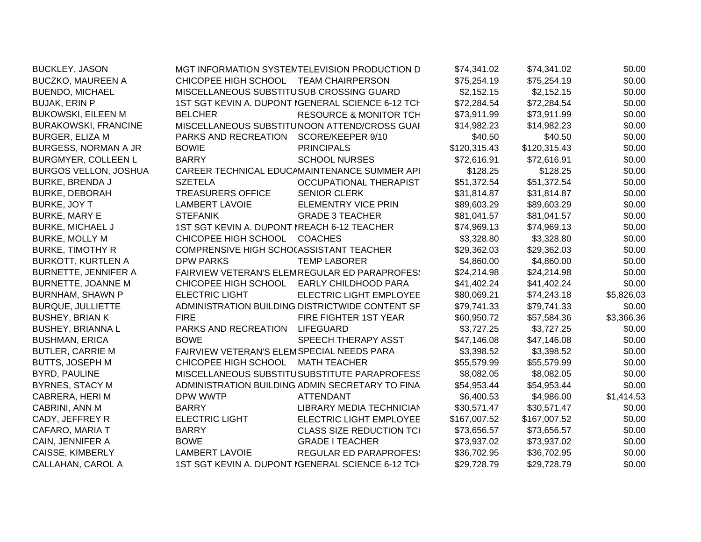| <b>BUCKLEY, JASON</b>        |                                             | MGT INFORMATION SYSTEMTELEVISION PRODUCTION D     | \$74,341.02  | \$74,341.02  | \$0.00     |
|------------------------------|---------------------------------------------|---------------------------------------------------|--------------|--------------|------------|
| <b>BUCZKO, MAUREEN A</b>     | CHICOPEE HIGH SCHOOL TEAM CHAIRPERSON       |                                                   | \$75,254.19  | \$75,254.19  | \$0.00     |
| <b>BUENDO, MICHAEL</b>       | MISCELLANEOUS SUBSTITUSUB CROSSING GUARD    |                                                   | \$2,152.15   | \$2,152.15   | \$0.00     |
| <b>BUJAK, ERIN P</b>         |                                             | 1ST SGT KEVIN A. DUPONT IGENERAL SCIENCE 6-12 TCH | \$72,284.54  | \$72,284.54  | \$0.00     |
| <b>BUKOWSKI, EILEEN M</b>    | <b>BELCHER</b>                              | <b>RESOURCE &amp; MONITOR TCH</b>                 | \$73,911.99  | \$73,911.99  | \$0.00     |
| <b>BURAKOWSKI, FRANCINE</b>  |                                             | MISCELLANEOUS SUBSTITUNOON ATTEND/CROSS GUAI      | \$14,982.23  | \$14,982.23  | \$0.00     |
| <b>BURGER, ELIZA M</b>       | PARKS AND RECREATION                        | SCORE/KEEPER 9/10                                 | \$40.50      | \$40.50      | \$0.00     |
| <b>BURGESS, NORMAN A JR</b>  | <b>BOWIE</b>                                | <b>PRINCIPALS</b>                                 | \$120,315.43 | \$120,315.43 | \$0.00     |
| <b>BURGMYER, COLLEEN L</b>   | <b>BARRY</b>                                | <b>SCHOOL NURSES</b>                              | \$72,616.91  | \$72,616.91  | \$0.00     |
| <b>BURGOS VELLON, JOSHUA</b> |                                             | CAREER TECHNICAL EDUCAMAINTENANCE SUMMER API      | \$128.25     | \$128.25     | \$0.00     |
| <b>BURKE, BRENDA J</b>       | <b>SZETELA</b>                              | <b>OCCUPATIONAL THERAPIST</b>                     | \$51,372.54  | \$51,372.54  | \$0.00     |
| <b>BURKE, DEBORAH</b>        | <b>TREASURERS OFFICE</b>                    | <b>SENIOR CLERK</b>                               | \$31,814.87  | \$31,814.87  | \$0.00     |
| BURKE, JOY T                 | <b>LAMBERT LAVOIE</b>                       | <b>ELEMENTRY VICE PRIN</b>                        | \$89,603.29  | \$89,603.29  | \$0.00     |
| <b>BURKE, MARY E</b>         | <b>STEFANIK</b>                             | <b>GRADE 3 TEACHER</b>                            | \$81,041.57  | \$81,041.57  | \$0.00     |
| <b>BURKE, MICHAEL J</b>      | 1ST SGT KEVIN A. DUPONT IREACH 6-12 TEACHER |                                                   | \$74,969.13  | \$74,969.13  | \$0.00     |
| <b>BURKE, MOLLY M</b>        | CHICOPEE HIGH SCHOOL                        | <b>COACHES</b>                                    | \$3,328.80   | \$3,328.80   | \$0.00     |
| <b>BURKE, TIMOTHY R</b>      | COMPRENSIVE HIGH SCHO(ASSISTANT TEACHER     |                                                   | \$29,362.03  | \$29,362.03  | \$0.00     |
| <b>BURKOTT, KURTLEN A</b>    | <b>DPW PARKS</b>                            | <b>TEMP LABORER</b>                               | \$4,860.00   | \$4,860.00   | \$0.00     |
| <b>BURNETTE, JENNIFER A</b>  |                                             | FAIRVIEW VETERAN'S ELEMREGULAR ED PARAPROFES!     | \$24,214.98  | \$24,214.98  | \$0.00     |
| <b>BURNETTE, JOANNE M</b>    | CHICOPEE HIGH SCHOOL                        | <b>EARLY CHILDHOOD PARA</b>                       | \$41,402.24  | \$41,402.24  | \$0.00     |
| <b>BURNHAM, SHAWN P</b>      | <b>ELECTRIC LIGHT</b>                       | ELECTRIC LIGHT EMPLOYEE                           | \$80,069.21  | \$74,243.18  | \$5,826.03 |
| <b>BURQUE, JULLIETTE</b>     |                                             | ADMINISTRATION BUILDING DISTRICTWIDE CONTENT SF   | \$79,741.33  | \$79,741.33  | \$0.00     |
| <b>BUSHEY, BRIAN K</b>       | <b>FIRE</b>                                 | FIRE FIGHTER 1ST YEAR                             | \$60,950.72  | \$57,584.36  | \$3,366.36 |
| <b>BUSHEY, BRIANNAL</b>      | PARKS AND RECREATION                        | <b>LIFEGUARD</b>                                  | \$3,727.25   | \$3,727.25   | \$0.00     |
| <b>BUSHMAN, ERICA</b>        | <b>BOWE</b>                                 | SPEECH THERAPY ASST                               | \$47,146.08  | \$47,146.08  | \$0.00     |
| <b>BUTLER, CARRIE M</b>      | FAIRVIEW VETERAN'S ELEMSPECIAL NEEDS PARA   |                                                   | \$3,398.52   | \$3,398.52   | \$0.00     |
| BUTTS, JOSEPH M              | CHICOPEE HIGH SCHOOL                        | <b>MATH TEACHER</b>                               | \$55,579.99  | \$55,579.99  | \$0.00     |
| BYRD, PAULINE                |                                             | MISCELLANEOUS SUBSTITUSUBSTITUTE PARAPROFESS      | \$8,082.05   | \$8,082.05   | \$0.00     |
| <b>BYRNES, STACY M</b>       |                                             | ADMINISTRATION BUILDING ADMIN SECRETARY TO FINA   | \$54,953.44  | \$54,953.44  | \$0.00     |
| CABRERA, HERIM               | <b>DPW WWTP</b>                             | <b>ATTENDANT</b>                                  | \$6,400.53   | \$4,986.00   | \$1,414.53 |
| CABRINI, ANN M               | <b>BARRY</b>                                | LIBRARY MEDIA TECHNICIAN                          | \$30,571.47  | \$30,571.47  | \$0.00     |
| CADY, JEFFREY R              | <b>ELECTRIC LIGHT</b>                       | ELECTRIC LIGHT EMPLOYEE                           | \$167,007.52 | \$167,007.52 | \$0.00     |
| CAFARO, MARIA T              | <b>BARRY</b>                                | <b>CLASS SIZE REDUCTION TCI</b>                   | \$73,656.57  | \$73,656.57  | \$0.00     |
| CAIN, JENNIFER A             | <b>BOWE</b>                                 | <b>GRADE I TEACHER</b>                            | \$73,937.02  | \$73,937.02  | \$0.00     |
| CAISSE, KIMBERLY             | <b>LAMBERT LAVOIE</b>                       | <b>REGULAR ED PARAPROFES:</b>                     | \$36,702.95  | \$36,702.95  | \$0.00     |
| CALLAHAN, CAROL A            |                                             | 1ST SGT KEVIN A. DUPONT IGENERAL SCIENCE 6-12 TCH | \$29,728.79  | \$29,728.79  | \$0.00     |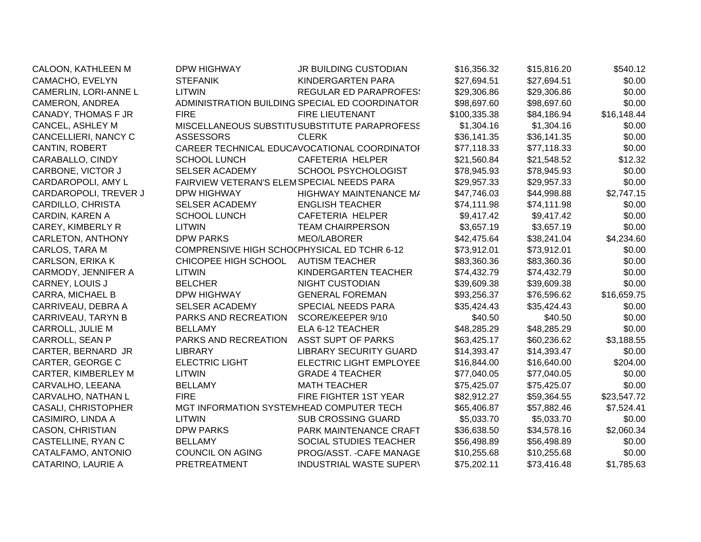| CALOON, KATHLEEN M         | <b>DPW HIGHWAY</b>                          | <b>JR BUILDING CUSTODIAN</b>                   | \$16,356.32  | \$15,816.20 | \$540.12    |
|----------------------------|---------------------------------------------|------------------------------------------------|--------------|-------------|-------------|
| CAMACHO, EVELYN            | <b>STEFANIK</b>                             | KINDERGARTEN PARA                              | \$27,694.51  | \$27,694.51 | \$0.00      |
| CAMERLIN, LORI-ANNE L      | <b>LITWIN</b>                               | <b>REGULAR ED PARAPROFES:</b>                  | \$29,306.86  | \$29,306.86 | \$0.00      |
| CAMERON, ANDREA            |                                             | ADMINISTRATION BUILDING SPECIAL ED COORDINATOR | \$98,697.60  | \$98,697.60 | \$0.00      |
| CANADY, THOMAS F JR        | <b>FIRE</b>                                 | <b>FIRE LIEUTENANT</b>                         | \$100,335.38 | \$84,186.94 | \$16,148.44 |
| CANCEL, ASHLEY M           |                                             | MISCELLANEOUS SUBSTITUSUBSTITUTE PARAPROFESS   | \$1,304.16   | \$1,304.16  | \$0.00      |
| CANCELLIERI, NANCY C       | <b>ASSESSORS</b>                            | <b>CLERK</b>                                   | \$36,141.35  | \$36,141.35 | \$0.00      |
| CANTIN, ROBERT             |                                             | CAREER TECHNICAL EDUCAVOCATIONAL COORDINATOR   | \$77,118.33  | \$77,118.33 | \$0.00      |
| CARABALLO, CINDY           | <b>SCHOOL LUNCH</b>                         | CAFETERIA HELPER                               | \$21,560.84  | \$21,548.52 | \$12.32     |
| CARBONE, VICTOR J          | <b>SELSER ACADEMY</b>                       | <b>SCHOOL PSYCHOLOGIST</b>                     | \$78,945.93  | \$78,945.93 | \$0.00      |
| CARDAROPOLI, AMY L         | FAIRVIEW VETERAN'S ELEMSPECIAL NEEDS PARA   |                                                | \$29,957.33  | \$29,957.33 | \$0.00      |
| CARDAROPOLI, TREVER J      | <b>DPW HIGHWAY</b>                          | <b>HIGHWAY MAINTENANCE M/</b>                  | \$47,746.03  | \$44,998.88 | \$2,747.15  |
| CARDILLO, CHRISTA          | SELSER ACADEMY                              | <b>ENGLISH TEACHER</b>                         | \$74,111.98  | \$74,111.98 | \$0.00      |
| CARDIN, KAREN A            | <b>SCHOOL LUNCH</b>                         | CAFETERIA HELPER                               | \$9,417.42   | \$9,417.42  | \$0.00      |
| CAREY, KIMBERLY R          | <b>LITWIN</b>                               | <b>TEAM CHAIRPERSON</b>                        | \$3,657.19   | \$3,657.19  | \$0.00      |
| CARLETON, ANTHONY          | <b>DPW PARKS</b>                            | MEO/LABORER                                    | \$42,475.64  | \$38,241.04 | \$4,234.60  |
| CARLOS, TARA M             | COMPRENSIVE HIGH SCHOCPHYSICAL ED TCHR 6-12 |                                                | \$73,912.01  | \$73,912.01 | \$0.00      |
| CARLSON, ERIKA K           | CHICOPEE HIGH SCHOOL                        | <b>AUTISM TEACHER</b>                          | \$83,360.36  | \$83,360.36 | \$0.00      |
| CARMODY, JENNIFER A        | <b>LITWIN</b>                               | KINDERGARTEN TEACHER                           | \$74,432.79  | \$74,432.79 | \$0.00      |
| CARNEY, LOUIS J            | <b>BELCHER</b>                              | <b>NIGHT CUSTODIAN</b>                         | \$39,609.38  | \$39,609.38 | \$0.00      |
| CARRA, MICHAEL B           | <b>DPW HIGHWAY</b>                          | <b>GENERAL FOREMAN</b>                         | \$93,256.37  | \$76,596.62 | \$16,659.75 |
| CARRIVEAU, DEBRA A         | <b>SELSER ACADEMY</b>                       | SPECIAL NEEDS PARA                             | \$35,424.43  | \$35,424.43 | \$0.00      |
| CARRIVEAU, TARYN B         | PARKS AND RECREATION                        | SCORE/KEEPER 9/10                              | \$40.50      | \$40.50     | \$0.00      |
| CARROLL, JULIE M           | <b>BELLAMY</b>                              | ELA 6-12 TEACHER                               | \$48,285.29  | \$48,285.29 | \$0.00      |
| CARROLL, SEAN P            | PARKS AND RECREATION                        | ASST SUPT OF PARKS                             | \$63,425.17  | \$60,236.62 | \$3,188.55  |
| CARTER, BERNARD JR         | <b>LIBRARY</b>                              | <b>LIBRARY SECURITY GUARD</b>                  | \$14,393.47  | \$14,393.47 | \$0.00      |
| CARTER, GEORGE C           | <b>ELECTRIC LIGHT</b>                       | ELECTRIC LIGHT EMPLOYEE                        | \$16,844.00  | \$16,640.00 | \$204.00    |
| CARTER, KIMBERLEY M        | <b>LITWIN</b>                               | <b>GRADE 4 TEACHER</b>                         | \$77,040.05  | \$77,040.05 | \$0.00      |
| CARVALHO, LEEANA           | <b>BELLAMY</b>                              | <b>MATH TEACHER</b>                            | \$75,425.07  | \$75,425.07 | \$0.00      |
| CARVALHO, NATHAN L         | <b>FIRE</b>                                 | FIRE FIGHTER 1ST YEAR                          | \$82,912.27  | \$59,364.55 | \$23,547.72 |
| <b>CASALI, CHRISTOPHER</b> | MGT INFORMATION SYSTEMHEAD COMPUTER TECH    |                                                | \$65,406.87  | \$57,882.46 | \$7,524.41  |
| CASIMIRO, LINDA A          | <b>LITWIN</b>                               | SUB CROSSING GUARD                             | \$5,033.70   | \$5,033.70  | \$0.00      |
| CASON, CHRISTIAN           | <b>DPW PARKS</b>                            | PARK MAINTENANCE CRAFT                         | \$36,638.50  | \$34,578.16 | \$2,060.34  |
| CASTELLINE, RYAN C         | <b>BELLAMY</b>                              | SOCIAL STUDIES TEACHER                         | \$56,498.89  | \$56,498.89 | \$0.00      |
| CATALFAMO, ANTONIO         | <b>COUNCIL ON AGING</b>                     | PROG/ASST. - CAFE MANAGE                       | \$10,255.68  | \$10,255.68 | \$0.00      |
| <b>CATARINO, LAURIE A</b>  | PRETREATMENT                                | <b>INDUSTRIAL WASTE SUPERY</b>                 | \$75,202.11  | \$73,416.48 | \$1,785.63  |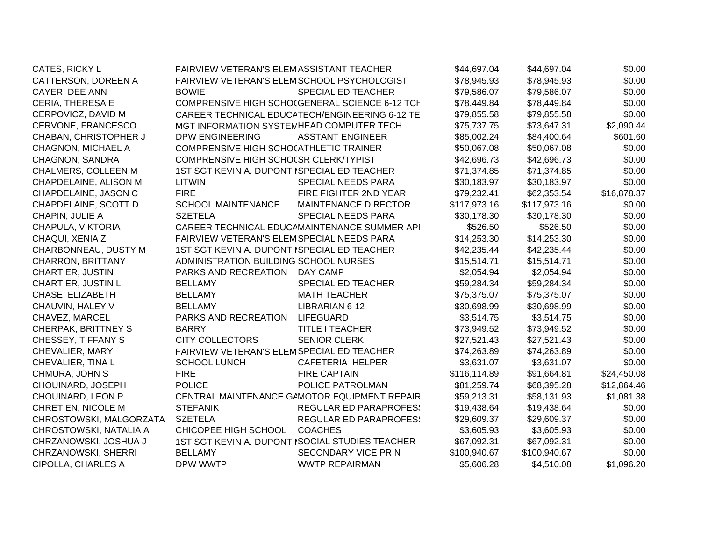| CATES, RICKY L             | FAIRVIEW VETERAN'S ELEMASSISTANT TEACHER    |                                                 | \$44,697.04  | \$44,697.04  | \$0.00      |
|----------------------------|---------------------------------------------|-------------------------------------------------|--------------|--------------|-------------|
| CATTERSON, DOREEN A        | FAIRVIEW VETERAN'S ELEMSCHOOL PSYCHOLOGIST  |                                                 | \$78,945.93  | \$78,945.93  | \$0.00      |
| CAYER, DEE ANN             | <b>BOWIE</b>                                | SPECIAL ED TEACHER                              | \$79,586.07  | \$79,586.07  | \$0.00      |
| CERIA, THERESA E           |                                             | COMPRENSIVE HIGH SCHO(GENERAL SCIENCE 6-12 TCH  | \$78,449.84  | \$78,449.84  | \$0.00      |
| CERPOVICZ, DAVID M         |                                             | CAREER TECHNICAL EDUCATECH/ENGINEERING 6-12 TE  | \$79,855.58  | \$79,855.58  | \$0.00      |
| CERVONE, FRANCESCO         | MGT INFORMATION SYSTEMHEAD COMPUTER TECH    |                                                 | \$75,737.75  | \$73,647.31  | \$2,090.44  |
| CHABAN, CHRISTOPHER J      | <b>DPW ENGINEERING</b>                      | <b>ASSTANT ENGINEER</b>                         | \$85,002.24  | \$84,400.64  | \$601.60    |
| <b>CHAGNON, MICHAEL A</b>  | COMPRENSIVE HIGH SCHOCATHLETIC TRAINER      |                                                 | \$50,067.08  | \$50,067.08  | \$0.00      |
| CHAGNON, SANDRA            | COMPRENSIVE HIGH SCHOCSR CLERK/TYPIST       |                                                 | \$42,696.73  | \$42,696.73  | \$0.00      |
| CHALMERS, COLLEEN M        | 1ST SGT KEVIN A. DUPONT ISPECIAL ED TEACHER |                                                 | \$71,374.85  | \$71,374.85  | \$0.00      |
| CHAPDELAINE, ALISON M      | <b>LITWIN</b>                               | SPECIAL NEEDS PARA                              | \$30,183.97  | \$30,183.97  | \$0.00      |
| CHAPDELAINE, JASON C       | <b>FIRE</b>                                 | FIRE FIGHTER 2ND YEAR                           | \$79,232.41  | \$62,353.54  | \$16,878.87 |
| CHAPDELAINE, SCOTT D       | <b>SCHOOL MAINTENANCE</b>                   | <b>MAINTENANCE DIRECTOR</b>                     | \$117,973.16 | \$117,973.16 | \$0.00      |
| CHAPIN, JULIE A            | <b>SZETELA</b>                              | <b>SPECIAL NEEDS PARA</b>                       | \$30,178.30  | \$30,178.30  | \$0.00      |
| CHAPULA, VIKTORIA          |                                             | CAREER TECHNICAL EDUCAMAINTENANCE SUMMER API    | \$526.50     | \$526.50     | \$0.00      |
| CHAQUI, XENIA Z            | FAIRVIEW VETERAN'S ELEMSPECIAL NEEDS PARA   |                                                 | \$14,253.30  | \$14,253.30  | \$0.00      |
| CHARBONNEAU, DUSTY M       | 1ST SGT KEVIN A. DUPONT ISPECIAL ED TEACHER |                                                 | \$42,235.44  | \$42,235.44  | \$0.00      |
| CHARRON, BRITTANY          | ADMINISTRATION BUILDING SCHOOL NURSES       |                                                 | \$15,514.71  | \$15,514.71  | \$0.00      |
| CHARTIER, JUSTIN           | PARKS AND RECREATION                        | DAY CAMP                                        | \$2,054.94   | \$2,054.94   | \$0.00      |
| CHARTIER, JUSTIN L         | <b>BELLAMY</b>                              | SPECIAL ED TEACHER                              | \$59,284.34  | \$59,284.34  | \$0.00      |
| CHASE, ELIZABETH           | <b>BELLAMY</b>                              | <b>MATH TEACHER</b>                             | \$75,375.07  | \$75,375.07  | \$0.00      |
| CHAUVIN, HALEY V           | <b>BELLAMY</b>                              | LIBRARIAN 6-12                                  | \$30,698.99  | \$30,698.99  | \$0.00      |
| CHAVEZ, MARCEL             | PARKS AND RECREATION                        | <b>LIFEGUARD</b>                                | \$3,514.75   | \$3,514.75   | \$0.00      |
| <b>CHERPAK, BRITTNEY S</b> | <b>BARRY</b>                                | <b>TITLE I TEACHER</b>                          | \$73,949.52  | \$73,949.52  | \$0.00      |
| <b>CHESSEY, TIFFANY S</b>  | <b>CITY COLLECTORS</b>                      | <b>SENIOR CLERK</b>                             | \$27,521.43  | \$27,521.43  | \$0.00      |
| CHEVALIER, MARY            | FAIRVIEW VETERAN'S ELEMSPECIAL ED TEACHER   |                                                 | \$74,263.89  | \$74,263.89  | \$0.00      |
| CHEVALIER, TINA L          | <b>SCHOOL LUNCH</b>                         | CAFETERIA HELPER                                | \$3,631.07   | \$3,631.07   | \$0.00      |
| CHMURA, JOHN S             | <b>FIRE</b>                                 | <b>FIRE CAPTAIN</b>                             | \$116,114.89 | \$91,664.81  | \$24,450.08 |
| CHOUINARD, JOSEPH          | <b>POLICE</b>                               | POLICE PATROLMAN                                | \$81,259.74  | \$68,395.28  | \$12,864.46 |
| CHOUINARD, LEON P          |                                             | CENTRAL MAINTENANCE GAMOTOR EQUIPMENT REPAIR    | \$59,213.31  | \$58,131.93  | \$1,081.38  |
| CHRETIEN, NICOLE M         | <b>STEFANIK</b>                             | <b>REGULAR ED PARAPROFES:</b>                   | \$19,438.64  | \$19,438.64  | \$0.00      |
| CHROSTOWSKI, MALGORZATA    | <b>SZETELA</b>                              | <b>REGULAR ED PARAPROFES:</b>                   | \$29,609.37  | \$29,609.37  | \$0.00      |
| CHROSTOWSKI, NATALIA A     | CHICOPEE HIGH SCHOOL                        | <b>COACHES</b>                                  | \$3,605.93   | \$3,605.93   | \$0.00      |
| CHRZANOWSKI, JOSHUA J      |                                             | 1ST SGT KEVIN A. DUPONT ISOCIAL STUDIES TEACHER | \$67,092.31  | \$67,092.31  | \$0.00      |
| CHRZANOWSKI, SHERRI        | <b>BELLAMY</b>                              | <b>SECONDARY VICE PRIN</b>                      | \$100,940.67 | \$100,940.67 | \$0.00      |
| CIPOLLA, CHARLES A         | DPW WWTP                                    | <b>WWTP REPAIRMAN</b>                           | \$5,606.28   | \$4,510.08   | \$1,096.20  |
|                            |                                             |                                                 |              |              |             |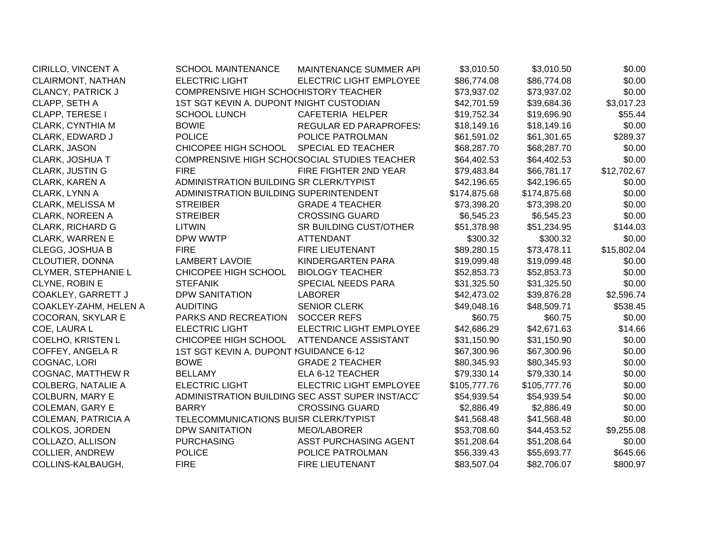| CIRILLO, VINCENT A         | <b>SCHOOL MAINTENANCE</b>                | <b>MAINTENANCE SUMMER API</b>                   | \$3,010.50   | \$3,010.50   | \$0.00      |
|----------------------------|------------------------------------------|-------------------------------------------------|--------------|--------------|-------------|
| CLAIRMONT, NATHAN          | <b>ELECTRIC LIGHT</b>                    | <b>ELECTRIC LIGHT EMPLOYEE</b>                  | \$86,774.08  | \$86,774.08  | \$0.00      |
| CLANCY, PATRICK J          | COMPRENSIVE HIGH SCHOCHISTORY TEACHER    |                                                 | \$73,937.02  | \$73,937.02  | \$0.00      |
| CLAPP, SETH A              | 1ST SGT KEVIN A. DUPONT INIGHT CUSTODIAN |                                                 | \$42,701.59  | \$39,684.36  | \$3,017.23  |
| CLAPP, TERESE I            | <b>SCHOOL LUNCH</b>                      | CAFETERIA HELPER                                | \$19,752.34  | \$19,696.90  | \$55.44     |
| CLARK, CYNTHIA M           | <b>BOWIE</b>                             | <b>REGULAR ED PARAPROFES:</b>                   | \$18,149.16  | \$18,149.16  | \$0.00      |
| CLARK, EDWARD J            | <b>POLICE</b>                            | POLICE PATROLMAN                                | \$61,591.02  | \$61,301.65  | \$289.37    |
| CLARK, JASON               | CHICOPEE HIGH SCHOOL                     | <b>SPECIAL ED TEACHER</b>                       | \$68,287.70  | \$68,287.70  | \$0.00      |
| CLARK, JOSHUA T            |                                          | COMPRENSIVE HIGH SCHO(SOCIAL STUDIES TEACHER    | \$64,402.53  | \$64,402.53  | \$0.00      |
| <b>CLARK, JUSTIN G</b>     | <b>FIRE</b>                              | FIRE FIGHTER 2ND YEAR                           | \$79,483.84  | \$66,781.17  | \$12,702.67 |
| <b>CLARK, KAREN A</b>      | ADMINISTRATION BUILDING SR CLERK/TYPIST  |                                                 | \$42,196.65  | \$42,196.65  | \$0.00      |
| CLARK, LYNN A              | ADMINISTRATION BUILDING SUPERINTENDENT   |                                                 | \$174,875.68 | \$174,875.68 | \$0.00      |
| CLARK, MELISSA M           | <b>STREIBER</b>                          | <b>GRADE 4 TEACHER</b>                          | \$73,398.20  | \$73,398.20  | \$0.00      |
| <b>CLARK, NOREEN A</b>     | <b>STREIBER</b>                          | <b>CROSSING GUARD</b>                           | \$6,545.23   | \$6,545.23   | \$0.00      |
| <b>CLARK, RICHARD G</b>    | <b>LITWIN</b>                            | SR BUILDING CUST/OTHER                          | \$51,378.98  | \$51,234.95  | \$144.03    |
| <b>CLARK, WARREN E</b>     | DPW WWTP                                 | <b>ATTENDANT</b>                                | \$300.32     | \$300.32     | \$0.00      |
| CLEGG, JOSHUA B            | <b>FIRE</b>                              | FIRE LIEUTENANT                                 | \$89,280.15  | \$73,478.11  | \$15,802.04 |
| CLOUTIER, DONNA            | <b>LAMBERT LAVOIE</b>                    | KINDERGARTEN PARA                               | \$19,099.48  | \$19,099.48  | \$0.00      |
| CLYMER, STEPHANIE L        | CHICOPEE HIGH SCHOOL                     | <b>BIOLOGY TEACHER</b>                          | \$52,853.73  | \$52,853.73  | \$0.00      |
| CLYNE, ROBIN E             | <b>STEFANIK</b>                          | SPECIAL NEEDS PARA                              | \$31,325.50  | \$31,325.50  | \$0.00      |
| COAKLEY, GARRETT J         | <b>DPW SANITATION</b>                    | <b>LABORER</b>                                  | \$42,473.02  | \$39,876.28  | \$2,596.74  |
| COAKLEY-ZAHM, HELEN A      | <b>AUDITING</b>                          | <b>SENIOR CLERK</b>                             | \$49,048.16  | \$48,509.71  | \$538.45    |
| <b>COCORAN, SKYLAR E</b>   | PARKS AND RECREATION                     | <b>SOCCER REFS</b>                              | \$60.75      | \$60.75      | \$0.00      |
| COE, LAURA L               | <b>ELECTRIC LIGHT</b>                    | ELECTRIC LIGHT EMPLOYEE                         | \$42,686.29  | \$42,671.63  | \$14.66     |
| <b>COELHO, KRISTEN L</b>   | CHICOPEE HIGH SCHOOL                     | ATTENDANCE ASSISTANT                            | \$31,150.90  | \$31,150.90  | \$0.00      |
| COFFEY, ANGELA R           | 1ST SGT KEVIN A. DUPONT IGUIDANCE 6-12   |                                                 | \$67,300.96  | \$67,300.96  | \$0.00      |
| COGNAC, LORI               | <b>BOWE</b>                              | <b>GRADE 2 TEACHER</b>                          | \$80,345.93  | \$80,345.93  | \$0.00      |
| <b>COGNAC, MATTHEW R</b>   | <b>BELLAMY</b>                           | ELA 6-12 TEACHER                                | \$79,330.14  | \$79,330.14  | \$0.00      |
| <b>COLBERG, NATALIE A</b>  | <b>ELECTRIC LIGHT</b>                    | ELECTRIC LIGHT EMPLOYEE                         | \$105,777.76 | \$105,777.76 | \$0.00      |
| <b>COLBURN, MARY E</b>     |                                          | ADMINISTRATION BUILDING SEC ASST SUPER INST/ACC | \$54,939.54  | \$54,939.54  | \$0.00      |
| <b>COLEMAN, GARY E</b>     | <b>BARRY</b>                             | <b>CROSSING GUARD</b>                           | \$2,886.49   | \$2,886.49   | \$0.00      |
| <b>COLEMAN, PATRICIA A</b> | TELECOMMUNICATIONS BUISR CLERK/TYPIST    |                                                 | \$41,568.48  | \$41,568.48  | \$0.00      |
| COLKOS, JORDEN             | <b>DPW SANITATION</b>                    | <b>MEO/LABORER</b>                              | \$53,708.60  | \$44,453.52  | \$9,255.08  |
| COLLAZO, ALLISON           | <b>PURCHASING</b>                        | ASST PURCHASING AGENT                           | \$51,208.64  | \$51,208.64  | \$0.00      |
| <b>COLLIER, ANDREW</b>     | <b>POLICE</b>                            | POLICE PATROLMAN                                | \$56,339.43  | \$55,693.77  | \$645.66    |
| COLLINS-KALBAUGH,          | <b>FIRE</b>                              | FIRE LIEUTENANT                                 | \$83,507.04  | \$82,706.07  | \$800.97    |
|                            |                                          |                                                 |              |              |             |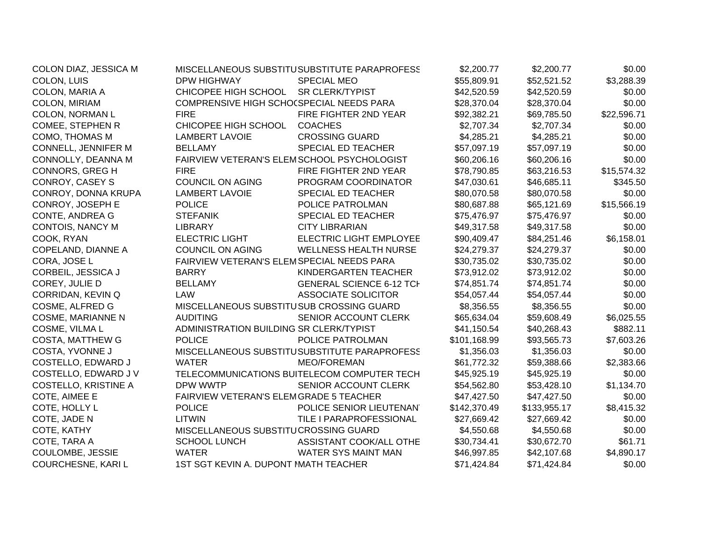| COLON DIAZ, JESSICA M       |                                           | MISCELLANEOUS SUBSTITUSUBSTITUTE PARAPROFESS | \$2,200.77   | \$2,200.77   | \$0.00      |
|-----------------------------|-------------------------------------------|----------------------------------------------|--------------|--------------|-------------|
| COLON, LUIS                 | <b>DPW HIGHWAY</b>                        | <b>SPECIAL MEO</b>                           | \$55,809.91  | \$52,521.52  | \$3,288.39  |
| COLON, MARIA A              | CHICOPEE HIGH SCHOOL                      | <b>SR CLERK/TYPIST</b>                       | \$42,520.59  | \$42,520.59  | \$0.00      |
| COLON, MIRIAM               | COMPRENSIVE HIGH SCHO(SPECIAL NEEDS PARA  |                                              | \$28,370.04  | \$28,370.04  | \$0.00      |
| COLON, NORMAN L             | <b>FIRE</b>                               | FIRE FIGHTER 2ND YEAR                        | \$92,382.21  | \$69,785.50  | \$22,596.71 |
| COMEE, STEPHEN R            | CHICOPEE HIGH SCHOOL                      | <b>COACHES</b>                               | \$2,707.34   | \$2,707.34   | \$0.00      |
| COMO, THOMAS M              | <b>LAMBERT LAVOIE</b>                     | <b>CROSSING GUARD</b>                        | \$4,285.21   | \$4,285.21   | \$0.00      |
| <b>CONNELL, JENNIFER M</b>  | <b>BELLAMY</b>                            | SPECIAL ED TEACHER                           | \$57,097.19  | \$57,097.19  | \$0.00      |
| CONNOLLY, DEANNA M          |                                           | FAIRVIEW VETERAN'S ELEMSCHOOL PSYCHOLOGIST   | \$60,206.16  | \$60,206.16  | \$0.00      |
| <b>CONNORS, GREG H</b>      | <b>FIRE</b>                               | FIRE FIGHTER 2ND YEAR                        | \$78,790.85  | \$63,216.53  | \$15,574.32 |
| CONROY, CASEY S             | <b>COUNCIL ON AGING</b>                   | PROGRAM COORDINATOR                          | \$47,030.61  | \$46,685.11  | \$345.50    |
| CONROY, DONNA KRUPA         | <b>LAMBERT LAVOIE</b>                     | SPECIAL ED TEACHER                           | \$80,070.58  | \$80,070.58  | \$0.00      |
| CONROY, JOSEPH E            | <b>POLICE</b>                             | POLICE PATROLMAN                             | \$80,687.88  | \$65,121.69  | \$15,566.19 |
| <b>CONTE, ANDREA G</b>      | <b>STEFANIK</b>                           | SPECIAL ED TEACHER                           | \$75,476.97  | \$75,476.97  | \$0.00      |
| CONTOIS, NANCY M            | <b>LIBRARY</b>                            | <b>CITY LIBRARIAN</b>                        | \$49,317.58  | \$49,317.58  | \$0.00      |
| COOK, RYAN                  | <b>ELECTRIC LIGHT</b>                     | ELECTRIC LIGHT EMPLOYEE                      | \$90,409.47  | \$84,251.46  | \$6,158.01  |
| <b>COPELAND, DIANNE A</b>   | <b>COUNCIL ON AGING</b>                   | <b>WELLNESS HEALTH NURSE</b>                 | \$24,279.37  | \$24,279.37  | \$0.00      |
| CORA, JOSE L                | FAIRVIEW VETERAN'S ELEMSPECIAL NEEDS PARA |                                              | \$30,735.02  | \$30,735.02  | \$0.00      |
| CORBEIL, JESSICA J          | <b>BARRY</b>                              | KINDERGARTEN TEACHER                         | \$73,912.02  | \$73,912.02  | \$0.00      |
| COREY, JULIE D              | <b>BELLAMY</b>                            | <b>GENERAL SCIENCE 6-12 TCH</b>              | \$74,851.74  | \$74,851.74  | \$0.00      |
| CORRIDAN, KEVIN Q           | LAW                                       | <b>ASSOCIATE SOLICITOR</b>                   | \$54,057.44  | \$54,057.44  | \$0.00      |
| COSME, ALFRED G             | MISCELLANEOUS SUBSTITUSUB CROSSING GUARD  |                                              | \$8,356.55   | \$8,356.55   | \$0.00      |
| <b>COSME, MARIANNE N</b>    | <b>AUDITING</b>                           | SENIOR ACCOUNT CLERK                         | \$65,634.04  | \$59,608.49  | \$6,025.55  |
| COSME, VILMA L              | ADMINISTRATION BUILDING SR CLERK/TYPIST   |                                              | \$41,150.54  | \$40,268.43  | \$882.11    |
| COSTA, MATTHEW G            | <b>POLICE</b>                             | POLICE PATROLMAN                             | \$101,168.99 | \$93,565.73  | \$7,603.26  |
| COSTA, YVONNE J             |                                           | MISCELLANEOUS SUBSTITUSUBSTITUTE PARAPROFESS | \$1,356.03   | \$1,356.03   | \$0.00      |
| COSTELLO, EDWARD J          | <b>WATER</b>                              | <b>MEO/FOREMAN</b>                           | \$61,772.32  | \$59,388.66  | \$2,383.66  |
| COSTELLO, EDWARD J V        |                                           | TELECOMMUNICATIONS BUITELECOM COMPUTER TECH  | \$45,925.19  | \$45,925.19  | \$0.00      |
| <b>COSTELLO, KRISTINE A</b> | DPW WWTP                                  | SENIOR ACCOUNT CLERK                         | \$54,562.80  | \$53,428.10  | \$1,134.70  |
| COTE, AIMEE E               | FAIRVIEW VETERAN'S ELEMGRADE 5 TEACHER    |                                              | \$47,427.50  | \$47,427.50  | \$0.00      |
| COTE, HOLLY L               | <b>POLICE</b>                             | POLICE SENIOR LIEUTENAN'                     | \$142,370.49 | \$133,955.17 | \$8,415.32  |
| COTE, JADE N                | <b>LITWIN</b>                             | TILE I PARAPROFESSIONAL                      | \$27,669.42  | \$27,669.42  | \$0.00      |
| COTE, KATHY                 | MISCELLANEOUS SUBSTITUCROSSING GUARD      |                                              | \$4,550.68   | \$4,550.68   | \$0.00      |
| COTE, TARA A                | <b>SCHOOL LUNCH</b>                       | ASSISTANT COOK/ALL OTHE                      | \$30,734.41  | \$30,672.70  | \$61.71     |
| COULOMBE, JESSIE            | <b>WATER</b>                              | WATER SYS MAINT MAN                          | \$46,997.85  | \$42,107.68  | \$4,890.17  |
| COURCHESNE, KARI L          | 1ST SGT KEVIN A. DUPONT MATH TEACHER      |                                              | \$71,424.84  | \$71,424.84  | \$0.00      |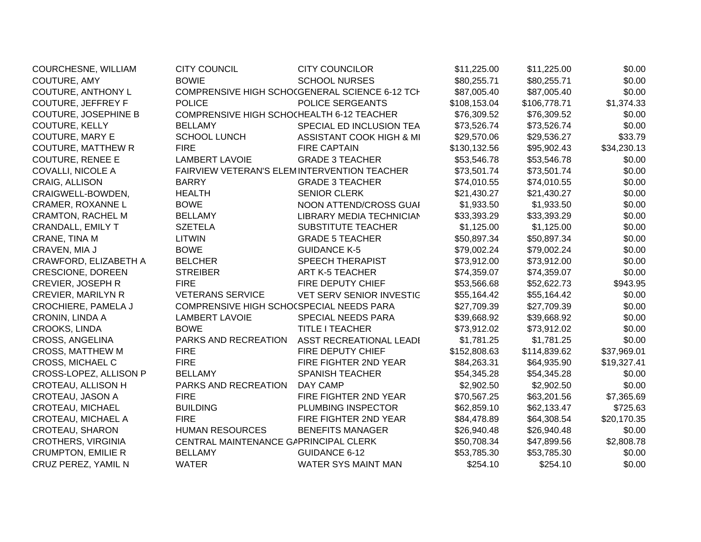| COURCHESNE, WILLIAM         | <b>CITY COUNCIL</b>                         | <b>CITY COUNCILOR</b>                          | \$11,225.00  | \$11,225.00  | \$0.00      |
|-----------------------------|---------------------------------------------|------------------------------------------------|--------------|--------------|-------------|
| COUTURE, AMY                | <b>BOWIE</b>                                | <b>SCHOOL NURSES</b>                           | \$80,255.71  | \$80,255.71  | \$0.00      |
| COUTURE, ANTHONY L          |                                             | COMPRENSIVE HIGH SCHO(GENERAL SCIENCE 6-12 TCH | \$87,005.40  | \$87,005.40  | \$0.00      |
| COUTURE, JEFFREY F          | <b>POLICE</b>                               | <b>POLICE SERGEANTS</b>                        | \$108,153.04 | \$106,778.71 | \$1,374.33  |
| <b>COUTURE, JOSEPHINE B</b> | COMPRENSIVE HIGH SCHOCHEALTH 6-12 TEACHER   |                                                | \$76,309.52  | \$76,309.52  | \$0.00      |
| COUTURE, KELLY              | <b>BELLAMY</b>                              | SPECIAL ED INCLUSION TEA                       | \$73,526.74  | \$73,526.74  | \$0.00      |
| COUTURE, MARY E             | <b>SCHOOL LUNCH</b>                         | ASSISTANT COOK HIGH & MI                       | \$29,570.06  | \$29,536.27  | \$33.79     |
| <b>COUTURE, MATTHEW R</b>   | <b>FIRE</b>                                 | <b>FIRE CAPTAIN</b>                            | \$130,132.56 | \$95,902.43  | \$34,230.13 |
| <b>COUTURE, RENEE E</b>     | <b>LAMBERT LAVOIE</b>                       | <b>GRADE 3 TEACHER</b>                         | \$53,546.78  | \$53,546.78  | \$0.00      |
| <b>COVALLI, NICOLE A</b>    | FAIRVIEW VETERAN'S ELEMINTERVENTION TEACHER |                                                | \$73,501.74  | \$73,501.74  | \$0.00      |
| CRAIG, ALLISON              | <b>BARRY</b>                                | <b>GRADE 3 TEACHER</b>                         | \$74,010.55  | \$74,010.55  | \$0.00      |
| CRAIGWELL-BOWDEN,           | <b>HEALTH</b>                               | <b>SENIOR CLERK</b>                            | \$21,430.27  | \$21,430.27  | \$0.00      |
| CRAMER, ROXANNE L           | <b>BOWE</b>                                 | NOON ATTEND/CROSS GUAI                         | \$1,933.50   | \$1,933.50   | \$0.00      |
| <b>CRAMTON, RACHEL M</b>    | <b>BELLAMY</b>                              | LIBRARY MEDIA TECHNICIAN                       | \$33,393.29  | \$33,393.29  | \$0.00      |
| CRANDALL, EMILY T           | <b>SZETELA</b>                              | <b>SUBSTITUTE TEACHER</b>                      | \$1,125.00   | \$1,125.00   | \$0.00      |
| CRANE, TINA M               | <b>LITWIN</b>                               | <b>GRADE 5 TEACHER</b>                         | \$50,897.34  | \$50,897.34  | \$0.00      |
| CRAVEN, MIA J               | <b>BOWE</b>                                 | <b>GUIDANCE K-5</b>                            | \$79,002.24  | \$79,002.24  | \$0.00      |
| CRAWFORD, ELIZABETH A       | <b>BELCHER</b>                              | <b>SPEECH THERAPIST</b>                        | \$73,912.00  | \$73,912.00  | \$0.00      |
| <b>CRESCIONE, DOREEN</b>    | <b>STREIBER</b>                             | <b>ART K-5 TEACHER</b>                         | \$74,359.07  | \$74,359.07  | \$0.00      |
| CREVIER, JOSEPH R           | <b>FIRE</b>                                 | FIRE DEPUTY CHIEF                              | \$53,566.68  | \$52,622.73  | \$943.95    |
| <b>CREVIER, MARILYN R</b>   | <b>VETERANS SERVICE</b>                     | VET SERV SENIOR INVESTIC                       | \$55,164.42  | \$55,164.42  | \$0.00      |
| <b>CROCHIERE, PAMELA J</b>  | COMPRENSIVE HIGH SCHO(SPECIAL NEEDS PARA    |                                                | \$27,709.39  | \$27,709.39  | \$0.00      |
| CRONIN, LINDA A             | <b>LAMBERT LAVOIE</b>                       | SPECIAL NEEDS PARA                             | \$39,668.92  | \$39,668.92  | \$0.00      |
| CROOKS, LINDA               | <b>BOWE</b>                                 | <b>TITLE I TEACHER</b>                         | \$73,912.02  | \$73,912.02  | \$0.00      |
| <b>CROSS, ANGELINA</b>      | PARKS AND RECREATION                        | ASST RECREATIONAL LEADI                        | \$1,781.25   | \$1,781.25   | \$0.00      |
| <b>CROSS, MATTHEW M</b>     | <b>FIRE</b>                                 | FIRE DEPUTY CHIEF                              | \$152,808.63 | \$114,839.62 | \$37,969.01 |
| <b>CROSS, MICHAEL C</b>     | <b>FIRE</b>                                 | FIRE FIGHTER 2ND YEAR                          | \$84,263.31  | \$64,935.90  | \$19,327.41 |
| CROSS-LOPEZ, ALLISON P      | <b>BELLAMY</b>                              | <b>SPANISH TEACHER</b>                         | \$54,345.28  | \$54,345.28  | \$0.00      |
| CROTEAU, ALLISON H          | PARKS AND RECREATION                        | <b>DAY CAMP</b>                                | \$2,902.50   | \$2,902.50   | \$0.00      |
| CROTEAU, JASON A            | <b>FIRE</b>                                 | FIRE FIGHTER 2ND YEAR                          | \$70,567.25  | \$63,201.56  | \$7,365.69  |
| <b>CROTEAU, MICHAEL</b>     | <b>BUILDING</b>                             | PLUMBING INSPECTOR                             | \$62,859.10  | \$62,133.47  | \$725.63    |
| CROTEAU, MICHAEL A          | <b>FIRE</b>                                 | FIRE FIGHTER 2ND YEAR                          | \$84,478.89  | \$64,308.54  | \$20,170.35 |
| CROTEAU, SHARON             | <b>HUMAN RESOURCES</b>                      | <b>BENEFITS MANAGER</b>                        | \$26,940.48  | \$26,940.48  | \$0.00      |
| <b>CROTHERS, VIRGINIA</b>   | CENTRAL MAINTENANCE GAPRINCIPAL CLERK       |                                                | \$50,708.34  | \$47,899.56  | \$2,808.78  |
| <b>CRUMPTON, EMILIE R</b>   | <b>BELLAMY</b>                              | <b>GUIDANCE 6-12</b>                           | \$53,785.30  | \$53,785.30  | \$0.00      |
| CRUZ PEREZ, YAMIL N         | <b>WATER</b>                                | <b>WATER SYS MAINT MAN</b>                     | \$254.10     | \$254.10     | \$0.00      |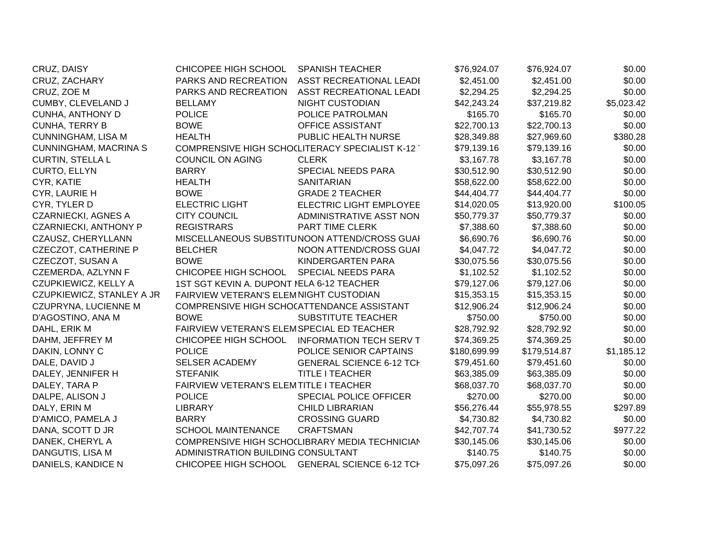| CRUZ, DAISY                  | CHICOPEE HIGH SCHOOL                       | <b>SPANISH TEACHER</b>                         | \$76,924.07  | \$76,924.07  | \$0.00     |
|------------------------------|--------------------------------------------|------------------------------------------------|--------------|--------------|------------|
| CRUZ, ZACHARY                | PARKS AND RECREATION                       | ASST RECREATIONAL LEADI                        | \$2,451.00   | \$2,451.00   | \$0.00     |
| CRUZ, ZOE M                  | PARKS AND RECREATION                       | <b>ASST RECREATIONAL LEADI</b>                 | \$2,294.25   | \$2,294.25   | \$0.00     |
| CUMBY, CLEVELAND J           | <b>BELLAMY</b>                             | <b>NIGHT CUSTODIAN</b>                         | \$42,243.24  | \$37,219.82  | \$5,023.42 |
| CUNHA, ANTHONY D             | <b>POLICE</b>                              | POLICE PATROLMAN                               | \$165.70     | \$165.70     | \$0.00     |
| <b>CUNHA, TERRY B</b>        | <b>BOWE</b>                                | OFFICE ASSISTANT                               | \$22,700.13  | \$22,700.13  | \$0.00     |
| <b>CUNNINGHAM, LISA M</b>    | <b>HEALTH</b>                              | PUBLIC HEALTH NURSE                            | \$28,349.88  | \$27,969.60  | \$380.28   |
| <b>CUNNINGHAM, MACRINA S</b> |                                            | COMPRENSIVE HIGH SCHOCLITERACY SPECIALIST K-12 | \$79,139.16  | \$79,139.16  | \$0.00     |
| <b>CURTIN, STELLA L</b>      | <b>COUNCIL ON AGING</b>                    | <b>CLERK</b>                                   | \$3,167.78   | \$3,167.78   | \$0.00     |
| <b>CURTO, ELLYN</b>          | <b>BARRY</b>                               | SPECIAL NEEDS PARA                             | \$30,512.90  | \$30,512.90  | \$0.00     |
| CYR, KATIE                   | <b>HEALTH</b>                              | <b>SANITARIAN</b>                              | \$58,622.00  | \$58,622.00  | \$0.00     |
| CYR, LAURIE H                | <b>BOWE</b>                                | <b>GRADE 2 TEACHER</b>                         | \$44,404.77  | \$44,404.77  | \$0.00     |
| CYR, TYLER D                 | <b>ELECTRIC LIGHT</b>                      | ELECTRIC LIGHT EMPLOYEE                        | \$14,020.05  | \$13,920.00  | \$100.05   |
| <b>CZARNIECKI, AGNES A</b>   | <b>CITY COUNCIL</b>                        | ADMINISTRATIVE ASST NON                        | \$50,779.37  | \$50,779.37  | \$0.00     |
| <b>CZARNIECKI, ANTHONY P</b> | <b>REGISTRARS</b>                          | PART TIME CLERK                                | \$7,388.60   | \$7,388.60   | \$0.00     |
| CZAUSZ, CHERYLLANN           |                                            | MISCELLANEOUS SUBSTITUNOON ATTEND/CROSS GUAI   | \$6,690.76   | \$6,690.76   | \$0.00     |
| <b>CZECZOT, CATHERINE P</b>  | <b>BELCHER</b>                             | NOON ATTEND/CROSS GUAI                         | \$4,047.72   | \$4,047.72   | \$0.00     |
| CZECZOT, SUSAN A             | <b>BOWE</b>                                | <b>KINDERGARTEN PARA</b>                       | \$30,075.56  | \$30,075.56  | \$0.00     |
| CZEMERDA, AZLYNN F           | CHICOPEE HIGH SCHOOL                       | SPECIAL NEEDS PARA                             | \$1,102.52   | \$1,102.52   | \$0.00     |
| CZUPKIEWICZ, KELLY A         | 1ST SGT KEVIN A. DUPONT NELA 6-12 TEACHER  |                                                | \$79,127.06  | \$79,127.06  | \$0.00     |
| CZUPKIEWICZ, STANLEY A JR    | FAIRVIEW VETERAN'S ELEMNIGHT CUSTODIAN     |                                                | \$15,353.15  | \$15,353.15  | \$0.00     |
| CZUPRYNA, LUCIENNE M         | COMPRENSIVE HIGH SCHO(ATTENDANCE ASSISTANT |                                                | \$12,906.24  | \$12,906.24  | \$0.00     |
| D'AGOSTINO, ANA M            | <b>BOWE</b>                                | <b>SUBSTITUTE TEACHER</b>                      | \$750.00     | \$750.00     | \$0.00     |
| DAHL, ERIK M                 | FAIRVIEW VETERAN'S ELEMSPECIAL ED TEACHER  |                                                | \$28,792.92  | \$28,792.92  | \$0.00     |
| DAHM, JEFFREY M              | CHICOPEE HIGH SCHOOL                       | <b>INFORMATION TECH SERV T</b>                 | \$74,369.25  | \$74,369.25  | \$0.00     |
| DAKIN, LONNY C               | <b>POLICE</b>                              | POLICE SENIOR CAPTAINS                         | \$180,699.99 | \$179,514.87 | \$1,185.12 |
| DALE, DAVID J                | SELSER ACADEMY                             | <b>GENERAL SCIENCE 6-12 TCH</b>                | \$79,451.60  | \$79,451.60  | \$0.00     |
| DALEY, JENNIFER H            | <b>STEFANIK</b>                            | <b>TITLE I TEACHER</b>                         | \$63,385.09  | \$63,385.09  | \$0.00     |
| DALEY, TARA P                | FAIRVIEW VETERAN'S ELEMTITLE I TEACHER     |                                                | \$68,037.70  | \$68,037.70  | \$0.00     |
| DALPE, ALISON J              | <b>POLICE</b>                              | SPECIAL POLICE OFFICER                         | \$270.00     | \$270.00     | \$0.00     |
| DALY, ERIN M                 | <b>LIBRARY</b>                             | <b>CHILD LIBRARIAN</b>                         | \$56,276.44  | \$55,978.55  | \$297.89   |
| D'AMICO, PAMELA J            | <b>BARRY</b>                               | <b>CROSSING GUARD</b>                          | \$4,730.82   | \$4,730.82   | \$0.00     |
| DANA, SCOTT D JR             | <b>SCHOOL MAINTENANCE</b>                  | <b>CRAFTSMAN</b>                               | \$42,707.74  | \$41,730.52  | \$977.22   |
| DANEK, CHERYL A              |                                            | COMPRENSIVE HIGH SCHOCLIBRARY MEDIA TECHNICIAN | \$30,145.06  | \$30,145.06  | \$0.00     |
| DANGUTIS, LISA M             | ADMINISTRATION BUILDING CONSULTANT         |                                                | \$140.75     | \$140.75     | \$0.00     |
| DANIELS, KANDICE N           |                                            | CHICOPEE HIGH SCHOOL GENERAL SCIENCE 6-12 TCH  | \$75,097.26  | \$75,097.26  | \$0.00     |
|                              |                                            |                                                |              |              |            |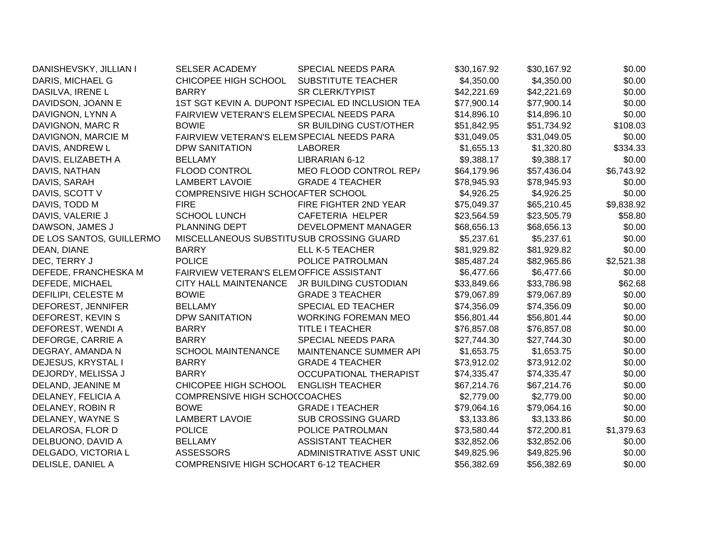| DANISHEVSKY, JILLIAN I   | <b>SELSER ACADEMY</b>                     | <b>SPECIAL NEEDS PARA</b>                         | \$30,167.92 | \$30,167.92 | \$0.00     |
|--------------------------|-------------------------------------------|---------------------------------------------------|-------------|-------------|------------|
| DARIS, MICHAEL G         | CHICOPEE HIGH SCHOOL                      | <b>SUBSTITUTE TEACHER</b>                         | \$4,350.00  | \$4,350.00  | \$0.00     |
| DASILVA, IRENE L         | <b>BARRY</b>                              | <b>SR CLERK/TYPIST</b>                            | \$42,221.69 | \$42,221.69 | \$0.00     |
| DAVIDSON, JOANN E        |                                           | 1ST SGT KEVIN A. DUPONT ISPECIAL ED INCLUSION TEA | \$77,900.14 | \$77,900.14 | \$0.00     |
| DAVIGNON, LYNN A         | FAIRVIEW VETERAN'S ELEMSPECIAL NEEDS PARA |                                                   | \$14,896.10 | \$14,896.10 | \$0.00     |
| DAVIGNON, MARC R         | <b>BOWIE</b>                              | SR BUILDING CUST/OTHER                            | \$51,842.95 | \$51,734.92 | \$108.03   |
| DAVIGNON, MARCIE M       | FAIRVIEW VETERAN'S ELEMSPECIAL NEEDS PARA |                                                   | \$31,049.05 | \$31,049.05 | \$0.00     |
| DAVIS, ANDREW L          | <b>DPW SANITATION</b>                     | <b>LABORER</b>                                    | \$1,655.13  | \$1,320.80  | \$334.33   |
| DAVIS, ELIZABETH A       | <b>BELLAMY</b>                            | LIBRARIAN 6-12                                    | \$9,388.17  | \$9,388.17  | \$0.00     |
| DAVIS, NATHAN            | <b>FLOOD CONTROL</b>                      | MEO FLOOD CONTROL REP/                            | \$64,179.96 | \$57,436.04 | \$6,743.92 |
| DAVIS, SARAH             | <b>LAMBERT LAVOIE</b>                     | <b>GRADE 4 TEACHER</b>                            | \$78,945.93 | \$78,945.93 | \$0.00     |
| DAVIS, SCOTT V           | COMPRENSIVE HIGH SCHOCAFTER SCHOOL        |                                                   | \$4,926.25  | \$4,926.25  | \$0.00     |
| DAVIS, TODD M            | <b>FIRE</b>                               | FIRE FIGHTER 2ND YEAR                             | \$75,049.37 | \$65,210.45 | \$9,838.92 |
| DAVIS, VALERIE J         | <b>SCHOOL LUNCH</b>                       | <b>CAFETERIA HELPER</b>                           | \$23,564.59 | \$23,505.79 | \$58.80    |
| DAWSON, JAMES J          | PLANNING DEPT                             | DEVELOPMENT MANAGER                               | \$68,656.13 | \$68,656.13 | \$0.00     |
| DE LOS SANTOS, GUILLERMO | MISCELLANEOUS SUBSTITUSUB CROSSING GUARD  |                                                   | \$5,237.61  | \$5,237.61  | \$0.00     |
| DEAN, DIANE              | <b>BARRY</b>                              | <b>ELL K-5 TEACHER</b>                            | \$81,929.82 | \$81,929.82 | \$0.00     |
| DEC, TERRY J             | <b>POLICE</b>                             | POLICE PATROLMAN                                  | \$85,487.24 | \$82,965.86 | \$2,521.38 |
| DEFEDE, FRANCHESKA M     | FAIRVIEW VETERAN'S ELEMOFFICE ASSISTANT   |                                                   | \$6,477.66  | \$6,477.66  | \$0.00     |
| DEFEDE, MICHAEL          | <b>CITY HALL MAINTENANCE</b>              | JR BUILDING CUSTODIAN                             | \$33,849.66 | \$33,786.98 | \$62.68    |
| DEFILIPI, CELESTE M      | <b>BOWIE</b>                              | <b>GRADE 3 TEACHER</b>                            | \$79,067.89 | \$79,067.89 | \$0.00     |
| DEFOREST, JENNIFER       | <b>BELLAMY</b>                            | SPECIAL ED TEACHER                                | \$74,356.09 | \$74,356.09 | \$0.00     |
| DEFOREST, KEVIN S        | <b>DPW SANITATION</b>                     | <b>WORKING FOREMAN MEO</b>                        | \$56,801.44 | \$56,801.44 | \$0.00     |
| DEFOREST, WENDI A        | <b>BARRY</b>                              | <b>TITLE I TEACHER</b>                            | \$76,857.08 | \$76,857.08 | \$0.00     |
| DEFORGE, CARRIE A        | <b>BARRY</b>                              | <b>SPECIAL NEEDS PARA</b>                         | \$27,744.30 | \$27,744.30 | \$0.00     |
| DEGRAY, AMANDA N         | <b>SCHOOL MAINTENANCE</b>                 | MAINTENANCE SUMMER API                            | \$1,653.75  | \$1,653.75  | \$0.00     |
| DEJESUS, KRYSTAL I       | <b>BARRY</b>                              | <b>GRADE 4 TEACHER</b>                            | \$73,912.02 | \$73,912.02 | \$0.00     |
| DEJORDY, MELISSA J       | <b>BARRY</b>                              | <b>OCCUPATIONAL THERAPIST</b>                     | \$74,335.47 | \$74,335.47 | \$0.00     |
| DELAND, JEANINE M        | CHICOPEE HIGH SCHOOL                      | <b>ENGLISH TEACHER</b>                            | \$67,214.76 | \$67,214.76 | \$0.00     |
| DELANEY, FELICIA A       | COMPRENSIVE HIGH SCHOCCOACHES             |                                                   | \$2,779.00  | \$2,779.00  | \$0.00     |
| DELANEY, ROBIN R         | <b>BOWE</b>                               | <b>GRADE I TEACHER</b>                            | \$79,064.16 | \$79,064.16 | \$0.00     |
| DELANEY, WAYNE S         | <b>LAMBERT LAVOIE</b>                     | SUB CROSSING GUARD                                | \$3,133.86  | \$3,133.86  | \$0.00     |
| DELAROSA, FLOR D         | <b>POLICE</b>                             | POLICE PATROLMAN                                  | \$73,580.44 | \$72,200.81 | \$1,379.63 |
| DELBUONO, DAVID A        | <b>BELLAMY</b>                            | <b>ASSISTANT TEACHER</b>                          | \$32,852.06 | \$32,852.06 | \$0.00     |
| DELGADO, VICTORIA L      | <b>ASSESSORS</b>                          | ADMINISTRATIVE ASST UNIC                          | \$49,825.96 | \$49,825.96 | \$0.00     |
| DELISLE, DANIEL A        | COMPRENSIVE HIGH SCHOCART 6-12 TEACHER    |                                                   | \$56,382.69 | \$56,382.69 | \$0.00     |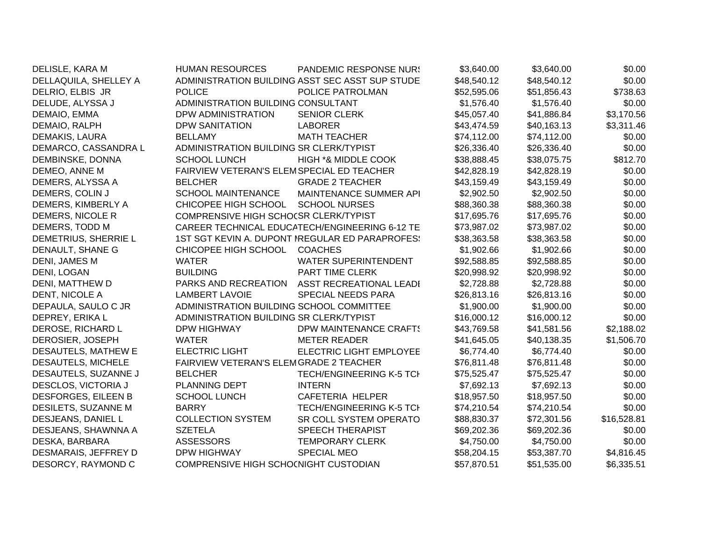| DELISLE, KARA M           | <b>HUMAN RESOURCES</b>                    | <b>PANDEMIC RESPONSE NUR!</b>                   | \$3,640.00  | \$3,640.00  | \$0.00      |
|---------------------------|-------------------------------------------|-------------------------------------------------|-------------|-------------|-------------|
| DELLAQUILA, SHELLEY A     |                                           | ADMINISTRATION BUILDING ASST SEC ASST SUP STUDE | \$48,540.12 | \$48,540.12 | \$0.00      |
| DELRIO, ELBIS JR          | <b>POLICE</b>                             | POLICE PATROLMAN                                | \$52,595.06 | \$51,856.43 | \$738.63    |
| DELUDE, ALYSSA J          | ADMINISTRATION BUILDING CONSULTANT        |                                                 | \$1,576.40  | \$1,576.40  | \$0.00      |
| DEMAIO, EMMA              | DPW ADMINISTRATION                        | <b>SENIOR CLERK</b>                             | \$45,057.40 | \$41,886.84 | \$3,170.56  |
| DEMAIO, RALPH             | <b>DPW SANITATION</b>                     | <b>LABORER</b>                                  | \$43,474.59 | \$40,163.13 | \$3,311.46  |
| DEMAKIS, LAURA            | <b>BELLAMY</b>                            | <b>MATH TEACHER</b>                             | \$74,112.00 | \$74,112.00 | \$0.00      |
| DEMARCO, CASSANDRA L      | ADMINISTRATION BUILDING SR CLERK/TYPIST   |                                                 | \$26,336.40 | \$26,336.40 | \$0.00      |
| DEMBINSKE, DONNA          | <b>SCHOOL LUNCH</b>                       | HIGH *& MIDDLE COOK                             | \$38,888.45 | \$38,075.75 | \$812.70    |
| DEMEO, ANNE M             | FAIRVIEW VETERAN'S ELEMSPECIAL ED TEACHER |                                                 | \$42,828.19 | \$42,828.19 | \$0.00      |
| DEMERS, ALYSSA A          | <b>BELCHER</b>                            | <b>GRADE 2 TEACHER</b>                          | \$43,159.49 | \$43,159.49 | \$0.00      |
| DEMERS, COLIN J           | <b>SCHOOL MAINTENANCE</b>                 | MAINTENANCE SUMMER API                          | \$2,902.50  | \$2,902.50  | \$0.00      |
| DEMERS, KIMBERLY A        | CHICOPEE HIGH SCHOOL                      | <b>SCHOOL NURSES</b>                            | \$88,360.38 | \$88,360.38 | \$0.00      |
| DEMERS, NICOLE R          | COMPRENSIVE HIGH SCHOCSR CLERK/TYPIST     |                                                 | \$17,695.76 | \$17,695.76 | \$0.00      |
| DEMERS, TODD M            |                                           | CAREER TECHNICAL EDUCATECH/ENGINEERING 6-12 TE  | \$73,987.02 | \$73,987.02 | \$0.00      |
| DEMETRIUS, SHERRIE L      |                                           | 1ST SGT KEVIN A. DUPONT IREGULAR ED PARAPROFES! | \$38,363.58 | \$38,363.58 | \$0.00      |
| DENAULT, SHANE G          | CHICOPEE HIGH SCHOOL                      | <b>COACHES</b>                                  | \$1,902.66  | \$1,902.66  | \$0.00      |
| DENI, JAMES M             | <b>WATER</b>                              | <b>WATER SUPERINTENDENT</b>                     | \$92,588.85 | \$92,588.85 | \$0.00      |
| DENI, LOGAN               | <b>BUILDING</b>                           | PART TIME CLERK                                 | \$20,998.92 | \$20,998.92 | \$0.00      |
| DENI, MATTHEW D           | PARKS AND RECREATION                      | <b>ASST RECREATIONAL LEADI</b>                  | \$2,728.88  | \$2,728.88  | \$0.00      |
| DENT, NICOLE A            | <b>LAMBERT LAVOIE</b>                     | SPECIAL NEEDS PARA                              | \$26,813.16 | \$26,813.16 | \$0.00      |
| DEPAULA, SAULO C JR       | ADMINISTRATION BUILDING SCHOOL COMMITTEE  |                                                 | \$1,900.00  | \$1,900.00  | \$0.00      |
| DEPREY, ERIKA L           | ADMINISTRATION BUILDING SR CLERK/TYPIST   |                                                 | \$16,000.12 | \$16,000.12 | \$0.00      |
| DEROSE, RICHARD L         | <b>DPW HIGHWAY</b>                        | DPW MAINTENANCE CRAFTS                          | \$43,769.58 | \$41,581.56 | \$2,188.02  |
| DEROSIER, JOSEPH          | <b>WATER</b>                              | <b>METER READER</b>                             | \$41,645.05 | \$40,138.35 | \$1,506.70  |
| DESAUTELS, MATHEW E       | <b>ELECTRIC LIGHT</b>                     | <b>ELECTRIC LIGHT EMPLOYEE</b>                  | \$6,774.40  | \$6,774.40  | \$0.00      |
| <b>DESAUTELS, MICHELE</b> | FAIRVIEW VETERAN'S ELEMGRADE 2 TEACHER    |                                                 | \$76,811.48 | \$76,811.48 | \$0.00      |
| DESAUTELS, SUZANNE J      | <b>BELCHER</b>                            | <b>TECH/ENGINEERING K-5 TCH</b>                 | \$75,525.47 | \$75,525.47 | \$0.00      |
| DESCLOS, VICTORIA J       | PLANNING DEPT                             | <b>INTERN</b>                                   | \$7,692.13  | \$7,692.13  | \$0.00      |
| DESFORGES, EILEEN B       | <b>SCHOOL LUNCH</b>                       | CAFETERIA HELPER                                | \$18,957.50 | \$18,957.50 | \$0.00      |
| DESILETS, SUZANNE M       | <b>BARRY</b>                              | <b>TECH/ENGINEERING K-5 TCI</b>                 | \$74,210.54 | \$74,210.54 | \$0.00      |
| DESJEANS, DANIEL L        | <b>COLLECTION SYSTEM</b>                  | SR COLL SYSTEM OPERATO                          | \$88,830.37 | \$72,301.56 | \$16,528.81 |
| DESJEANS, SHAWNNA A       | <b>SZETELA</b>                            | <b>SPEECH THERAPIST</b>                         | \$69,202.36 | \$69,202.36 | \$0.00      |
| DESKA, BARBARA            | <b>ASSESSORS</b>                          | <b>TEMPORARY CLERK</b>                          | \$4,750.00  | \$4,750.00  | \$0.00      |
| DESMARAIS, JEFFREY D      | <b>DPW HIGHWAY</b>                        | <b>SPECIAL MEO</b>                              | \$58,204.15 | \$53,387.70 | \$4,816.45  |
| DESORCY, RAYMOND C        | COMPRENSIVE HIGH SCHO(NIGHT CUSTODIAN     |                                                 | \$57,870.51 | \$51,535.00 | \$6,335.51  |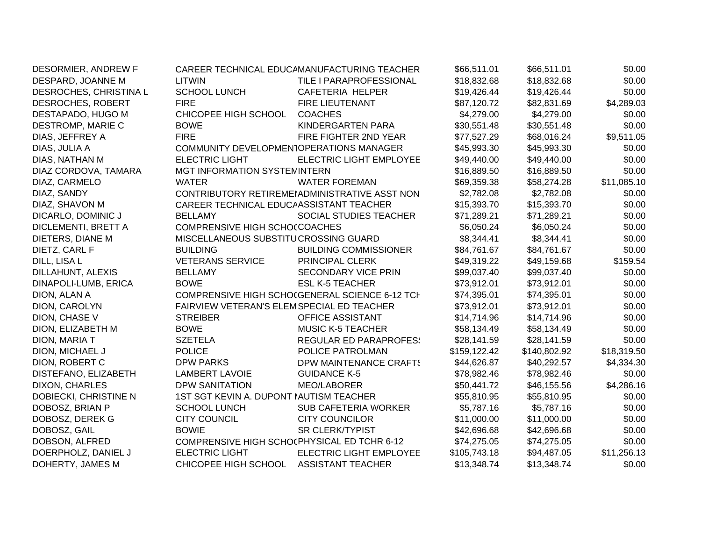| DESORMIER, ANDREW F    |                                             | CAREER TECHNICAL EDUCAMANUFACTURING TEACHER    | \$66,511.01  | \$66,511.01  | \$0.00      |
|------------------------|---------------------------------------------|------------------------------------------------|--------------|--------------|-------------|
| DESPARD, JOANNE M      | <b>LITWIN</b>                               | TILE I PARAPROFESSIONAL                        | \$18,832.68  | \$18,832.68  | \$0.00      |
| DESROCHES, CHRISTINA L | <b>SCHOOL LUNCH</b>                         | CAFETERIA HELPER                               | \$19,426.44  | \$19,426.44  | \$0.00      |
| DESROCHES, ROBERT      | <b>FIRE</b>                                 | <b>FIRE LIEUTENANT</b>                         | \$87,120.72  | \$82,831.69  | \$4,289.03  |
| DESTAPADO, HUGO M      | CHICOPEE HIGH SCHOOL                        | <b>COACHES</b>                                 | \$4,279.00   | \$4,279.00   | \$0.00      |
| DESTROMP, MARIE C      | <b>BOWE</b>                                 | <b>KINDERGARTEN PARA</b>                       | \$30,551.48  | \$30,551.48  | \$0.00      |
| DIAS, JEFFREY A        | <b>FIRE</b>                                 | FIRE FIGHTER 2ND YEAR                          | \$77,527.29  | \$68,016.24  | \$9,511.05  |
| DIAS, JULIA A          | COMMUNITY DEVELOPMENTOPERATIONS MANAGER     |                                                | \$45,993.30  | \$45,993.30  | \$0.00      |
| DIAS, NATHAN M         | <b>ELECTRIC LIGHT</b>                       | <b>ELECTRIC LIGHT EMPLOYEE</b>                 | \$49,440.00  | \$49,440.00  | \$0.00      |
| DIAZ CORDOVA, TAMARA   | MGT INFORMATION SYSTEMINTERN                |                                                | \$16,889.50  | \$16,889.50  | \$0.00      |
| DIAZ, CARMELO          | <b>WATER</b>                                | <b>WATER FOREMAN</b>                           | \$69,359.38  | \$58,274.28  | \$11,085.10 |
| DIAZ, SANDY            |                                             | CONTRIBUTORY RETIREMEMOMINISTRATIVE ASST NON   | \$2,782.08   | \$2,782.08   | \$0.00      |
| DIAZ, SHAVON M         | CAREER TECHNICAL EDUCAASSISTANT TEACHER     |                                                | \$15,393.70  | \$15,393.70  | \$0.00      |
| DICARLO, DOMINIC J     | <b>BELLAMY</b>                              | SOCIAL STUDIES TEACHER                         | \$71,289.21  | \$71,289.21  | \$0.00      |
| DICLEMENTI, BRETT A    | COMPRENSIVE HIGH SCHOCCOACHES               |                                                | \$6,050.24   | \$6,050.24   | \$0.00      |
| DIETERS, DIANE M       | MISCELLANEOUS SUBSTITUCROSSING GUARD        |                                                | \$8,344.41   | \$8,344.41   | \$0.00      |
| DIETZ, CARL F          | <b>BUILDING</b>                             | <b>BUILDING COMMISSIONER</b>                   | \$84,761.67  | \$84,761.67  | \$0.00      |
| DILL, LISA L           | <b>VETERANS SERVICE</b>                     | PRINCIPAL CLERK                                | \$49,319.22  | \$49,159.68  | \$159.54    |
| DILLAHUNT, ALEXIS      | <b>BELLAMY</b>                              | <b>SECONDARY VICE PRIN</b>                     | \$99,037.40  | \$99,037.40  | \$0.00      |
| DINAPOLI-LUMB, ERICA   | <b>BOWE</b>                                 | <b>ESL K-5 TEACHER</b>                         | \$73,912.01  | \$73,912.01  | \$0.00      |
| DION, ALAN A           |                                             | COMPRENSIVE HIGH SCHOCGENERAL SCIENCE 6-12 TCH | \$74,395.01  | \$74,395.01  | \$0.00      |
| DION, CAROLYN          | FAIRVIEW VETERAN'S ELEMSPECIAL ED TEACHER   |                                                | \$73,912.01  | \$73,912.01  | \$0.00      |
| DION, CHASE V          | <b>STREIBER</b>                             | OFFICE ASSISTANT                               | \$14,714.96  | \$14,714.96  | \$0.00      |
| DION, ELIZABETH M      | <b>BOWE</b>                                 | <b>MUSIC K-5 TEACHER</b>                       | \$58,134.49  | \$58,134.49  | \$0.00      |
| DION, MARIA T          | <b>SZETELA</b>                              | <b>REGULAR ED PARAPROFES:</b>                  | \$28,141.59  | \$28,141.59  | \$0.00      |
| DION, MICHAEL J        | <b>POLICE</b>                               | POLICE PATROLMAN                               | \$159,122.42 | \$140,802.92 | \$18,319.50 |
| DION, ROBERT C         | <b>DPW PARKS</b>                            | DPW MAINTENANCE CRAFTS                         | \$44,626.87  | \$40,292.57  | \$4,334.30  |
| DISTEFANO, ELIZABETH   | <b>LAMBERT LAVOIE</b>                       | <b>GUIDANCE K-5</b>                            | \$78,982.46  | \$78,982.46  | \$0.00      |
| <b>DIXON, CHARLES</b>  | <b>DPW SANITATION</b>                       | MEO/LABORER                                    | \$50,441.72  | \$46,155.56  | \$4,286.16  |
| DOBIECKI, CHRISTINE N  | 1ST SGT KEVIN A. DUPONT NAUTISM TEACHER     |                                                | \$55,810.95  | \$55,810.95  | \$0.00      |
| DOBOSZ, BRIAN P        | <b>SCHOOL LUNCH</b>                         | <b>SUB CAFETERIA WORKER</b>                    | \$5,787.16   | \$5,787.16   | \$0.00      |
| DOBOSZ, DEREK G        | <b>CITY COUNCIL</b>                         | <b>CITY COUNCILOR</b>                          | \$11,000.00  | \$11,000.00  | \$0.00      |
| DOBOSZ, GAIL           | <b>BOWIE</b>                                | <b>SR CLERK/TYPIST</b>                         | \$42,696.68  | \$42,696.68  | \$0.00      |
| DOBSON, ALFRED         | COMPRENSIVE HIGH SCHOCPHYSICAL ED TCHR 6-12 |                                                | \$74,275.05  | \$74,275.05  | \$0.00      |
| DOERPHOLZ, DANIEL J    | <b>ELECTRIC LIGHT</b>                       | ELECTRIC LIGHT EMPLOYEE                        | \$105,743.18 | \$94,487.05  | \$11,256.13 |
| DOHERTY, JAMES M       | CHICOPEE HIGH SCHOOL                        | <b>ASSISTANT TEACHER</b>                       | \$13,348.74  | \$13,348.74  | \$0.00      |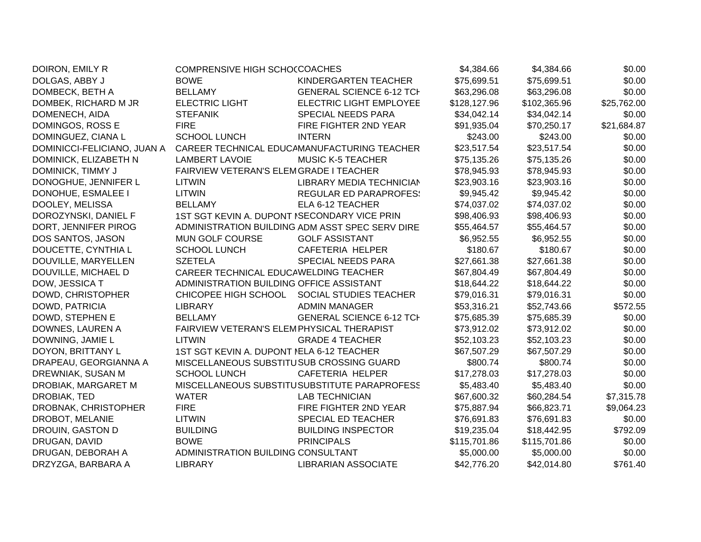| DOIRON, EMILY R             | COMPRENSIVE HIGH SCHOCCOACHES                |                                                 | \$4,384.66   | \$4,384.66   | \$0.00      |
|-----------------------------|----------------------------------------------|-------------------------------------------------|--------------|--------------|-------------|
| DOLGAS, ABBY J              | <b>BOWE</b>                                  | KINDERGARTEN TEACHER                            | \$75,699.51  | \$75,699.51  | \$0.00      |
| DOMBECK, BETH A             | <b>BELLAMY</b>                               | <b>GENERAL SCIENCE 6-12 TCH</b>                 | \$63,296.08  | \$63,296.08  | \$0.00      |
| DOMBEK, RICHARD M JR        | <b>ELECTRIC LIGHT</b>                        | <b>ELECTRIC LIGHT EMPLOYEE</b>                  | \$128,127.96 | \$102,365.96 | \$25,762.00 |
| DOMENECH, AIDA              | <b>STEFANIK</b>                              | SPECIAL NEEDS PARA                              | \$34,042.14  | \$34,042.14  | \$0.00      |
| DOMINGOS, ROSS E            | <b>FIRE</b>                                  | FIRE FIGHTER 2ND YEAR                           | \$91,935.04  | \$70,250.17  | \$21,684.87 |
| DOMINGUEZ, CIANA L          | <b>SCHOOL LUNCH</b>                          | <b>INTERN</b>                                   | \$243.00     | \$243.00     | \$0.00      |
| DOMINICCI-FELICIANO, JUAN A |                                              | CAREER TECHNICAL EDUCAMANUFACTURING TEACHER     | \$23,517.54  | \$23,517.54  | \$0.00      |
| DOMINICK, ELIZABETH N       | <b>LAMBERT LAVOIE</b>                        | <b>MUSIC K-5 TEACHER</b>                        | \$75,135.26  | \$75,135.26  | \$0.00      |
| DOMINICK, TIMMY J           | FAIRVIEW VETERAN'S ELEMGRADE I TEACHER       |                                                 | \$78,945.93  | \$78,945.93  | \$0.00      |
| DONOGHUE, JENNIFER L        | <b>LITWIN</b>                                | LIBRARY MEDIA TECHNICIAN                        | \$23,903.16  | \$23,903.16  | \$0.00      |
| DONOHUE, ESMALEE I          | <b>LITWIN</b>                                | <b>REGULAR ED PARAPROFES:</b>                   | \$9,945.42   | \$9,945.42   | \$0.00      |
| DOOLEY, MELISSA             | <b>BELLAMY</b>                               | ELA 6-12 TEACHER                                | \$74,037.02  | \$74,037.02  | \$0.00      |
| DOROZYNSKI, DANIEL F        | 1ST SGT KEVIN A. DUPONT ISECONDARY VICE PRIN |                                                 | \$98,406.93  | \$98,406.93  | \$0.00      |
| DORT, JENNIFER PIROG        |                                              | ADMINISTRATION BUILDING ADM ASST SPEC SERV DIRE | \$55,464.57  | \$55,464.57  | \$0.00      |
| DOS SANTOS, JASON           | MUN GOLF COURSE                              | <b>GOLF ASSISTANT</b>                           | \$6,952.55   | \$6,952.55   | \$0.00      |
| DOUCETTE, CYNTHIA L         | <b>SCHOOL LUNCH</b>                          | CAFETERIA HELPER                                | \$180.67     | \$180.67     | \$0.00      |
| DOUVILLE, MARYELLEN         | <b>SZETELA</b>                               | SPECIAL NEEDS PARA                              | \$27,661.38  | \$27,661.38  | \$0.00      |
| DOUVILLE, MICHAEL D         | CAREER TECHNICAL EDUCAWELDING TEACHER        |                                                 | \$67,804.49  | \$67,804.49  | \$0.00      |
| DOW, JESSICA T              | ADMINISTRATION BUILDING OFFICE ASSISTANT     |                                                 | \$18,644.22  | \$18,644.22  | \$0.00      |
| DOWD, CHRISTOPHER           | CHICOPEE HIGH SCHOOL                         | <b>SOCIAL STUDIES TEACHER</b>                   | \$79,016.31  | \$79,016.31  | \$0.00      |
| DOWD, PATRICIA              | <b>LIBRARY</b>                               | <b>ADMIN MANAGER</b>                            | \$53,316.21  | \$52,743.66  | \$572.55    |
| DOWD, STEPHEN E             | <b>BELLAMY</b>                               | <b>GENERAL SCIENCE 6-12 TCH</b>                 | \$75,685.39  | \$75,685.39  | \$0.00      |
| DOWNES, LAUREN A            | FAIRVIEW VETERAN'S ELEMPHYSICAL THERAPIST    |                                                 | \$73,912.02  | \$73,912.02  | \$0.00      |
| DOWNING, JAMIE L            | <b>LITWIN</b>                                | <b>GRADE 4 TEACHER</b>                          | \$52,103.23  | \$52,103.23  | \$0.00      |
| DOYON, BRITTANY L           | 1ST SGT KEVIN A. DUPONT NELA 6-12 TEACHER    |                                                 | \$67,507.29  | \$67,507.29  | \$0.00      |
| DRAPEAU, GEORGIANNA A       | MISCELLANEOUS SUBSTITUSUB CROSSING GUARD     |                                                 | \$800.74     | \$800.74     | \$0.00      |
| DREWNIAK, SUSAN M           | <b>SCHOOL LUNCH</b>                          | CAFETERIA HELPER                                | \$17,278.03  | \$17,278.03  | \$0.00      |
| DROBIAK, MARGARET M         |                                              | MISCELLANEOUS SUBSTITUSUBSTITUTE PARAPROFESS    | \$5,483.40   | \$5,483.40   | \$0.00      |
| DROBIAK, TED                | <b>WATER</b>                                 | <b>LAB TECHNICIAN</b>                           | \$67,600.32  | \$60,284.54  | \$7,315.78  |
| DROBNAK, CHRISTOPHER        | <b>FIRE</b>                                  | FIRE FIGHTER 2ND YEAR                           | \$75,887.94  | \$66,823.71  | \$9,064.23  |
| DROBOT, MELANIE             | <b>LITWIN</b>                                | SPECIAL ED TEACHER                              | \$76,691.83  | \$76,691.83  | \$0.00      |
| DROUIN, GASTON D            | <b>BUILDING</b>                              | <b>BUILDING INSPECTOR</b>                       | \$19,235.04  | \$18,442.95  | \$792.09    |
| DRUGAN, DAVID               | <b>BOWE</b>                                  | <b>PRINCIPALS</b>                               | \$115,701.86 | \$115,701.86 | \$0.00      |
| DRUGAN, DEBORAH A           | ADMINISTRATION BUILDING CONSULTANT           |                                                 | \$5,000.00   | \$5,000.00   | \$0.00      |
| DRZYZGA, BARBARA A          | <b>LIBRARY</b>                               | <b>LIBRARIAN ASSOCIATE</b>                      | \$42,776.20  | \$42,014.80  | \$761.40    |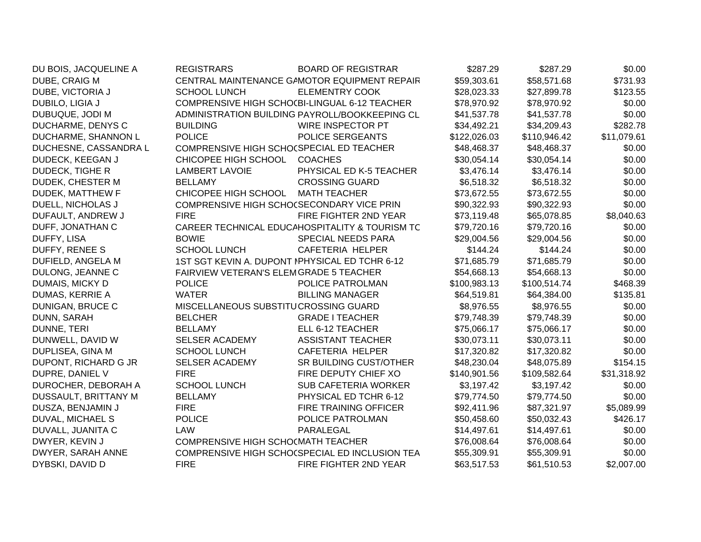| DU BOIS, JACQUELINE A  | <b>REGISTRARS</b>                              | <b>BOARD OF REGISTRAR</b>                      | \$287.29     | \$287.29     | \$0.00      |
|------------------------|------------------------------------------------|------------------------------------------------|--------------|--------------|-------------|
| DUBE, CRAIG M          |                                                | CENTRAL MAINTENANCE GAMOTOR EQUIPMENT REPAIR   | \$59,303.61  | \$58,571.68  | \$731.93    |
| DUBE, VICTORIA J       | <b>SCHOOL LUNCH</b>                            | <b>ELEMENTRY COOK</b>                          | \$28,023.33  | \$27,899.78  | \$123.55    |
| DUBILO, LIGIA J        |                                                | COMPRENSIVE HIGH SCHO(BI-LINGUAL 6-12 TEACHER  | \$78,970.92  | \$78,970.92  | \$0.00      |
| DUBUQUE, JODI M        |                                                | ADMINISTRATION BUILDING PAYROLL/BOOKKEEPING CL | \$41,537.78  | \$41,537.78  | \$0.00      |
| DUCHARME, DENYS C      | <b>BUILDING</b>                                | WIRE INSPECTOR PT                              | \$34,492.21  | \$34,209.43  | \$282.78    |
| DUCHARME, SHANNON L    | <b>POLICE</b>                                  | POLICE SERGEANTS                               | \$122,026.03 | \$110,946.42 | \$11,079.61 |
| DUCHESNE, CASSANDRA L  | COMPRENSIVE HIGH SCHO(SPECIAL ED TEACHER       |                                                | \$48,468.37  | \$48,468.37  | \$0.00      |
| DUDECK, KEEGAN J       | CHICOPEE HIGH SCHOOL                           | <b>COACHES</b>                                 | \$30,054.14  | \$30,054.14  | \$0.00      |
| <b>DUDECK, TIGHE R</b> | <b>LAMBERT LAVOIE</b>                          | PHYSICAL ED K-5 TEACHER                        | \$3,476.14   | \$3,476.14   | \$0.00      |
| DUDEK, CHESTER M       | <b>BELLAMY</b>                                 | <b>CROSSING GUARD</b>                          | \$6,518.32   | \$6,518.32   | \$0.00      |
| DUDEK, MATTHEW F       | CHICOPEE HIGH SCHOOL                           | <b>MATH TEACHER</b>                            | \$73,672.55  | \$73,672.55  | \$0.00      |
| DUELL, NICHOLAS J      | COMPRENSIVE HIGH SCHO(SECONDARY VICE PRIN      |                                                | \$90,322.93  | \$90,322.93  | \$0.00      |
| DUFAULT, ANDREW J      | <b>FIRE</b>                                    | FIRE FIGHTER 2ND YEAR                          | \$73,119.48  | \$65,078.85  | \$8,040.63  |
| DUFF, JONATHAN C       |                                                | CAREER TECHNICAL EDUCAHOSPITALITY & TOURISM TC | \$79,720.16  | \$79,720.16  | \$0.00      |
| DUFFY, LISA            | <b>BOWIE</b>                                   | SPECIAL NEEDS PARA                             | \$29,004.56  | \$29,004.56  | \$0.00      |
| DUFFY, RENEE S         | <b>SCHOOL LUNCH</b>                            | <b>CAFETERIA HELPER</b>                        | \$144.24     | \$144.24     | \$0.00      |
| DUFIELD, ANGELA M      | 1ST SGT KEVIN A. DUPONT IPHYSICAL ED TCHR 6-12 |                                                | \$71,685.79  | \$71,685.79  | \$0.00      |
| DULONG, JEANNE C       | FAIRVIEW VETERAN'S ELEMGRADE 5 TEACHER         |                                                | \$54,668.13  | \$54,668.13  | \$0.00      |
| DUMAIS, MICKY D        | <b>POLICE</b>                                  | POLICE PATROLMAN                               | \$100,983.13 | \$100,514.74 | \$468.39    |
| DUMAS, KERRIE A        | <b>WATER</b>                                   | <b>BILLING MANAGER</b>                         | \$64,519.81  | \$64,384.00  | \$135.81    |
| DUNIGAN, BRUCE C       | MISCELLANEOUS SUBSTITUCROSSING GUARD           |                                                | \$8,976.55   | \$8,976.55   | \$0.00      |
| DUNN, SARAH            | <b>BELCHER</b>                                 | <b>GRADE I TEACHER</b>                         | \$79,748.39  | \$79,748.39  | \$0.00      |
| DUNNE, TERI            | <b>BELLAMY</b>                                 | ELL 6-12 TEACHER                               | \$75,066.17  | \$75,066.17  | \$0.00      |
| DUNWELL, DAVID W       | <b>SELSER ACADEMY</b>                          | <b>ASSISTANT TEACHER</b>                       | \$30,073.11  | \$30,073.11  | \$0.00      |
| DUPLISEA, GINA M       | <b>SCHOOL LUNCH</b>                            | CAFETERIA HELPER                               | \$17,320.82  | \$17,320.82  | \$0.00      |
| DUPONT, RICHARD G JR   | <b>SELSER ACADEMY</b>                          | SR BUILDING CUST/OTHER                         | \$48,230.04  | \$48,075.89  | \$154.15    |
| DUPRE, DANIEL V        | <b>FIRE</b>                                    | FIRE DEPUTY CHIEF XO                           | \$140,901.56 | \$109,582.64 | \$31,318.92 |
| DUROCHER, DEBORAH A    | <b>SCHOOL LUNCH</b>                            | <b>SUB CAFETERIA WORKER</b>                    | \$3,197.42   | \$3,197.42   | \$0.00      |
| DUSSAULT, BRITTANY M   | <b>BELLAMY</b>                                 | PHYSICAL ED TCHR 6-12                          | \$79,774.50  | \$79,774.50  | \$0.00      |
| DUSZA, BENJAMIN J      | <b>FIRE</b>                                    | FIRE TRAINING OFFICER                          | \$92,411.96  | \$87,321.97  | \$5,089.99  |
| DUVAL, MICHAEL S       | <b>POLICE</b>                                  | POLICE PATROLMAN                               | \$50,458.60  | \$50,032.43  | \$426.17    |
| DUVALL, JUANITA C      | LAW                                            | PARALEGAL                                      | \$14,497.61  | \$14,497.61  | \$0.00      |
| DWYER, KEVIN J         | COMPRENSIVE HIGH SCHO(MATH TEACHER             |                                                | \$76,008.64  | \$76,008.64  | \$0.00      |
| DWYER, SARAH ANNE      |                                                | COMPRENSIVE HIGH SCHO(SPECIAL ED INCLUSION TEA | \$55,309.91  | \$55,309.91  | \$0.00      |
| DYBSKI, DAVID D        | <b>FIRE</b>                                    | FIRE FIGHTER 2ND YEAR                          | \$63,517.53  | \$61,510.53  | \$2,007.00  |
|                        |                                                |                                                |              |              |             |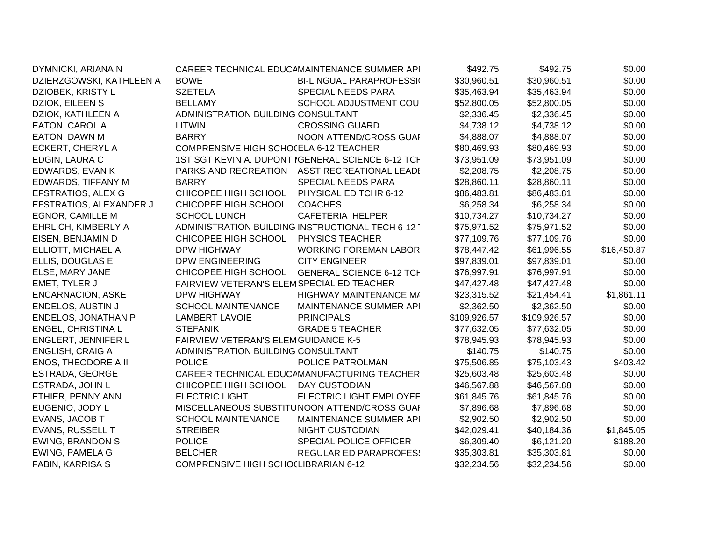| DYMNICKI, ARIANA N         |                                            | CAREER TECHNICAL EDUCAMAINTENANCE SUMMER API      | \$492.75     | \$492.75     | \$0.00      |
|----------------------------|--------------------------------------------|---------------------------------------------------|--------------|--------------|-------------|
| DZIERZGOWSKI, KATHLEEN A   | <b>BOWE</b>                                | <b>BI-LINGUAL PARAPROFESSI</b>                    | \$30,960.51  | \$30,960.51  | \$0.00      |
| DZIOBEK, KRISTY L          | <b>SZETELA</b>                             | SPECIAL NEEDS PARA                                | \$35,463.94  | \$35,463.94  | \$0.00      |
| DZIOK, EILEEN S            | <b>BELLAMY</b>                             | <b>SCHOOL ADJUSTMENT COU</b>                      | \$52,800.05  | \$52,800.05  | \$0.00      |
| DZIOK, KATHLEEN A          | ADMINISTRATION BUILDING CONSULTANT         |                                                   | \$2,336.45   | \$2,336.45   | \$0.00      |
| EATON, CAROL A             | <b>LITWIN</b>                              | <b>CROSSING GUARD</b>                             | \$4,738.12   | \$4,738.12   | \$0.00      |
| EATON, DAWN M              | <b>BARRY</b>                               | NOON ATTEND/CROSS GUAI                            | \$4,888.07   | \$4,888.07   | \$0.00      |
| ECKERT, CHERYL A           | COMPRENSIVE HIGH SCHOCELA 6-12 TEACHER     |                                                   | \$80,469.93  | \$80,469.93  | \$0.00      |
| EDGIN, LAURA C             |                                            | 1ST SGT KEVIN A. DUPONT IGENERAL SCIENCE 6-12 TCH | \$73,951.09  | \$73,951.09  | \$0.00      |
| EDWARDS, EVAN K            |                                            | PARKS AND RECREATION ASST RECREATIONAL LEADI      | \$2,208.75   | \$2,208.75   | \$0.00      |
| EDWARDS, TIFFANY M         | <b>BARRY</b>                               | <b>SPECIAL NEEDS PARA</b>                         | \$28,860.11  | \$28,860.11  | \$0.00      |
| EFSTRATIOS, ALEX G         | CHICOPEE HIGH SCHOOL                       | PHYSICAL ED TCHR 6-12                             | \$86,483.81  | \$86,483.81  | \$0.00      |
| EFSTRATIOS, ALEXANDER J    | CHICOPEE HIGH SCHOOL                       | <b>COACHES</b>                                    | \$6,258.34   | \$6,258.34   | \$0.00      |
| <b>EGNOR, CAMILLE M</b>    | <b>SCHOOL LUNCH</b>                        | CAFETERIA HELPER                                  | \$10,734.27  | \$10,734.27  | \$0.00      |
| EHRLICH, KIMBERLY A        |                                            | ADMINISTRATION BUILDING INSTRUCTIONAL TECH 6-12   | \$75,971.52  | \$75,971.52  | \$0.00      |
| EISEN, BENJAMIN D          | CHICOPEE HIGH SCHOOL                       | PHYSICS TEACHER                                   | \$77,109.76  | \$77,109.76  | \$0.00      |
| ELLIOTT, MICHAEL A         | <b>DPW HIGHWAY</b>                         | <b>WORKING FOREMAN LABOR</b>                      | \$78,447.42  | \$61,996.55  | \$16,450.87 |
| ELLIS, DOUGLAS E           | <b>DPW ENGINEERING</b>                     | <b>CITY ENGINEER</b>                              | \$97,839.01  | \$97,839.01  | \$0.00      |
| ELSE, MARY JANE            | CHICOPEE HIGH SCHOOL                       | <b>GENERAL SCIENCE 6-12 TCH</b>                   | \$76,997.91  | \$76,997.91  | \$0.00      |
| EMET, TYLER J              | FAIRVIEW VETERAN'S ELEMSPECIAL ED TEACHER  |                                                   | \$47,427.48  | \$47,427.48  | \$0.00      |
| <b>ENCARNACION, ASKE</b>   | <b>DPW HIGHWAY</b>                         | HIGHWAY MAINTENANCE M/                            | \$23,315.52  | \$21,454.41  | \$1,861.11  |
| ENDELOS, AUSTIN J          | <b>SCHOOL MAINTENANCE</b>                  | MAINTENANCE SUMMER API                            | \$2,362.50   | \$2,362.50   | \$0.00      |
| <b>ENDELOS, JONATHAN P</b> | <b>LAMBERT LAVOIE</b>                      | <b>PRINCIPALS</b>                                 | \$109,926.57 | \$109,926.57 | \$0.00      |
| <b>ENGEL, CHRISTINA L</b>  | <b>STEFANIK</b>                            | <b>GRADE 5 TEACHER</b>                            | \$77,632.05  | \$77,632.05  | \$0.00      |
| <b>ENGLERT, JENNIFER L</b> | <b>FAIRVIEW VETERAN'S ELEMGUIDANCE K-5</b> |                                                   | \$78,945.93  | \$78,945.93  | \$0.00      |
| <b>ENGLISH, CRAIG A</b>    | ADMINISTRATION BUILDING CONSULTANT         |                                                   | \$140.75     | \$140.75     | \$0.00      |
| <b>ENOS, THEODORE A II</b> | <b>POLICE</b>                              | POLICE PATROLMAN                                  | \$75,506.85  | \$75,103.43  | \$403.42    |
| ESTRADA, GEORGE            |                                            | CAREER TECHNICAL EDUCAMANUFACTURING TEACHER       | \$25,603.48  | \$25,603.48  | \$0.00      |
| ESTRADA, JOHN L            | CHICOPEE HIGH SCHOOL                       | DAY CUSTODIAN                                     | \$46,567.88  | \$46,567.88  | \$0.00      |
| ETHIER, PENNY ANN          | <b>ELECTRIC LIGHT</b>                      | <b>ELECTRIC LIGHT EMPLOYEE</b>                    | \$61,845.76  | \$61,845.76  | \$0.00      |
| EUGENIO, JODY L            |                                            | MISCELLANEOUS SUBSTITUNOON ATTEND/CROSS GUAI      | \$7,896.68   | \$7,896.68   | \$0.00      |
| EVANS, JACOB T             | <b>SCHOOL MAINTENANCE</b>                  | MAINTENANCE SUMMER API                            | \$2,902.50   | \$2,902.50   | \$0.00      |
| EVANS, RUSSELL T           | <b>STREIBER</b>                            | <b>NIGHT CUSTODIAN</b>                            | \$42,029.41  | \$40,184.36  | \$1,845.05  |
| <b>EWING, BRANDON S</b>    | <b>POLICE</b>                              | SPECIAL POLICE OFFICER                            | \$6,309.40   | \$6,121.20   | \$188.20    |
| <b>EWING, PAMELA G</b>     | <b>BELCHER</b>                             | <b>REGULAR ED PARAPROFES:</b>                     | \$35,303.81  | \$35,303.81  | \$0.00      |
| <b>FABIN, KARRISA S</b>    | COMPRENSIVE HIGH SCHOCLIBRARIAN 6-12       |                                                   | \$32,234.56  | \$32,234.56  | \$0.00      |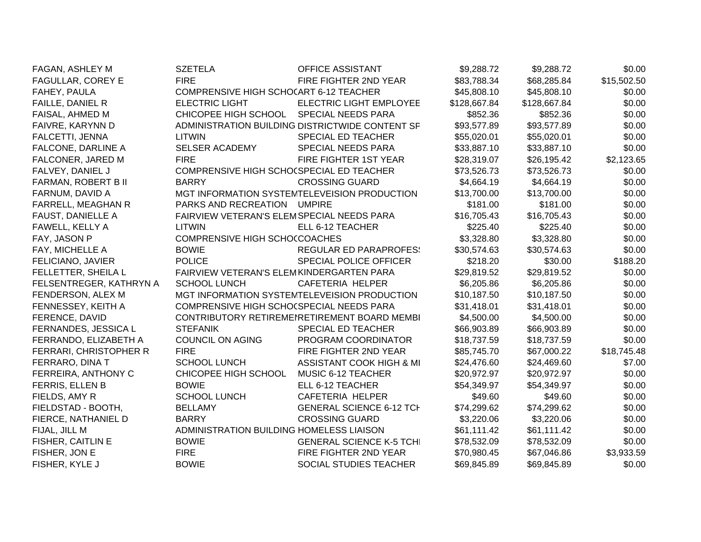| FAGAN, ASHLEY M          | <b>SZETELA</b>                            | <b>OFFICE ASSISTANT</b>                         | \$9,288.72   | \$9,288.72   | \$0.00      |
|--------------------------|-------------------------------------------|-------------------------------------------------|--------------|--------------|-------------|
| FAGULLAR, COREY E        | <b>FIRE</b>                               | FIRE FIGHTER 2ND YEAR                           | \$83,788.34  | \$68,285.84  | \$15,502.50 |
| FAHEY, PAULA             | COMPRENSIVE HIGH SCHOCART 6-12 TEACHER    |                                                 | \$45,808.10  | \$45,808.10  | \$0.00      |
| FAILLE, DANIEL R         | <b>ELECTRIC LIGHT</b>                     | ELECTRIC LIGHT EMPLOYEE                         | \$128,667.84 | \$128,667.84 | \$0.00      |
| FAISAL, AHMED M          | CHICOPEE HIGH SCHOOL                      | <b>SPECIAL NEEDS PARA</b>                       | \$852.36     | \$852.36     | \$0.00      |
| FAIVRE, KARYNN D         |                                           | ADMINISTRATION BUILDING DISTRICTWIDE CONTENT SF | \$93,577.89  | \$93,577.89  | \$0.00      |
| FALCETTI, JENNA          | LITWIN                                    | <b>SPECIAL ED TEACHER</b>                       | \$55,020.01  | \$55,020.01  | \$0.00      |
| FALCONE, DARLINE A       | <b>SELSER ACADEMY</b>                     | SPECIAL NEEDS PARA                              | \$33,887.10  | \$33,887.10  | \$0.00      |
| FALCONER, JARED M        | <b>FIRE</b>                               | FIRE FIGHTER 1ST YEAR                           | \$28,319.07  | \$26,195.42  | \$2,123.65  |
| FALVEY, DANIEL J         | COMPRENSIVE HIGH SCHO(SPECIAL ED TEACHER  |                                                 | \$73,526.73  | \$73,526.73  | \$0.00      |
| FARMAN, ROBERT B II      | <b>BARRY</b>                              | <b>CROSSING GUARD</b>                           | \$4,664.19   | \$4,664.19   | \$0.00      |
| FARNUM, DAVID A          |                                           | MGT INFORMATION SYSTEMTELEVEISION PRODUCTION    | \$13,700.00  | \$13,700.00  | \$0.00      |
| FARRELL, MEAGHAN R       | PARKS AND RECREATION UMPIRE               |                                                 | \$181.00     | \$181.00     | \$0.00      |
| <b>FAUST, DANIELLE A</b> | FAIRVIEW VETERAN'S ELEMSPECIAL NEEDS PARA |                                                 | \$16,705.43  | \$16,705.43  | \$0.00      |
| FAWELL, KELLY A          | LITWIN                                    | ELL 6-12 TEACHER                                | \$225.40     | \$225.40     | \$0.00      |
| FAY, JASON P             | COMPRENSIVE HIGH SCHOCCOACHES             |                                                 | \$3,328.80   | \$3,328.80   | \$0.00      |
| FAY, MICHELLE A          | <b>BOWIE</b>                              | <b>REGULAR ED PARAPROFES:</b>                   | \$30,574.63  | \$30,574.63  | \$0.00      |
| FELICIANO, JAVIER        | <b>POLICE</b>                             | SPECIAL POLICE OFFICER                          | \$218.20     | \$30.00      | \$188.20    |
| FELLETTER, SHEILA L      | FAIRVIEW VETERAN'S ELEMKINDERGARTEN PARA  |                                                 | \$29,819.52  | \$29,819.52  | \$0.00      |
| FELSENTREGER, KATHRYN A  | <b>SCHOOL LUNCH</b>                       | CAFETERIA HELPER                                | \$6,205.86   | \$6,205.86   | \$0.00      |
| FENDERSON, ALEX M        |                                           | MGT INFORMATION SYSTEMTELEVEISION PRODUCTION    | \$10,187.50  | \$10,187.50  | \$0.00      |
| FENNESSEY, KEITH A       | COMPRENSIVE HIGH SCHO(SPECIAL NEEDS PARA  |                                                 | \$31,418.01  | \$31,418.01  | \$0.00      |
| FERENCE, DAVID           |                                           | CONTRIBUTORY RETIREMENRETIREMENT BOARD MEMBI    | \$4,500.00   | \$4,500.00   | \$0.00      |
| FERNANDES, JESSICA L     | <b>STEFANIK</b>                           | SPECIAL ED TEACHER                              | \$66,903.89  | \$66,903.89  | \$0.00      |
| FERRANDO, ELIZABETH A    | <b>COUNCIL ON AGING</b>                   | PROGRAM COORDINATOR                             | \$18,737.59  | \$18,737.59  | \$0.00      |
| FERRARI, CHRISTOPHER R   | <b>FIRE</b>                               | FIRE FIGHTER 2ND YEAR                           | \$85,745.70  | \$67,000.22  | \$18,745.48 |
| FERRARO, DINA T          | <b>SCHOOL LUNCH</b>                       | ASSISTANT COOK HIGH & MI                        | \$24,476.60  | \$24,469.60  | \$7.00      |
| FERREIRA, ANTHONY C      | CHICOPEE HIGH SCHOOL                      | MUSIC 6-12 TEACHER                              | \$20,972.97  | \$20,972.97  | \$0.00      |
| FERRIS, ELLEN B          | <b>BOWIE</b>                              | ELL 6-12 TEACHER                                | \$54,349.97  | \$54,349.97  | \$0.00      |
| FIELDS, AMY R            | <b>SCHOOL LUNCH</b>                       | CAFETERIA HELPER                                | \$49.60      | \$49.60      | \$0.00      |
| FIELDSTAD - BOOTH,       | <b>BELLAMY</b>                            | <b>GENERAL SCIENCE 6-12 TCH</b>                 | \$74,299.62  | \$74,299.62  | \$0.00      |
| FIERCE, NATHANIEL D      | <b>BARRY</b>                              | <b>CROSSING GUARD</b>                           | \$3,220.06   | \$3,220.06   | \$0.00      |
| FIJAL, JILL M            | ADMINISTRATION BUILDING HOMELESS LIAISON  |                                                 | \$61,111.42  | \$61,111.42  | \$0.00      |
| FISHER, CAITLIN E        | <b>BOWIE</b>                              | <b>GENERAL SCIENCE K-5 TCHI</b>                 | \$78,532.09  | \$78,532.09  | \$0.00      |
| FISHER, JON E            | <b>FIRE</b>                               | FIRE FIGHTER 2ND YEAR                           | \$70,980.45  | \$67,046.86  | \$3,933.59  |
| FISHER, KYLE J           | <b>BOWIE</b>                              | SOCIAL STUDIES TEACHER                          | \$69,845.89  | \$69,845.89  | \$0.00      |
|                          |                                           |                                                 |              |              |             |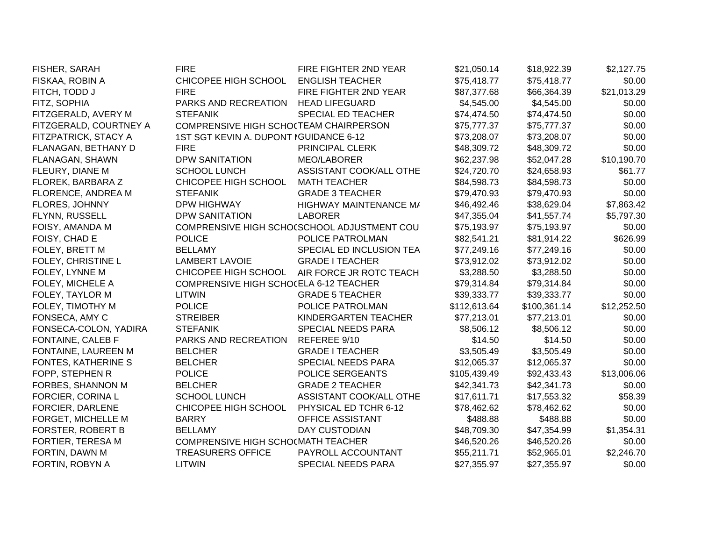| FISHER, SARAH          | <b>FIRE</b>                            | FIRE FIGHTER 2ND YEAR                       | \$21,050.14  | \$18,922.39  | \$2,127.75  |
|------------------------|----------------------------------------|---------------------------------------------|--------------|--------------|-------------|
| FISKAA, ROBIN A        | CHICOPEE HIGH SCHOOL                   | <b>ENGLISH TEACHER</b>                      | \$75,418.77  | \$75,418.77  | \$0.00      |
| FITCH, TODD J          | <b>FIRE</b>                            | FIRE FIGHTER 2ND YEAR                       | \$87,377.68  | \$66,364.39  | \$21,013.29 |
| FITZ, SOPHIA           | PARKS AND RECREATION                   | <b>HEAD LIFEGUARD</b>                       | \$4,545.00   | \$4,545.00   | \$0.00      |
| FITZGERALD, AVERY M    | <b>STEFANIK</b>                        | SPECIAL ED TEACHER                          | \$74,474.50  | \$74,474.50  | \$0.00      |
| FITZGERALD, COURTNEY A | COMPRENSIVE HIGH SCHOCTEAM CHAIRPERSON |                                             | \$75,777.37  | \$75,777.37  | \$0.00      |
| FITZPATRICK, STACY A   | 1ST SGT KEVIN A. DUPONT IGUIDANCE 6-12 |                                             | \$73,208.07  | \$73,208.07  | \$0.00      |
| FLANAGAN, BETHANY D    | <b>FIRE</b>                            | PRINCIPAL CLERK                             | \$48,309.72  | \$48,309.72  | \$0.00      |
| FLANAGAN, SHAWN        | <b>DPW SANITATION</b>                  | MEO/LABORER                                 | \$62,237.98  | \$52,047.28  | \$10,190.70 |
| FLEURY, DIANE M        | <b>SCHOOL LUNCH</b>                    | ASSISTANT COOK/ALL OTHE                     | \$24,720.70  | \$24,658.93  | \$61.77     |
| FLOREK, BARBARA Z      | CHICOPEE HIGH SCHOOL                   | <b>MATH TEACHER</b>                         | \$84,598.73  | \$84,598.73  | \$0.00      |
| FLORENCE, ANDREA M     | <b>STEFANIK</b>                        | <b>GRADE 3 TEACHER</b>                      | \$79,470.93  | \$79,470.93  | \$0.00      |
| FLORES, JOHNNY         | <b>DPW HIGHWAY</b>                     | HIGHWAY MAINTENANCE M/                      | \$46,492.46  | \$38,629.04  | \$7,863.42  |
| FLYNN, RUSSELL         | <b>DPW SANITATION</b>                  | <b>LABORER</b>                              | \$47,355.04  | \$41,557.74  | \$5,797.30  |
| FOISY, AMANDA M        |                                        | COMPRENSIVE HIGH SCHOCSCHOOL ADJUSTMENT COU | \$75,193.97  | \$75,193.97  | \$0.00      |
| FOISY, CHAD E          | <b>POLICE</b>                          | POLICE PATROLMAN                            | \$82,541.21  | \$81,914.22  | \$626.99    |
| FOLEY, BRETT M         | <b>BELLAMY</b>                         | SPECIAL ED INCLUSION TEA                    | \$77,249.16  | \$77,249.16  | \$0.00      |
| FOLEY, CHRISTINE L     | <b>LAMBERT LAVOIE</b>                  | <b>GRADE I TEACHER</b>                      | \$73,912.02  | \$73,912.02  | \$0.00      |
| FOLEY, LYNNE M         | CHICOPEE HIGH SCHOOL                   | AIR FORCE JR ROTC TEACH                     | \$3,288.50   | \$3,288.50   | \$0.00      |
| FOLEY, MICHELE A       | COMPRENSIVE HIGH SCHOCELA 6-12 TEACHER |                                             | \$79,314.84  | \$79,314.84  | \$0.00      |
| FOLEY, TAYLOR M        | LITWIN                                 | <b>GRADE 5 TEACHER</b>                      | \$39,333.77  | \$39,333.77  | \$0.00      |
| FOLEY, TIMOTHY M       | <b>POLICE</b>                          | POLICE PATROLMAN                            | \$112,613.64 | \$100,361.14 | \$12,252.50 |
| FONSECA, AMY C         | <b>STREIBER</b>                        | KINDERGARTEN TEACHER                        | \$77,213.01  | \$77,213.01  | \$0.00      |
| FONSECA-COLON, YADIRA  | <b>STEFANIK</b>                        | SPECIAL NEEDS PARA                          | \$8,506.12   | \$8,506.12   | \$0.00      |
| FONTAINE, CALEB F      | PARKS AND RECREATION                   | REFEREE 9/10                                | \$14.50      | \$14.50      | \$0.00      |
| FONTAINE, LAUREEN M    | <b>BELCHER</b>                         | <b>GRADE I TEACHER</b>                      | \$3,505.49   | \$3,505.49   | \$0.00      |
| FONTES, KATHERINE S    | <b>BELCHER</b>                         | <b>SPECIAL NEEDS PARA</b>                   | \$12,065.37  | \$12,065.37  | \$0.00      |
| FOPP, STEPHEN R        | <b>POLICE</b>                          | POLICE SERGEANTS                            | \$105,439.49 | \$92,433.43  | \$13,006.06 |
| FORBES, SHANNON M      | <b>BELCHER</b>                         | <b>GRADE 2 TEACHER</b>                      | \$42,341.73  | \$42,341.73  | \$0.00      |
| FORCIER, CORINA L      | <b>SCHOOL LUNCH</b>                    | ASSISTANT COOK/ALL OTHE                     | \$17,611.71  | \$17,553.32  | \$58.39     |
| FORCIER, DARLENE       | CHICOPEE HIGH SCHOOL                   | PHYSICAL ED TCHR 6-12                       | \$78,462.62  | \$78,462.62  | \$0.00      |
| FORGET, MICHELLE M     | <b>BARRY</b>                           | OFFICE ASSISTANT                            | \$488.88     | \$488.88     | \$0.00      |
| FORSTER, ROBERT B      | <b>BELLAMY</b>                         | <b>DAY CUSTODIAN</b>                        | \$48,709.30  | \$47,354.99  | \$1,354.31  |
| FORTIER, TERESA M      | COMPRENSIVE HIGH SCHO(MATH TEACHER     |                                             | \$46,520.26  | \$46,520.26  | \$0.00      |
| FORTIN, DAWN M         | <b>TREASURERS OFFICE</b>               | PAYROLL ACCOUNTANT                          | \$55,211.71  | \$52,965.01  | \$2,246.70  |
| FORTIN, ROBYN A        | <b>LITWIN</b>                          | SPECIAL NEEDS PARA                          | \$27,355.97  | \$27,355.97  | \$0.00      |
|                        |                                        |                                             |              |              |             |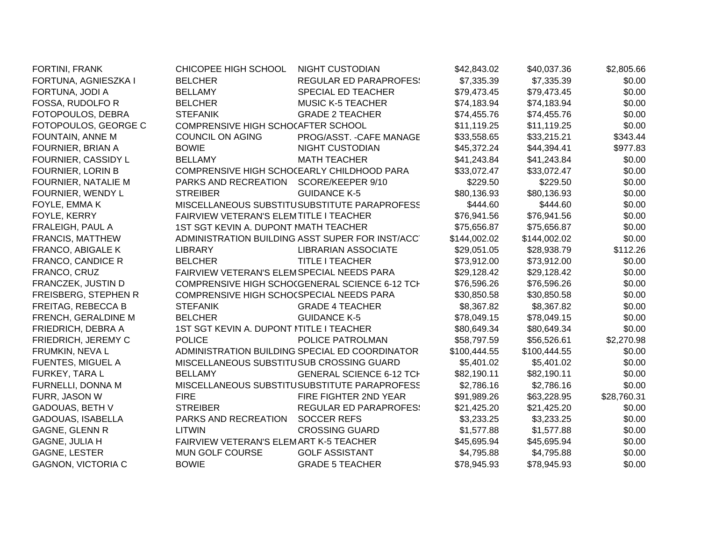| FORTINI, FRANK            | CHICOPEE HIGH SCHOOL                       | <b>NIGHT CUSTODIAN</b>                           | \$42,843.02  | \$40,037.36  | \$2,805.66  |
|---------------------------|--------------------------------------------|--------------------------------------------------|--------------|--------------|-------------|
| FORTUNA, AGNIESZKA I      | <b>BELCHER</b>                             | <b>REGULAR ED PARAPROFES:</b>                    | \$7,335.39   | \$7,335.39   | \$0.00      |
| FORTUNA, JODI A           | <b>BELLAMY</b>                             | <b>SPECIAL ED TEACHER</b>                        | \$79,473.45  | \$79,473.45  | \$0.00      |
| FOSSA, RUDOLFO R          | <b>BELCHER</b>                             | <b>MUSIC K-5 TEACHER</b>                         | \$74,183.94  | \$74,183.94  | \$0.00      |
| FOTOPOULOS, DEBRA         | <b>STEFANIK</b>                            | <b>GRADE 2 TEACHER</b>                           | \$74,455.76  | \$74,455.76  | \$0.00      |
| FOTOPOULOS, GEORGE C      | COMPRENSIVE HIGH SCHOCAFTER SCHOOL         |                                                  | \$11,119.25  | \$11,119.25  | \$0.00      |
| FOUNTAIN, ANNE M          | COUNCIL ON AGING                           | PROG/ASST. - CAFE MANAGE                         | \$33,558.65  | \$33,215.21  | \$343.44    |
| FOURNIER, BRIAN A         | <b>BOWIE</b>                               | <b>NIGHT CUSTODIAN</b>                           | \$45,372.24  | \$44,394.41  | \$977.83    |
| FOURNIER, CASSIDY L       | <b>BELLAMY</b>                             | <b>MATH TEACHER</b>                              | \$41,243.84  | \$41,243.84  | \$0.00      |
| FOURNIER, LORIN B         | COMPRENSIVE HIGH SCHO(EARLY CHILDHOOD PARA |                                                  | \$33,072.47  | \$33,072.47  | \$0.00      |
| FOURNIER, NATALIE M       | PARKS AND RECREATION                       | SCORE/KEEPER 9/10                                | \$229.50     | \$229.50     | \$0.00      |
| FOURNIER, WENDY L         | <b>STREIBER</b>                            | <b>GUIDANCE K-5</b>                              | \$80,136.93  | \$80,136.93  | \$0.00      |
| FOYLE, EMMA K             |                                            | MISCELLANEOUS SUBSTITUSUBSTITUTE PARAPROFESS     | \$444.60     | \$444.60     | \$0.00      |
| FOYLE, KERRY              | FAIRVIEW VETERAN'S ELEMTITLE I TEACHER     |                                                  | \$76,941.56  | \$76,941.56  | \$0.00      |
| FRALEIGH, PAUL A          | 1ST SGT KEVIN A. DUPONT MATH TEACHER       |                                                  | \$75,656.87  | \$75,656.87  | \$0.00      |
| FRANCIS, MATTHEW          |                                            | ADMINISTRATION BUILDING ASST SUPER FOR INST/ACCT | \$144,002.02 | \$144,002.02 | \$0.00      |
| FRANCO, ABIGALE K         | <b>LIBRARY</b>                             | <b>LIBRARIAN ASSOCIATE</b>                       | \$29,051.05  | \$28,938.79  | \$112.26    |
| <b>FRANCO, CANDICE R</b>  | <b>BELCHER</b>                             | <b>TITLE I TEACHER</b>                           | \$73,912.00  | \$73,912.00  | \$0.00      |
| FRANCO, CRUZ              | FAIRVIEW VETERAN'S ELEMSPECIAL NEEDS PARA  |                                                  | \$29,128.42  | \$29,128.42  | \$0.00      |
| FRANCZEK, JUSTIN D        |                                            | COMPRENSIVE HIGH SCHOCGENERAL SCIENCE 6-12 TCH   | \$76,596.26  | \$76,596.26  | \$0.00      |
| FREISBERG, STEPHEN R      | COMPRENSIVE HIGH SCHO(SPECIAL NEEDS PARA   |                                                  | \$30,850.58  | \$30,850.58  | \$0.00      |
| FREITAG, REBECCA B        | <b>STEFANIK</b>                            | <b>GRADE 4 TEACHER</b>                           | \$8,367.82   | \$8,367.82   | \$0.00      |
| FRENCH, GERALDINE M       | <b>BELCHER</b>                             | <b>GUIDANCE K-5</b>                              | \$78,049.15  | \$78,049.15  | \$0.00      |
| FRIEDRICH, DEBRA A        | 1ST SGT KEVIN A. DUPONT NTITLE I TEACHER   |                                                  | \$80,649.34  | \$80,649.34  | \$0.00      |
| FRIEDRICH, JEREMY C       | <b>POLICE</b>                              | POLICE PATROLMAN                                 | \$58,797.59  | \$56,526.61  | \$2,270.98  |
| FRUMKIN, NEVAL            |                                            | ADMINISTRATION BUILDING SPECIAL ED COORDINATOR   | \$100,444.55 | \$100,444.55 | \$0.00      |
| FUENTES, MIGUEL A         | MISCELLANEOUS SUBSTITUSUB CROSSING GUARD   |                                                  | \$5,401.02   | \$5,401.02   | \$0.00      |
| FURKEY, TARA L            | <b>BELLAMY</b>                             | <b>GENERAL SCIENCE 6-12 TCH</b>                  | \$82,190.11  | \$82,190.11  | \$0.00      |
| FURNELLI, DONNA M         |                                            | MISCELLANEOUS SUBSTITUSUBSTITUTE PARAPROFESS     | \$2,786.16   | \$2,786.16   | \$0.00      |
| FURR, JASON W             | <b>FIRE</b>                                | FIRE FIGHTER 2ND YEAR                            | \$91,989.26  | \$63,228.95  | \$28,760.31 |
| GADOUAS, BETH V           | <b>STREIBER</b>                            | <b>REGULAR ED PARAPROFES:</b>                    | \$21,425.20  | \$21,425.20  | \$0.00      |
| GADOUAS, ISABELLA         | PARKS AND RECREATION                       | <b>SOCCER REFS</b>                               | \$3,233.25   | \$3,233.25   | \$0.00      |
| <b>GAGNE, GLENN R</b>     | <b>LITWIN</b>                              | <b>CROSSING GUARD</b>                            | \$1,577.88   | \$1,577.88   | \$0.00      |
| GAGNE, JULIA H            | FAIRVIEW VETERAN'S ELEMART K-5 TEACHER     |                                                  | \$45,695.94  | \$45,695.94  | \$0.00      |
| <b>GAGNE, LESTER</b>      | MUN GOLF COURSE                            | <b>GOLF ASSISTANT</b>                            | \$4,795.88   | \$4,795.88   | \$0.00      |
| <b>GAGNON, VICTORIA C</b> | <b>BOWIE</b>                               | <b>GRADE 5 TEACHER</b>                           | \$78,945.93  | \$78,945.93  | \$0.00      |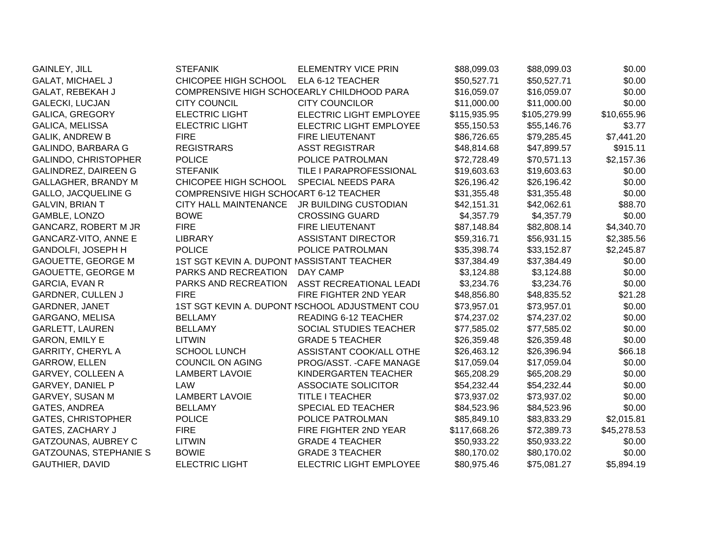| <b>GAINLEY, JILL</b>          | <b>STEFANIK</b>                            | <b>ELEMENTRY VICE PRIN</b>                     | \$88,099.03  | \$88,099.03  | \$0.00      |
|-------------------------------|--------------------------------------------|------------------------------------------------|--------------|--------------|-------------|
| <b>GALAT, MICHAEL J</b>       | CHICOPEE HIGH SCHOOL                       | ELA 6-12 TEACHER                               | \$50,527.71  | \$50,527.71  | \$0.00      |
| GALAT, REBEKAH J              | COMPRENSIVE HIGH SCHO(EARLY CHILDHOOD PARA |                                                | \$16,059.07  | \$16,059.07  | \$0.00      |
| <b>GALECKI, LUCJAN</b>        | <b>CITY COUNCIL</b>                        | <b>CITY COUNCILOR</b>                          | \$11,000.00  | \$11,000.00  | \$0.00      |
| <b>GALICA, GREGORY</b>        | <b>ELECTRIC LIGHT</b>                      | <b>ELECTRIC LIGHT EMPLOYEE</b>                 | \$115,935.95 | \$105,279.99 | \$10,655.96 |
| <b>GALICA, MELISSA</b>        | <b>ELECTRIC LIGHT</b>                      | <b>ELECTRIC LIGHT EMPLOYEE</b>                 | \$55,150.53  | \$55,146.76  | \$3.77      |
| <b>GALIK, ANDREW B</b>        | <b>FIRE</b>                                | <b>FIRE LIEUTENANT</b>                         | \$86,726.65  | \$79,285.45  | \$7,441.20  |
| GALINDO, BARBARA G            | <b>REGISTRARS</b>                          | <b>ASST REGISTRAR</b>                          | \$48,814.68  | \$47,899.57  | \$915.11    |
| GALINDO, CHRISTOPHER          | <b>POLICE</b>                              | POLICE PATROLMAN                               | \$72,728.49  | \$70,571.13  | \$2,157.36  |
| <b>GALINDREZ, DAIREEN G</b>   | <b>STEFANIK</b>                            | TILE I PARAPROFESSIONAL                        | \$19,603.63  | \$19,603.63  | \$0.00      |
| GALLAGHER, BRANDY M           | CHICOPEE HIGH SCHOOL                       | SPECIAL NEEDS PARA                             | \$26,196.42  | \$26,196.42  | \$0.00      |
| <b>GALLO, JACQUELINE G</b>    | COMPRENSIVE HIGH SCHOCART 6-12 TEACHER     |                                                | \$31,355.48  | \$31,355.48  | \$0.00      |
| <b>GALVIN, BRIAN T</b>        | <b>CITY HALL MAINTENANCE</b>               | JR BUILDING CUSTODIAN                          | \$42,151.31  | \$42,062.61  | \$88.70     |
| GAMBLE, LONZO                 | <b>BOWE</b>                                | <b>CROSSING GUARD</b>                          | \$4,357.79   | \$4,357.79   | \$0.00      |
| <b>GANCARZ, ROBERT M JR</b>   | <b>FIRE</b>                                | FIRE LIEUTENANT                                | \$87,148.84  | \$82,808.14  | \$4,340.70  |
| <b>GANCARZ-VITO, ANNE E</b>   | <b>LIBRARY</b>                             | <b>ASSISTANT DIRECTOR</b>                      | \$59,316.71  | \$56,931.15  | \$2,385.56  |
| GANDOLFI, JOSEPH H            | <b>POLICE</b>                              | POLICE PATROLMAN                               | \$35,398.74  | \$33,152.87  | \$2,245.87  |
| <b>GAOUETTE, GEORGE M</b>     | 1ST SGT KEVIN A. DUPONT MASSISTANT TEACHER |                                                | \$37,384.49  | \$37,384.49  | \$0.00      |
| <b>GAOUETTE, GEORGE M</b>     | PARKS AND RECREATION                       | DAY CAMP                                       | \$3,124.88   | \$3,124.88   | \$0.00      |
| GARCIA, EVAN R                | PARKS AND RECREATION                       | ASST RECREATIONAL LEADI                        | \$3,234.76   | \$3,234.76   | \$0.00      |
| <b>GARDNER, CULLEN J</b>      | <b>FIRE</b>                                | FIRE FIGHTER 2ND YEAR                          | \$48,856.80  | \$48,835.52  | \$21.28     |
| GARDNER, JANET                |                                            | 1ST SGT KEVIN A. DUPONT ISCHOOL ADJUSTMENT COU | \$73,957.01  | \$73,957.01  | \$0.00      |
| GARGANO, MELISA               | <b>BELLAMY</b>                             | READING 6-12 TEACHER                           | \$74,237.02  | \$74,237.02  | \$0.00      |
| <b>GARLETT, LAUREN</b>        | <b>BELLAMY</b>                             | SOCIAL STUDIES TEACHER                         | \$77,585.02  | \$77,585.02  | \$0.00      |
| <b>GARON, EMILY E</b>         | <b>LITWIN</b>                              | <b>GRADE 5 TEACHER</b>                         | \$26,359.48  | \$26,359.48  | \$0.00      |
| <b>GARRITY, CHERYL A</b>      | <b>SCHOOL LUNCH</b>                        | ASSISTANT COOK/ALL OTHE                        | \$26,463.12  | \$26,396.94  | \$66.18     |
| GARROW, ELLEN                 | <b>COUNCIL ON AGING</b>                    | PROG/ASST. - CAFE MANAGE                       | \$17,059.04  | \$17,059.04  | \$0.00      |
| GARVEY, COLLEEN A             | <b>LAMBERT LAVOIE</b>                      | KINDERGARTEN TEACHER                           | \$65,208.29  | \$65,208.29  | \$0.00      |
| <b>GARVEY, DANIEL P</b>       | <b>LAW</b>                                 | <b>ASSOCIATE SOLICITOR</b>                     | \$54,232.44  | \$54,232.44  | \$0.00      |
| <b>GARVEY, SUSAN M</b>        | <b>LAMBERT LAVOIE</b>                      | <b>TITLE I TEACHER</b>                         | \$73,937.02  | \$73,937.02  | \$0.00      |
| <b>GATES, ANDREA</b>          | <b>BELLAMY</b>                             | SPECIAL ED TEACHER                             | \$84,523.96  | \$84,523.96  | \$0.00      |
| <b>GATES, CHRISTOPHER</b>     | <b>POLICE</b>                              | POLICE PATROLMAN                               | \$85,849.10  | \$83,833.29  | \$2,015.81  |
| GATES, ZACHARY J              | <b>FIRE</b>                                | FIRE FIGHTER 2ND YEAR                          | \$117,668.26 | \$72,389.73  | \$45,278.53 |
| GATZOUNAS, AUBREY C           | <b>LITWIN</b>                              | <b>GRADE 4 TEACHER</b>                         | \$50,933.22  | \$50,933.22  | \$0.00      |
| <b>GATZOUNAS, STEPHANIE S</b> | <b>BOWIE</b>                               | <b>GRADE 3 TEACHER</b>                         | \$80,170.02  | \$80,170.02  | \$0.00      |
| <b>GAUTHIER, DAVID</b>        | <b>ELECTRIC LIGHT</b>                      | <b>ELECTRIC LIGHT EMPLOYEE</b>                 | \$80,975.46  | \$75,081.27  | \$5,894.19  |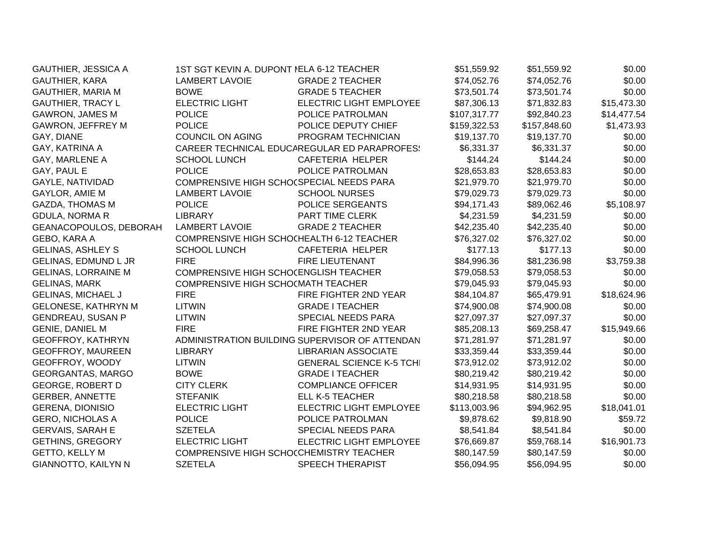| <b>GAUTHIER, JESSICA A</b> | 1ST SGT KEVIN A. DUPONT NELA 6-12 TEACHER |                                                | \$51,559.92  | \$51,559.92  | \$0.00      |
|----------------------------|-------------------------------------------|------------------------------------------------|--------------|--------------|-------------|
| GAUTHIER, KARA             | <b>LAMBERT LAVOIE</b>                     | <b>GRADE 2 TEACHER</b>                         | \$74,052.76  | \$74,052.76  | \$0.00      |
| <b>GAUTHIER, MARIA M</b>   | <b>BOWE</b>                               | <b>GRADE 5 TEACHER</b>                         | \$73,501.74  | \$73,501.74  | \$0.00      |
| <b>GAUTHIER, TRACY L</b>   | <b>ELECTRIC LIGHT</b>                     | ELECTRIC LIGHT EMPLOYEE                        | \$87,306.13  | \$71,832.83  | \$15,473.30 |
| <b>GAWRON, JAMES M</b>     | <b>POLICE</b>                             | POLICE PATROLMAN                               | \$107,317.77 | \$92,840.23  | \$14,477.54 |
| <b>GAWRON, JEFFREY M</b>   | <b>POLICE</b>                             | POLICE DEPUTY CHIEF                            | \$159,322.53 | \$157,848.60 | \$1,473.93  |
| GAY, DIANE                 | <b>COUNCIL ON AGING</b>                   | PROGRAM TECHNICIAN                             | \$19,137.70  | \$19,137.70  | \$0.00      |
| GAY, KATRINA A             |                                           | CAREER TECHNICAL EDUCAREGULAR ED PARAPROFES!   | \$6,331.37   | \$6,331.37   | \$0.00      |
| GAY, MARLENE A             | <b>SCHOOL LUNCH</b>                       | CAFETERIA HELPER                               | \$144.24     | \$144.24     | \$0.00      |
| GAY, PAUL E                | <b>POLICE</b>                             | POLICE PATROLMAN                               | \$28,653.83  | \$28,653.83  | \$0.00      |
| GAYLE, NATIVIDAD           | COMPRENSIVE HIGH SCHO(SPECIAL NEEDS PARA  |                                                | \$21,979.70  | \$21,979.70  | \$0.00      |
| GAYLOR, AMIE M             | <b>LAMBERT LAVOIE</b>                     | <b>SCHOOL NURSES</b>                           | \$79,029.73  | \$79,029.73  | \$0.00      |
| <b>GAZDA, THOMAS M</b>     | <b>POLICE</b>                             | POLICE SERGEANTS                               | \$94,171.43  | \$89,062.46  | \$5,108.97  |
| <b>GDULA, NORMA R</b>      | <b>LIBRARY</b>                            | PART TIME CLERK                                | \$4,231.59   | \$4,231.59   | \$0.00      |
| GEANACOPOULOS, DEBORAH     | <b>LAMBERT LAVOIE</b>                     | <b>GRADE 2 TEACHER</b>                         | \$42,235.40  | \$42,235.40  | \$0.00      |
| GEBO, KARA A               | COMPRENSIVE HIGH SCHOCHEALTH 6-12 TEACHER |                                                | \$76,327.02  | \$76,327.02  | \$0.00      |
| <b>GELINAS, ASHLEY S</b>   | <b>SCHOOL LUNCH</b>                       | CAFETERIA HELPER                               | \$177.13     | \$177.13     | \$0.00      |
| GELINAS, EDMUND L JR       | <b>FIRE</b>                               | <b>FIRE LIEUTENANT</b>                         | \$84,996.36  | \$81,236.98  | \$3,759.38  |
| <b>GELINAS, LORRAINE M</b> | COMPRENSIVE HIGH SCHOCENGLISH TEACHER     |                                                | \$79,058.53  | \$79,058.53  | \$0.00      |
| <b>GELINAS, MARK</b>       | COMPRENSIVE HIGH SCHO(MATH TEACHER        |                                                | \$79,045.93  | \$79,045.93  | \$0.00      |
| <b>GELINAS, MICHAEL J</b>  | <b>FIRE</b>                               | FIRE FIGHTER 2ND YEAR                          | \$84,104.87  | \$65,479.91  | \$18,624.96 |
| <b>GELONESE, KATHRYN M</b> | <b>LITWIN</b>                             | <b>GRADE I TEACHER</b>                         | \$74,900.08  | \$74,900.08  | \$0.00      |
| <b>GENDREAU, SUSAN P</b>   | <b>LITWIN</b>                             | SPECIAL NEEDS PARA                             | \$27,097.37  | \$27,097.37  | \$0.00      |
| <b>GENIE, DANIEL M</b>     | <b>FIRE</b>                               | FIRE FIGHTER 2ND YEAR                          | \$85,208.13  | \$69,258.47  | \$15,949.66 |
| <b>GEOFFROY, KATHRYN</b>   |                                           | ADMINISTRATION BUILDING SUPERVISOR OF ATTENDAN | \$71,281.97  | \$71,281.97  | \$0.00      |
| <b>GEOFFROY, MAUREEN</b>   | <b>LIBRARY</b>                            | <b>LIBRARIAN ASSOCIATE</b>                     | \$33,359.44  | \$33,359.44  | \$0.00      |
| GEOFFROY, WOODY            | <b>LITWIN</b>                             | <b>GENERAL SCIENCE K-5 TCHI</b>                | \$73,912.02  | \$73,912.02  | \$0.00      |
| <b>GEORGANTAS, MARGO</b>   | <b>BOWE</b>                               | <b>GRADE I TEACHER</b>                         | \$80,219.42  | \$80,219.42  | \$0.00      |
| <b>GEORGE, ROBERT D</b>    | <b>CITY CLERK</b>                         | <b>COMPLIANCE OFFICER</b>                      | \$14,931.95  | \$14,931.95  | \$0.00      |
| <b>GERBER, ANNETTE</b>     | <b>STEFANIK</b>                           | ELL K-5 TEACHER                                | \$80,218.58  | \$80,218.58  | \$0.00      |
| <b>GERENA, DIONISIO</b>    | <b>ELECTRIC LIGHT</b>                     | ELECTRIC LIGHT EMPLOYEE                        | \$113,003.96 | \$94,962.95  | \$18,041.01 |
| <b>GERO, NICHOLAS A</b>    | <b>POLICE</b>                             | POLICE PATROLMAN                               | \$9,878.62   | \$9,818.90   | \$59.72     |
| <b>GERVAIS, SARAH E</b>    | <b>SZETELA</b>                            | SPECIAL NEEDS PARA                             | \$8,541.84   | \$8,541.84   | \$0.00      |
| <b>GETHINS, GREGORY</b>    | <b>ELECTRIC LIGHT</b>                     | <b>ELECTRIC LIGHT EMPLOYEE</b>                 | \$76,669.87  | \$59,768.14  | \$16,901.73 |
| <b>GETTO, KELLY M</b>      | COMPRENSIVE HIGH SCHOCCHEMISTRY TEACHER   |                                                | \$80,147.59  | \$80,147.59  | \$0.00      |
| <b>GIANNOTTO, KAILYN N</b> | <b>SZETELA</b>                            | <b>SPEECH THERAPIST</b>                        | \$56,094.95  | \$56,094.95  | \$0.00      |
|                            |                                           |                                                |              |              |             |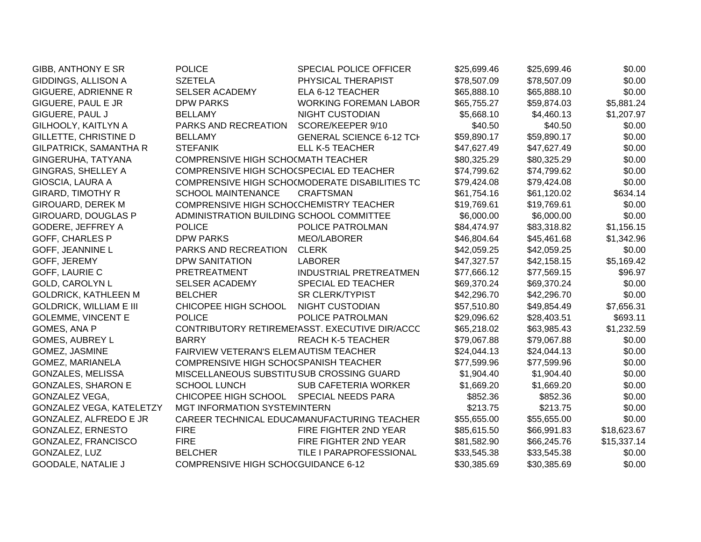| GIBB, ANTHONY E SR             | <b>POLICE</b>                            | SPECIAL POLICE OFFICER                         | \$25,699.46 | \$25,699.46 | \$0.00      |
|--------------------------------|------------------------------------------|------------------------------------------------|-------------|-------------|-------------|
| GIDDINGS, ALLISON A            | <b>SZETELA</b>                           | PHYSICAL THERAPIST                             | \$78,507.09 | \$78,507.09 | \$0.00      |
| <b>GIGUERE, ADRIENNE R</b>     | SELSER ACADEMY                           | ELA 6-12 TEACHER                               | \$65,888.10 | \$65,888.10 | \$0.00      |
| GIGUERE, PAUL E JR             | <b>DPW PARKS</b>                         | <b>WORKING FOREMAN LABOR</b>                   | \$65,755.27 | \$59,874.03 | \$5,881.24  |
| GIGUERE, PAUL J                | <b>BELLAMY</b>                           | <b>NIGHT CUSTODIAN</b>                         | \$5,668.10  | \$4,460.13  | \$1,207.97  |
| GILHOOLY, KAITLYN A            | PARKS AND RECREATION                     | SCORE/KEEPER 9/10                              | \$40.50     | \$40.50     | \$0.00      |
| GILLETTE, CHRISTINE D          | <b>BELLAMY</b>                           | <b>GENERAL SCIENCE 6-12 TCH</b>                | \$59,890.17 | \$59,890.17 | \$0.00      |
| GILPATRICK, SAMANTHA R         | <b>STEFANIK</b>                          | ELL K-5 TEACHER                                | \$47,627.49 | \$47,627.49 | \$0.00      |
| GINGERUHA, TATYANA             | COMPRENSIVE HIGH SCHO(MATH TEACHER       |                                                | \$80,325.29 | \$80,325.29 | \$0.00      |
| <b>GINGRAS, SHELLEY A</b>      | COMPRENSIVE HIGH SCHO(SPECIAL ED TEACHER |                                                | \$74,799.62 | \$74,799.62 | \$0.00      |
| GIOSCIA, LAURA A               |                                          | COMPRENSIVE HIGH SCHO(MODERATE DISABILITIES TC | \$79,424.08 | \$79,424.08 | \$0.00      |
| <b>GIRARD, TIMOTHY R</b>       | <b>SCHOOL MAINTENANCE</b>                | <b>CRAFTSMAN</b>                               | \$61,754.16 | \$61,120.02 | \$634.14    |
| <b>GIROUARD, DEREK M</b>       | COMPRENSIVE HIGH SCHOCCHEMISTRY TEACHER  |                                                | \$19,769.61 | \$19,769.61 | \$0.00      |
| GIROUARD, DOUGLAS P            | ADMINISTRATION BUILDING SCHOOL COMMITTEE |                                                | \$6,000.00  | \$6,000.00  | \$0.00      |
| GODERE, JEFFREY A              | <b>POLICE</b>                            | POLICE PATROLMAN                               | \$84,474.97 | \$83,318.82 | \$1,156.15  |
| <b>GOFF, CHARLES P</b>         | <b>DPW PARKS</b>                         | MEO/LABORER                                    | \$46,804.64 | \$45,461.68 | \$1,342.96  |
| <b>GOFF, JEANNINE L</b>        | PARKS AND RECREATION                     | <b>CLERK</b>                                   | \$42,059.25 | \$42,059.25 | \$0.00      |
| GOFF, JEREMY                   | <b>DPW SANITATION</b>                    | <b>LABORER</b>                                 | \$47,327.57 | \$42,158.15 | \$5,169.42  |
| GOFF, LAURIE C                 | PRETREATMENT                             | <b>INDUSTRIAL PRETREATMEN</b>                  | \$77,666.12 | \$77,569.15 | \$96.97     |
| <b>GOLD, CAROLYN L</b>         | <b>SELSER ACADEMY</b>                    | SPECIAL ED TEACHER                             | \$69,370.24 | \$69,370.24 | \$0.00      |
| <b>GOLDRICK, KATHLEEN M</b>    | <b>BELCHER</b>                           | <b>SR CLERK/TYPIST</b>                         | \$42,296.70 | \$42,296.70 | \$0.00      |
| <b>GOLDRICK, WILLIAM E III</b> | CHICOPEE HIGH SCHOOL                     | NIGHT CUSTODIAN                                | \$57,510.80 | \$49,854.49 | \$7,656.31  |
| <b>GOLEMME, VINCENT E</b>      | <b>POLICE</b>                            | POLICE PATROLMAN                               | \$29,096.62 | \$28,403.51 | \$693.11    |
| GOMES, ANA P                   |                                          | CONTRIBUTORY RETIREMEMASST. EXECUTIVE DIR/ACCC | \$65,218.02 | \$63,985.43 | \$1,232.59  |
| <b>GOMES, AUBREY L</b>         | <b>BARRY</b>                             | <b>REACH K-5 TEACHER</b>                       | \$79,067.88 | \$79,067.88 | \$0.00      |
| GOMEZ, JASMINE                 | FAIRVIEW VETERAN'S ELEMAUTISM TEACHER    |                                                | \$24,044.13 | \$24,044.13 | \$0.00      |
| GOMEZ, MARIANELA               | COMPRENSIVE HIGH SCHO(SPANISH TEACHER    |                                                | \$77,599.96 | \$77,599.96 | \$0.00      |
| GONZALES, MELISSA              | MISCELLANEOUS SUBSTITUSUB CROSSING GUARD |                                                | \$1,904.40  | \$1,904.40  | \$0.00      |
| <b>GONZALES, SHARON E</b>      | <b>SCHOOL LUNCH</b>                      | <b>SUB CAFETERIA WORKER</b>                    | \$1,669.20  | \$1,669.20  | \$0.00      |
| <b>GONZALEZ VEGA,</b>          | CHICOPEE HIGH SCHOOL SPECIAL NEEDS PARA  |                                                | \$852.36    | \$852.36    | \$0.00      |
| GONZALEZ VEGA, KATELETZY       | MGT INFORMATION SYSTEMINTERN             |                                                | \$213.75    | \$213.75    | \$0.00      |
| GONZALEZ, ALFREDO E JR         |                                          | CAREER TECHNICAL EDUCAMANUFACTURING TEACHER    | \$55,655.00 | \$55,655.00 | \$0.00      |
| GONZALEZ, ERNESTO              | <b>FIRE</b>                              | FIRE FIGHTER 2ND YEAR                          | \$85,615.50 | \$66,991.83 | \$18,623.67 |
| GONZALEZ, FRANCISCO            | <b>FIRE</b>                              | FIRE FIGHTER 2ND YEAR                          | \$81,582.90 | \$66,245.76 | \$15,337.14 |
| GONZALEZ, LUZ                  | <b>BELCHER</b>                           | TILE I PARAPROFESSIONAL                        | \$33,545.38 | \$33,545.38 | \$0.00      |
| <b>GOODALE, NATALIE J</b>      | COMPRENSIVE HIGH SCHOCGUIDANCE 6-12      |                                                | \$30,385.69 | \$30,385.69 | \$0.00      |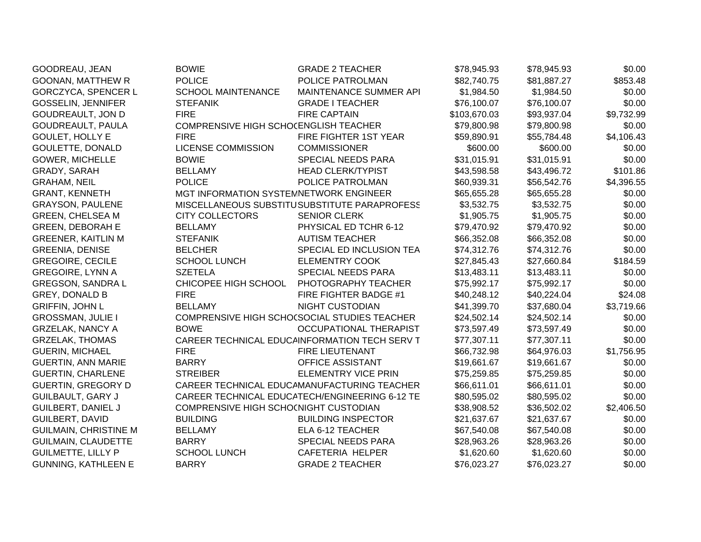| GOODREAU, JEAN               | <b>BOWIE</b>                           | <b>GRADE 2 TEACHER</b>                         | \$78,945.93  | \$78,945.93 | \$0.00     |
|------------------------------|----------------------------------------|------------------------------------------------|--------------|-------------|------------|
| <b>GOONAN, MATTHEW R</b>     | <b>POLICE</b>                          | POLICE PATROLMAN                               | \$82,740.75  | \$81,887.27 | \$853.48   |
| <b>GORCZYCA, SPENCER L</b>   | <b>SCHOOL MAINTENANCE</b>              | MAINTENANCE SUMMER API                         | \$1,984.50   | \$1,984.50  | \$0.00     |
| <b>GOSSELIN, JENNIFER</b>    | <b>STEFANIK</b>                        | <b>GRADE I TEACHER</b>                         | \$76,100.07  | \$76,100.07 | \$0.00     |
| <b>GOUDREAULT, JON D</b>     | <b>FIRE</b>                            | <b>FIRE CAPTAIN</b>                            | \$103,670.03 | \$93,937.04 | \$9,732.99 |
| GOUDREAULT, PAULA            | COMPRENSIVE HIGH SCHOCENGLISH TEACHER  |                                                | \$79,800.98  | \$79,800.98 | \$0.00     |
| <b>GOULET, HOLLY E</b>       | <b>FIRE</b>                            | FIRE FIGHTER 1ST YEAR                          | \$59,890.91  | \$55,784.48 | \$4,106.43 |
| <b>GOULETTE, DONALD</b>      | <b>LICENSE COMMISSION</b>              | <b>COMMISSIONER</b>                            | \$600.00     | \$600.00    | \$0.00     |
| <b>GOWER, MICHELLE</b>       | <b>BOWIE</b>                           | SPECIAL NEEDS PARA                             | \$31,015.91  | \$31,015.91 | \$0.00     |
| GRADY, SARAH                 | <b>BELLAMY</b>                         | <b>HEAD CLERK/TYPIST</b>                       | \$43,598.58  | \$43,496.72 | \$101.86   |
| <b>GRAHAM, NEIL</b>          | <b>POLICE</b>                          | POLICE PATROLMAN                               | \$60,939.31  | \$56,542.76 | \$4,396.55 |
| <b>GRANT, KENNETH</b>        | MGT INFORMATION SYSTEMNETWORK ENGINEER |                                                | \$65,655.28  | \$65,655.28 | \$0.00     |
| <b>GRAYSON, PAULENE</b>      |                                        | MISCELLANEOUS SUBSTITUSUBSTITUTE PARAPROFESS   | \$3,532.75   | \$3,532.75  | \$0.00     |
| <b>GREEN, CHELSEA M</b>      | <b>CITY COLLECTORS</b>                 | <b>SENIOR CLERK</b>                            | \$1,905.75   | \$1,905.75  | \$0.00     |
| <b>GREEN, DEBORAH E</b>      | <b>BELLAMY</b>                         | PHYSICAL ED TCHR 6-12                          | \$79,470.92  | \$79,470.92 | \$0.00     |
| <b>GREENER, KAITLIN M</b>    | <b>STEFANIK</b>                        | <b>AUTISM TEACHER</b>                          | \$66,352.08  | \$66,352.08 | \$0.00     |
| <b>GREENIA, DENISE</b>       | <b>BELCHER</b>                         | SPECIAL ED INCLUSION TEA                       | \$74,312.76  | \$74,312.76 | \$0.00     |
| <b>GREGOIRE, CECILE</b>      | <b>SCHOOL LUNCH</b>                    | <b>ELEMENTRY COOK</b>                          | \$27,845.43  | \$27,660.84 | \$184.59   |
| <b>GREGOIRE, LYNN A</b>      | <b>SZETELA</b>                         | SPECIAL NEEDS PARA                             | \$13,483.11  | \$13,483.11 | \$0.00     |
| <b>GREGSON, SANDRA L</b>     | CHICOPEE HIGH SCHOOL                   | PHOTOGRAPHY TEACHER                            | \$75,992.17  | \$75,992.17 | \$0.00     |
| <b>GREY, DONALD B</b>        | <b>FIRE</b>                            | FIRE FIGHTER BADGE #1                          | \$40,248.12  | \$40,224.04 | \$24.08    |
| <b>GRIFFIN, JOHN L</b>       | <b>BELLAMY</b>                         | <b>NIGHT CUSTODIAN</b>                         | \$41,399.70  | \$37,680.04 | \$3,719.66 |
| <b>GROSSMAN, JULIE I</b>     |                                        | COMPRENSIVE HIGH SCHO(SOCIAL STUDIES TEACHER   | \$24,502.14  | \$24,502.14 | \$0.00     |
| <b>GRZELAK, NANCY A</b>      | <b>BOWE</b>                            | OCCUPATIONAL THERAPIST                         | \$73,597.49  | \$73,597.49 | \$0.00     |
| <b>GRZELAK, THOMAS</b>       |                                        | CAREER TECHNICAL EDUCAINFORMATION TECH SERV T  | \$77,307.11  | \$77,307.11 | \$0.00     |
| <b>GUERIN, MICHAEL</b>       | <b>FIRE</b>                            | <b>FIRE LIEUTENANT</b>                         | \$66,732.98  | \$64,976.03 | \$1,756.95 |
| <b>GUERTIN, ANN MARIE</b>    | <b>BARRY</b>                           | OFFICE ASSISTANT                               | \$19,661.67  | \$19,661.67 | \$0.00     |
| <b>GUERTIN, CHARLENE</b>     | <b>STREIBER</b>                        | <b>ELEMENTRY VICE PRIN</b>                     | \$75,259.85  | \$75,259.85 | \$0.00     |
| <b>GUERTIN, GREGORY D</b>    |                                        | CAREER TECHNICAL EDUCAMANUFACTURING TEACHER    | \$66,611.01  | \$66,611.01 | \$0.00     |
| GUILBAULT, GARY J            |                                        | CAREER TECHNICAL EDUCATECH/ENGINEERING 6-12 TE | \$80,595.02  | \$80,595.02 | \$0.00     |
| <b>GUILBERT, DANIEL J</b>    | COMPRENSIVE HIGH SCHO(NIGHT CUSTODIAN  |                                                | \$38,908.52  | \$36,502.02 | \$2,406.50 |
| <b>GUILBERT, DAVID</b>       | <b>BUILDING</b>                        | <b>BUILDING INSPECTOR</b>                      | \$21,637.67  | \$21,637.67 | \$0.00     |
| <b>GUILMAIN, CHRISTINE M</b> | <b>BELLAMY</b>                         | ELA 6-12 TEACHER                               | \$67,540.08  | \$67,540.08 | \$0.00     |
| GUILMAIN, CLAUDETTE          | <b>BARRY</b>                           | SPECIAL NEEDS PARA                             | \$28,963.26  | \$28,963.26 | \$0.00     |
| <b>GUILMETTE, LILLY P</b>    | <b>SCHOOL LUNCH</b>                    | CAFETERIA HELPER                               | \$1,620.60   | \$1,620.60  | \$0.00     |
| <b>GUNNING, KATHLEEN E</b>   | <b>BARRY</b>                           | <b>GRADE 2 TEACHER</b>                         | \$76,023.27  | \$76,023.27 | \$0.00     |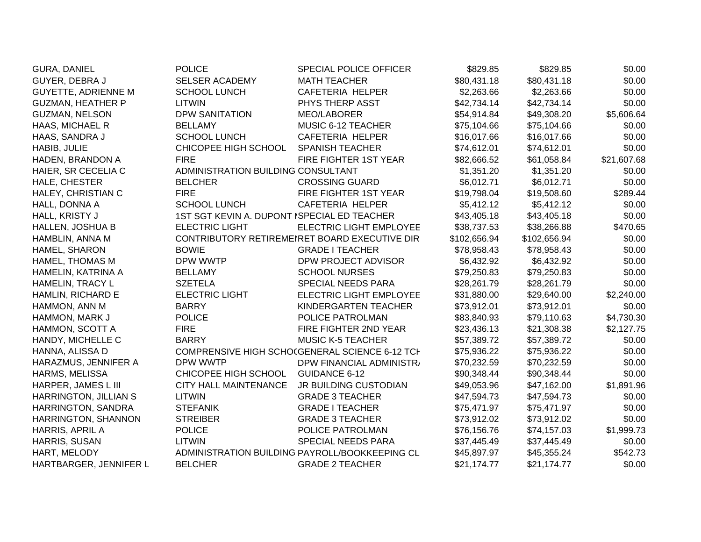| <b>GURA, DANIEL</b>          | <b>POLICE</b>                               | <b>SPECIAL POLICE OFFICER</b>                  | \$829.85     | \$829.85     | \$0.00      |
|------------------------------|---------------------------------------------|------------------------------------------------|--------------|--------------|-------------|
| GUYER, DEBRA J               | <b>SELSER ACADEMY</b>                       | <b>MATH TEACHER</b>                            | \$80,431.18  | \$80,431.18  | \$0.00      |
| <b>GUYETTE, ADRIENNE M</b>   | <b>SCHOOL LUNCH</b>                         | CAFETERIA HELPER                               | \$2,263.66   | \$2,263.66   | \$0.00      |
| <b>GUZMAN, HEATHER P</b>     | <b>LITWIN</b>                               | PHYS THERP ASST                                | \$42,734.14  | \$42,734.14  | \$0.00      |
| <b>GUZMAN, NELSON</b>        | <b>DPW SANITATION</b>                       | MEO/LABORER                                    | \$54,914.84  | \$49,308.20  | \$5,606.64  |
| HAAS, MICHAEL R              | <b>BELLAMY</b>                              | MUSIC 6-12 TEACHER                             | \$75,104.66  | \$75,104.66  | \$0.00      |
| HAAS, SANDRA J               | <b>SCHOOL LUNCH</b>                         | CAFETERIA HELPER                               | \$16,017.66  | \$16,017.66  | \$0.00      |
| HABIB, JULIE                 | CHICOPEE HIGH SCHOOL                        | <b>SPANISH TEACHER</b>                         | \$74,612.01  | \$74,612.01  | \$0.00      |
| HADEN, BRANDON A             | <b>FIRE</b>                                 | FIRE FIGHTER 1ST YEAR                          | \$82,666.52  | \$61,058.84  | \$21,607.68 |
| HAIER, SR CECELIA C          | ADMINISTRATION BUILDING CONSULTANT          |                                                | \$1,351.20   | \$1,351.20   | \$0.00      |
| HALE, CHESTER                | <b>BELCHER</b>                              | <b>CROSSING GUARD</b>                          | \$6,012.71   | \$6,012.71   | \$0.00      |
| HALEY, CHRISTIAN C           | <b>FIRE</b>                                 | FIRE FIGHTER 1ST YEAR                          | \$19,798.04  | \$19,508.60  | \$289.44    |
| HALL, DONNA A                | <b>SCHOOL LUNCH</b>                         | <b>CAFETERIA HELPER</b>                        | \$5,412.12   | \$5,412.12   | \$0.00      |
| HALL, KRISTY J               | 1ST SGT KEVIN A. DUPONT ISPECIAL ED TEACHER |                                                | \$43,405.18  | \$43,405.18  | \$0.00      |
| HALLEN, JOSHUA B             | <b>ELECTRIC LIGHT</b>                       | ELECTRIC LIGHT EMPLOYEE                        | \$38,737.53  | \$38,266.88  | \$470.65    |
| HAMBLIN, ANNA M              |                                             | CONTRIBUTORY RETIREMENTE BOARD EXECUTIVE DIR   | \$102,656.94 | \$102,656.94 | \$0.00      |
| HAMEL, SHARON                | <b>BOWIE</b>                                | <b>GRADE I TEACHER</b>                         | \$78,958.43  | \$78,958.43  | \$0.00      |
| <b>HAMEL, THOMAS M</b>       | DPW WWTP                                    | DPW PROJECT ADVISOR                            | \$6,432.92   | \$6,432.92   | \$0.00      |
| HAMELIN, KATRINA A           | <b>BELLAMY</b>                              | <b>SCHOOL NURSES</b>                           | \$79,250.83  | \$79,250.83  | \$0.00      |
| <b>HAMELIN, TRACY L</b>      | <b>SZETELA</b>                              | SPECIAL NEEDS PARA                             | \$28,261.79  | \$28,261.79  | \$0.00      |
| HAMLIN, RICHARD E            | <b>ELECTRIC LIGHT</b>                       | ELECTRIC LIGHT EMPLOYEE                        | \$31,880.00  | \$29,640.00  | \$2,240.00  |
| HAMMON, ANN M                | <b>BARRY</b>                                | KINDERGARTEN TEACHER                           | \$73,912.01  | \$73,912.01  | \$0.00      |
| HAMMON, MARK J               | <b>POLICE</b>                               | POLICE PATROLMAN                               | \$83,840.93  | \$79,110.63  | \$4,730.30  |
| HAMMON, SCOTT A              | <b>FIRE</b>                                 | FIRE FIGHTER 2ND YEAR                          | \$23,436.13  | \$21,308.38  | \$2,127.75  |
| HANDY, MICHELLE C            | <b>BARRY</b>                                | <b>MUSIC K-5 TEACHER</b>                       | \$57,389.72  | \$57,389.72  | \$0.00      |
| HANNA, ALISSA D              |                                             | COMPRENSIVE HIGH SCHOCGENERAL SCIENCE 6-12 TCH | \$75,936.22  | \$75,936.22  | \$0.00      |
| HARAZMUS, JENNIFER A         | DPW WWTP                                    | DPW FINANCIAL ADMINISTR.                       | \$70,232.59  | \$70,232.59  | \$0.00      |
| <b>HARMS, MELISSA</b>        | CHICOPEE HIGH SCHOOL                        | GUIDANCE 6-12                                  | \$90,348.44  | \$90,348.44  | \$0.00      |
| HARPER, JAMES L III          | <b>CITY HALL MAINTENANCE</b>                | JR BUILDING CUSTODIAN                          | \$49,053.96  | \$47,162.00  | \$1,891.96  |
| <b>HARRINGTON, JILLIAN S</b> | <b>LITWIN</b>                               | <b>GRADE 3 TEACHER</b>                         | \$47,594.73  | \$47,594.73  | \$0.00      |
| HARRINGTON, SANDRA           | <b>STEFANIK</b>                             | <b>GRADE I TEACHER</b>                         | \$75,471.97  | \$75,471.97  | \$0.00      |
| HARRINGTON, SHANNON          | <b>STREIBER</b>                             | <b>GRADE 3 TEACHER</b>                         | \$73,912.02  | \$73,912.02  | \$0.00      |
| HARRIS, APRIL A              | <b>POLICE</b>                               | POLICE PATROLMAN                               | \$76,156.76  | \$74,157.03  | \$1,999.73  |
| HARRIS, SUSAN                | <b>LITWIN</b>                               | SPECIAL NEEDS PARA                             | \$37,445.49  | \$37,445.49  | \$0.00      |
| HART, MELODY                 |                                             | ADMINISTRATION BUILDING PAYROLL/BOOKKEEPING CL | \$45,897.97  | \$45,355.24  | \$542.73    |
| HARTBARGER, JENNIFER L       | <b>BELCHER</b>                              | <b>GRADE 2 TEACHER</b>                         | \$21,174.77  | \$21,174.77  | \$0.00      |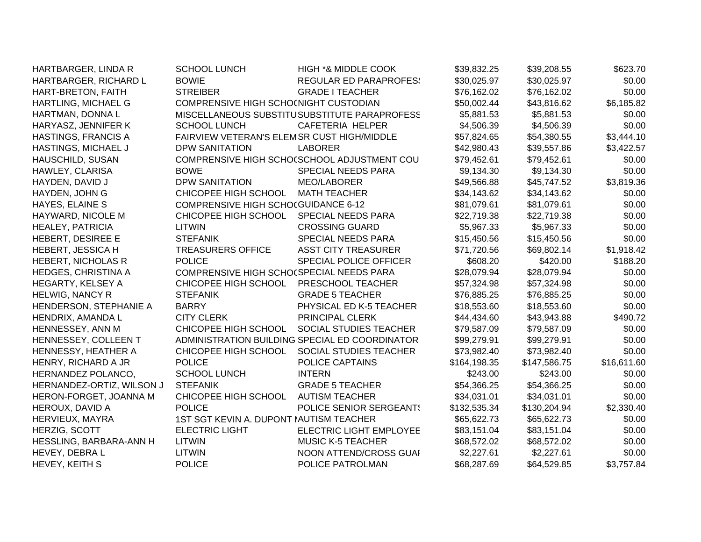| HARTBARGER, LINDA R        | <b>SCHOOL LUNCH</b>                        | <b>HIGH *&amp; MIDDLE COOK</b>                 | \$39,832.25  | \$39,208.55  | \$623.70    |
|----------------------------|--------------------------------------------|------------------------------------------------|--------------|--------------|-------------|
| HARTBARGER, RICHARD L      | <b>BOWIE</b>                               | <b>REGULAR ED PARAPROFES:</b>                  | \$30,025.97  | \$30,025.97  | \$0.00      |
| HART-BRETON, FAITH         | <b>STREIBER</b>                            | <b>GRADE I TEACHER</b>                         | \$76,162.02  | \$76,162.02  | \$0.00      |
| HARTLING, MICHAEL G        | COMPRENSIVE HIGH SCHO(NIGHT CUSTODIAN      |                                                | \$50,002.44  | \$43,816.62  | \$6,185.82  |
| HARTMAN, DONNA L           |                                            | MISCELLANEOUS SUBSTITUSUBSTITUTE PARAPROFESS   | \$5,881.53   | \$5,881.53   | \$0.00      |
| HARYASZ, JENNIFER K        | <b>SCHOOL LUNCH</b>                        | <b>CAFETERIA HELPER</b>                        | \$4,506.39   | \$4,506.39   | \$0.00      |
| <b>HASTINGS, FRANCIS A</b> | FAIRVIEW VETERAN'S ELEMSR CUST HIGH/MIDDLE |                                                | \$57,824.65  | \$54,380.55  | \$3,444.10  |
| HASTINGS, MICHAEL J        | <b>DPW SANITATION</b>                      | <b>LABORER</b>                                 | \$42,980.43  | \$39,557.86  | \$3,422.57  |
| <b>HAUSCHILD, SUSAN</b>    |                                            | COMPRENSIVE HIGH SCHOCSCHOOL ADJUSTMENT COU    | \$79,452.61  | \$79,452.61  | \$0.00      |
| HAWLEY, CLARISA            | <b>BOWE</b>                                | SPECIAL NEEDS PARA                             | \$9,134.30   | \$9,134.30   | \$0.00      |
| HAYDEN, DAVID J            | <b>DPW SANITATION</b>                      | MEO/LABORER                                    | \$49,566.88  | \$45,747.52  | \$3,819.36  |
| HAYDEN, JOHN G             | CHICOPEE HIGH SCHOOL                       | <b>MATH TEACHER</b>                            | \$34,143.62  | \$34,143.62  | \$0.00      |
| HAYES, ELAINE S            | <b>COMPRENSIVE HIGH SCHOCGUIDANCE 6-12</b> |                                                | \$81,079.61  | \$81,079.61  | \$0.00      |
| HAYWARD, NICOLE M          | CHICOPEE HIGH SCHOOL                       | <b>SPECIAL NEEDS PARA</b>                      | \$22,719.38  | \$22,719.38  | \$0.00      |
| HEALEY, PATRICIA           | <b>LITWIN</b>                              | <b>CROSSING GUARD</b>                          | \$5,967.33   | \$5,967.33   | \$0.00      |
| HEBERT, DESIREE E          | <b>STEFANIK</b>                            | SPECIAL NEEDS PARA                             | \$15,450.56  | \$15,450.56  | \$0.00      |
| <b>HEBERT, JESSICA H</b>   | <b>TREASURERS OFFICE</b>                   | <b>ASST CITY TREASURER</b>                     | \$71,720.56  | \$69,802.14  | \$1,918.42  |
| HEBERT, NICHOLAS R         | <b>POLICE</b>                              | SPECIAL POLICE OFFICER                         | \$608.20     | \$420.00     | \$188.20    |
| HEDGES, CHRISTINA A        | COMPRENSIVE HIGH SCHO(SPECIAL NEEDS PARA   |                                                | \$28,079.94  | \$28,079.94  | \$0.00      |
| HEGARTY, KELSEY A          | CHICOPEE HIGH SCHOOL                       | PRESCHOOL TEACHER                              | \$57,324.98  | \$57,324.98  | \$0.00      |
| <b>HELWIG, NANCY R</b>     | <b>STEFANIK</b>                            | <b>GRADE 5 TEACHER</b>                         | \$76,885.25  | \$76,885.25  | \$0.00      |
| HENDERSON, STEPHANIE A     | <b>BARRY</b>                               | PHYSICAL ED K-5 TEACHER                        | \$18,553.60  | \$18,553.60  | \$0.00      |
| HENDRIX, AMANDA L          | <b>CITY CLERK</b>                          | PRINCIPAL CLERK                                | \$44,434.60  | \$43,943.88  | \$490.72    |
| HENNESSEY, ANN M           | CHICOPEE HIGH SCHOOL                       | SOCIAL STUDIES TEACHER                         | \$79,587.09  | \$79,587.09  | \$0.00      |
| HENNESSEY, COLLEEN T       |                                            | ADMINISTRATION BUILDING SPECIAL ED COORDINATOR | \$99,279.91  | \$99,279.91  | \$0.00      |
| HENNESSY, HEATHER A        | CHICOPEE HIGH SCHOOL                       | SOCIAL STUDIES TEACHER                         | \$73,982.40  | \$73,982.40  | \$0.00      |
| HENRY, RICHARD A JR        | <b>POLICE</b>                              | POLICE CAPTAINS                                | \$164,198.35 | \$147,586.75 | \$16,611.60 |
| HERNANDEZ POLANCO,         | <b>SCHOOL LUNCH</b>                        | <b>INTERN</b>                                  | \$243.00     | \$243.00     | \$0.00      |
| HERNANDEZ-ORTIZ, WILSON J  | <b>STEFANIK</b>                            | <b>GRADE 5 TEACHER</b>                         | \$54,366.25  | \$54,366.25  | \$0.00      |
| HERON-FORGET, JOANNA M     | CHICOPEE HIGH SCHOOL                       | <b>AUTISM TEACHER</b>                          | \$34,031.01  | \$34,031.01  | \$0.00      |
| HEROUX, DAVID A            | <b>POLICE</b>                              | POLICE SENIOR SERGEANT!                        | \$132,535.34 | \$130,204.94 | \$2,330.40  |
| HERVIEUX, MAYRA            | 1ST SGT KEVIN A. DUPONT NAUTISM TEACHER    |                                                | \$65,622.73  | \$65,622.73  | \$0.00      |
| HERZIG, SCOTT              | <b>ELECTRIC LIGHT</b>                      | ELECTRIC LIGHT EMPLOYEE                        | \$83,151.04  | \$83,151.04  | \$0.00      |
| HESSLING, BARBARA-ANN H    | LITWIN                                     | <b>MUSIC K-5 TEACHER</b>                       | \$68,572.02  | \$68,572.02  | \$0.00      |
| HEVEY, DEBRAL              | <b>LITWIN</b>                              | NOON ATTEND/CROSS GUAI                         | \$2,227.61   | \$2,227.61   | \$0.00      |
| HEVEY, KEITH S             | <b>POLICE</b>                              | POLICE PATROLMAN                               | \$68,287.69  | \$64,529.85  | \$3,757.84  |
|                            |                                            |                                                |              |              |             |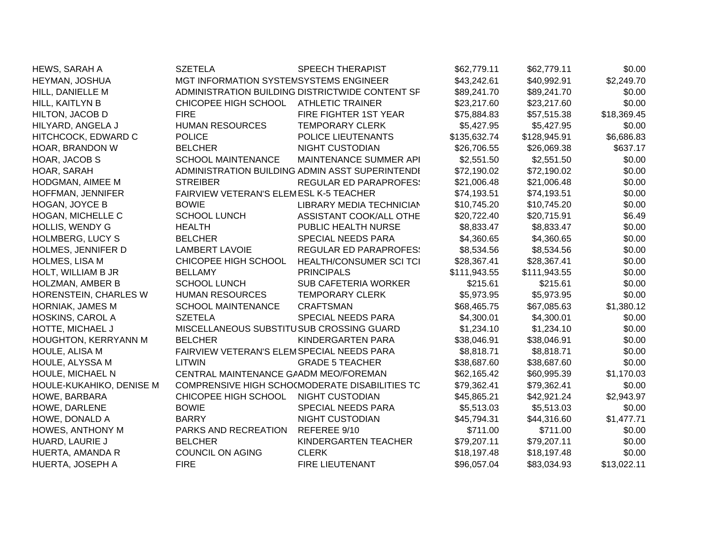| HEWS, SARAH A            | <b>SZETELA</b>                            | <b>SPEECH THERAPIST</b>                         | \$62,779.11  | \$62,779.11  | \$0.00      |
|--------------------------|-------------------------------------------|-------------------------------------------------|--------------|--------------|-------------|
| HEYMAN, JOSHUA           | MGT INFORMATION SYSTEMSYSTEMS ENGINEER    |                                                 | \$43,242.61  | \$40,992.91  | \$2,249.70  |
| HILL, DANIELLE M         |                                           | ADMINISTRATION BUILDING DISTRICTWIDE CONTENT SF | \$89,241.70  | \$89,241.70  | \$0.00      |
| HILL, KAITLYN B          | CHICOPEE HIGH SCHOOL                      | <b>ATHLETIC TRAINER</b>                         | \$23,217.60  | \$23,217.60  | \$0.00      |
| HILTON, JACOB D          | <b>FIRE</b>                               | FIRE FIGHTER 1ST YEAR                           | \$75,884.83  | \$57,515.38  | \$18,369.45 |
| HILYARD, ANGELA J        | <b>HUMAN RESOURCES</b>                    | <b>TEMPORARY CLERK</b>                          | \$5,427.95   | \$5,427.95   | \$0.00      |
| HITCHCOCK, EDWARD C      | <b>POLICE</b>                             | POLICE LIEUTENANTS                              | \$135,632.74 | \$128,945.91 | \$6,686.83  |
| HOAR, BRANDON W          | <b>BELCHER</b>                            | <b>NIGHT CUSTODIAN</b>                          | \$26,706.55  | \$26,069.38  | \$637.17    |
| HOAR, JACOB S            | <b>SCHOOL MAINTENANCE</b>                 | MAINTENANCE SUMMER API                          | \$2,551.50   | \$2,551.50   | \$0.00      |
| HOAR, SARAH              |                                           | ADMINISTRATION BUILDING ADMIN ASST SUPERINTENDI | \$72,190.02  | \$72,190.02  | \$0.00      |
| HODGMAN, AIMEE M         | <b>STREIBER</b>                           | <b>REGULAR ED PARAPROFES:</b>                   | \$21,006.48  | \$21,006.48  | \$0.00      |
| HOFFMAN, JENNIFER        | FAIRVIEW VETERAN'S ELEMESL K-5 TEACHER    |                                                 | \$74,193.51  | \$74,193.51  | \$0.00      |
| <b>HOGAN, JOYCE B</b>    | <b>BOWIE</b>                              | LIBRARY MEDIA TECHNICIAN                        | \$10,745.20  | \$10,745.20  | \$0.00      |
| HOGAN, MICHELLE C        | <b>SCHOOL LUNCH</b>                       | ASSISTANT COOK/ALL OTHE                         | \$20,722.40  | \$20,715.91  | \$6.49      |
| <b>HOLLIS, WENDY G</b>   | <b>HEALTH</b>                             | PUBLIC HEALTH NURSE                             | \$8,833.47   | \$8,833.47   | \$0.00      |
| <b>HOLMBERG, LUCY S</b>  | <b>BELCHER</b>                            | SPECIAL NEEDS PARA                              | \$4,360.65   | \$4,360.65   | \$0.00      |
| HOLMES, JENNIFER D       | <b>LAMBERT LAVOIE</b>                     | <b>REGULAR ED PARAPROFES:</b>                   | \$8,534.56   | \$8,534.56   | \$0.00      |
| HOLMES, LISA M           | CHICOPEE HIGH SCHOOL                      | HEALTH/CONSUMER SCI TCI                         | \$28,367.41  | \$28,367.41  | \$0.00      |
| HOLT, WILLIAM B JR       | <b>BELLAMY</b>                            | <b>PRINCIPALS</b>                               | \$111,943.55 | \$111,943.55 | \$0.00      |
| HOLZMAN, AMBER B         | <b>SCHOOL LUNCH</b>                       | <b>SUB CAFETERIA WORKER</b>                     | \$215.61     | \$215.61     | \$0.00      |
| HORENSTEIN, CHARLES W    | <b>HUMAN RESOURCES</b>                    | <b>TEMPORARY CLERK</b>                          | \$5,973.95   | \$5,973.95   | \$0.00      |
| <b>HORNIAK, JAMES M</b>  | <b>SCHOOL MAINTENANCE</b>                 | <b>CRAFTSMAN</b>                                | \$68,465.75  | \$67,085.63  | \$1,380.12  |
| HOSKINS, CAROL A         | <b>SZETELA</b>                            | <b>SPECIAL NEEDS PARA</b>                       | \$4,300.01   | \$4,300.01   | \$0.00      |
| HOTTE, MICHAEL J         | MISCELLANEOUS SUBSTITUSUB CROSSING GUARD  |                                                 | \$1,234.10   | \$1,234.10   | \$0.00      |
| HOUGHTON, KERRYANN M     | <b>BELCHER</b>                            | KINDERGARTEN PARA                               | \$38,046.91  | \$38,046.91  | \$0.00      |
| HOULE, ALISA M           | FAIRVIEW VETERAN'S ELEMSPECIAL NEEDS PARA |                                                 | \$8,818.71   | \$8,818.71   | \$0.00      |
| HOULE, ALYSSA M          | <b>LITWIN</b>                             | <b>GRADE 5 TEACHER</b>                          | \$38,687.60  | \$38,687.60  | \$0.00      |
| HOULE, MICHAEL N         | CENTRAL MAINTENANCE GAADM MEO/FOREMAN     |                                                 | \$62,165.42  | \$60,995.39  | \$1,170.03  |
| HOULE-KUKAHIKO, DENISE M |                                           | COMPRENSIVE HIGH SCHO(MODERATE DISABILITIES TC  | \$79,362.41  | \$79,362.41  | \$0.00      |
| HOWE, BARBARA            | CHICOPEE HIGH SCHOOL                      | <b>NIGHT CUSTODIAN</b>                          | \$45,865.21  | \$42,921.24  | \$2,943.97  |
| HOWE, DARLENE            | <b>BOWIE</b>                              | SPECIAL NEEDS PARA                              | \$5,513.03   | \$5,513.03   | \$0.00      |
| HOWE, DONALD A           | <b>BARRY</b>                              | <b>NIGHT CUSTODIAN</b>                          | \$45,794.31  | \$44,316.60  | \$1,477.71  |
| HOWES, ANTHONY M         | PARKS AND RECREATION                      | REFEREE 9/10                                    | \$711.00     | \$711.00     | \$0.00      |
| HUARD, LAURIE J          | <b>BELCHER</b>                            | KINDERGARTEN TEACHER                            | \$79,207.11  | \$79,207.11  | \$0.00      |
| HUERTA, AMANDA R         | <b>COUNCIL ON AGING</b>                   | <b>CLERK</b>                                    | \$18,197.48  | \$18,197.48  | \$0.00      |
| HUERTA, JOSEPH A         | <b>FIRE</b>                               | <b>FIRE LIEUTENANT</b>                          | \$96,057.04  | \$83,034.93  | \$13,022.11 |
|                          |                                           |                                                 |              |              |             |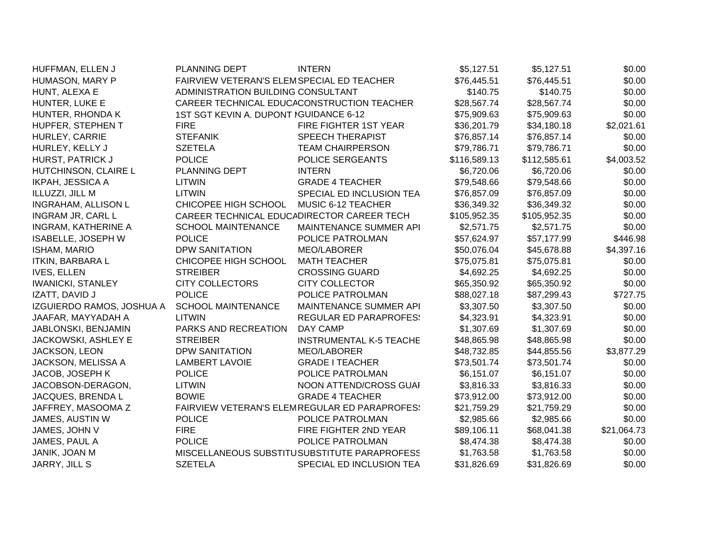| HUFFMAN, ELLEN J           | <b>PLANNING DEPT</b>                       | <b>INTERN</b>                                 | \$5,127.51   | \$5,127.51   | \$0.00      |
|----------------------------|--------------------------------------------|-----------------------------------------------|--------------|--------------|-------------|
| HUMASON, MARY P            | FAIRVIEW VETERAN'S ELEMSPECIAL ED TEACHER  |                                               | \$76,445.51  | \$76,445.51  | \$0.00      |
| HUNT, ALEXA E              | ADMINISTRATION BUILDING CONSULTANT         |                                               | \$140.75     | \$140.75     | \$0.00      |
| HUNTER, LUKE E             |                                            | CAREER TECHNICAL EDUCACONSTRUCTION TEACHER    | \$28,567.74  | \$28,567.74  | \$0.00      |
| HUNTER, RHONDA K           | 1ST SGT KEVIN A. DUPONT IGUIDANCE 6-12     |                                               | \$75,909.63  | \$75,909.63  | \$0.00      |
| HUPFER, STEPHEN T          | <b>FIRE</b>                                | FIRE FIGHTER 1ST YEAR                         | \$36,201.79  | \$34,180.18  | \$2,021.61  |
| HURLEY, CARRIE             | <b>STEFANIK</b>                            | <b>SPEECH THERAPIST</b>                       | \$76,857.14  | \$76,857.14  | \$0.00      |
| HURLEY, KELLY J            | <b>SZETELA</b>                             | <b>TEAM CHAIRPERSON</b>                       | \$79,786.71  | \$79,786.71  | \$0.00      |
| HURST, PATRICK J           | <b>POLICE</b>                              | POLICE SERGEANTS                              | \$116,589.13 | \$112,585.61 | \$4,003.52  |
| HUTCHINSON, CLAIRE L       | PLANNING DEPT                              | <b>INTERN</b>                                 | \$6,720.06   | \$6,720.06   | \$0.00      |
| <b>IKPAH, JESSICA A</b>    | <b>LITWIN</b>                              | <b>GRADE 4 TEACHER</b>                        | \$79,548.66  | \$79,548.66  | \$0.00      |
| ILLUZZI, JILL M            | <b>LITWIN</b>                              | SPECIAL ED INCLUSION TEA                      | \$76,857.09  | \$76,857.09  | \$0.00      |
| INGRAHAM, ALLISON L        | CHICOPEE HIGH SCHOOL                       | MUSIC 6-12 TEACHER                            | \$36,349.32  | \$36,349.32  | \$0.00      |
| INGRAM JR, CARL L          | CAREER TECHNICAL EDUCADIRECTOR CAREER TECH |                                               | \$105,952.35 | \$105,952.35 | \$0.00      |
| <b>INGRAM, KATHERINE A</b> | <b>SCHOOL MAINTENANCE</b>                  | MAINTENANCE SUMMER API                        | \$2,571.75   | \$2,571.75   | \$0.00      |
| ISABELLE, JOSEPH W         | <b>POLICE</b>                              | POLICE PATROLMAN                              | \$57,624.97  | \$57,177.99  | \$446.98    |
| <b>ISHAM, MARIO</b>        | <b>DPW SANITATION</b>                      | MEO/LABORER                                   | \$50,076.04  | \$45,678.88  | \$4,397.16  |
| <b>ITKIN, BARBARA L</b>    | CHICOPEE HIGH SCHOOL                       | <b>MATH TEACHER</b>                           | \$75,075.81  | \$75,075.81  | \$0.00      |
| <b>IVES, ELLEN</b>         | <b>STREIBER</b>                            | <b>CROSSING GUARD</b>                         | \$4,692.25   | \$4,692.25   | \$0.00      |
| <b>IWANICKI, STANLEY</b>   | <b>CITY COLLECTORS</b>                     | <b>CITY COLLECTOR</b>                         | \$65,350.92  | \$65,350.92  | \$0.00      |
| IZATT, DAVID J             | <b>POLICE</b>                              | POLICE PATROLMAN                              | \$88,027.18  | \$87,299.43  | \$727.75    |
| IZGUIERDO RAMOS, JOSHUA A  | <b>SCHOOL MAINTENANCE</b>                  | MAINTENANCE SUMMER API                        | \$3,307.50   | \$3,307.50   | \$0.00      |
| JAAFAR, MAYYADAH A         | <b>LITWIN</b>                              | <b>REGULAR ED PARAPROFES:</b>                 | \$4,323.91   | \$4,323.91   | \$0.00      |
| JABLONSKI, BENJAMIN        | PARKS AND RECREATION                       | DAY CAMP                                      | \$1,307.69   | \$1,307.69   | \$0.00      |
| JACKOWSKI, ASHLEY E        | <b>STREIBER</b>                            | <b>INSTRUMENTAL K-5 TEACHE</b>                | \$48,865.98  | \$48,865.98  | \$0.00      |
| JACKSON, LEON              | <b>DPW SANITATION</b>                      | <b>MEO/LABORER</b>                            | \$48,732.85  | \$44,855.56  | \$3,877.29  |
| JACKSON, MELISSA A         | <b>LAMBERT LAVOIE</b>                      | <b>GRADE I TEACHER</b>                        | \$73,501.74  | \$73,501.74  | \$0.00      |
| JACOB, JOSEPH K            | <b>POLICE</b>                              | POLICE PATROLMAN                              | \$6,151.07   | \$6,151.07   | \$0.00      |
| JACOBSON-DERAGON,          | <b>LITWIN</b>                              | NOON ATTEND/CROSS GUAI                        | \$3,816.33   | \$3,816.33   | \$0.00      |
| JACQUES, BRENDA L          | <b>BOWIE</b>                               | <b>GRADE 4 TEACHER</b>                        | \$73,912.00  | \$73,912.00  | \$0.00      |
| JAFFREY, MASOOMA Z         |                                            | FAIRVIEW VETERAN'S ELEMREGULAR ED PARAPROFES! | \$21,759.29  | \$21,759.29  | \$0.00      |
| JAMES, AUSTIN W            | <b>POLICE</b>                              | POLICE PATROLMAN                              | \$2,985.66   | \$2,985.66   | \$0.00      |
| JAMES, JOHN V              | <b>FIRE</b>                                | FIRE FIGHTER 2ND YEAR                         | \$89,106.11  | \$68,041.38  | \$21,064.73 |
| JAMES, PAUL A              | <b>POLICE</b>                              | POLICE PATROLMAN                              | \$8,474.38   | \$8,474.38   | \$0.00      |
| JANIK, JOAN M              |                                            | MISCELLANEOUS SUBSTITUSUBSTITUTE PARAPROFESS  | \$1,763.58   | \$1,763.58   | \$0.00      |
| JARRY, JILL S              | <b>SZETELA</b>                             | SPECIAL ED INCLUSION TEA                      | \$31,826.69  | \$31,826.69  | \$0.00      |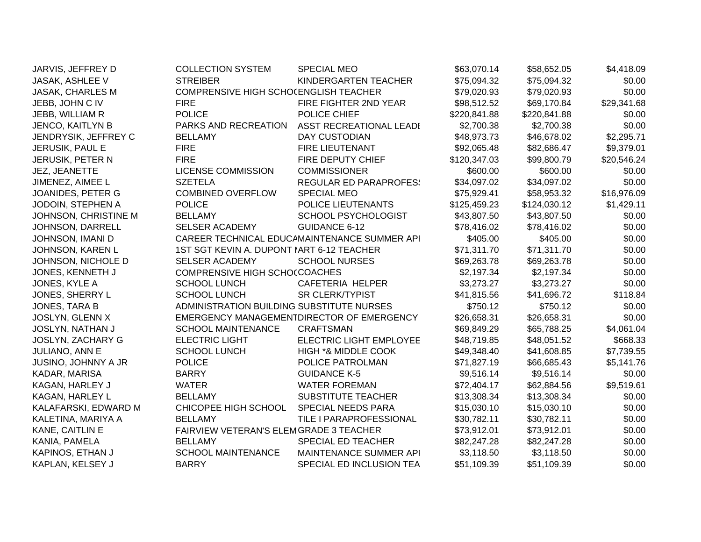| JARVIS, JEFFREY D    | <b>COLLECTION SYSTEM</b>                  | <b>SPECIAL MEO</b>                           | \$63,070.14  | \$58,652.05  | \$4,418.09  |
|----------------------|-------------------------------------------|----------------------------------------------|--------------|--------------|-------------|
| JASAK, ASHLEE V      | <b>STREIBER</b>                           | KINDERGARTEN TEACHER                         | \$75,094.32  | \$75,094.32  | \$0.00      |
| JASAK, CHARLES M     | COMPRENSIVE HIGH SCHOCENGLISH TEACHER     |                                              | \$79,020.93  | \$79,020.93  | \$0.00      |
| JEBB, JOHN C IV      | <b>FIRE</b>                               | FIRE FIGHTER 2ND YEAR                        | \$98,512.52  | \$69,170.84  | \$29,341.68 |
| JEBB, WILLIAM R      | <b>POLICE</b>                             | POLICE CHIEF                                 | \$220,841.88 | \$220,841.88 | \$0.00      |
| JENCO, KAITLYN B     | PARKS AND RECREATION                      | ASST RECREATIONAL LEADI                      | \$2,700.38   | \$2,700.38   | \$0.00      |
| JENDRYSIK, JEFFREY C | <b>BELLAMY</b>                            | DAY CUSTODIAN                                | \$48,973.73  | \$46,678.02  | \$2,295.71  |
| JERUSIK, PAUL E      | <b>FIRE</b>                               | FIRE LIEUTENANT                              | \$92,065.48  | \$82,686.47  | \$9,379.01  |
| JERUSIK, PETER N     | <b>FIRE</b>                               | FIRE DEPUTY CHIEF                            | \$120,347.03 | \$99,800.79  | \$20,546.24 |
| JEZ, JEANETTE        | <b>LICENSE COMMISSION</b>                 | <b>COMMISSIONER</b>                          | \$600.00     | \$600.00     | \$0.00      |
| JIMENEZ, AIMEE L     | <b>SZETELA</b>                            | <b>REGULAR ED PARAPROFES:</b>                | \$34,097.02  | \$34,097.02  | \$0.00      |
| JOANIDES, PETER G    | <b>COMBINED OVERFLOW</b>                  | <b>SPECIAL MEO</b>                           | \$75,929.41  | \$58,953.32  | \$16,976.09 |
| JODOIN, STEPHEN A    | <b>POLICE</b>                             | POLICE LIEUTENANTS                           | \$125,459.23 | \$124,030.12 | \$1,429.11  |
| JOHNSON, CHRISTINE M | <b>BELLAMY</b>                            | SCHOOL PSYCHOLOGIST                          | \$43,807.50  | \$43,807.50  | \$0.00      |
| JOHNSON, DARRELL     | SELSER ACADEMY                            | <b>GUIDANCE 6-12</b>                         | \$78,416.02  | \$78,416.02  | \$0.00      |
| JOHNSON, IMANI D     |                                           | CAREER TECHNICAL EDUCAMAINTENANCE SUMMER API | \$405.00     | \$405.00     | \$0.00      |
| JOHNSON, KAREN L     | 1ST SGT KEVIN A. DUPONT MART 6-12 TEACHER |                                              | \$71,311.70  | \$71,311.70  | \$0.00      |
| JOHNSON, NICHOLE D   | <b>SELSER ACADEMY</b>                     | <b>SCHOOL NURSES</b>                         | \$69,263.78  | \$69,263.78  | \$0.00      |
| JONES, KENNETH J     | COMPRENSIVE HIGH SCHOCCOACHES             |                                              | \$2,197.34   | \$2,197.34   | \$0.00      |
| JONES, KYLE A        | <b>SCHOOL LUNCH</b>                       | CAFETERIA HELPER                             | \$3,273.27   | \$3,273.27   | \$0.00      |
| JONES, SHERRY L      | <b>SCHOOL LUNCH</b>                       | <b>SR CLERK/TYPIST</b>                       | \$41,815.56  | \$41,696.72  | \$118.84    |
| JONES, TARA B        | ADMINISTRATION BUILDING SUBSTITUTE NURSES |                                              | \$750.12     | \$750.12     | \$0.00      |
| JOSLYN, GLENN X      |                                           | EMERGENCY MANAGEMENTDIRECTOR OF EMERGENCY    | \$26,658.31  | \$26,658.31  | \$0.00      |
| JOSLYN, NATHAN J     | <b>SCHOOL MAINTENANCE</b>                 | <b>CRAFTSMAN</b>                             | \$69,849.29  | \$65,788.25  | \$4,061.04  |
| JOSLYN, ZACHARY G    | <b>ELECTRIC LIGHT</b>                     | ELECTRIC LIGHT EMPLOYEE                      | \$48,719.85  | \$48,051.52  | \$668.33    |
| JULIANO, ANN E       | <b>SCHOOL LUNCH</b>                       | HIGH *& MIDDLE COOK                          | \$49,348.40  | \$41,608.85  | \$7,739.55  |
| JUSINO, JOHNNY A JR  | <b>POLICE</b>                             | POLICE PATROLMAN                             | \$71,827.19  | \$66,685.43  | \$5,141.76  |
| KADAR, MARISA        | <b>BARRY</b>                              | <b>GUIDANCE K-5</b>                          | \$9,516.14   | \$9,516.14   | \$0.00      |
| KAGAN, HARLEY J      | <b>WATER</b>                              | <b>WATER FOREMAN</b>                         | \$72,404.17  | \$62,884.56  | \$9,519.61  |
| KAGAN, HARLEY L      | <b>BELLAMY</b>                            | <b>SUBSTITUTE TEACHER</b>                    | \$13,308.34  | \$13,308.34  | \$0.00      |
| KALAFARSKI, EDWARD M | CHICOPEE HIGH SCHOOL                      | SPECIAL NEEDS PARA                           | \$15,030.10  | \$15,030.10  | \$0.00      |
| KALETINA, MARIYA A   | <b>BELLAMY</b>                            | TILE I PARAPROFESSIONAL                      | \$30,782.11  | \$30,782.11  | \$0.00      |
| KANE, CAITLIN E      | FAIRVIEW VETERAN'S ELEMGRADE 3 TEACHER    |                                              | \$73,912.01  | \$73,912.01  | \$0.00      |
| KANIA, PAMELA        | <b>BELLAMY</b>                            | SPECIAL ED TEACHER                           | \$82,247.28  | \$82,247.28  | \$0.00      |
| KAPINOS, ETHAN J     | <b>SCHOOL MAINTENANCE</b>                 | MAINTENANCE SUMMER API                       | \$3,118.50   | \$3,118.50   | \$0.00      |
| KAPLAN, KELSEY J     | <b>BARRY</b>                              | SPECIAL ED INCLUSION TEA                     | \$51,109.39  | \$51,109.39  | \$0.00      |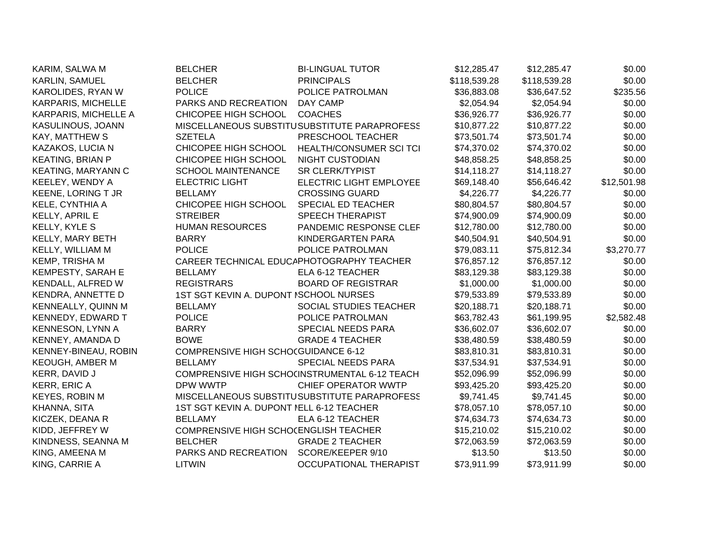| KARIM, SALWA M            | <b>BELCHER</b>                            | <b>BI-LINGUAL TUTOR</b>                       | \$12,285.47  | \$12,285.47  | \$0.00      |
|---------------------------|-------------------------------------------|-----------------------------------------------|--------------|--------------|-------------|
| KARLIN, SAMUEL            | <b>BELCHER</b>                            | <b>PRINCIPALS</b>                             | \$118,539.28 | \$118,539.28 | \$0.00      |
| KAROLIDES, RYAN W         | <b>POLICE</b>                             | POLICE PATROLMAN                              | \$36,883.08  | \$36,647.52  | \$235.56    |
| KARPARIS, MICHELLE        | PARKS AND RECREATION                      | DAY CAMP                                      | \$2,054.94   | \$2,054.94   | \$0.00      |
| KARPARIS, MICHELLE A      | CHICOPEE HIGH SCHOOL                      | <b>COACHES</b>                                | \$36,926.77  | \$36,926.77  | \$0.00      |
| KASULINOUS, JOANN         |                                           | MISCELLANEOUS SUBSTITUSUBSTITUTE PARAPROFESS  | \$10,877.22  | \$10,877.22  | \$0.00      |
| <b>KAY, MATTHEW S</b>     | <b>SZETELA</b>                            | PRESCHOOL TEACHER                             | \$73,501.74  | \$73,501.74  | \$0.00      |
| KAZAKOS, LUCIA N          | CHICOPEE HIGH SCHOOL                      | HEALTH/CONSUMER SCI TCI                       | \$74,370.02  | \$74,370.02  | \$0.00      |
| <b>KEATING, BRIAN P</b>   | CHICOPEE HIGH SCHOOL                      | NIGHT CUSTODIAN                               | \$48,858.25  | \$48,858.25  | \$0.00      |
| <b>KEATING, MARYANN C</b> | <b>SCHOOL MAINTENANCE</b>                 | <b>SR CLERK/TYPIST</b>                        | \$14,118.27  | \$14,118.27  | \$0.00      |
| KEELEY, WENDY A           | <b>ELECTRIC LIGHT</b>                     | <b>ELECTRIC LIGHT EMPLOYEE</b>                | \$69,148.40  | \$56,646.42  | \$12,501.98 |
| <b>KEENE, LORING T JR</b> | <b>BELLAMY</b>                            | <b>CROSSING GUARD</b>                         | \$4,226.77   | \$4,226.77   | \$0.00      |
| KELE, CYNTHIA A           | CHICOPEE HIGH SCHOOL                      | SPECIAL ED TEACHER                            | \$80,804.57  | \$80,804.57  | \$0.00      |
| KELLY, APRIL E            | <b>STREIBER</b>                           | <b>SPEECH THERAPIST</b>                       | \$74,900.09  | \$74,900.09  | \$0.00      |
| KELLY, KYLE S             | <b>HUMAN RESOURCES</b>                    | PANDEMIC RESPONSE CLEF                        | \$12,780.00  | \$12,780.00  | \$0.00      |
| KELLY, MARY BETH          | <b>BARRY</b>                              | KINDERGARTEN PARA                             | \$40,504.91  | \$40,504.91  | \$0.00      |
| KELLY, WILLIAM M          | <b>POLICE</b>                             | POLICE PATROLMAN                              | \$79,083.11  | \$75,812.34  | \$3,270.77  |
| KEMP, TRISHA M            | CAREER TECHNICAL EDUCAPHOTOGRAPHY TEACHER |                                               | \$76,857.12  | \$76,857.12  | \$0.00      |
| <b>KEMPESTY, SARAH E</b>  | <b>BELLAMY</b>                            | ELA 6-12 TEACHER                              | \$83,129.38  | \$83,129.38  | \$0.00      |
| KENDALL, ALFRED W         | <b>REGISTRARS</b>                         | <b>BOARD OF REGISTRAR</b>                     | \$1,000.00   | \$1,000.00   | \$0.00      |
| KENDRA, ANNETTE D         | 1ST SGT KEVIN A. DUPONT ISCHOOL NURSES    |                                               | \$79,533.89  | \$79,533.89  | \$0.00      |
| KENNEALLY, QUINN M        | <b>BELLAMY</b>                            | SOCIAL STUDIES TEACHER                        | \$20,188.71  | \$20,188.71  | \$0.00      |
| <b>KENNEDY, EDWARD T</b>  | <b>POLICE</b>                             | POLICE PATROLMAN                              | \$63,782.43  | \$61,199.95  | \$2,582.48  |
| KENNESON, LYNN A          | <b>BARRY</b>                              | SPECIAL NEEDS PARA                            | \$36,602.07  | \$36,602.07  | \$0.00      |
| KENNEY, AMANDA D          | <b>BOWE</b>                               | <b>GRADE 4 TEACHER</b>                        | \$38,480.59  | \$38,480.59  | \$0.00      |
| KENNEY-BINEAU, ROBIN      | COMPRENSIVE HIGH SCHOCGUIDANCE 6-12       |                                               | \$83,810.31  | \$83,810.31  | \$0.00      |
| <b>KEOUGH, AMBER M</b>    | <b>BELLAMY</b>                            | <b>SPECIAL NEEDS PARA</b>                     | \$37,534.91  | \$37,534.91  | \$0.00      |
| KERR, DAVID J             |                                           | COMPRENSIVE HIGH SCHOCINSTRUMENTAL 6-12 TEACH | \$52,096.99  | \$52,096.99  | \$0.00      |
| KERR, ERIC A              | DPW WWTP                                  | <b>CHIEF OPERATOR WWTP</b>                    | \$93,425.20  | \$93,425.20  | \$0.00      |
| <b>KEYES, ROBIN M</b>     |                                           | MISCELLANEOUS SUBSTITUSUBSTITUTE PARAPROFESS  | \$9,741.45   | \$9,741.45   | \$0.00      |
| KHANNA, SITA              | 1ST SGT KEVIN A. DUPONT NELL 6-12 TEACHER |                                               | \$78,057.10  | \$78,057.10  | \$0.00      |
| KICZEK, DEANA R           | <b>BELLAMY</b>                            | ELA 6-12 TEACHER                              | \$74,634.73  | \$74,634.73  | \$0.00      |
| KIDD, JEFFREY W           | COMPRENSIVE HIGH SCHOCENGLISH TEACHER     |                                               | \$15,210.02  | \$15,210.02  | \$0.00      |
| KINDNESS, SEANNA M        | <b>BELCHER</b>                            | <b>GRADE 2 TEACHER</b>                        | \$72,063.59  | \$72,063.59  | \$0.00      |
| KING, AMEENA M            | PARKS AND RECREATION                      | SCORE/KEEPER 9/10                             | \$13.50      | \$13.50      | \$0.00      |
| KING, CARRIE A            | <b>LITWIN</b>                             | OCCUPATIONAL THERAPIST                        | \$73,911.99  | \$73,911.99  | \$0.00      |
|                           |                                           |                                               |              |              |             |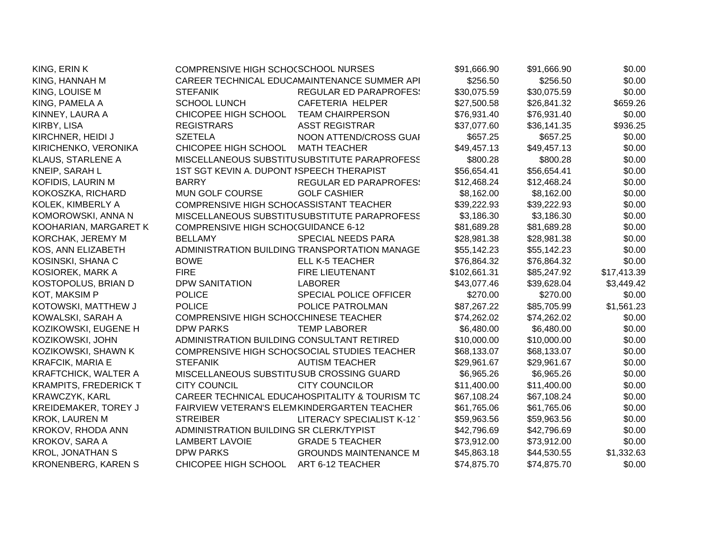| KING, ERIN K                 | COMPRENSIVE HIGH SCHOCSCHOOL NURSES        |                                                | \$91,666.90  | \$91,666.90 | \$0.00      |
|------------------------------|--------------------------------------------|------------------------------------------------|--------------|-------------|-------------|
| KING, HANNAH M               |                                            | CAREER TECHNICAL EDUCAMAINTENANCE SUMMER API   | \$256.50     | \$256.50    | \$0.00      |
| KING, LOUISE M               | <b>STEFANIK</b>                            | <b>REGULAR ED PARAPROFES:</b>                  | \$30,075.59  | \$30,075.59 | \$0.00      |
| KING, PAMELA A               | <b>SCHOOL LUNCH</b>                        | CAFETERIA HELPER                               | \$27,500.58  | \$26,841.32 | \$659.26    |
| KINNEY, LAURA A              | CHICOPEE HIGH SCHOOL                       | <b>TEAM CHAIRPERSON</b>                        | \$76,931.40  | \$76,931.40 | \$0.00      |
| KIRBY, LISA                  | <b>REGISTRARS</b>                          | <b>ASST REGISTRAR</b>                          | \$37,077.60  | \$36,141.35 | \$936.25    |
| KIRCHNER, HEIDI J            | <b>SZETELA</b>                             | NOON ATTEND/CROSS GUAI                         | \$657.25     | \$657.25    | \$0.00      |
| KIRICHENKO, VERONIKA         | CHICOPEE HIGH SCHOOL                       | <b>MATH TEACHER</b>                            | \$49,457.13  | \$49,457.13 | \$0.00      |
| KLAUS, STARLENE A            |                                            | MISCELLANEOUS SUBSTITUSUBSTITUTE PARAPROFESS   | \$800.28     | \$800.28    | \$0.00      |
| KNEIP, SARAH L               | 1ST SGT KEVIN A. DUPONT ISPEECH THERAPIST  |                                                | \$56,654.41  | \$56,654.41 | \$0.00      |
| KOFIDIS, LAURIN M            | <b>BARRY</b>                               | <b>REGULAR ED PARAPROFES:</b>                  | \$12,468.24  | \$12,468.24 | \$0.00      |
| KOKOSZKA, RICHARD            | MUN GOLF COURSE                            | <b>GOLF CASHIER</b>                            | \$8,162.00   | \$8,162.00  | \$0.00      |
| KOLEK, KIMBERLY A            | COMPRENSIVE HIGH SCHOCASSISTANT TEACHER    |                                                | \$39,222.93  | \$39,222.93 | \$0.00      |
| KOMOROWSKI, ANNA N           |                                            | MISCELLANEOUS SUBSTITUSUBSTITUTE PARAPROFESS   | \$3,186.30   | \$3,186.30  | \$0.00      |
| KOOHARIAN, MARGARET K        | COMPRENSIVE HIGH SCHOCGUIDANCE 6-12        |                                                | \$81,689.28  | \$81,689.28 | \$0.00      |
| KORCHAK, JEREMY M            | <b>BELLAMY</b>                             | SPECIAL NEEDS PARA                             | \$28,981.38  | \$28,981.38 | \$0.00      |
| KOS, ANN ELIZABETH           |                                            | ADMINISTRATION BUILDING TRANSPORTATION MANAGE  | \$55,142.23  | \$55,142.23 | \$0.00      |
| KOSINSKI, SHANA C            | <b>BOWE</b>                                | <b>ELL K-5 TEACHER</b>                         | \$76,864.32  | \$76,864.32 | \$0.00      |
| KOSIOREK, MARK A             | <b>FIRE</b>                                | FIRE LIEUTENANT                                | \$102,661.31 | \$85,247.92 | \$17,413.39 |
| KOSTOPOLUS, BRIAN D          | <b>DPW SANITATION</b>                      | <b>LABORER</b>                                 | \$43,077.46  | \$39,628.04 | \$3,449.42  |
| KOT, MAKSIM P                | <b>POLICE</b>                              | SPECIAL POLICE OFFICER                         | \$270.00     | \$270.00    | \$0.00      |
| KOTOWSKI, MATTHEW J          | <b>POLICE</b>                              | POLICE PATROLMAN                               | \$87,267.22  | \$85,705.99 | \$1,561.23  |
| KOWALSKI, SARAH A            | COMPRENSIVE HIGH SCHOCCHINESE TEACHER      |                                                | \$74,262.02  | \$74,262.02 | \$0.00      |
| KOZIKOWSKI, EUGENE H         | <b>DPW PARKS</b>                           | <b>TEMP LABORER</b>                            | \$6,480.00   | \$6,480.00  | \$0.00      |
| KOZIKOWSKI, JOHN             | ADMINISTRATION BUILDING CONSULTANT RETIRED |                                                | \$10,000.00  | \$10,000.00 | \$0.00      |
| KOZIKOWSKI, SHAWN K          |                                            | COMPRENSIVE HIGH SCHO(SOCIAL STUDIES TEACHER   | \$68,133.07  | \$68,133.07 | \$0.00      |
| <b>KRAFCIK, MARIA E</b>      | <b>STEFANIK</b>                            | <b>AUTISM TEACHER</b>                          | \$29,961.67  | \$29,961.67 | \$0.00      |
| <b>KRAFTCHICK, WALTER A</b>  | MISCELLANEOUS SUBSTITUSUB CROSSING GUARD   |                                                | \$6,965.26   | \$6,965.26  | \$0.00      |
| <b>KRAMPITS, FREDERICK T</b> | <b>CITY COUNCIL</b>                        | <b>CITY COUNCILOR</b>                          | \$11,400.00  | \$11,400.00 | \$0.00      |
| <b>KRAWCZYK, KARL</b>        |                                            | CAREER TECHNICAL EDUCAHOSPITALITY & TOURISM TC | \$67,108.24  | \$67,108.24 | \$0.00      |
| <b>KREIDEMAKER, TOREY J</b>  |                                            | FAIRVIEW VETERAN'S ELEMKINDERGARTEN TEACHER    | \$61,765.06  | \$61,765.06 | \$0.00      |
| <b>KROK, LAUREN M</b>        | <b>STREIBER</b>                            | LITERACY SPECIALIST K-12                       | \$59,963.56  | \$59,963.56 | \$0.00      |
| KROKOV, RHODA ANN            | ADMINISTRATION BUILDING SR CLERK/TYPIST    |                                                | \$42,796.69  | \$42,796.69 | \$0.00      |
| KROKOV, SARA A               | <b>LAMBERT LAVOIE</b>                      | <b>GRADE 5 TEACHER</b>                         | \$73,912.00  | \$73,912.00 | \$0.00      |
| <b>KROL, JONATHAN S</b>      | <b>DPW PARKS</b>                           | <b>GROUNDS MAINTENANCE M</b>                   | \$45,863.18  | \$44,530.55 | \$1,332.63  |
| <b>KRONENBERG, KAREN S</b>   | CHICOPEE HIGH SCHOOL                       | ART 6-12 TEACHER                               | \$74,875.70  | \$74,875.70 | \$0.00      |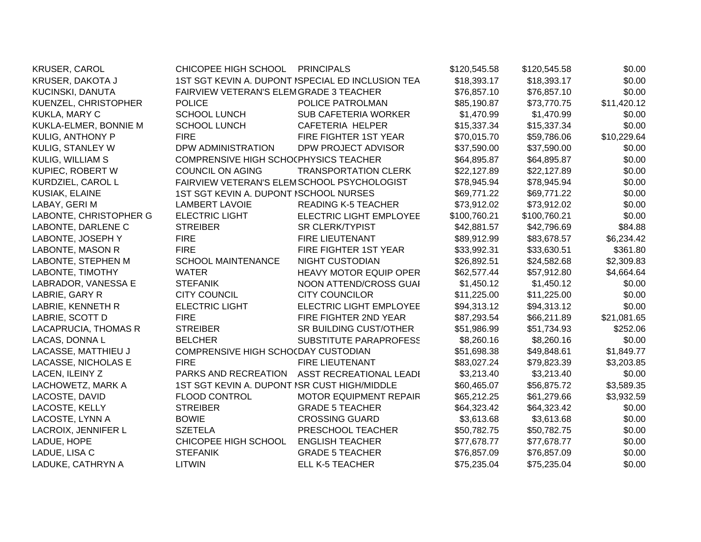| <b>KRUSER, CAROL</b>   | CHICOPEE HIGH SCHOOL PRINCIPALS              |                                                   | \$120,545.58 | \$120,545.58 | \$0.00      |
|------------------------|----------------------------------------------|---------------------------------------------------|--------------|--------------|-------------|
| KRUSER, DAKOTA J       |                                              | 1ST SGT KEVIN A. DUPONT ISPECIAL ED INCLUSION TEA | \$18,393.17  | \$18,393.17  | \$0.00      |
| KUCINSKI, DANUTA       | FAIRVIEW VETERAN'S ELEMGRADE 3 TEACHER       |                                                   | \$76,857.10  | \$76,857.10  | \$0.00      |
| KUENZEL, CHRISTOPHER   | <b>POLICE</b>                                | POLICE PATROLMAN                                  | \$85,190.87  | \$73,770.75  | \$11,420.12 |
| KUKLA, MARY C          | <b>SCHOOL LUNCH</b>                          | <b>SUB CAFETERIA WORKER</b>                       | \$1,470.99   | \$1,470.99   | \$0.00      |
| KUKLA-ELMER, BONNIE M  | <b>SCHOOL LUNCH</b>                          | <b>CAFETERIA HELPER</b>                           | \$15,337.34  | \$15,337.34  | \$0.00      |
| KULIG, ANTHONY P       | <b>FIRE</b>                                  | FIRE FIGHTER 1ST YEAR                             | \$70,015.70  | \$59,786.06  | \$10,229.64 |
| KULIG, STANLEY W       | DPW ADMINISTRATION                           | DPW PROJECT ADVISOR                               | \$37,590.00  | \$37,590.00  | \$0.00      |
| KULIG, WILLIAM S       | COMPRENSIVE HIGH SCHO(PHYSICS TEACHER        |                                                   | \$64,895.87  | \$64,895.87  | \$0.00      |
| KUPIEC, ROBERT W       | COUNCIL ON AGING                             | <b>TRANSPORTATION CLERK</b>                       | \$22,127.89  | \$22,127.89  | \$0.00      |
| KURDZIEL, CAROL L      | FAIRVIEW VETERAN'S ELEMSCHOOL PSYCHOLOGIST   |                                                   | \$78,945.94  | \$78,945.94  | \$0.00      |
| KUSIAK, ELAINE         | 1ST SGT KEVIN A. DUPONT ISCHOOL NURSES       |                                                   | \$69,771.22  | \$69,771.22  | \$0.00      |
| LABAY, GERIM           | <b>LAMBERT LAVOIE</b>                        | <b>READING K-5 TEACHER</b>                        | \$73,912.02  | \$73,912.02  | \$0.00      |
| LABONTE, CHRISTOPHER G | <b>ELECTRIC LIGHT</b>                        | ELECTRIC LIGHT EMPLOYEE                           | \$100,760.21 | \$100,760.21 | \$0.00      |
| LABONTE, DARLENE C     | <b>STREIBER</b>                              | <b>SR CLERK/TYPIST</b>                            | \$42,881.57  | \$42,796.69  | \$84.88     |
| LABONTE, JOSEPH Y      | <b>FIRE</b>                                  | <b>FIRE LIEUTENANT</b>                            | \$89,912.99  | \$83,678.57  | \$6,234.42  |
| LABONTE, MASON R       | <b>FIRE</b>                                  | FIRE FIGHTER 1ST YEAR                             | \$33,992.31  | \$33,630.51  | \$361.80    |
| LABONTE, STEPHEN M     | <b>SCHOOL MAINTENANCE</b>                    | <b>NIGHT CUSTODIAN</b>                            | \$26,892.51  | \$24,582.68  | \$2,309.83  |
| LABONTE, TIMOTHY       | <b>WATER</b>                                 | <b>HEAVY MOTOR EQUIP OPER</b>                     | \$62,577.44  | \$57,912.80  | \$4,664.64  |
| LABRADOR, VANESSA E    | <b>STEFANIK</b>                              | NOON ATTEND/CROSS GUAI                            | \$1,450.12   | \$1,450.12   | \$0.00      |
| LABRIE, GARY R         | <b>CITY COUNCIL</b>                          | <b>CITY COUNCILOR</b>                             | \$11,225.00  | \$11,225.00  | \$0.00      |
| LABRIE, KENNETH R      | <b>ELECTRIC LIGHT</b>                        | ELECTRIC LIGHT EMPLOYEE                           | \$94,313.12  | \$94,313.12  | \$0.00      |
| LABRIE, SCOTT D        | <b>FIRE</b>                                  | FIRE FIGHTER 2ND YEAR                             | \$87,293.54  | \$66,211.89  | \$21,081.65 |
| LACAPRUCIA, THOMAS R   | <b>STREIBER</b>                              | SR BUILDING CUST/OTHER                            | \$51,986.99  | \$51,734.93  | \$252.06    |
| LACAS, DONNA L         | <b>BELCHER</b>                               | SUBSTITUTE PARAPROFESS                            | \$8,260.16   | \$8,260.16   | \$0.00      |
| LACASSE, MATTHIEU J    | COMPRENSIVE HIGH SCHOCDAY CUSTODIAN          |                                                   | \$51,698.38  | \$49,848.61  | \$1,849.77  |
| LACASSE, NICHOLAS E    | <b>FIRE</b>                                  | <b>FIRE LIEUTENANT</b>                            | \$83,027.24  | \$79,823.39  | \$3,203.85  |
| LACEN, ILEINY Z        | PARKS AND RECREATION                         | <b>ASST RECREATIONAL LEADI</b>                    | \$3,213.40   | \$3,213.40   | \$0.00      |
| LACHOWETZ, MARK A      | 1ST SGT KEVIN A. DUPONT ISR CUST HIGH/MIDDLE |                                                   | \$60,465.07  | \$56,875.72  | \$3,589.35  |
| LACOSTE, DAVID         | <b>FLOOD CONTROL</b>                         | <b>MOTOR EQUIPMENT REPAIR</b>                     | \$65,212.25  | \$61,279.66  | \$3,932.59  |
| LACOSTE, KELLY         | <b>STREIBER</b>                              | <b>GRADE 5 TEACHER</b>                            | \$64,323.42  | \$64,323.42  | \$0.00      |
| LACOSTE, LYNN A        | <b>BOWIE</b>                                 | <b>CROSSING GUARD</b>                             | \$3,613.68   | \$3,613.68   | \$0.00      |
| LACROIX, JENNIFER L    | <b>SZETELA</b>                               | PRESCHOOL TEACHER                                 | \$50,782.75  | \$50,782.75  | \$0.00      |
| LADUE, HOPE            | CHICOPEE HIGH SCHOOL                         | <b>ENGLISH TEACHER</b>                            | \$77,678.77  | \$77,678.77  | \$0.00      |
| LADUE, LISA C          | <b>STEFANIK</b>                              | <b>GRADE 5 TEACHER</b>                            | \$76,857.09  | \$76,857.09  | \$0.00      |
| LADUKE, CATHRYN A      | <b>LITWIN</b>                                | <b>ELL K-5 TEACHER</b>                            | \$75,235.04  | \$75,235.04  | \$0.00      |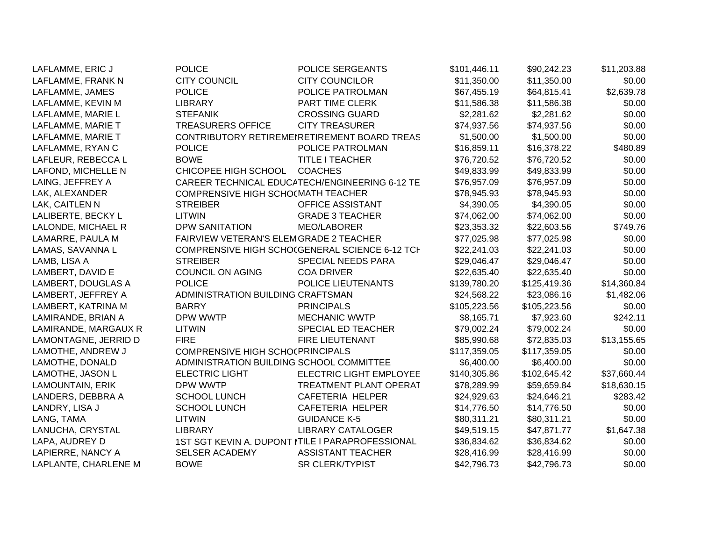| LAFLAMME, ERIC J        | <b>POLICE</b>                            | <b>POLICE SERGEANTS</b>                          | \$101,446.11 | \$90,242.23  | \$11,203.88 |
|-------------------------|------------------------------------------|--------------------------------------------------|--------------|--------------|-------------|
| LAFLAMME, FRANK N       | <b>CITY COUNCIL</b>                      | <b>CITY COUNCILOR</b>                            | \$11,350.00  | \$11,350.00  | \$0.00      |
| LAFLAMME, JAMES         | <b>POLICE</b>                            | POLICE PATROLMAN                                 | \$67,455.19  | \$64,815.41  | \$2,639.78  |
| LAFLAMME, KEVIN M       | <b>LIBRARY</b>                           | PART TIME CLERK                                  | \$11,586.38  | \$11,586.38  | \$0.00      |
| LAFLAMME, MARIE L       | <b>STEFANIK</b>                          | <b>CROSSING GUARD</b>                            | \$2,281.62   | \$2,281.62   | \$0.00      |
| LAFLAMME, MARIE T       | <b>TREASURERS OFFICE</b>                 | <b>CITY TREASURER</b>                            | \$74,937.56  | \$74,937.56  | \$0.00      |
| LAFLAMME, MARIE T       |                                          | CONTRIBUTORY RETIREMENETIREMENT BOARD TREAS      | \$1,500.00   | \$1,500.00   | \$0.00      |
| LAFLAMME, RYAN C        | <b>POLICE</b>                            | POLICE PATROLMAN                                 | \$16,859.11  | \$16,378.22  | \$480.89    |
| LAFLEUR, REBECCA L      | <b>BOWE</b>                              | <b>TITLE I TEACHER</b>                           | \$76,720.52  | \$76,720.52  | \$0.00      |
| LAFOND, MICHELLE N      | CHICOPEE HIGH SCHOOL                     | <b>COACHES</b>                                   | \$49,833.99  | \$49,833.99  | \$0.00      |
| LAING, JEFFREY A        |                                          | CAREER TECHNICAL EDUCATECH/ENGINEERING 6-12 TE   | \$76,957.09  | \$76,957.09  | \$0.00      |
| LAK, ALEXANDER          | COMPRENSIVE HIGH SCHO(MATH TEACHER       |                                                  | \$78,945.93  | \$78,945.93  | \$0.00      |
| LAK, CAITLEN N          | <b>STREIBER</b>                          | OFFICE ASSISTANT                                 | \$4,390.05   | \$4,390.05   | \$0.00      |
| LALIBERTE, BECKY L      | <b>LITWIN</b>                            | <b>GRADE 3 TEACHER</b>                           | \$74,062.00  | \$74,062.00  | \$0.00      |
| LALONDE, MICHAEL R      | <b>DPW SANITATION</b>                    | MEO/LABORER                                      | \$23,353.32  | \$22,603.56  | \$749.76    |
| LAMARRE, PAULA M        | FAIRVIEW VETERAN'S ELEMGRADE 2 TEACHER   |                                                  | \$77,025.98  | \$77,025.98  | \$0.00      |
| LAMAS, SAVANNA L        |                                          | COMPRENSIVE HIGH SCHO(GENERAL SCIENCE 6-12 TCI-  | \$22,241.03  | \$22,241.03  | \$0.00      |
| LAMB, LISA A            | <b>STREIBER</b>                          | SPECIAL NEEDS PARA                               | \$29,046.47  | \$29,046.47  | \$0.00      |
| LAMBERT, DAVID E        | <b>COUNCIL ON AGING</b>                  | <b>COA DRIVER</b>                                | \$22,635.40  | \$22,635.40  | \$0.00      |
| LAMBERT, DOUGLAS A      | <b>POLICE</b>                            | POLICE LIEUTENANTS                               | \$139,780.20 | \$125,419.36 | \$14,360.84 |
| LAMBERT, JEFFREY A      | ADMINISTRATION BUILDING CRAFTSMAN        |                                                  | \$24,568.22  | \$23,086.16  | \$1,482.06  |
| LAMBERT, KATRINA M      | <b>BARRY</b>                             | <b>PRINCIPALS</b>                                | \$105,223.56 | \$105,223.56 | \$0.00      |
| LAMIRANDE, BRIAN A      | DPW WWTP                                 | <b>MECHANIC WWTP</b>                             | \$8,165.71   | \$7,923.60   | \$242.11    |
| LAMIRANDE, MARGAUX R    | <b>LITWIN</b>                            | SPECIAL ED TEACHER                               | \$79,002.24  | \$79,002.24  | \$0.00      |
| LAMONTAGNE, JERRID D    | <b>FIRE</b>                              | <b>FIRE LIEUTENANT</b>                           | \$85,990.68  | \$72,835.03  | \$13,155.65 |
| LAMOTHE, ANDREW J       | <b>COMPRENSIVE HIGH SCHOCPRINCIPALS</b>  |                                                  | \$117,359.05 | \$117,359.05 | \$0.00      |
| LAMOTHE, DONALD         | ADMINISTRATION BUILDING SCHOOL COMMITTEE |                                                  | \$6,400.00   | \$6,400.00   | \$0.00      |
| LAMOTHE, JASON L        | <b>ELECTRIC LIGHT</b>                    | ELECTRIC LIGHT EMPLOYEE                          | \$140,305.86 | \$102,645.42 | \$37,660.44 |
| <b>LAMOUNTAIN, ERIK</b> | DPW WWTP                                 | TREATMENT PLANT OPERAT                           | \$78,289.99  | \$59,659.84  | \$18,630.15 |
| LANDERS, DEBBRA A       | SCHOOL LUNCH                             | CAFETERIA HELPER                                 | \$24,929.63  | \$24,646.21  | \$283.42    |
| LANDRY, LISA J          | <b>SCHOOL LUNCH</b>                      | CAFETERIA HELPER                                 | \$14,776.50  | \$14,776.50  | \$0.00      |
| LANG, TAMA              | <b>LITWIN</b>                            | <b>GUIDANCE K-5</b>                              | \$80,311.21  | \$80,311.21  | \$0.00      |
| LANUCHA, CRYSTAL        | <b>LIBRARY</b>                           | <b>LIBRARY CATALOGER</b>                         | \$49,519.15  | \$47,871.77  | \$1,647.38  |
| LAPA, AUDREY D          |                                          | 1ST SGT KEVIN A. DUPONT ITILE I PARAPROFESSIONAL | \$36,834.62  | \$36,834.62  | \$0.00      |
| LAPIERRE, NANCY A       | <b>SELSER ACADEMY</b>                    | <b>ASSISTANT TEACHER</b>                         | \$28,416.99  | \$28,416.99  | \$0.00      |
| LAPLANTE, CHARLENE M    | <b>BOWE</b>                              | <b>SR CLERK/TYPIST</b>                           | \$42,796.73  | \$42,796.73  | \$0.00      |
|                         |                                          |                                                  |              |              |             |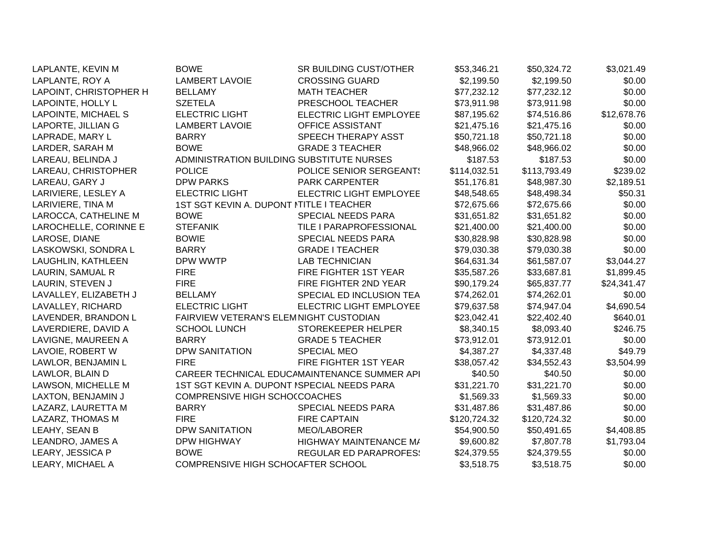| LAPLANTE, KEVIN M      | <b>BOWE</b>                                 | SR BUILDING CUST/OTHER                       | \$53,346.21  | \$50,324.72  | \$3,021.49  |
|------------------------|---------------------------------------------|----------------------------------------------|--------------|--------------|-------------|
| LAPLANTE, ROY A        | <b>LAMBERT LAVOIE</b>                       | <b>CROSSING GUARD</b>                        | \$2,199.50   | \$2,199.50   | \$0.00      |
| LAPOINT, CHRISTOPHER H | <b>BELLAMY</b>                              | <b>MATH TEACHER</b>                          | \$77,232.12  | \$77,232.12  | \$0.00      |
| LAPOINTE, HOLLY L      | <b>SZETELA</b>                              | PRESCHOOL TEACHER                            | \$73,911.98  | \$73,911.98  | \$0.00      |
| LAPOINTE, MICHAEL S    | <b>ELECTRIC LIGHT</b>                       | ELECTRIC LIGHT EMPLOYEE                      | \$87,195.62  | \$74,516.86  | \$12,678.76 |
| LAPORTE, JILLIAN G     | <b>LAMBERT LAVOIE</b>                       | OFFICE ASSISTANT                             | \$21,475.16  | \$21,475.16  | \$0.00      |
| LAPRADE, MARY L        | <b>BARRY</b>                                | SPEECH THERAPY ASST                          | \$50,721.18  | \$50,721.18  | \$0.00      |
| LARDER, SARAH M        | <b>BOWE</b>                                 | <b>GRADE 3 TEACHER</b>                       | \$48,966.02  | \$48,966.02  | \$0.00      |
| LAREAU, BELINDA J      | ADMINISTRATION BUILDING SUBSTITUTE NURSES   |                                              | \$187.53     | \$187.53     | \$0.00      |
| LAREAU, CHRISTOPHER    | <b>POLICE</b>                               | POLICE SENIOR SERGEANT!                      | \$114,032.51 | \$113,793.49 | \$239.02    |
| LAREAU, GARY J         | <b>DPW PARKS</b>                            | <b>PARK CARPENTER</b>                        | \$51,176.81  | \$48,987.30  | \$2,189.51  |
| LARIVIERE, LESLEY A    | <b>ELECTRIC LIGHT</b>                       | <b>ELECTRIC LIGHT EMPLOYEE</b>               | \$48,548.65  | \$48,498.34  | \$50.31     |
| LARIVIERE, TINA M      | 1ST SGT KEVIN A. DUPONT NTITLE I TEACHER    |                                              | \$72,675.66  | \$72,675.66  | \$0.00      |
| LAROCCA, CATHELINE M   | <b>BOWE</b>                                 | SPECIAL NEEDS PARA                           | \$31,651.82  | \$31,651.82  | \$0.00      |
| LAROCHELLE, CORINNE E  | <b>STEFANIK</b>                             | TILE I PARAPROFESSIONAL                      | \$21,400.00  | \$21,400.00  | \$0.00      |
| LAROSE, DIANE          | <b>BOWIE</b>                                | SPECIAL NEEDS PARA                           | \$30,828.98  | \$30,828.98  | \$0.00      |
| LASKOWSKI, SONDRA L    | <b>BARRY</b>                                | <b>GRADE I TEACHER</b>                       | \$79,030.38  | \$79,030.38  | \$0.00      |
| LAUGHLIN, KATHLEEN     | DPW WWTP                                    | <b>LAB TECHNICIAN</b>                        | \$64,631.34  | \$61,587.07  | \$3,044.27  |
| LAURIN, SAMUAL R       | <b>FIRE</b>                                 | FIRE FIGHTER 1ST YEAR                        | \$35,587.26  | \$33,687.81  | \$1,899.45  |
| LAURIN, STEVEN J       | <b>FIRE</b>                                 | FIRE FIGHTER 2ND YEAR                        | \$90,179.24  | \$65,837.77  | \$24,341.47 |
| LAVALLEY, ELIZABETH J  | <b>BELLAMY</b>                              | SPECIAL ED INCLUSION TEA                     | \$74,262.01  | \$74,262.01  | \$0.00      |
| LAVALLEY, RICHARD      | <b>ELECTRIC LIGHT</b>                       | ELECTRIC LIGHT EMPLOYEE                      | \$79,637.58  | \$74,947.04  | \$4,690.54  |
| LAVENDER, BRANDON L    | FAIRVIEW VETERAN'S ELEMNIGHT CUSTODIAN      |                                              | \$23,042.41  | \$22,402.40  | \$640.01    |
| LAVERDIERE, DAVID A    | <b>SCHOOL LUNCH</b>                         | STOREKEEPER HELPER                           | \$8,340.15   | \$8,093.40   | \$246.75    |
| LAVIGNE, MAUREEN A     | <b>BARRY</b>                                | <b>GRADE 5 TEACHER</b>                       | \$73,912.01  | \$73,912.01  | \$0.00      |
| LAVOIE, ROBERT W       | <b>DPW SANITATION</b>                       | <b>SPECIAL MEO</b>                           | \$4,387.27   | \$4,337.48   | \$49.79     |
| LAWLOR, BENJAMIN L     | <b>FIRE</b>                                 | FIRE FIGHTER 1ST YEAR                        | \$38,057.42  | \$34,552.43  | \$3,504.99  |
| LAWLOR, BLAIN D        |                                             | CAREER TECHNICAL EDUCAMAINTENANCE SUMMER API | \$40.50      | \$40.50      | \$0.00      |
| LAWSON, MICHELLE M     | 1ST SGT KEVIN A. DUPONT ISPECIAL NEEDS PARA |                                              | \$31,221.70  | \$31,221.70  | \$0.00      |
| LAXTON, BENJAMIN J     | <b>COMPRENSIVE HIGH SCHO(COACHES</b>        |                                              | \$1,569.33   | \$1,569.33   | \$0.00      |
| LAZARZ, LAURETTA M     | <b>BARRY</b>                                | SPECIAL NEEDS PARA                           | \$31,487.86  | \$31,487.86  | \$0.00      |
| LAZARZ, THOMAS M       | <b>FIRE</b>                                 | <b>FIRE CAPTAIN</b>                          | \$120,724.32 | \$120,724.32 | \$0.00      |
| LEAHY, SEAN B          | <b>DPW SANITATION</b>                       | <b>MEO/LABORER</b>                           | \$54,900.50  | \$50,491.65  | \$4,408.85  |
| LEANDRO, JAMES A       | <b>DPW HIGHWAY</b>                          | HIGHWAY MAINTENANCE M/                       | \$9,600.82   | \$7,807.78   | \$1,793.04  |
| LEARY, JESSICA P       | <b>BOWE</b>                                 | <b>REGULAR ED PARAPROFES:</b>                | \$24,379.55  | \$24,379.55  | \$0.00      |
| LEARY, MICHAEL A       | COMPRENSIVE HIGH SCHOCAFTER SCHOOL          |                                              | \$3,518.75   | \$3,518.75   | \$0.00      |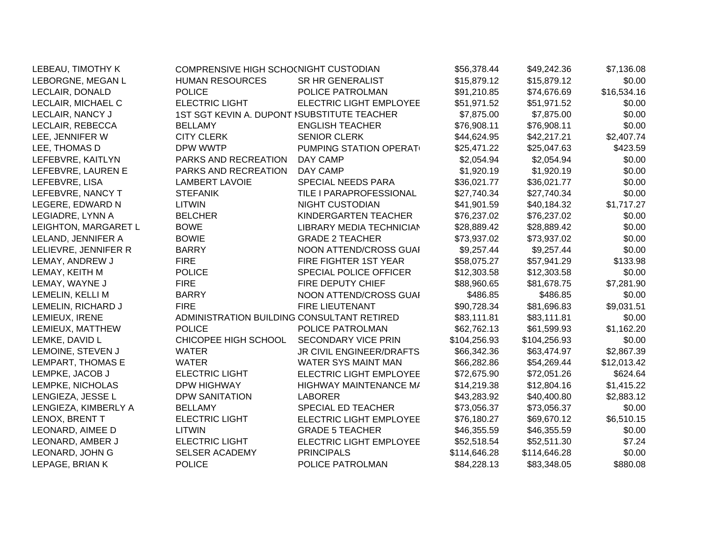| LEBEAU, TIMOTHY K    | COMPRENSIVE HIGH SCHO(NIGHT CUSTODIAN       |                                | \$56,378.44  | \$49,242.36  | \$7,136.08  |
|----------------------|---------------------------------------------|--------------------------------|--------------|--------------|-------------|
| LEBORGNE, MEGAN L    | <b>HUMAN RESOURCES</b>                      | SR HR GENERALIST               | \$15,879.12  | \$15,879.12  | \$0.00      |
| LECLAIR, DONALD      | <b>POLICE</b>                               | POLICE PATROLMAN               | \$91,210.85  | \$74,676.69  | \$16,534.16 |
| LECLAIR, MICHAEL C   | <b>ELECTRIC LIGHT</b>                       | ELECTRIC LIGHT EMPLOYEE        | \$51,971.52  | \$51,971.52  | \$0.00      |
| LECLAIR, NANCY J     | 1ST SGT KEVIN A. DUPONT ISUBSTITUTE TEACHER |                                | \$7,875.00   | \$7,875.00   | \$0.00      |
| LECLAIR, REBECCA     | <b>BELLAMY</b>                              | <b>ENGLISH TEACHER</b>         | \$76,908.11  | \$76,908.11  | \$0.00      |
| LEE, JENNIFER W      | <b>CITY CLERK</b>                           | <b>SENIOR CLERK</b>            | \$44,624.95  | \$42,217.21  | \$2,407.74  |
| LEE, THOMAS D        | DPW WWTP                                    | PUMPING STATION OPERAT         | \$25,471.22  | \$25,047.63  | \$423.59    |
| LEFEBVRE, KAITLYN    | PARKS AND RECREATION                        | DAY CAMP                       | \$2,054.94   | \$2,054.94   | \$0.00      |
| LEFEBVRE, LAUREN E   | PARKS AND RECREATION                        | DAY CAMP                       | \$1,920.19   | \$1,920.19   | \$0.00      |
| LEFEBVRE, LISA       | <b>LAMBERT LAVOIE</b>                       | SPECIAL NEEDS PARA             | \$36,021.77  | \$36,021.77  | \$0.00      |
| LEFEBVRE, NANCY T    | <b>STEFANIK</b>                             | TILE I PARAPROFESSIONAL        | \$27,740.34  | \$27,740.34  | \$0.00      |
| LEGERE, EDWARD N     | <b>LITWIN</b>                               | NIGHT CUSTODIAN                | \$41,901.59  | \$40,184.32  | \$1,717.27  |
| LEGIADRE, LYNN A     | <b>BELCHER</b>                              | KINDERGARTEN TEACHER           | \$76,237.02  | \$76,237.02  | \$0.00      |
| LEIGHTON, MARGARET L | <b>BOWE</b>                                 | LIBRARY MEDIA TECHNICIAN       | \$28,889.42  | \$28,889.42  | \$0.00      |
| LELAND, JENNIFER A   | <b>BOWIE</b>                                | <b>GRADE 2 TEACHER</b>         | \$73,937.02  | \$73,937.02  | \$0.00      |
| LELIEVRE, JENNIFER R | <b>BARRY</b>                                | NOON ATTEND/CROSS GUAI         | \$9,257.44   | \$9,257.44   | \$0.00      |
| LEMAY, ANDREW J      | <b>FIRE</b>                                 | FIRE FIGHTER 1ST YEAR          | \$58,075.27  | \$57,941.29  | \$133.98    |
| LEMAY, KEITH M       | <b>POLICE</b>                               | SPECIAL POLICE OFFICER         | \$12,303.58  | \$12,303.58  | \$0.00      |
| LEMAY, WAYNE J       | <b>FIRE</b>                                 | FIRE DEPUTY CHIEF              | \$88,960.65  | \$81,678.75  | \$7,281.90  |
| LEMELIN, KELLI M     | <b>BARRY</b>                                | NOON ATTEND/CROSS GUAI         | \$486.85     | \$486.85     | \$0.00      |
| LEMELIN, RICHARD J   | <b>FIRE</b>                                 | <b>FIRE LIEUTENANT</b>         | \$90,728.34  | \$81,696.83  | \$9,031.51  |
| LEMIEUX, IRENE       | ADMINISTRATION BUILDING CONSULTANT RETIRED  |                                | \$83,111.81  | \$83,111.81  | \$0.00      |
| LEMIEUX, MATTHEW     | <b>POLICE</b>                               | POLICE PATROLMAN               | \$62,762.13  | \$61,599.93  | \$1,162.20  |
| LEMKE, DAVID L       | CHICOPEE HIGH SCHOOL                        | <b>SECONDARY VICE PRIN</b>     | \$104,256.93 | \$104,256.93 | \$0.00      |
| LEMOINE, STEVEN J    | <b>WATER</b>                                | JR CIVIL ENGINEER/DRAFTS       | \$66,342.36  | \$63,474.97  | \$2,867.39  |
| LEMPART, THOMAS E    | <b>WATER</b>                                | WATER SYS MAINT MAN            | \$66,282.86  | \$54,269.44  | \$12,013.42 |
| LEMPKE, JACOB J      | <b>ELECTRIC LIGHT</b>                       | ELECTRIC LIGHT EMPLOYEE        | \$72,675.90  | \$72,051.26  | \$624.64    |
| LEMPKE, NICHOLAS     | <b>DPW HIGHWAY</b>                          | HIGHWAY MAINTENANCE M/         | \$14,219.38  | \$12,804.16  | \$1,415.22  |
| LENGIEZA, JESSE L    | <b>DPW SANITATION</b>                       | <b>LABORER</b>                 | \$43,283.92  | \$40,400.80  | \$2,883.12  |
| LENGIEZA, KIMBERLY A | <b>BELLAMY</b>                              | SPECIAL ED TEACHER             | \$73,056.37  | \$73,056.37  | \$0.00      |
| LENOX, BRENT T       | <b>ELECTRIC LIGHT</b>                       | <b>ELECTRIC LIGHT EMPLOYEE</b> | \$76,180.27  | \$69,670.12  | \$6,510.15  |
| LEONARD, AIMEE D     | <b>LITWIN</b>                               | <b>GRADE 5 TEACHER</b>         | \$46,355.59  | \$46,355.59  | \$0.00      |
| LEONARD, AMBER J     | <b>ELECTRIC LIGHT</b>                       | ELECTRIC LIGHT EMPLOYEE        | \$52,518.54  | \$52,511.30  | \$7.24      |
| LEONARD, JOHN G      | <b>SELSER ACADEMY</b>                       | <b>PRINCIPALS</b>              | \$114,646.28 | \$114,646.28 | \$0.00      |
| LEPAGE, BRIAN K      | <b>POLICE</b>                               | POLICE PATROLMAN               | \$84,228.13  | \$83,348.05  | \$880.08    |
|                      |                                             |                                |              |              |             |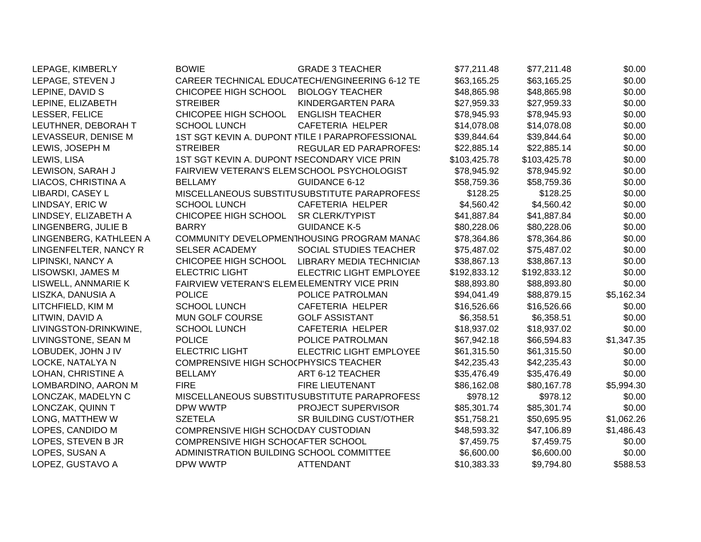| LEPAGE, KIMBERLY       | <b>BOWIE</b>                                 | <b>GRADE 3 TEACHER</b>                           | \$77,211.48  | \$77,211.48  | \$0.00     |
|------------------------|----------------------------------------------|--------------------------------------------------|--------------|--------------|------------|
| LEPAGE, STEVEN J       |                                              | CAREER TECHNICAL EDUCATECH/ENGINEERING 6-12 TE   | \$63,165.25  | \$63,165.25  | \$0.00     |
| LEPINE, DAVID S        | CHICOPEE HIGH SCHOOL                         | <b>BIOLOGY TEACHER</b>                           | \$48,865.98  | \$48,865.98  | \$0.00     |
| LEPINE, ELIZABETH      | <b>STREIBER</b>                              | KINDERGARTEN PARA                                | \$27,959.33  | \$27,959.33  | \$0.00     |
| LESSER, FELICE         | CHICOPEE HIGH SCHOOL                         | <b>ENGLISH TEACHER</b>                           | \$78,945.93  | \$78,945.93  | \$0.00     |
| LEUTHNER, DEBORAH T    | <b>SCHOOL LUNCH</b>                          | <b>CAFETERIA HELPER</b>                          | \$14,078.08  | \$14,078.08  | \$0.00     |
| LEVASSEUR, DENISE M    |                                              | 1ST SGT KEVIN A. DUPONT ITILE I PARAPROFESSIONAL | \$39,844.64  | \$39,844.64  | \$0.00     |
| LEWIS, JOSEPH M        | <b>STREIBER</b>                              | <b>REGULAR ED PARAPROFES:</b>                    | \$22,885.14  | \$22,885.14  | \$0.00     |
| LEWIS, LISA            | 1ST SGT KEVIN A. DUPONT ISECONDARY VICE PRIN |                                                  | \$103,425.78 | \$103,425.78 | \$0.00     |
| LEWISON, SARAH J       | FAIRVIEW VETERAN'S ELEMSCHOOL PSYCHOLOGIST   |                                                  | \$78,945.92  | \$78,945.92  | \$0.00     |
| LIACOS, CHRISTINA A    | <b>BELLAMY</b>                               | GUIDANCE 6-12                                    | \$58,759.36  | \$58,759.36  | \$0.00     |
| LIBARDI, CASEY L       |                                              | MISCELLANEOUS SUBSTITUSUBSTITUTE PARAPROFESS     | \$128.25     | \$128.25     | \$0.00     |
| LINDSAY, ERIC W        | <b>SCHOOL LUNCH</b>                          | CAFETERIA HELPER                                 | \$4,560.42   | \$4,560.42   | \$0.00     |
| LINDSEY, ELIZABETH A   | CHICOPEE HIGH SCHOOL                         | SR CLERK/TYPIST                                  | \$41,887.84  | \$41,887.84  | \$0.00     |
| LINGENBERG, JULIE B    | <b>BARRY</b>                                 | <b>GUIDANCE K-5</b>                              | \$80,228.06  | \$80,228.06  | \$0.00     |
| LINGENBERG, KATHLEEN A |                                              | COMMUNITY DEVELOPMENTHOUSING PROGRAM MANAC       | \$78,364.86  | \$78,364.86  | \$0.00     |
| LINGENFELTER, NANCY R  | <b>SELSER ACADEMY</b>                        | SOCIAL STUDIES TEACHER                           | \$75,487.02  | \$75,487.02  | \$0.00     |
| LIPINSKI, NANCY A      | CHICOPEE HIGH SCHOOL                         | LIBRARY MEDIA TECHNICIAN                         | \$38,867.13  | \$38,867.13  | \$0.00     |
| LISOWSKI, JAMES M      | <b>ELECTRIC LIGHT</b>                        | ELECTRIC LIGHT EMPLOYEE                          | \$192,833.12 | \$192,833.12 | \$0.00     |
| LISWELL, ANNMARIE K    | FAIRVIEW VETERAN'S ELEMELEMENTRY VICE PRIN   |                                                  | \$88,893.80  | \$88,893.80  | \$0.00     |
| LISZKA, DANUSIA A      | <b>POLICE</b>                                | POLICE PATROLMAN                                 | \$94,041.49  | \$88,879.15  | \$5,162.34 |
| LITCHFIELD, KIM M      | <b>SCHOOL LUNCH</b>                          | <b>CAFETERIA HELPER</b>                          | \$16,526.66  | \$16,526.66  | \$0.00     |
| LITWIN, DAVID A        | MUN GOLF COURSE                              | <b>GOLF ASSISTANT</b>                            | \$6,358.51   | \$6,358.51   | \$0.00     |
| LIVINGSTON-DRINKWINE,  | <b>SCHOOL LUNCH</b>                          | CAFETERIA HELPER                                 | \$18,937.02  | \$18,937.02  | \$0.00     |
| LIVINGSTONE, SEAN M    | <b>POLICE</b>                                | POLICE PATROLMAN                                 | \$67,942.18  | \$66,594.83  | \$1,347.35 |
| LOBUDEK, JOHN J IV     | <b>ELECTRIC LIGHT</b>                        | <b>ELECTRIC LIGHT EMPLOYEE</b>                   | \$61,315.50  | \$61,315.50  | \$0.00     |
| LOCKE, NATALYA N       | COMPRENSIVE HIGH SCHO(PHYSICS TEACHER        |                                                  | \$42,235.43  | \$42,235.43  | \$0.00     |
| LOHAN, CHRISTINE A     | <b>BELLAMY</b>                               | ART 6-12 TEACHER                                 | \$35,476.49  | \$35,476.49  | \$0.00     |
| LOMBARDINO, AARON M    | <b>FIRE</b>                                  | <b>FIRE LIEUTENANT</b>                           | \$86,162.08  | \$80,167.78  | \$5,994.30 |
| LONCZAK, MADELYN C     |                                              | MISCELLANEOUS SUBSTITUSUBSTITUTE PARAPROFESS     | \$978.12     | \$978.12     | \$0.00     |
| LONCZAK, QUINN T       | DPW WWTP                                     | PROJECT SUPERVISOR                               | \$85,301.74  | \$85,301.74  | \$0.00     |
| LONG, MATTHEW W        | <b>SZETELA</b>                               | SR BUILDING CUST/OTHER                           | \$51,758.21  | \$50,695.95  | \$1,062.26 |
| LOPES, CANDIDO M       | COMPRENSIVE HIGH SCHO(DAY CUSTODIAN          |                                                  | \$48,593.32  | \$47,106.89  | \$1,486.43 |
| LOPES, STEVEN B JR     | COMPRENSIVE HIGH SCHOCAFTER SCHOOL           |                                                  | \$7,459.75   | \$7,459.75   | \$0.00     |
| LOPES, SUSAN A         | ADMINISTRATION BUILDING SCHOOL COMMITTEE     |                                                  | \$6,600.00   | \$6,600.00   | \$0.00     |
| LOPEZ, GUSTAVO A       | DPW WWTP                                     | <b>ATTENDANT</b>                                 | \$10,383.33  | \$9,794.80   | \$588.53   |
|                        |                                              |                                                  |              |              |            |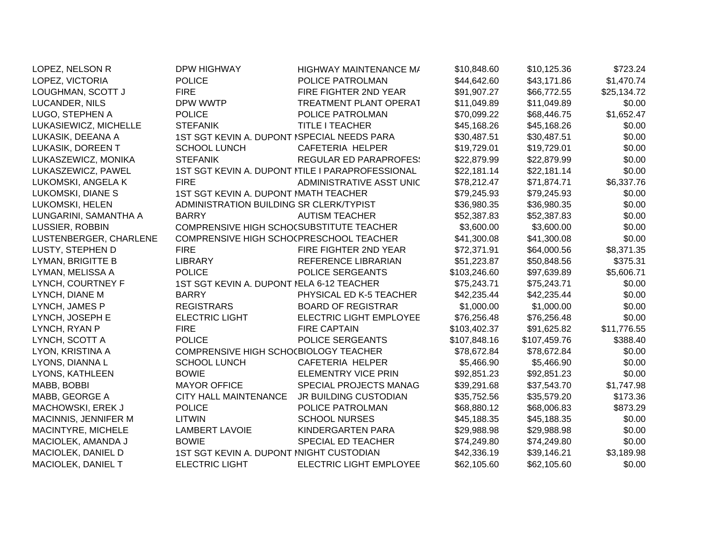| LOPEZ, NELSON R        | <b>DPW HIGHWAY</b>                          | HIGHWAY MAINTENANCE M/                           | \$10,848.60  | \$10,125.36  | \$723.24    |
|------------------------|---------------------------------------------|--------------------------------------------------|--------------|--------------|-------------|
| LOPEZ, VICTORIA        | <b>POLICE</b>                               | POLICE PATROLMAN                                 | \$44,642.60  | \$43,171.86  | \$1,470.74  |
| LOUGHMAN, SCOTT J      | <b>FIRE</b>                                 | FIRE FIGHTER 2ND YEAR                            | \$91,907.27  | \$66,772.55  | \$25,134.72 |
| LUCANDER, NILS         | DPW WWTP                                    | <b>TREATMENT PLANT OPERAT</b>                    | \$11,049.89  | \$11,049.89  | \$0.00      |
| LUGO, STEPHEN A        | <b>POLICE</b>                               | POLICE PATROLMAN                                 | \$70,099.22  | \$68,446.75  | \$1,652.47  |
| LUKASIEWICZ, MICHELLE  | <b>STEFANIK</b>                             | <b>TITLE I TEACHER</b>                           | \$45,168.26  | \$45,168.26  | \$0.00      |
| LUKASIK, DEEANA A      | 1ST SGT KEVIN A. DUPONT ISPECIAL NEEDS PARA |                                                  | \$30,487.51  | \$30,487.51  | \$0.00      |
| LUKASIK, DOREEN T      | <b>SCHOOL LUNCH</b>                         | CAFETERIA HELPER                                 | \$19,729.01  | \$19,729.01  | \$0.00      |
| LUKASZEWICZ, MONIKA    | <b>STEFANIK</b>                             | <b>REGULAR ED PARAPROFES!</b>                    | \$22,879.99  | \$22,879.99  | \$0.00      |
| LUKASZEWICZ, PAWEL     |                                             | 1ST SGT KEVIN A. DUPONT ITILE I PARAPROFESSIONAL | \$22,181.14  | \$22,181.14  | \$0.00      |
| LUKOMSKI, ANGELA K     | <b>FIRE</b>                                 | ADMINISTRATIVE ASST UNIC                         | \$78,212.47  | \$71,874.71  | \$6,337.76  |
| LUKOMSKI, DIANE S      | 1ST SGT KEVIN A. DUPONT MATH TEACHER        |                                                  | \$79,245.93  | \$79,245.93  | \$0.00      |
| LUKOMSKI, HELEN        | ADMINISTRATION BUILDING SR CLERK/TYPIST     |                                                  | \$36,980.35  | \$36,980.35  | \$0.00      |
| LUNGARINI, SAMANTHA A  | <b>BARRY</b>                                | <b>AUTISM TEACHER</b>                            | \$52,387.83  | \$52,387.83  | \$0.00      |
| LUSSIER, ROBBIN        | COMPRENSIVE HIGH SCHO(SUBSTITUTE TEACHER    |                                                  | \$3,600.00   | \$3,600.00   | \$0.00      |
| LUSTENBERGER, CHARLENE | COMPRENSIVE HIGH SCHOCPRESCHOOL TEACHER     |                                                  | \$41,300.08  | \$41,300.08  | \$0.00      |
| LUSTY, STEPHEN D       | <b>FIRE</b>                                 | FIRE FIGHTER 2ND YEAR                            | \$72,371.91  | \$64,000.56  | \$8,371.35  |
| LYMAN, BRIGITTE B      | <b>LIBRARY</b>                              | REFERENCE LIBRARIAN                              | \$51,223.87  | \$50,848.56  | \$375.31    |
| LYMAN, MELISSA A       | <b>POLICE</b>                               | POLICE SERGEANTS                                 | \$103,246.60 | \$97,639.89  | \$5,606.71  |
| LYNCH, COURTNEY F      | 1ST SGT KEVIN A. DUPONT NELA 6-12 TEACHER   |                                                  | \$75,243.71  | \$75,243.71  | \$0.00      |
| LYNCH, DIANE M         | <b>BARRY</b>                                | PHYSICAL ED K-5 TEACHER                          | \$42,235.44  | \$42,235.44  | \$0.00      |
| LYNCH, JAMES P         | <b>REGISTRARS</b>                           | <b>BOARD OF REGISTRAR</b>                        | \$1,000.00   | \$1,000.00   | \$0.00      |
| LYNCH, JOSEPH E        | <b>ELECTRIC LIGHT</b>                       | <b>ELECTRIC LIGHT EMPLOYEE</b>                   | \$76,256.48  | \$76,256.48  | \$0.00      |
| LYNCH, RYAN P          | <b>FIRE</b>                                 | <b>FIRE CAPTAIN</b>                              | \$103,402.37 | \$91,625.82  | \$11,776.55 |
| LYNCH, SCOTT A         | <b>POLICE</b>                               | POLICE SERGEANTS                                 | \$107,848.16 | \$107,459.76 | \$388.40    |
| LYON, KRISTINA A       | COMPRENSIVE HIGH SCHO(BIOLOGY TEACHER       |                                                  | \$78,672.84  | \$78,672.84  | \$0.00      |
| LYONS, DIANNA L        | <b>SCHOOL LUNCH</b>                         | CAFETERIA HELPER                                 | \$5,466.90   | \$5,466.90   | \$0.00      |
| LYONS, KATHLEEN        | <b>BOWIE</b>                                | ELEMENTRY VICE PRIN                              | \$92,851.23  | \$92,851.23  | \$0.00      |
| MABB, BOBBI            | <b>MAYOR OFFICE</b>                         | SPECIAL PROJECTS MANAG                           | \$39,291.68  | \$37,543.70  | \$1,747.98  |
| MABB, GEORGE A         | <b>CITY HALL MAINTENANCE</b>                | <b>JR BUILDING CUSTODIAN</b>                     | \$35,752.56  | \$35,579.20  | \$173.36    |
| MACHOWSKI, EREK J      | <b>POLICE</b>                               | POLICE PATROLMAN                                 | \$68,880.12  | \$68,006.83  | \$873.29    |
| MACINNIS, JENNIFER M   | <b>LITWIN</b>                               | <b>SCHOOL NURSES</b>                             | \$45,188.35  | \$45,188.35  | \$0.00      |
| MACINTYRE, MICHELE     | <b>LAMBERT LAVOIE</b>                       | KINDERGARTEN PARA                                | \$29,988.98  | \$29,988.98  | \$0.00      |
| MACIOLEK, AMANDA J     | <b>BOWIE</b>                                | SPECIAL ED TEACHER                               | \$74,249.80  | \$74,249.80  | \$0.00      |
| MACIOLEK, DANIEL D     | 1ST SGT KEVIN A. DUPONT INIGHT CUSTODIAN    |                                                  | \$42,336.19  | \$39,146.21  | \$3,189.98  |
| MACIOLEK, DANIEL T     | <b>ELECTRIC LIGHT</b>                       | <b>ELECTRIC LIGHT EMPLOYEE</b>                   | \$62,105.60  | \$62,105.60  | \$0.00      |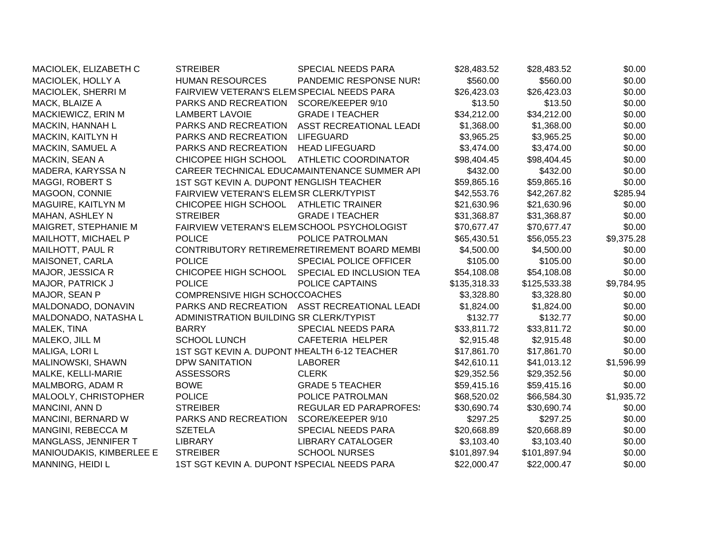| MACIOLEK, ELIZABETH C    | <b>STREIBER</b>                             | <b>SPECIAL NEEDS PARA</b>                    | \$28,483.52  | \$28,483.52  | \$0.00     |
|--------------------------|---------------------------------------------|----------------------------------------------|--------------|--------------|------------|
| MACIOLEK, HOLLY A        | <b>HUMAN RESOURCES</b>                      | <b>PANDEMIC RESPONSE NUR!</b>                | \$560.00     | \$560.00     | \$0.00     |
| MACIOLEK, SHERRI M       | FAIRVIEW VETERAN'S ELEMSPECIAL NEEDS PARA   |                                              | \$26,423.03  | \$26,423.03  | \$0.00     |
| MACK, BLAIZE A           | PARKS AND RECREATION                        | SCORE/KEEPER 9/10                            | \$13.50      | \$13.50      | \$0.00     |
| MACKIEWICZ, ERIN M       | <b>LAMBERT LAVOIE</b>                       | <b>GRADE I TEACHER</b>                       | \$34,212.00  | \$34,212.00  | \$0.00     |
| MACKIN, HANNAH L         | PARKS AND RECREATION                        | ASST RECREATIONAL LEADI                      | \$1,368.00   | \$1,368.00   | \$0.00     |
| MACKIN, KAITLYN H        | PARKS AND RECREATION                        | <b>LIFEGUARD</b>                             | \$3,965.25   | \$3,965.25   | \$0.00     |
| MACKIN, SAMUEL A         | PARKS AND RECREATION                        | <b>HEAD LIFEGUARD</b>                        | \$3,474.00   | \$3,474.00   | \$0.00     |
| MACKIN, SEAN A           | CHICOPEE HIGH SCHOOL                        | <b>ATHLETIC COORDINATOR</b>                  | \$98,404.45  | \$98,404.45  | \$0.00     |
| MADERA, KARYSSA N        |                                             | CAREER TECHNICAL EDUCAMAINTENANCE SUMMER API | \$432.00     | \$432.00     | \$0.00     |
| <b>MAGGI, ROBERT S</b>   | 1ST SGT KEVIN A. DUPONT NENGLISH TEACHER    |                                              | \$59,865.16  | \$59,865.16  | \$0.00     |
| MAGOON, CONNIE           | FAIRVIEW VETERAN'S ELEMSR CLERK/TYPIST      |                                              | \$42,553.76  | \$42,267.82  | \$285.94   |
| MAGUIRE, KAITLYN M       | CHICOPEE HIGH SCHOOL                        | <b>ATHLETIC TRAINER</b>                      | \$21,630.96  | \$21,630.96  | \$0.00     |
| <b>MAHAN, ASHLEY N</b>   | <b>STREIBER</b>                             | <b>GRADE I TEACHER</b>                       | \$31,368.87  | \$31,368.87  | \$0.00     |
| MAIGRET, STEPHANIE M     | FAIRVIEW VETERAN'S ELEMSCHOOL PSYCHOLOGIST  |                                              | \$70,677.47  | \$70,677.47  | \$0.00     |
| MAILHOTT, MICHAEL P      | <b>POLICE</b>                               | POLICE PATROLMAN                             | \$65,430.51  | \$56,055.23  | \$9,375.28 |
| MAILHOTT, PAUL R         |                                             | CONTRIBUTORY RETIREMENRETIREMENT BOARD MEMBI | \$4,500.00   | \$4,500.00   | \$0.00     |
| MAISONET, CARLA          | <b>POLICE</b>                               | SPECIAL POLICE OFFICER                       | \$105.00     | \$105.00     | \$0.00     |
| MAJOR, JESSICA R         | CHICOPEE HIGH SCHOOL                        | SPECIAL ED INCLUSION TEA                     | \$54,108.08  | \$54,108.08  | \$0.00     |
| MAJOR, PATRICK J         | <b>POLICE</b>                               | POLICE CAPTAINS                              | \$135,318.33 | \$125,533.38 | \$9,784.95 |
| MAJOR, SEAN P            | <b>COMPRENSIVE HIGH SCHO(COACHES</b>        |                                              | \$3,328.80   | \$3,328.80   | \$0.00     |
| MALDONADO, DONAVIN       |                                             | PARKS AND RECREATION ASST RECREATIONAL LEADI | \$1,824.00   | \$1,824.00   | \$0.00     |
| MALDONADO, NATASHA L     | ADMINISTRATION BUILDING SR CLERK/TYPIST     |                                              | \$132.77     | \$132.77     | \$0.00     |
| MALEK, TINA              | <b>BARRY</b>                                | <b>SPECIAL NEEDS PARA</b>                    | \$33,811.72  | \$33,811.72  | \$0.00     |
| MALEKO, JILL M           | <b>SCHOOL LUNCH</b>                         | <b>CAFETERIA HELPER</b>                      | \$2,915.48   | \$2,915.48   | \$0.00     |
| MALIGA, LORI L           | 1ST SGT KEVIN A. DUPONT MEALTH 6-12 TEACHER |                                              | \$17,861.70  | \$17,861.70  | \$0.00     |
| MALINOWSKI, SHAWN        | <b>DPW SANITATION</b>                       | <b>LABORER</b>                               | \$42,610.11  | \$41,013.12  | \$1,596.99 |
| MALKE, KELLI-MARIE       | <b>ASSESSORS</b>                            | <b>CLERK</b>                                 | \$29,352.56  | \$29,352.56  | \$0.00     |
| MALMBORG, ADAM R         | <b>BOWE</b>                                 | <b>GRADE 5 TEACHER</b>                       | \$59,415.16  | \$59,415.16  | \$0.00     |
| MALOOLY, CHRISTOPHER     | <b>POLICE</b>                               | POLICE PATROLMAN                             | \$68,520.02  | \$66,584.30  | \$1,935.72 |
| MANCINI, ANN D           | <b>STREIBER</b>                             | <b>REGULAR ED PARAPROFES!</b>                | \$30,690.74  | \$30,690.74  | \$0.00     |
| MANCINI, BERNARD W       | PARKS AND RECREATION                        | SCORE/KEEPER 9/10                            | \$297.25     | \$297.25     | \$0.00     |
| MANGINI, REBECCA M       | <b>SZETELA</b>                              | SPECIAL NEEDS PARA                           | \$20,668.89  | \$20,668.89  | \$0.00     |
| MANGLASS, JENNIFER T     | <b>LIBRARY</b>                              | <b>LIBRARY CATALOGER</b>                     | \$3,103.40   | \$3,103.40   | \$0.00     |
| MANIOUDAKIS, KIMBERLEE E | <b>STREIBER</b>                             | <b>SCHOOL NURSES</b>                         | \$101,897.94 | \$101,897.94 | \$0.00     |
| MANNING, HEIDI L         | 1ST SGT KEVIN A. DUPONT ISPECIAL NEEDS PARA |                                              | \$22,000.47  | \$22,000.47  | \$0.00     |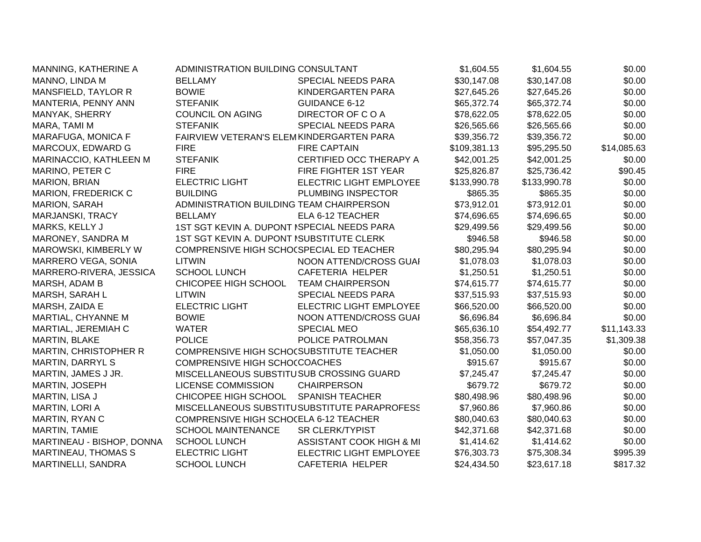| MANNING, KATHERINE A       | ADMINISTRATION BUILDING CONSULTANT          |                                              | \$1,604.55   | \$1,604.55   | \$0.00      |
|----------------------------|---------------------------------------------|----------------------------------------------|--------------|--------------|-------------|
| MANNO, LINDA M             | <b>BELLAMY</b>                              | SPECIAL NEEDS PARA                           | \$30,147.08  | \$30,147.08  | \$0.00      |
| MANSFIELD, TAYLOR R        | <b>BOWIE</b>                                | KINDERGARTEN PARA                            | \$27,645.26  | \$27,645.26  | \$0.00      |
| MANTERIA, PENNY ANN        | <b>STEFANIK</b>                             | <b>GUIDANCE 6-12</b>                         | \$65,372.74  | \$65,372.74  | \$0.00      |
| MANYAK, SHERRY             | <b>COUNCIL ON AGING</b>                     | DIRECTOR OF COA                              | \$78,622.05  | \$78,622.05  | \$0.00      |
| MARA, TAMI M               | <b>STEFANIK</b>                             | SPECIAL NEEDS PARA                           | \$26,565.66  | \$26,565.66  | \$0.00      |
| MARAFUGA, MONICA F         | FAIRVIEW VETERAN'S ELEMKINDERGARTEN PARA    |                                              | \$39,356.72  | \$39,356.72  | \$0.00      |
| MARCOUX, EDWARD G          | <b>FIRE</b>                                 | <b>FIRE CAPTAIN</b>                          | \$109,381.13 | \$95,295.50  | \$14,085.63 |
| MARINACCIO, KATHLEEN M     | <b>STEFANIK</b>                             | CERTIFIED OCC THERAPY A                      | \$42,001.25  | \$42,001.25  | \$0.00      |
| MARINO, PETER C            | <b>FIRE</b>                                 | FIRE FIGHTER 1ST YEAR                        | \$25,826.87  | \$25,736.42  | \$90.45     |
| <b>MARION, BRIAN</b>       | <b>ELECTRIC LIGHT</b>                       | <b>ELECTRIC LIGHT EMPLOYEE</b>               | \$133,990.78 | \$133,990.78 | \$0.00      |
| <b>MARION, FREDERICK C</b> | <b>BUILDING</b>                             | PLUMBING INSPECTOR                           | \$865.35     | \$865.35     | \$0.00      |
| <b>MARION, SARAH</b>       | ADMINISTRATION BUILDING TEAM CHAIRPERSON    |                                              | \$73,912.01  | \$73,912.01  | \$0.00      |
| MARJANSKI, TRACY           | <b>BELLAMY</b>                              | ELA 6-12 TEACHER                             | \$74,696.65  | \$74,696.65  | \$0.00      |
| MARKS, KELLY J             | 1ST SGT KEVIN A. DUPONT ISPECIAL NEEDS PARA |                                              | \$29,499.56  | \$29,499.56  | \$0.00      |
| MARONEY, SANDRA M          | 1ST SGT KEVIN A. DUPONT ISUBSTITUTE CLERK   |                                              | \$946.58     | \$946.58     | \$0.00      |
| MAROWSKI, KIMBERLY W       | COMPRENSIVE HIGH SCHO(SPECIAL ED TEACHER    |                                              | \$80,295.94  | \$80,295.94  | \$0.00      |
| <b>MARRERO VEGA, SONIA</b> | <b>LITWIN</b>                               | NOON ATTEND/CROSS GUAI                       | \$1,078.03   | \$1,078.03   | \$0.00      |
| MARRERO-RIVERA, JESSICA    | <b>SCHOOL LUNCH</b>                         | CAFETERIA HELPER                             | \$1,250.51   | \$1,250.51   | \$0.00      |
| MARSH, ADAM B              | CHICOPEE HIGH SCHOOL                        | <b>TEAM CHAIRPERSON</b>                      | \$74,615.77  | \$74,615.77  | \$0.00      |
| MARSH, SARAH L             | LITWIN                                      | SPECIAL NEEDS PARA                           | \$37,515.93  | \$37,515.93  | \$0.00      |
| MARSH, ZAIDA E             | <b>ELECTRIC LIGHT</b>                       | <b>ELECTRIC LIGHT EMPLOYEE</b>               | \$66,520.00  | \$66,520.00  | \$0.00      |
| MARTIAL, CHYANNE M         | <b>BOWIE</b>                                | NOON ATTEND/CROSS GUAI                       | \$6,696.84   | \$6,696.84   | \$0.00      |
| MARTIAL, JEREMIAH C        | <b>WATER</b>                                | <b>SPECIAL MEO</b>                           | \$65,636.10  | \$54,492.77  | \$11,143.33 |
| MARTIN, BLAKE              | <b>POLICE</b>                               | POLICE PATROLMAN                             | \$58,356.73  | \$57,047.35  | \$1,309.38  |
| MARTIN, CHRISTOPHER R      | COMPRENSIVE HIGH SCHOCSUBSTITUTE TEACHER    |                                              | \$1,050.00   | \$1,050.00   | \$0.00      |
| MARTIN, DARRYL S           | COMPRENSIVE HIGH SCHOCCOACHES               |                                              | \$915.67     | \$915.67     | \$0.00      |
| MARTIN, JAMES J JR.        | MISCELLANEOUS SUBSTITUSUB CROSSING GUARD    |                                              | \$7,245.47   | \$7,245.47   | \$0.00      |
| <b>MARTIN, JOSEPH</b>      | <b>LICENSE COMMISSION</b>                   | <b>CHAIRPERSON</b>                           | \$679.72     | \$679.72     | \$0.00      |
| MARTIN, LISA J             | CHICOPEE HIGH SCHOOL                        | <b>SPANISH TEACHER</b>                       | \$80,498.96  | \$80,498.96  | \$0.00      |
| MARTIN, LORI A             |                                             | MISCELLANEOUS SUBSTITUSUBSTITUTE PARAPROFESS | \$7,960.86   | \$7,960.86   | \$0.00      |
| MARTIN, RYAN C             | COMPRENSIVE HIGH SCHOCELA 6-12 TEACHER      |                                              | \$80,040.63  | \$80,040.63  | \$0.00      |
| MARTIN, TAMIE              | <b>SCHOOL MAINTENANCE</b>                   | <b>SR CLERK/TYPIST</b>                       | \$42,371.68  | \$42,371.68  | \$0.00      |
| MARTINEAU - BISHOP, DONNA  | <b>SCHOOL LUNCH</b>                         | ASSISTANT COOK HIGH & MI                     | \$1,414.62   | \$1,414.62   | \$0.00      |
| MARTINEAU, THOMAS S        | <b>ELECTRIC LIGHT</b>                       | ELECTRIC LIGHT EMPLOYEE                      | \$76,303.73  | \$75,308.34  | \$995.39    |
| <b>MARTINELLI, SANDRA</b>  | <b>SCHOOL LUNCH</b>                         | <b>CAFETERIA HELPER</b>                      | \$24,434.50  | \$23,617.18  | \$817.32    |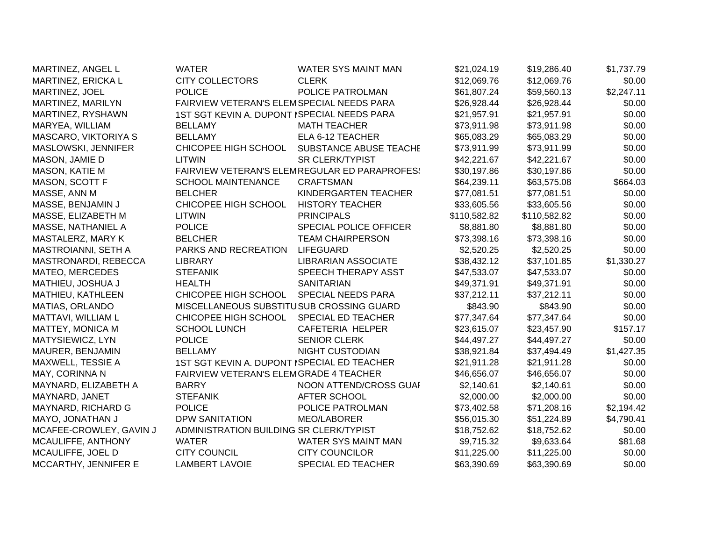| MARTINEZ, ANGEL L       | <b>WATER</b>                                | <b>WATER SYS MAINT MAN</b>                           | \$21,024.19  | \$19,286.40  | \$1,737.79 |
|-------------------------|---------------------------------------------|------------------------------------------------------|--------------|--------------|------------|
| MARTINEZ, ERICKA L      | <b>CITY COLLECTORS</b>                      | <b>CLERK</b>                                         | \$12,069.76  | \$12,069.76  | \$0.00     |
| MARTINEZ, JOEL          | <b>POLICE</b>                               | POLICE PATROLMAN                                     | \$61,807.24  | \$59,560.13  | \$2,247.11 |
| MARTINEZ, MARILYN       | FAIRVIEW VETERAN'S ELEMSPECIAL NEEDS PARA   |                                                      | \$26,928.44  | \$26,928.44  | \$0.00     |
| MARTINEZ, RYSHAWN       | 1ST SGT KEVIN A. DUPONT ISPECIAL NEEDS PARA |                                                      | \$21,957.91  | \$21,957.91  | \$0.00     |
| MARYEA, WILLIAM         | <b>BELLAMY</b>                              | <b>MATH TEACHER</b>                                  | \$73,911.98  | \$73,911.98  | \$0.00     |
| MASCARO, VIKTORIYA S    | <b>BELLAMY</b>                              | ELA 6-12 TEACHER                                     | \$65,083.29  | \$65,083.29  | \$0.00     |
| MASLOWSKI, JENNIFER     | CHICOPEE HIGH SCHOOL                        | SUBSTANCE ABUSE TEACHE                               | \$73,911.99  | \$73,911.99  | \$0.00     |
| MASON, JAMIE D          | LITWIN                                      | <b>SR CLERK/TYPIST</b>                               | \$42,221.67  | \$42,221.67  | \$0.00     |
| <b>MASON, KATIE M</b>   |                                             | <b>FAIRVIEW VETERAN'S ELEMREGULAR ED PARAPROFES!</b> | \$30,197.86  | \$30,197.86  | \$0.00     |
| MASON, SCOTT F          | <b>SCHOOL MAINTENANCE</b>                   | <b>CRAFTSMAN</b>                                     | \$64,239.11  | \$63,575.08  | \$664.03   |
| MASSE, ANN M            | <b>BELCHER</b>                              | KINDERGARTEN TEACHER                                 | \$77,081.51  | \$77,081.51  | \$0.00     |
| MASSE, BENJAMIN J       | CHICOPEE HIGH SCHOOL                        | <b>HISTORY TEACHER</b>                               | \$33,605.56  | \$33,605.56  | \$0.00     |
| MASSE, ELIZABETH M      | <b>LITWIN</b>                               | <b>PRINCIPALS</b>                                    | \$110,582.82 | \$110,582.82 | \$0.00     |
| MASSE, NATHANIEL A      | <b>POLICE</b>                               | SPECIAL POLICE OFFICER                               | \$8,881.80   | \$8,881.80   | \$0.00     |
| MASTALERZ, MARY K       | <b>BELCHER</b>                              | <b>TEAM CHAIRPERSON</b>                              | \$73,398.16  | \$73,398.16  | \$0.00     |
| MASTROIANNI, SETH A     | PARKS AND RECREATION                        | <b>LIFEGUARD</b>                                     | \$2,520.25   | \$2,520.25   | \$0.00     |
| MASTRONARDI, REBECCA    | <b>LIBRARY</b>                              | <b>LIBRARIAN ASSOCIATE</b>                           | \$38,432.12  | \$37,101.85  | \$1,330.27 |
| MATEO, MERCEDES         | <b>STEFANIK</b>                             | SPEECH THERAPY ASST                                  | \$47,533.07  | \$47,533.07  | \$0.00     |
| MATHIEU, JOSHUA J       | <b>HEALTH</b>                               | <b>SANITARIAN</b>                                    | \$49,371.91  | \$49,371.91  | \$0.00     |
| MATHIEU, KATHLEEN       | CHICOPEE HIGH SCHOOL                        | SPECIAL NEEDS PARA                                   | \$37,212.11  | \$37,212.11  | \$0.00     |
| MATIAS, ORLANDO         | MISCELLANEOUS SUBSTITUSUB CROSSING GUARD    |                                                      | \$843.90     | \$843.90     | \$0.00     |
| MATTAVI, WILLIAM L      | CHICOPEE HIGH SCHOOL                        | SPECIAL ED TEACHER                                   | \$77,347.64  | \$77,347.64  | \$0.00     |
| MATTEY, MONICA M        | <b>SCHOOL LUNCH</b>                         | <b>CAFETERIA HELPER</b>                              | \$23,615.07  | \$23,457.90  | \$157.17   |
| MATYSIEWICZ, LYN        | <b>POLICE</b>                               | <b>SENIOR CLERK</b>                                  | \$44,497.27  | \$44,497.27  | \$0.00     |
| MAURER, BENJAMIN        | <b>BELLAMY</b>                              | <b>NIGHT CUSTODIAN</b>                               | \$38,921.84  | \$37,494.49  | \$1,427.35 |
| MAXWELL, TESSIE A       | 1ST SGT KEVIN A. DUPONT ISPECIAL ED TEACHER |                                                      | \$21,911.28  | \$21,911.28  | \$0.00     |
| MAY, CORINNA N          | FAIRVIEW VETERAN'S ELEMGRADE 4 TEACHER      |                                                      | \$46,656.07  | \$46,656.07  | \$0.00     |
| MAYNARD, ELIZABETH A    | <b>BARRY</b>                                | NOON ATTEND/CROSS GUAI                               | \$2,140.61   | \$2,140.61   | \$0.00     |
| MAYNARD, JANET          | <b>STEFANIK</b>                             | AFTER SCHOOL                                         | \$2,000.00   | \$2,000.00   | \$0.00     |
| MAYNARD, RICHARD G      | <b>POLICE</b>                               | POLICE PATROLMAN                                     | \$73,402.58  | \$71,208.16  | \$2,194.42 |
| MAYO, JONATHAN J        | <b>DPW SANITATION</b>                       | <b>MEO/LABORER</b>                                   | \$56,015.30  | \$51,224.89  | \$4,790.41 |
| MCAFEE-CROWLEY, GAVIN J | ADMINISTRATION BUILDING SR CLERK/TYPIST     |                                                      | \$18,752.62  | \$18,752.62  | \$0.00     |
| MCAULIFFE, ANTHONY      | <b>WATER</b>                                | WATER SYS MAINT MAN                                  | \$9,715.32   | \$9,633.64   | \$81.68    |
| MCAULIFFE, JOEL D       | <b>CITY COUNCIL</b>                         | <b>CITY COUNCILOR</b>                                | \$11,225.00  | \$11,225.00  | \$0.00     |
| MCCARTHY, JENNIFER E    | <b>LAMBERT LAVOIE</b>                       | <b>SPECIAL ED TEACHER</b>                            | \$63,390.69  | \$63,390.69  | \$0.00     |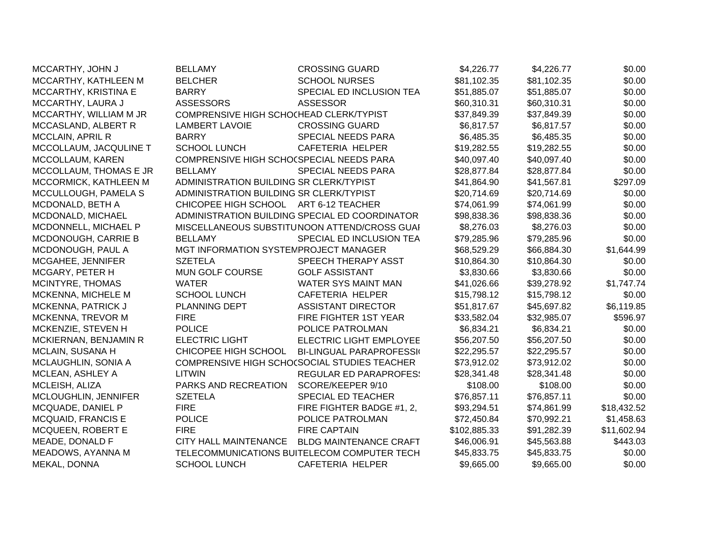| MCCARTHY, JOHN J          | <b>BELLAMY</b>                           | <b>CROSSING GUARD</b>                          | \$4,226.77   | \$4,226.77  | \$0.00      |
|---------------------------|------------------------------------------|------------------------------------------------|--------------|-------------|-------------|
| MCCARTHY, KATHLEEN M      | <b>BELCHER</b>                           | <b>SCHOOL NURSES</b>                           | \$81,102.35  | \$81,102.35 | \$0.00      |
| MCCARTHY, KRISTINA E      | <b>BARRY</b>                             | SPECIAL ED INCLUSION TEA                       | \$51,885.07  | \$51,885.07 | \$0.00      |
| MCCARTHY, LAURA J         | <b>ASSESSORS</b>                         | <b>ASSESSOR</b>                                | \$60,310.31  | \$60,310.31 | \$0.00      |
| MCCARTHY, WILLIAM M JR    | COMPRENSIVE HIGH SCHOCHEAD CLERK/TYPIST  |                                                | \$37,849.39  | \$37,849.39 | \$0.00      |
| MCCASLAND, ALBERT R       | <b>LAMBERT LAVOIE</b>                    | <b>CROSSING GUARD</b>                          | \$6,817.57   | \$6,817.57  | \$0.00      |
| MCCLAIN, APRIL R          | <b>BARRY</b>                             | SPECIAL NEEDS PARA                             | \$6,485.35   | \$6,485.35  | \$0.00      |
| MCCOLLAUM, JACQULINE T    | <b>SCHOOL LUNCH</b>                      | CAFETERIA HELPER                               | \$19,282.55  | \$19,282.55 | \$0.00      |
| MCCOLLAUM, KAREN          | COMPRENSIVE HIGH SCHO(SPECIAL NEEDS PARA |                                                | \$40,097.40  | \$40,097.40 | \$0.00      |
| MCCOLLAUM, THOMAS E JR    | <b>BELLAMY</b>                           | SPECIAL NEEDS PARA                             | \$28,877.84  | \$28,877.84 | \$0.00      |
| MCCORMICK, KATHLEEN M     | ADMINISTRATION BUILDING SR CLERK/TYPIST  |                                                | \$41,864.90  | \$41,567.81 | \$297.09    |
| MCCULLOUGH, PAMELA S      | ADMINISTRATION BUILDING SR CLERK/TYPIST  |                                                | \$20,714.69  | \$20,714.69 | \$0.00      |
| MCDONALD, BETH A          | CHICOPEE HIGH SCHOOL ART 6-12 TEACHER    |                                                | \$74,061.99  | \$74,061.99 | \$0.00      |
| MCDONALD, MICHAEL         |                                          | ADMINISTRATION BUILDING SPECIAL ED COORDINATOR | \$98,838.36  | \$98,838.36 | \$0.00      |
| MCDONNELL, MICHAEL P      |                                          | MISCELLANEOUS SUBSTITUNOON ATTEND/CROSS GUAI   | \$8,276.03   | \$8,276.03  | \$0.00      |
| MCDONOUGH, CARRIE B       | <b>BELLAMY</b>                           | SPECIAL ED INCLUSION TEA                       | \$79,285.96  | \$79,285.96 | \$0.00      |
| MCDONOUGH, PAUL A         | MGT INFORMATION SYSTEMPROJECT MANAGER    |                                                | \$68,529.29  | \$66,884.30 | \$1,644.99  |
| MCGAHEE, JENNIFER         | <b>SZETELA</b>                           | SPEECH THERAPY ASST                            | \$10,864.30  | \$10,864.30 | \$0.00      |
| MCGARY, PETER H           | MUN GOLF COURSE                          | <b>GOLF ASSISTANT</b>                          | \$3,830.66   | \$3,830.66  | \$0.00      |
| MCINTYRE, THOMAS          | <b>WATER</b>                             | <b>WATER SYS MAINT MAN</b>                     | \$41,026.66  | \$39,278.92 | \$1,747.74  |
| MCKENNA, MICHELE M        | <b>SCHOOL LUNCH</b>                      | CAFETERIA HELPER                               | \$15,798.12  | \$15,798.12 | \$0.00      |
| MCKENNA, PATRICK J        | PLANNING DEPT                            | <b>ASSISTANT DIRECTOR</b>                      | \$51,817.67  | \$45,697.82 | \$6,119.85  |
| MCKENNA, TREVOR M         | <b>FIRE</b>                              | FIRE FIGHTER 1ST YEAR                          | \$33,582.04  | \$32,985.07 | \$596.97    |
| MCKENZIE, STEVEN H        | <b>POLICE</b>                            | POLICE PATROLMAN                               | \$6,834.21   | \$6,834.21  | \$0.00      |
| MCKIERNAN, BENJAMIN R     | <b>ELECTRIC LIGHT</b>                    | <b>ELECTRIC LIGHT EMPLOYEE</b>                 | \$56,207.50  | \$56,207.50 | \$0.00      |
| MCLAIN, SUSANA H          | CHICOPEE HIGH SCHOOL                     | <b>BI-LINGUAL PARAPROFESSI</b>                 | \$22,295.57  | \$22,295.57 | \$0.00      |
| MCLAUGHLIN, SONIA A       |                                          | COMPRENSIVE HIGH SCHO(SOCIAL STUDIES TEACHER   | \$73,912.02  | \$73,912.02 | \$0.00      |
| MCLEAN, ASHLEY A          | <b>LITWIN</b>                            | <b>REGULAR ED PARAPROFES:</b>                  | \$28,341.48  | \$28,341.48 | \$0.00      |
| MCLEISH, ALIZA            | PARKS AND RECREATION                     | SCORE/KEEPER 9/10                              | \$108.00     | \$108.00    | \$0.00      |
| MCLOUGHLIN, JENNIFER      | <b>SZETELA</b>                           | SPECIAL ED TEACHER                             | \$76,857.11  | \$76,857.11 | \$0.00      |
| MCQUADE, DANIEL P         | <b>FIRE</b>                              | FIRE FIGHTER BADGE #1, 2,                      | \$93,294.51  | \$74,861.99 | \$18,432.52 |
| <b>MCQUAID, FRANCIS E</b> | <b>POLICE</b>                            | POLICE PATROLMAN                               | \$72,450.84  | \$70,992.21 | \$1,458.63  |
| MCQUEEN, ROBERT E         | <b>FIRE</b>                              | <b>FIRE CAPTAIN</b>                            | \$102,885.33 | \$91,282.39 | \$11,602.94 |
| MEADE, DONALD F           | <b>CITY HALL MAINTENANCE</b>             | <b>BLDG MAINTENANCE CRAFT</b>                  | \$46,006.91  | \$45,563.88 | \$443.03    |
| MEADOWS, AYANNA M         |                                          | TELECOMMUNICATIONS BUITELECOM COMPUTER TECH    | \$45,833.75  | \$45,833.75 | \$0.00      |
| MEKAL, DONNA              | <b>SCHOOL LUNCH</b>                      | CAFETERIA HELPER                               | \$9,665.00   | \$9,665.00  | \$0.00      |
|                           |                                          |                                                |              |             |             |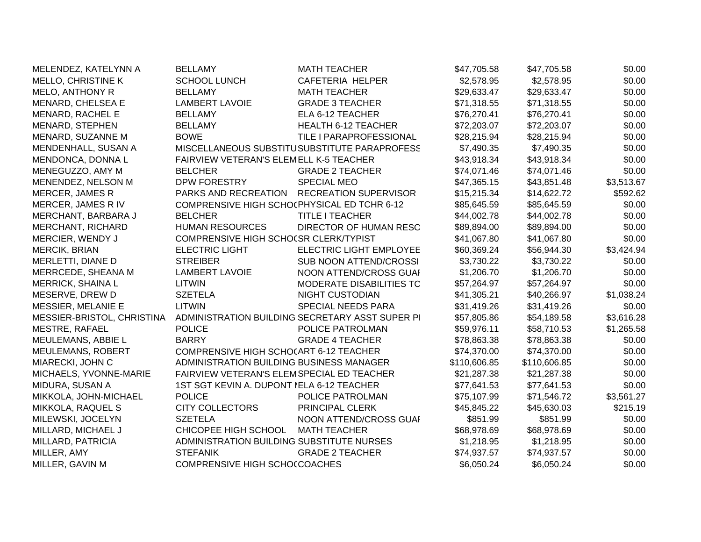| MELENDEZ, KATELYNN A       | <b>BELLAMY</b>                              | <b>MATH TEACHER</b>                             | \$47,705.58  | \$47,705.58  | \$0.00     |
|----------------------------|---------------------------------------------|-------------------------------------------------|--------------|--------------|------------|
| MELLO, CHRISTINE K         | <b>SCHOOL LUNCH</b>                         | CAFETERIA HELPER                                | \$2,578.95   | \$2,578.95   | \$0.00     |
| <b>MELO, ANTHONY R</b>     | <b>BELLAMY</b>                              | <b>MATH TEACHER</b>                             | \$29,633.47  | \$29,633.47  | \$0.00     |
| MENARD, CHELSEA E          | <b>LAMBERT LAVOIE</b>                       | <b>GRADE 3 TEACHER</b>                          | \$71,318.55  | \$71,318.55  | \$0.00     |
| MENARD, RACHEL E           | <b>BELLAMY</b>                              | ELA 6-12 TEACHER                                | \$76,270.41  | \$76,270.41  | \$0.00     |
| MENARD, STEPHEN            | <b>BELLAMY</b>                              | <b>HEALTH 6-12 TEACHER</b>                      | \$72,203.07  | \$72,203.07  | \$0.00     |
| MENARD, SUZANNE M          | <b>BOWE</b>                                 | TILE I PARAPROFESSIONAL                         | \$28,215.94  | \$28,215.94  | \$0.00     |
| MENDENHALL, SUSAN A        |                                             | MISCELLANEOUS SUBSTITUSUBSTITUTE PARAPROFESS    | \$7,490.35   | \$7,490.35   | \$0.00     |
| MENDONCA, DONNA L          | FAIRVIEW VETERAN'S ELEMELL K-5 TEACHER      |                                                 | \$43,918.34  | \$43,918.34  | \$0.00     |
| MENEGUZZO, AMY M           | <b>BELCHER</b>                              | <b>GRADE 2 TEACHER</b>                          | \$74,071.46  | \$74,071.46  | \$0.00     |
| MENENDEZ, NELSON M         | DPW FORESTRY                                | <b>SPECIAL MEO</b>                              | \$47,365.15  | \$43,851.48  | \$3,513.67 |
| <b>MERCER, JAMES R</b>     | PARKS AND RECREATION                        | <b>RECREATION SUPERVISOR</b>                    | \$15,215.34  | \$14,622.72  | \$592.62   |
| MERCER, JAMES R IV         | COMPRENSIVE HIGH SCHOCPHYSICAL ED TCHR 6-12 |                                                 | \$85,645.59  | \$85,645.59  | \$0.00     |
| MERCHANT, BARBARA J        | <b>BELCHER</b>                              | TITLE I TEACHER                                 | \$44,002.78  | \$44,002.78  | \$0.00     |
| <b>MERCHANT, RICHARD</b>   | <b>HUMAN RESOURCES</b>                      | DIRECTOR OF HUMAN RESC                          | \$89,894.00  | \$89,894.00  | \$0.00     |
| MERCIER, WENDY J           | COMPRENSIVE HIGH SCHOCSR CLERK/TYPIST       |                                                 | \$41,067.80  | \$41,067.80  | \$0.00     |
| <b>MERCIK, BRIAN</b>       | <b>ELECTRIC LIGHT</b>                       | <b>ELECTRIC LIGHT EMPLOYEE</b>                  | \$60,369.24  | \$56,944.30  | \$3,424.94 |
| MERLETTI, DIANE D          | <b>STREIBER</b>                             | <b>SUB NOON ATTEND/CROSSI</b>                   | \$3,730.22   | \$3,730.22   | \$0.00     |
| MERRCEDE, SHEANA M         | <b>LAMBERT LAVOIE</b>                       | NOON ATTEND/CROSS GUAI                          | \$1,206.70   | \$1,206.70   | \$0.00     |
| MERRICK, SHAINA L          | <b>LITWIN</b>                               | MODERATE DISABILITIES TC                        | \$57,264.97  | \$57,264.97  | \$0.00     |
| MESERVE, DREW D            | <b>SZETELA</b>                              | <b>NIGHT CUSTODIAN</b>                          | \$41,305.21  | \$40,266.97  | \$1,038.24 |
| <b>MESSIER, MELANIE E</b>  | <b>LITWIN</b>                               | SPECIAL NEEDS PARA                              | \$31,419.26  | \$31,419.26  | \$0.00     |
| MESSIER-BRISTOL, CHRISTINA |                                             | ADMINISTRATION BUILDING SECRETARY ASST SUPER PI | \$57,805.86  | \$54,189.58  | \$3,616.28 |
| <b>MESTRE, RAFAEL</b>      | <b>POLICE</b>                               | POLICE PATROLMAN                                | \$59,976.11  | \$58,710.53  | \$1,265.58 |
| MEULEMANS, ABBIE L         | <b>BARRY</b>                                | <b>GRADE 4 TEACHER</b>                          | \$78,863.38  | \$78,863.38  | \$0.00     |
| MEULEMANS, ROBERT          | COMPRENSIVE HIGH SCHOCART 6-12 TEACHER      |                                                 | \$74,370.00  | \$74,370.00  | \$0.00     |
| MIARECKI, JOHN C           | ADMINISTRATION BUILDING BUSINESS MANAGER    |                                                 | \$110,606.85 | \$110,606.85 | \$0.00     |
| MICHAELS, YVONNE-MARIE     | FAIRVIEW VETERAN'S ELEMSPECIAL ED TEACHER   |                                                 | \$21,287.38  | \$21,287.38  | \$0.00     |
| MIDURA, SUSAN A            | 1ST SGT KEVIN A. DUPONT NELA 6-12 TEACHER   |                                                 | \$77,641.53  | \$77,641.53  | \$0.00     |
| MIKKOLA, JOHN-MICHAEL      | <b>POLICE</b>                               | POLICE PATROLMAN                                | \$75,107.99  | \$71,546.72  | \$3,561.27 |
| MIKKOLA, RAQUEL S          | <b>CITY COLLECTORS</b>                      | PRINCIPAL CLERK                                 | \$45,845.22  | \$45,630.03  | \$215.19   |
| MILEWSKI, JOCELYN          | <b>SZETELA</b>                              | NOON ATTEND/CROSS GUAI                          | \$851.99     | \$851.99     | \$0.00     |
| MILLARD, MICHAEL J         | CHICOPEE HIGH SCHOOL                        | <b>MATH TEACHER</b>                             | \$68,978.69  | \$68,978.69  | \$0.00     |
| MILLARD, PATRICIA          | ADMINISTRATION BUILDING SUBSTITUTE NURSES   |                                                 | \$1,218.95   | \$1,218.95   | \$0.00     |
| MILLER, AMY                | <b>STEFANIK</b>                             | <b>GRADE 2 TEACHER</b>                          | \$74,937.57  | \$74,937.57  | \$0.00     |
| MILLER, GAVIN M            | COMPRENSIVE HIGH SCHOCCOACHES               |                                                 | \$6,050.24   | \$6,050.24   | \$0.00     |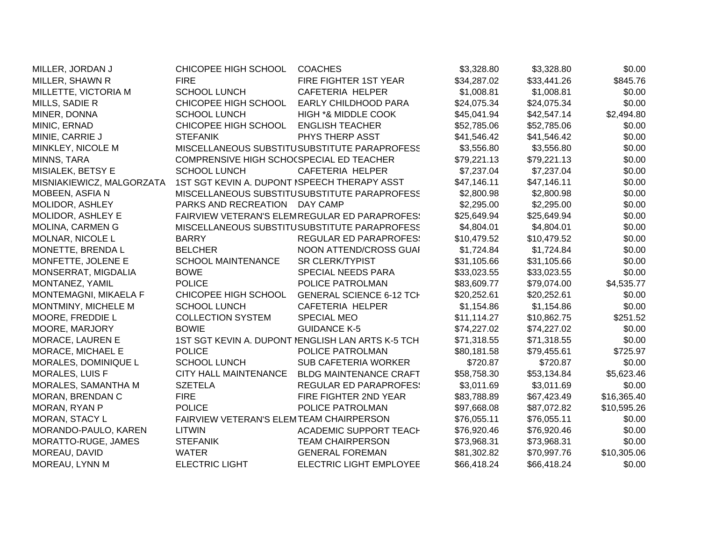| MILLER, JORDAN J          | CHICOPEE HIGH SCHOOL                         | <b>COACHES</b>                                    | \$3,328.80  | \$3,328.80  | \$0.00      |
|---------------------------|----------------------------------------------|---------------------------------------------------|-------------|-------------|-------------|
| MILLER, SHAWN R           | <b>FIRE</b>                                  | FIRE FIGHTER 1ST YEAR                             | \$34,287.02 | \$33,441.26 | \$845.76    |
| MILLETTE, VICTORIA M      | <b>SCHOOL LUNCH</b>                          | <b>CAFETERIA HELPER</b>                           | \$1,008.81  | \$1,008.81  | \$0.00      |
| MILLS, SADIE R            | CHICOPEE HIGH SCHOOL                         | <b>EARLY CHILDHOOD PARA</b>                       | \$24,075.34 | \$24,075.34 | \$0.00      |
| MINER, DONNA              | <b>SCHOOL LUNCH</b>                          | HIGH *& MIDDLE COOK                               | \$45,041.94 | \$42,547.14 | \$2,494.80  |
| MINIC, ERNAD              | CHICOPEE HIGH SCHOOL                         | <b>ENGLISH TEACHER</b>                            | \$52,785.06 | \$52,785.06 | \$0.00      |
| MINIE, CARRIE J           | <b>STEFANIK</b>                              | PHYS THERP ASST                                   | \$41,546.42 | \$41,546.42 | \$0.00      |
| MINKLEY, NICOLE M         |                                              | MISCELLANEOUS SUBSTITUSUBSTITUTE PARAPROFESS      | \$3,556.80  | \$3,556.80  | \$0.00      |
| MINNS, TARA               | COMPRENSIVE HIGH SCHO(SPECIAL ED TEACHER     |                                                   | \$79,221.13 | \$79,221.13 | \$0.00      |
| MISIALEK, BETSY E         | <b>SCHOOL LUNCH</b>                          | CAFETERIA HELPER                                  | \$7,237.04  | \$7,237.04  | \$0.00      |
| MISNIAKIEWICZ, MALGORZATA | 1ST SGT KEVIN A. DUPONT ISPEECH THERAPY ASST |                                                   | \$47,146.11 | \$47,146.11 | \$0.00      |
| MOBEEN, ASFIA N           |                                              | MISCELLANEOUS SUBSTITUSUBSTITUTE PARAPROFESS      | \$2,800.98  | \$2,800.98  | \$0.00      |
| MOLIDOR, ASHLEY           | PARKS AND RECREATION DAY CAMP                |                                                   | \$2,295.00  | \$2,295.00  | \$0.00      |
| MOLIDOR, ASHLEY E         |                                              | FAIRVIEW VETERAN'S ELEMREGULAR ED PARAPROFES!     | \$25,649.94 | \$25,649.94 | \$0.00      |
| MOLINA, CARMEN G          |                                              | MISCELLANEOUS SUBSTITUSUBSTITUTE PARAPROFESS      | \$4,804.01  | \$4,804.01  | \$0.00      |
| MOLNAR, NICOLE L          | <b>BARRY</b>                                 | <b>REGULAR ED PARAPROFES:</b>                     | \$10,479.52 | \$10,479.52 | \$0.00      |
| MONETTE, BRENDA L         | <b>BELCHER</b>                               | NOON ATTEND/CROSS GUAI                            | \$1,724.84  | \$1,724.84  | \$0.00      |
| MONFETTE, JOLENE E        | <b>SCHOOL MAINTENANCE</b>                    | <b>SR CLERK/TYPIST</b>                            | \$31,105.66 | \$31,105.66 | \$0.00      |
| MONSERRAT, MIGDALIA       | <b>BOWE</b>                                  | SPECIAL NEEDS PARA                                | \$33,023.55 | \$33,023.55 | \$0.00      |
| MONTANEZ, YAMIL           | <b>POLICE</b>                                | POLICE PATROLMAN                                  | \$83,609.77 | \$79,074.00 | \$4,535.77  |
| MONTEMAGNI, MIKAELA F     | CHICOPEE HIGH SCHOOL                         | <b>GENERAL SCIENCE 6-12 TCI</b>                   | \$20,252.61 | \$20,252.61 | \$0.00      |
| MONTMINY, MICHELE M       | <b>SCHOOL LUNCH</b>                          | CAFETERIA HELPER                                  | \$1,154.86  | \$1,154.86  | \$0.00      |
| MOORE, FREDDIE L          | <b>COLLECTION SYSTEM</b>                     | <b>SPECIAL MEO</b>                                | \$11,114.27 | \$10,862.75 | \$251.52    |
| MOORE, MARJORY            | <b>BOWIE</b>                                 | <b>GUIDANCE K-5</b>                               | \$74,227.02 | \$74,227.02 | \$0.00      |
| MORACE, LAUREN E          |                                              | 1ST SGT KEVIN A. DUPONT NENGLISH LAN ARTS K-5 TCH | \$71,318.55 | \$71,318.55 | \$0.00      |
| MORACE, MICHAEL E         | <b>POLICE</b>                                | POLICE PATROLMAN                                  | \$80,181.58 | \$79,455.61 | \$725.97    |
| MORALES, DOMINIQUE L      | <b>SCHOOL LUNCH</b>                          | <b>SUB CAFETERIA WORKER</b>                       | \$720.87    | \$720.87    | \$0.00      |
| <b>MORALES, LUIS F</b>    | <b>CITY HALL MAINTENANCE</b>                 | <b>BLDG MAINTENANCE CRAFT</b>                     | \$58,758.30 | \$53,134.84 | \$5,623.46  |
| MORALES, SAMANTHA M       | <b>SZETELA</b>                               | <b>REGULAR ED PARAPROFES:</b>                     | \$3,011.69  | \$3,011.69  | \$0.00      |
| MORAN, BRENDAN C          | <b>FIRE</b>                                  | FIRE FIGHTER 2ND YEAR                             | \$83,788.89 | \$67,423.49 | \$16,365.40 |
| MORAN, RYAN P             | <b>POLICE</b>                                | POLICE PATROLMAN                                  | \$97,668.08 | \$87,072.82 | \$10,595.26 |
| MORAN, STACY L            | FAIRVIEW VETERAN'S ELEMTEAM CHAIRPERSON      |                                                   | \$76,055.11 | \$76,055.11 | \$0.00      |
| MORANDO-PAULO, KAREN      | <b>LITWIN</b>                                | <b>ACADEMIC SUPPORT TEACH</b>                     | \$76,920.46 | \$76,920.46 | \$0.00      |
| MORATTO-RUGE, JAMES       | <b>STEFANIK</b>                              | <b>TEAM CHAIRPERSON</b>                           | \$73,968.31 | \$73,968.31 | \$0.00      |
| MOREAU, DAVID             | <b>WATER</b>                                 | <b>GENERAL FOREMAN</b>                            | \$81,302.82 | \$70,997.76 | \$10,305.06 |
| MOREAU, LYNN M            | <b>ELECTRIC LIGHT</b>                        | ELECTRIC LIGHT EMPLOYEE                           | \$66,418.24 | \$66,418.24 | \$0.00      |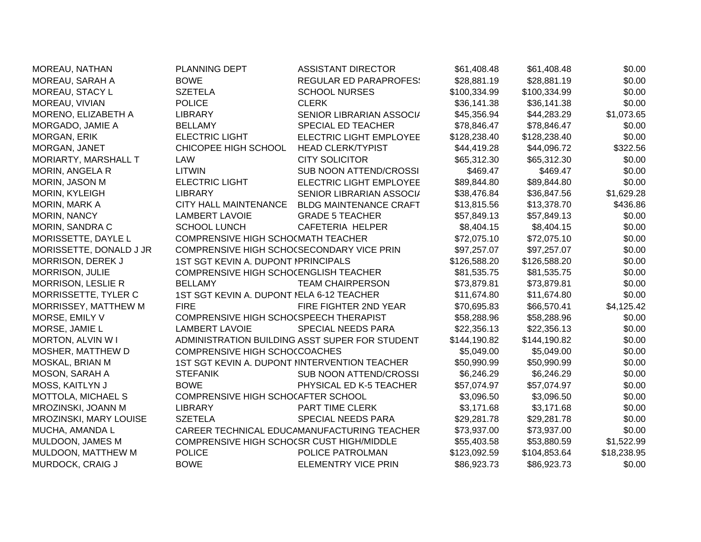| MOREAU, NATHAN            | <b>PLANNING DEPT</b>                      | <b>ASSISTANT DIRECTOR</b>                      | \$61,408.48  | \$61,408.48  | \$0.00      |
|---------------------------|-------------------------------------------|------------------------------------------------|--------------|--------------|-------------|
| MOREAU, SARAH A           | <b>BOWE</b>                               | <b>REGULAR ED PARAPROFES:</b>                  | \$28,881.19  | \$28,881.19  | \$0.00      |
| MOREAU, STACY L           | <b>SZETELA</b>                            | <b>SCHOOL NURSES</b>                           | \$100,334.99 | \$100,334.99 | \$0.00      |
| MOREAU, VIVIAN            | <b>POLICE</b>                             | <b>CLERK</b>                                   | \$36,141.38  | \$36,141.38  | \$0.00      |
| MORENO, ELIZABETH A       | <b>LIBRARY</b>                            | SENIOR LIBRARIAN ASSOCI/                       | \$45,356.94  | \$44,283.29  | \$1,073.65  |
| MORGADO, JAMIE A          | <b>BELLAMY</b>                            | SPECIAL ED TEACHER                             | \$78,846.47  | \$78,846.47  | \$0.00      |
| MORGAN, ERIK              | <b>ELECTRIC LIGHT</b>                     | <b>ELECTRIC LIGHT EMPLOYEE</b>                 | \$128,238.40 | \$128,238.40 | \$0.00      |
| MORGAN, JANET             | CHICOPEE HIGH SCHOOL                      | <b>HEAD CLERK/TYPIST</b>                       | \$44,419.28  | \$44,096.72  | \$322.56    |
| MORIARTY, MARSHALL T      | LAW                                       | <b>CITY SOLICITOR</b>                          | \$65,312.30  | \$65,312.30  | \$0.00      |
| MORIN, ANGELA R           | <b>LITWIN</b>                             | SUB NOON ATTEND/CROSSI                         | \$469.47     | \$469.47     | \$0.00      |
| MORIN, JASON M            | <b>ELECTRIC LIGHT</b>                     | ELECTRIC LIGHT EMPLOYEE                        | \$89,844.80  | \$89,844.80  | \$0.00      |
| MORIN, KYLEIGH            | <b>LIBRARY</b>                            | SENIOR LIBRARIAN ASSOCI/                       | \$38,476.84  | \$36,847.56  | \$1,629.28  |
| MORIN, MARK A             | <b>CITY HALL MAINTENANCE</b>              | <b>BLDG MAINTENANCE CRAFT</b>                  | \$13,815.56  | \$13,378.70  | \$436.86    |
| MORIN, NANCY              | <b>LAMBERT LAVOIE</b>                     | <b>GRADE 5 TEACHER</b>                         | \$57,849.13  | \$57,849.13  | \$0.00      |
| MORIN, SANDRA C           | <b>SCHOOL LUNCH</b>                       | CAFETERIA HELPER                               | \$8,404.15   | \$8,404.15   | \$0.00      |
| MORISSETTE, DAYLE L       | COMPRENSIVE HIGH SCHO(MATH TEACHER        |                                                | \$72,075.10  | \$72,075.10  | \$0.00      |
| MORISSETTE, DONALD J JR   | COMPRENSIVE HIGH SCHO(SECONDARY VICE PRIN |                                                | \$97,257.07  | \$97,257.07  | \$0.00      |
| MORRISON, DEREK J         | 1ST SGT KEVIN A. DUPONT IPRINCIPALS       |                                                | \$126,588.20 | \$126,588.20 | \$0.00      |
| MORRISON, JULIE           | COMPRENSIVE HIGH SCHOCENGLISH TEACHER     |                                                | \$81,535.75  | \$81,535.75  | \$0.00      |
| <b>MORRISON, LESLIE R</b> | <b>BELLAMY</b>                            | <b>TEAM CHAIRPERSON</b>                        | \$73,879.81  | \$73,879.81  | \$0.00      |
| MORRISSETTE, TYLER C      | 1ST SGT KEVIN A. DUPONT NELA 6-12 TEACHER |                                                | \$11,674.80  | \$11,674.80  | \$0.00      |
| MORRISSEY, MATTHEW M      | <b>FIRE</b>                               | FIRE FIGHTER 2ND YEAR                          | \$70,695.83  | \$66,570.41  | \$4,125.42  |
| MORSE, EMILY V            | COMPRENSIVE HIGH SCHO(SPEECH THERAPIST    |                                                | \$58,288.96  | \$58,288.96  | \$0.00      |
| MORSE, JAMIE L            | <b>LAMBERT LAVOIE</b>                     | SPECIAL NEEDS PARA                             | \$22,356.13  | \$22,356.13  | \$0.00      |
| <b>MORTON, ALVIN W I</b>  |                                           | ADMINISTRATION BUILDING ASST SUPER FOR STUDENT | \$144,190.82 | \$144,190.82 | \$0.00      |
| MOSHER, MATTHEW D         | COMPRENSIVE HIGH SCHO(COACHES             |                                                | \$5,049.00   | \$5,049.00   | \$0.00      |
| MOSKAL, BRIAN M           |                                           | 1ST SGT KEVIN A. DUPONT NINTERVENTION TEACHER  | \$50,990.99  | \$50,990.99  | \$0.00      |
| MOSON, SARAH A            | <b>STEFANIK</b>                           | SUB NOON ATTEND/CROSSI                         | \$6,246.29   | \$6,246.29   | \$0.00      |
| MOSS, KAITLYN J           | <b>BOWE</b>                               | PHYSICAL ED K-5 TEACHER                        | \$57,074.97  | \$57,074.97  | \$0.00      |
| MOTTOLA, MICHAEL S        | COMPRENSIVE HIGH SCHOCAFTER SCHOOL        |                                                | \$3,096.50   | \$3,096.50   | \$0.00      |
| MROZINSKI, JOANN M        | <b>LIBRARY</b>                            | PART TIME CLERK                                | \$3,171.68   | \$3,171.68   | \$0.00      |
| MROZINSKI, MARY LOUISE    | <b>SZETELA</b>                            | SPECIAL NEEDS PARA                             | \$29,281.78  | \$29,281.78  | \$0.00      |
| MUCHA, AMANDA L           |                                           | CAREER TECHNICAL EDUCAMANUFACTURING TEACHER    | \$73,937.00  | \$73,937.00  | \$0.00      |
| MULDOON, JAMES M          | COMPRENSIVE HIGH SCHOCSR CUST HIGH/MIDDLE |                                                | \$55,403.58  | \$53,880.59  | \$1,522.99  |
| MULDOON, MATTHEW M        | <b>POLICE</b>                             | POLICE PATROLMAN                               | \$123,092.59 | \$104,853.64 | \$18,238.95 |
| MURDOCK, CRAIG J          | <b>BOWE</b>                               | <b>ELEMENTRY VICE PRIN</b>                     | \$86,923.73  | \$86,923.73  | \$0.00      |
|                           |                                           |                                                |              |              |             |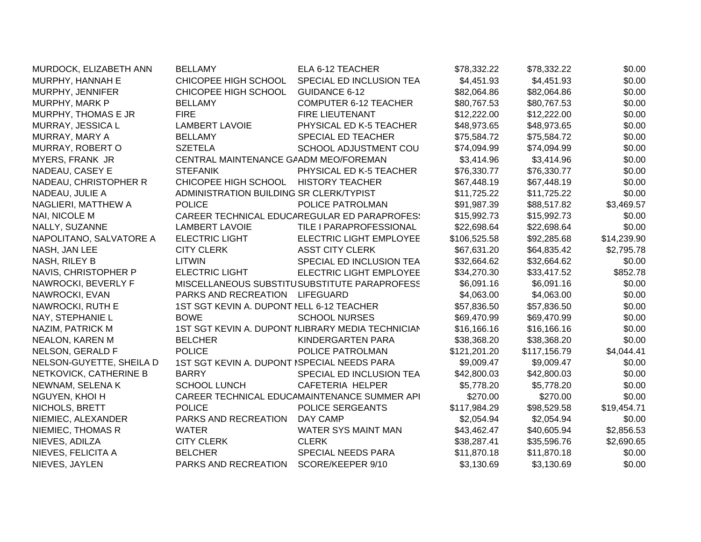| MURDOCK, ELIZABETH ANN   | <b>BELLAMY</b>                              | ELA 6-12 TEACHER                                  | \$78,332.22  | \$78,332.22  | \$0.00      |
|--------------------------|---------------------------------------------|---------------------------------------------------|--------------|--------------|-------------|
| MURPHY, HANNAH E         | CHICOPEE HIGH SCHOOL                        | SPECIAL ED INCLUSION TEA                          | \$4,451.93   | \$4,451.93   | \$0.00      |
| MURPHY, JENNIFER         | CHICOPEE HIGH SCHOOL                        | <b>GUIDANCE 6-12</b>                              | \$82,064.86  | \$82,064.86  | \$0.00      |
| MURPHY, MARK P           | <b>BELLAMY</b>                              | <b>COMPUTER 6-12 TEACHER</b>                      | \$80,767.53  | \$80,767.53  | \$0.00      |
| MURPHY, THOMAS E JR      | <b>FIRE</b>                                 | <b>FIRE LIEUTENANT</b>                            | \$12,222.00  | \$12,222.00  | \$0.00      |
| MURRAY, JESSICA L        | <b>LAMBERT LAVOIE</b>                       | PHYSICAL ED K-5 TEACHER                           | \$48,973.65  | \$48,973.65  | \$0.00      |
| MURRAY, MARY A           | <b>BELLAMY</b>                              | SPECIAL ED TEACHER                                | \$75,584.72  | \$75,584.72  | \$0.00      |
| MURRAY, ROBERT O         | <b>SZETELA</b>                              | <b>SCHOOL ADJUSTMENT COU</b>                      | \$74,094.99  | \$74,094.99  | \$0.00      |
| <b>MYERS, FRANK JR</b>   | CENTRAL MAINTENANCE GAADM MEO/FOREMAN       |                                                   | \$3,414.96   | \$3,414.96   | \$0.00      |
| NADEAU, CASEY E          | <b>STEFANIK</b>                             | PHYSICAL ED K-5 TEACHER                           | \$76,330.77  | \$76,330.77  | \$0.00      |
| NADEAU, CHRISTOPHER R    | CHICOPEE HIGH SCHOOL                        | <b>HISTORY TEACHER</b>                            | \$67,448.19  | \$67,448.19  | \$0.00      |
| NADEAU, JULIE A          | ADMINISTRATION BUILDING SR CLERK/TYPIST     |                                                   | \$11,725.22  | \$11,725.22  | \$0.00      |
| NAGLIERI, MATTHEW A      | <b>POLICE</b>                               | POLICE PATROLMAN                                  | \$91,987.39  | \$88,517.82  | \$3,469.57  |
| NAI, NICOLE M            |                                             | CAREER TECHNICAL EDUCAREGULAR ED PARAPROFES!      | \$15,992.73  | \$15,992.73  | \$0.00      |
| NALLY, SUZANNE           | <b>LAMBERT LAVOIE</b>                       | TILE I PARAPROFESSIONAL                           | \$22,698.64  | \$22,698.64  | \$0.00      |
| NAPOLITANO, SALVATORE A  | <b>ELECTRIC LIGHT</b>                       | ELECTRIC LIGHT EMPLOYEE                           | \$106,525.58 | \$92,285.68  | \$14,239.90 |
| NASH, JAN LEE            | <b>CITY CLERK</b>                           | <b>ASST CITY CLERK</b>                            | \$67,631.20  | \$64,835.42  | \$2,795.78  |
| NASH, RILEY B            | <b>LITWIN</b>                               | SPECIAL ED INCLUSION TEA                          | \$32,664.62  | \$32,664.62  | \$0.00      |
| NAVIS, CHRISTOPHER P     | <b>ELECTRIC LIGHT</b>                       | ELECTRIC LIGHT EMPLOYEE                           | \$34,270.30  | \$33,417.52  | \$852.78    |
| NAWROCKI, BEVERLY F      |                                             | MISCELLANEOUS SUBSTITUSUBSTITUTE PARAPROFESS      | \$6,091.16   | \$6,091.16   | \$0.00      |
| NAWROCKI, EVAN           | PARKS AND RECREATION                        | LIFEGUARD                                         | \$4,063.00   | \$4,063.00   | \$0.00      |
| NAWROCKI, RUTH E         | 1ST SGT KEVIN A. DUPONT NELL 6-12 TEACHER   |                                                   | \$57,836.50  | \$57,836.50  | \$0.00      |
| NAY, STEPHANIE L         | <b>BOWE</b>                                 | <b>SCHOOL NURSES</b>                              | \$69,470.99  | \$69,470.99  | \$0.00      |
| NAZIM, PATRICK M         |                                             | 1ST SGT KEVIN A. DUPONT ILIBRARY MEDIA TECHNICIAN | \$16,166.16  | \$16,166.16  | \$0.00      |
| <b>NEALON, KAREN M</b>   | <b>BELCHER</b>                              | KINDERGARTEN PARA                                 | \$38,368.20  | \$38,368.20  | \$0.00      |
| NELSON, GERALD F         | <b>POLICE</b>                               | POLICE PATROLMAN                                  | \$121,201.20 | \$117,156.79 | \$4,044.41  |
| NELSON-GUYETTE, SHEILA D | 1ST SGT KEVIN A. DUPONT ISPECIAL NEEDS PARA |                                                   | \$9,009.47   | \$9,009.47   | \$0.00      |
| NETKOVICK, CATHERINE B   | <b>BARRY</b>                                | SPECIAL ED INCLUSION TEA                          | \$42,800.03  | \$42,800.03  | \$0.00      |
| NEWNAM, SELENA K         | <b>SCHOOL LUNCH</b>                         | <b>CAFETERIA HELPER</b>                           | \$5,778.20   | \$5,778.20   | \$0.00      |
| NGUYEN, KHOI H           |                                             | CAREER TECHNICAL EDUCAMAINTENANCE SUMMER API      | \$270.00     | \$270.00     | \$0.00      |
| NICHOLS, BRETT           | <b>POLICE</b>                               | POLICE SERGEANTS                                  | \$117,984.29 | \$98,529.58  | \$19,454.71 |
| NIEMIEC, ALEXANDER       | PARKS AND RECREATION                        | DAY CAMP                                          | \$2,054.94   | \$2,054.94   | \$0.00      |
| NIEMIEC, THOMAS R        | <b>WATER</b>                                | WATER SYS MAINT MAN                               | \$43,462.47  | \$40,605.94  | \$2,856.53  |
| NIEVES, ADILZA           | <b>CITY CLERK</b>                           | <b>CLERK</b>                                      | \$38,287.41  | \$35,596.76  | \$2,690.65  |
| NIEVES, FELICITA A       | <b>BELCHER</b>                              | SPECIAL NEEDS PARA                                | \$11,870.18  | \$11,870.18  | \$0.00      |
| NIEVES, JAYLEN           | PARKS AND RECREATION                        | SCORE/KEEPER 9/10                                 | \$3,130.69   | \$3,130.69   | \$0.00      |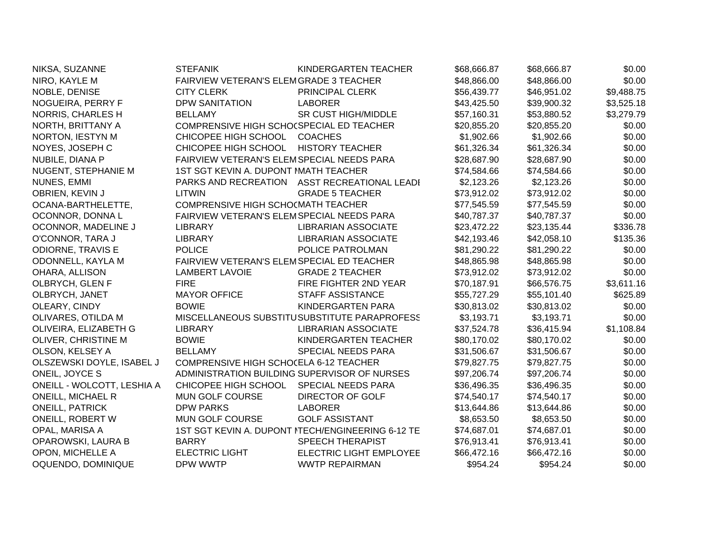| NIKSA, SUZANNE             | <b>STEFANIK</b>                              | KINDERGARTEN TEACHER                              | \$68,666.87 | \$68,666.87 | \$0.00     |
|----------------------------|----------------------------------------------|---------------------------------------------------|-------------|-------------|------------|
| NIRO, KAYLE M              | FAIRVIEW VETERAN'S ELEMGRADE 3 TEACHER       |                                                   | \$48,866.00 | \$48,866.00 | \$0.00     |
| NOBLE, DENISE              | <b>CITY CLERK</b>                            | PRINCIPAL CLERK                                   | \$56,439.77 | \$46,951.02 | \$9,488.75 |
| NOGUEIRA, PERRY F          | <b>DPW SANITATION</b>                        | <b>LABORER</b>                                    | \$43,425.50 | \$39,900.32 | \$3,525.18 |
| <b>NORRIS, CHARLES H</b>   | <b>BELLAMY</b>                               | <b>SR CUST HIGH/MIDDLE</b>                        | \$57,160.31 | \$53,880.52 | \$3,279.79 |
| NORTH, BRITTANY A          | COMPRENSIVE HIGH SCHO(SPECIAL ED TEACHER     |                                                   | \$20,855.20 | \$20,855.20 | \$0.00     |
| NORTON, IESTYN M           | CHICOPEE HIGH SCHOOL                         | <b>COACHES</b>                                    | \$1,902.66  | \$1,902.66  | \$0.00     |
| NOYES, JOSEPH C            | CHICOPEE HIGH SCHOOL                         | <b>HISTORY TEACHER</b>                            | \$61,326.34 | \$61,326.34 | \$0.00     |
| NUBILE, DIANA P            | FAIRVIEW VETERAN'S ELEMSPECIAL NEEDS PARA    |                                                   | \$28,687.90 | \$28,687.90 | \$0.00     |
| NUGENT, STEPHANIE M        | 1ST SGT KEVIN A. DUPONT MATH TEACHER         |                                                   | \$74,584.66 | \$74,584.66 | \$0.00     |
| NUNES, EMMI                |                                              | PARKS AND RECREATION ASST RECREATIONAL LEADI      | \$2,123.26  | \$2,123.26  | \$0.00     |
| OBRIEN, KEVIN J            | <b>LITWIN</b>                                | <b>GRADE 5 TEACHER</b>                            | \$73,912.02 | \$73,912.02 | \$0.00     |
| OCANA-BARTHELETTE,         | COMPRENSIVE HIGH SCHO(MATH TEACHER           |                                                   | \$77,545.59 | \$77,545.59 | \$0.00     |
| OCONNOR, DONNA L           | FAIRVIEW VETERAN'S ELEMSPECIAL NEEDS PARA    |                                                   | \$40,787.37 | \$40,787.37 | \$0.00     |
| OCONNOR, MADELINE J        | <b>LIBRARY</b>                               | <b>LIBRARIAN ASSOCIATE</b>                        | \$23,472.22 | \$23,135.44 | \$336.78   |
| O'CONNOR, TARA J           | <b>LIBRARY</b>                               | <b>LIBRARIAN ASSOCIATE</b>                        | \$42,193.46 | \$42,058.10 | \$135.36   |
| <b>ODIORNE, TRAVIS E</b>   | <b>POLICE</b>                                | POLICE PATROLMAN                                  | \$81,290.22 | \$81,290.22 | \$0.00     |
| ODONNELL, KAYLA M          | FAIRVIEW VETERAN'S ELEMSPECIAL ED TEACHER    |                                                   | \$48,865.98 | \$48,865.98 | \$0.00     |
| OHARA, ALLISON             | <b>LAMBERT LAVOIE</b>                        | <b>GRADE 2 TEACHER</b>                            | \$73,912.02 | \$73,912.02 | \$0.00     |
| OLBRYCH, GLEN F            | <b>FIRE</b>                                  | FIRE FIGHTER 2ND YEAR                             | \$70,187.91 | \$66,576.75 | \$3,611.16 |
| OLBRYCH, JANET             | <b>MAYOR OFFICE</b>                          | <b>STAFF ASSISTANCE</b>                           | \$55,727.29 | \$55,101.40 | \$625.89   |
| OLEARY, CINDY              | <b>BOWIE</b>                                 | KINDERGARTEN PARA                                 | \$30,813.02 | \$30,813.02 | \$0.00     |
| OLIVARES, OTILDA M         |                                              | MISCELLANEOUS SUBSTITUSUBSTITUTE PARAPROFESS      | \$3,193.71  | \$3,193.71  | \$0.00     |
| OLIVEIRA, ELIZABETH G      | <b>LIBRARY</b>                               | <b>LIBRARIAN ASSOCIATE</b>                        | \$37,524.78 | \$36,415.94 | \$1,108.84 |
| OLIVER, CHRISTINE M        | <b>BOWIE</b>                                 | KINDERGARTEN TEACHER                              | \$80,170.02 | \$80,170.02 | \$0.00     |
| OLSON, KELSEY A            | <b>BELLAMY</b>                               | SPECIAL NEEDS PARA                                | \$31,506.67 | \$31,506.67 | \$0.00     |
| OLSZEWSKI DOYLE, ISABEL J  | COMPRENSIVE HIGH SCHOCELA 6-12 TEACHER       |                                                   | \$79,827.75 | \$79,827.75 | \$0.00     |
| ONEIL, JOYCE S             | ADMINISTRATION BUILDING SUPERVISOR OF NURSES |                                                   | \$97,206.74 | \$97,206.74 | \$0.00     |
| ONEILL - WOLCOTT, LESHIA A | CHICOPEE HIGH SCHOOL                         | SPECIAL NEEDS PARA                                | \$36,496.35 | \$36,496.35 | \$0.00     |
| <b>ONEILL, MICHAEL R</b>   | MUN GOLF COURSE                              | DIRECTOR OF GOLF                                  | \$74,540.17 | \$74,540.17 | \$0.00     |
| <b>ONEILL, PATRICK</b>     | <b>DPW PARKS</b>                             | <b>LABORER</b>                                    | \$13,644.86 | \$13,644.86 | \$0.00     |
| <b>ONEILL, ROBERT W</b>    | <b>MUN GOLF COURSE</b>                       | <b>GOLF ASSISTANT</b>                             | \$8,653.50  | \$8,653.50  | \$0.00     |
| OPAL, MARISA A             |                                              | 1ST SGT KEVIN A. DUPONT NTECH/ENGINEERING 6-12 TE | \$74,687.01 | \$74,687.01 | \$0.00     |
| OPAROWSKI, LAURA B         | <b>BARRY</b>                                 | <b>SPEECH THERAPIST</b>                           | \$76,913.41 | \$76,913.41 | \$0.00     |
| OPON, MICHELLE A           | <b>ELECTRIC LIGHT</b>                        | ELECTRIC LIGHT EMPLOYEE                           | \$66,472.16 | \$66,472.16 | \$0.00     |
| OQUENDO, DOMINIQUE         | DPW WWTP                                     | <b>WWTP REPAIRMAN</b>                             | \$954.24    | \$954.24    | \$0.00     |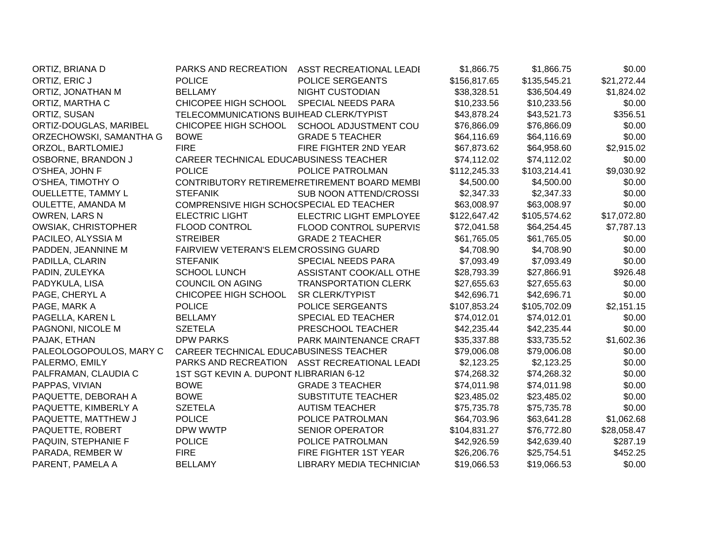| ORTIZ, BRIANA D            | PARKS AND RECREATION                     | ASST RECREATIONAL LEADI                      | \$1,866.75   | \$1,866.75   | \$0.00      |
|----------------------------|------------------------------------------|----------------------------------------------|--------------|--------------|-------------|
| ORTIZ, ERIC J              | <b>POLICE</b>                            | POLICE SERGEANTS                             | \$156,817.65 | \$135,545.21 | \$21,272.44 |
| ORTIZ, JONATHAN M          | <b>BELLAMY</b>                           | <b>NIGHT CUSTODIAN</b>                       | \$38,328.51  | \$36,504.49  | \$1,824.02  |
| ORTIZ, MARTHA C            | CHICOPEE HIGH SCHOOL                     | SPECIAL NEEDS PARA                           | \$10,233.56  | \$10,233.56  | \$0.00      |
| ORTIZ, SUSAN               | TELECOMMUNICATIONS BUIHEAD CLERK/TYPIST  |                                              | \$43,878.24  | \$43,521.73  | \$356.51    |
| ORTIZ-DOUGLAS, MARIBEL     | CHICOPEE HIGH SCHOOL                     | SCHOOL ADJUSTMENT COU                        | \$76,866.09  | \$76,866.09  | \$0.00      |
| ORZECHOWSKI, SAMANTHA G    | <b>BOWE</b>                              | <b>GRADE 5 TEACHER</b>                       | \$64,116.69  | \$64,116.69  | \$0.00      |
| ORZOL, BARTLOMIEJ          | <b>FIRE</b>                              | FIRE FIGHTER 2ND YEAR                        | \$67,873.62  | \$64,958.60  | \$2,915.02  |
| OSBORNE, BRANDON J         | CAREER TECHNICAL EDUCABUSINESS TEACHER   |                                              | \$74,112.02  | \$74,112.02  | \$0.00      |
| O'SHEA, JOHN F             | <b>POLICE</b>                            | POLICE PATROLMAN                             | \$112,245.33 | \$103,214.41 | \$9,030.92  |
| O'SHEA, TIMOTHY O          |                                          | CONTRIBUTORY RETIREMENRETIREMENT BOARD MEMBI | \$4,500.00   | \$4,500.00   | \$0.00      |
| <b>OUELLETTE, TAMMY L</b>  | <b>STEFANIK</b>                          | <b>SUB NOON ATTEND/CROSSI</b>                | \$2,347.33   | \$2,347.33   | \$0.00      |
| OULETTE, AMANDA M          | COMPRENSIVE HIGH SCHOCSPECIAL ED TEACHER |                                              | \$63,008.97  | \$63,008.97  | \$0.00      |
| OWREN, LARS N              | <b>ELECTRIC LIGHT</b>                    | ELECTRIC LIGHT EMPLOYEE                      | \$122,647.42 | \$105,574.62 | \$17,072.80 |
| <b>OWSIAK, CHRISTOPHER</b> | <b>FLOOD CONTROL</b>                     | FLOOD CONTROL SUPERVIS                       | \$72,041.58  | \$64,254.45  | \$7,787.13  |
| PACILEO, ALYSSIA M         | <b>STREIBER</b>                          | <b>GRADE 2 TEACHER</b>                       | \$61,765.05  | \$61,765.05  | \$0.00      |
| PADDEN, JEANNINE M         | FAIRVIEW VETERAN'S ELEMCROSSING GUARD    |                                              | \$4,708.90   | \$4,708.90   | \$0.00      |
| PADILLA, CLARIN            | <b>STEFANIK</b>                          | SPECIAL NEEDS PARA                           | \$7,093.49   | \$7,093.49   | \$0.00      |
| PADIN, ZULEYKA             | <b>SCHOOL LUNCH</b>                      | ASSISTANT COOK/ALL OTHE                      | \$28,793.39  | \$27,866.91  | \$926.48    |
| PADYKULA, LISA             | <b>COUNCIL ON AGING</b>                  | <b>TRANSPORTATION CLERK</b>                  | \$27,655.63  | \$27,655.63  | \$0.00      |
| PAGE, CHERYL A             | CHICOPEE HIGH SCHOOL                     | SR CLERK/TYPIST                              | \$42,696.71  | \$42,696.71  | \$0.00      |
| PAGE, MARK A               | <b>POLICE</b>                            | POLICE SERGEANTS                             | \$107,853.24 | \$105,702.09 | \$2,151.15  |
| PAGELLA, KAREN L           | <b>BELLAMY</b>                           | SPECIAL ED TEACHER                           | \$74,012.01  | \$74,012.01  | \$0.00      |
| PAGNONI, NICOLE M          | <b>SZETELA</b>                           | PRESCHOOL TEACHER                            | \$42,235.44  | \$42,235.44  | \$0.00      |
| PAJAK, ETHAN               | <b>DPW PARKS</b>                         | PARK MAINTENANCE CRAFT                       | \$35,337.88  | \$33,735.52  | \$1,602.36  |
| PALEOLOGOPOULOS, MARY C    | CAREER TECHNICAL EDUCABUSINESS TEACHER   |                                              | \$79,006.08  | \$79,006.08  | \$0.00      |
| PALERMO, EMILY             | PARKS AND RECREATION                     | ASST RECREATIONAL LEADI                      | \$2,123.25   | \$2,123.25   | \$0.00      |
| PALFRAMAN, CLAUDIA C       | 1ST SGT KEVIN A. DUPONT ILIBRARIAN 6-12  |                                              | \$74,268.32  | \$74,268.32  | \$0.00      |
| PAPPAS, VIVIAN             | <b>BOWE</b>                              | <b>GRADE 3 TEACHER</b>                       | \$74,011.98  | \$74,011.98  | \$0.00      |
| PAQUETTE, DEBORAH A        | <b>BOWE</b>                              | <b>SUBSTITUTE TEACHER</b>                    | \$23,485.02  | \$23,485.02  | \$0.00      |
| PAQUETTE, KIMBERLY A       | <b>SZETELA</b>                           | <b>AUTISM TEACHER</b>                        | \$75,735.78  | \$75,735.78  | \$0.00      |
| PAQUETTE, MATTHEW J        | <b>POLICE</b>                            | POLICE PATROLMAN                             | \$64,703.96  | \$63,641.28  | \$1,062.68  |
| PAQUETTE, ROBERT           | DPW WWTP                                 | <b>SENIOR OPERATOR</b>                       | \$104,831.27 | \$76,772.80  | \$28,058.47 |
| PAQUIN, STEPHANIE F        | <b>POLICE</b>                            | POLICE PATROLMAN                             | \$42,926.59  | \$42,639.40  | \$287.19    |
| PARADA, REMBER W           | <b>FIRE</b>                              | FIRE FIGHTER 1ST YEAR                        | \$26,206.76  | \$25,754.51  | \$452.25    |
| PARENT, PAMELA A           | <b>BELLAMY</b>                           | <b>LIBRARY MEDIA TECHNICIAN</b>              | \$19,066.53  | \$19,066.53  | \$0.00      |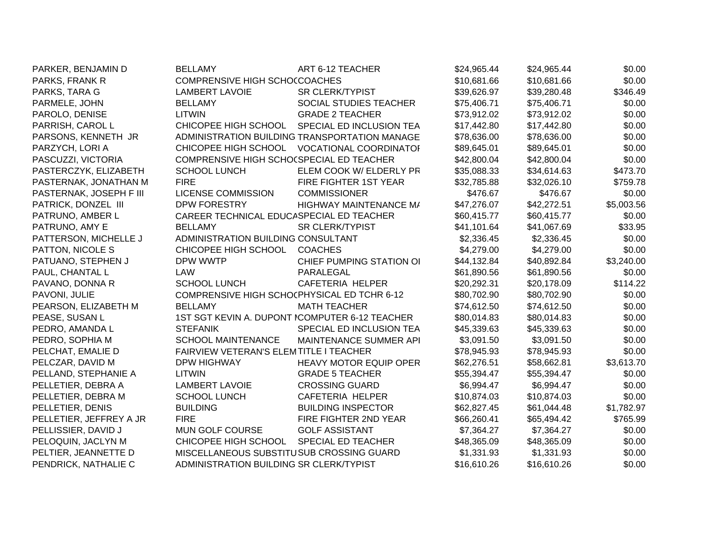| PARKER, BENJAMIN D      | <b>BELLAMY</b>                              | ART 6-12 TEACHER                               | \$24,965.44 | \$24,965.44 | \$0.00     |
|-------------------------|---------------------------------------------|------------------------------------------------|-------------|-------------|------------|
| PARKS, FRANK R          | COMPRENSIVE HIGH SCHOCCOACHES               |                                                | \$10,681.66 | \$10,681.66 | \$0.00     |
| PARKS, TARA G           | <b>LAMBERT LAVOIE</b>                       | <b>SR CLERK/TYPIST</b>                         | \$39,626.97 | \$39,280.48 | \$346.49   |
| PARMELE, JOHN           | <b>BELLAMY</b>                              | SOCIAL STUDIES TEACHER                         | \$75,406.71 | \$75,406.71 | \$0.00     |
| PAROLO, DENISE          | LITWIN                                      | <b>GRADE 2 TEACHER</b>                         | \$73,912.02 | \$73,912.02 | \$0.00     |
| PARRISH, CAROL L        | CHICOPEE HIGH SCHOOL                        | SPECIAL ED INCLUSION TEA                       | \$17,442.80 | \$17,442.80 | \$0.00     |
| PARSONS, KENNETH JR     |                                             | ADMINISTRATION BUILDING TRANSPORTATION MANAGE  | \$78,636.00 | \$78,636.00 | \$0.00     |
| PARZYCH, LORI A         | CHICOPEE HIGH SCHOOL                        | <b>VOCATIONAL COORDINATOI</b>                  | \$89,645.01 | \$89,645.01 | \$0.00     |
| PASCUZZI, VICTORIA      | COMPRENSIVE HIGH SCHO(SPECIAL ED TEACHER    |                                                | \$42,800.04 | \$42,800.04 | \$0.00     |
| PASTERCZYK, ELIZABETH   | <b>SCHOOL LUNCH</b>                         | ELEM COOK W/ ELDERLY PR                        | \$35,088.33 | \$34,614.63 | \$473.70   |
| PASTERNAK, JONATHAN M   | <b>FIRE</b>                                 | FIRE FIGHTER 1ST YEAR                          | \$32,785.88 | \$32,026.10 | \$759.78   |
| PASTERNAK, JOSEPH F III | <b>LICENSE COMMISSION</b>                   | <b>COMMISSIONER</b>                            | \$476.67    | \$476.67    | \$0.00     |
| PATRICK, DONZEL III     | DPW FORESTRY                                | HIGHWAY MAINTENANCE M/                         | \$47,276.07 | \$42,272.51 | \$5,003.56 |
| PATRUNO, AMBER L        |                                             | CAREER TECHNICAL EDUCASPECIAL ED TEACHER       |             | \$60,415.77 | \$0.00     |
| PATRUNO, AMY E          | <b>BELLAMY</b>                              | <b>SR CLERK/TYPIST</b>                         | \$41,101.64 | \$41,067.69 | \$33.95    |
| PATTERSON, MICHELLE J   | ADMINISTRATION BUILDING CONSULTANT          |                                                | \$2,336.45  | \$2,336.45  | \$0.00     |
| PATTON, NICOLE S        | CHICOPEE HIGH SCHOOL                        | <b>COACHES</b>                                 | \$4,279.00  | \$4,279.00  | \$0.00     |
| PATUANO, STEPHEN J      | DPW WWTP                                    | CHIEF PUMPING STATION OI                       | \$44,132.84 | \$40,892.84 | \$3,240.00 |
| PAUL, CHANTAL L         | LAW                                         | PARALEGAL                                      | \$61,890.56 | \$61,890.56 | \$0.00     |
| PAVANO, DONNA R         | <b>SCHOOL LUNCH</b>                         | CAFETERIA HELPER                               | \$20,292.31 | \$20,178.09 | \$114.22   |
| PAVONI, JULIE           | COMPRENSIVE HIGH SCHOCPHYSICAL ED TCHR 6-12 |                                                | \$80,702.90 | \$80,702.90 | \$0.00     |
| PEARSON, ELIZABETH M    | <b>BELLAMY</b>                              | <b>MATH TEACHER</b>                            | \$74,612.50 | \$74,612.50 | \$0.00     |
| PEASE, SUSAN L          |                                             | 1ST SGT KEVIN A. DUPONT ICOMPUTER 6-12 TEACHER | \$80,014.83 | \$80,014.83 | \$0.00     |
| PEDRO, AMANDA L         | <b>STEFANIK</b>                             | SPECIAL ED INCLUSION TEA                       | \$45,339.63 | \$45,339.63 | \$0.00     |
| PEDRO, SOPHIA M         | <b>SCHOOL MAINTENANCE</b>                   | MAINTENANCE SUMMER API                         | \$3,091.50  | \$3,091.50  | \$0.00     |
| PELCHAT, EMALIE D       | FAIRVIEW VETERAN'S ELEMTITLE I TEACHER      |                                                | \$78,945.93 | \$78,945.93 | \$0.00     |
| PELCZAR, DAVID M        | <b>DPW HIGHWAY</b>                          | <b>HEAVY MOTOR EQUIP OPER</b>                  | \$62,276.51 | \$58,662.81 | \$3,613.70 |
| PELLAND, STEPHANIE A    | <b>LITWIN</b>                               | <b>GRADE 5 TEACHER</b>                         | \$55,394.47 | \$55,394.47 | \$0.00     |
| PELLETIER, DEBRA A      | <b>LAMBERT LAVOIE</b>                       | <b>CROSSING GUARD</b>                          | \$6,994.47  | \$6,994.47  | \$0.00     |
| PELLETIER, DEBRA M      | <b>SCHOOL LUNCH</b>                         | CAFETERIA HELPER                               | \$10,874.03 | \$10,874.03 | \$0.00     |
| PELLETIER, DENIS        | <b>BUILDING</b>                             | <b>BUILDING INSPECTOR</b>                      | \$62,827.45 | \$61,044.48 | \$1,782.97 |
| PELLETIER, JEFFREY A JR | <b>FIRE</b>                                 | FIRE FIGHTER 2ND YEAR                          | \$66,260.41 | \$65,494.42 | \$765.99   |
| PELLISSIER, DAVID J     | MUN GOLF COURSE                             | <b>GOLF ASSISTANT</b>                          | \$7,364.27  | \$7,364.27  | \$0.00     |
| PELOQUIN, JACLYN M      | CHICOPEE HIGH SCHOOL                        | SPECIAL ED TEACHER                             | \$48,365.09 | \$48,365.09 | \$0.00     |
| PELTIER, JEANNETTE D    | MISCELLANEOUS SUBSTITUSUB CROSSING GUARD    |                                                | \$1,331.93  | \$1,331.93  | \$0.00     |
| PENDRICK, NATHALIE C    | ADMINISTRATION BUILDING SR CLERK/TYPIST     |                                                | \$16,610.26 | \$16,610.26 | \$0.00     |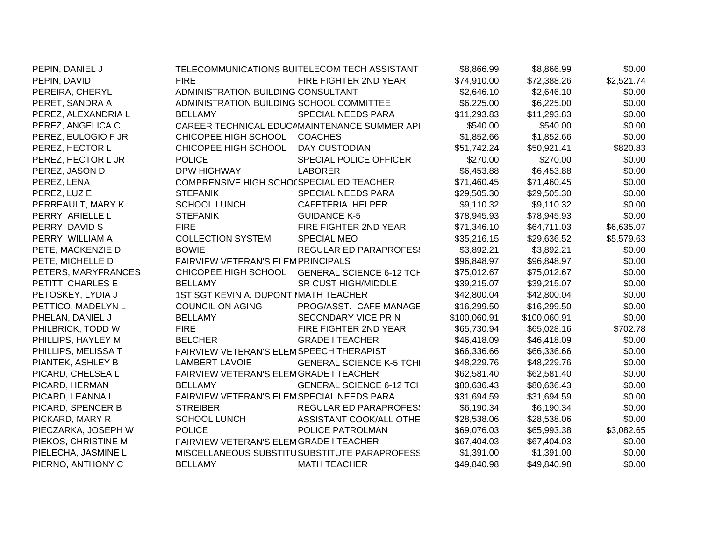| PEPIN, DANIEL J     |                                           | TELECOMMUNICATIONS BUITELECOM TECH ASSISTANT | \$8,866.99   | \$8,866.99   | \$0.00     |
|---------------------|-------------------------------------------|----------------------------------------------|--------------|--------------|------------|
| PEPIN, DAVID        | <b>FIRE</b>                               | FIRE FIGHTER 2ND YEAR                        | \$74,910.00  | \$72,388.26  | \$2,521.74 |
| PEREIRA, CHERYL     | ADMINISTRATION BUILDING CONSULTANT        |                                              | \$2,646.10   | \$2,646.10   | \$0.00     |
| PERET, SANDRA A     | ADMINISTRATION BUILDING SCHOOL COMMITTEE  |                                              | \$6,225.00   | \$6,225.00   | \$0.00     |
| PEREZ, ALEXANDRIA L | <b>BELLAMY</b>                            | <b>SPECIAL NEEDS PARA</b>                    | \$11,293.83  | \$11,293.83  | \$0.00     |
| PEREZ, ANGELICA C   |                                           | CAREER TECHNICAL EDUCAMAINTENANCE SUMMER API | \$540.00     | \$540.00     | \$0.00     |
| PEREZ, EULOGIO F JR | CHICOPEE HIGH SCHOOL                      | <b>COACHES</b>                               | \$1,852.66   | \$1,852.66   | \$0.00     |
| PEREZ, HECTOR L     | CHICOPEE HIGH SCHOOL                      | <b>DAY CUSTODIAN</b>                         | \$51,742.24  | \$50,921.41  | \$820.83   |
| PEREZ, HECTOR L JR  | <b>POLICE</b>                             | SPECIAL POLICE OFFICER                       | \$270.00     | \$270.00     | \$0.00     |
| PEREZ, JASON D      | DPW HIGHWAY                               | <b>LABORER</b>                               | \$6,453.88   | \$6,453.88   | \$0.00     |
| PEREZ, LENA         | COMPRENSIVE HIGH SCHO(SPECIAL ED TEACHER  |                                              | \$71,460.45  | \$71,460.45  | \$0.00     |
| PEREZ, LUZ E        | <b>STEFANIK</b>                           | <b>SPECIAL NEEDS PARA</b>                    | \$29,505.30  | \$29,505.30  | \$0.00     |
| PERREAULT, MARY K   | <b>SCHOOL LUNCH</b>                       | CAFETERIA HELPER                             | \$9,110.32   | \$9,110.32   | \$0.00     |
| PERRY, ARIELLE L    | <b>STEFANIK</b>                           | <b>GUIDANCE K-5</b>                          | \$78,945.93  | \$78,945.93  | \$0.00     |
| PERRY, DAVID S      | <b>FIRE</b>                               | FIRE FIGHTER 2ND YEAR                        | \$71,346.10  | \$64,711.03  | \$6,635.07 |
| PERRY, WILLIAM A    | <b>COLLECTION SYSTEM</b>                  | <b>SPECIAL MEO</b>                           | \$35,216.15  | \$29,636.52  | \$5,579.63 |
| PETE, MACKENZIE D   | <b>BOWIE</b>                              | <b>REGULAR ED PARAPROFES:</b>                | \$3,892.21   | \$3,892.21   | \$0.00     |
| PETE, MICHELLE D    | FAIRVIEW VETERAN'S ELEMPRINCIPALS         |                                              | \$96,848.97  | \$96,848.97  | \$0.00     |
| PETERS, MARYFRANCES | CHICOPEE HIGH SCHOOL                      | <b>GENERAL SCIENCE 6-12 TCH</b>              | \$75,012.67  | \$75,012.67  | \$0.00     |
| PETITT, CHARLES E   | <b>BELLAMY</b>                            | <b>SR CUST HIGH/MIDDLE</b>                   | \$39,215.07  | \$39,215.07  | \$0.00     |
| PETOSKEY, LYDIA J   | 1ST SGT KEVIN A. DUPONT MATH TEACHER      |                                              | \$42,800.04  | \$42,800.04  | \$0.00     |
| PETTICO, MADELYN L  | COUNCIL ON AGING                          | PROG/ASST. - CAFE MANAGE                     | \$16,299.50  | \$16,299.50  | \$0.00     |
| PHELAN, DANIEL J    | <b>BELLAMY</b>                            | <b>SECONDARY VICE PRIN</b>                   | \$100,060.91 | \$100,060.91 | \$0.00     |
| PHILBRICK, TODD W   | <b>FIRE</b>                               | FIRE FIGHTER 2ND YEAR                        | \$65,730.94  | \$65,028.16  | \$702.78   |
| PHILLIPS, HAYLEY M  | <b>BELCHER</b>                            | <b>GRADE I TEACHER</b>                       | \$46,418.09  | \$46,418.09  | \$0.00     |
| PHILLIPS, MELISSA T | FAIRVIEW VETERAN'S ELEMSPEECH THERAPIST   |                                              | \$66,336.66  | \$66,336.66  | \$0.00     |
| PIANTEK, ASHLEY B   | <b>LAMBERT LAVOIE</b>                     | <b>GENERAL SCIENCE K-5 TCHI</b>              | \$48,229.76  | \$48,229.76  | \$0.00     |
| PICARD, CHELSEA L   | FAIRVIEW VETERAN'S ELEMGRADE I TEACHER    |                                              | \$62,581.40  | \$62,581.40  | \$0.00     |
| PICARD, HERMAN      | <b>BELLAMY</b>                            | <b>GENERAL SCIENCE 6-12 TCH</b>              | \$80,636.43  | \$80,636.43  | \$0.00     |
| PICARD, LEANNA L    | FAIRVIEW VETERAN'S ELEMSPECIAL NEEDS PARA |                                              | \$31,694.59  | \$31,694.59  | \$0.00     |
| PICARD, SPENCER B   | <b>STREIBER</b>                           | <b>REGULAR ED PARAPROFES:</b>                | \$6,190.34   | \$6,190.34   | \$0.00     |
| PICKARD, MARY R     | <b>SCHOOL LUNCH</b>                       | ASSISTANT COOK/ALL OTHE                      | \$28,538.06  | \$28,538.06  | \$0.00     |
| PIECZARKA, JOSEPH W | <b>POLICE</b>                             | POLICE PATROLMAN                             | \$69,076.03  | \$65,993.38  | \$3,082.65 |
| PIEKOS, CHRISTINE M | FAIRVIEW VETERAN'S ELEMGRADE I TEACHER    |                                              | \$67,404.03  | \$67,404.03  | \$0.00     |
| PIELECHA, JASMINE L |                                           | MISCELLANEOUS SUBSTITUSUBSTITUTE PARAPROFESS | \$1,391.00   | \$1,391.00   | \$0.00     |
| PIERNO, ANTHONY C   | <b>BELLAMY</b>                            | <b>MATH TEACHER</b>                          | \$49,840.98  | \$49,840.98  | \$0.00     |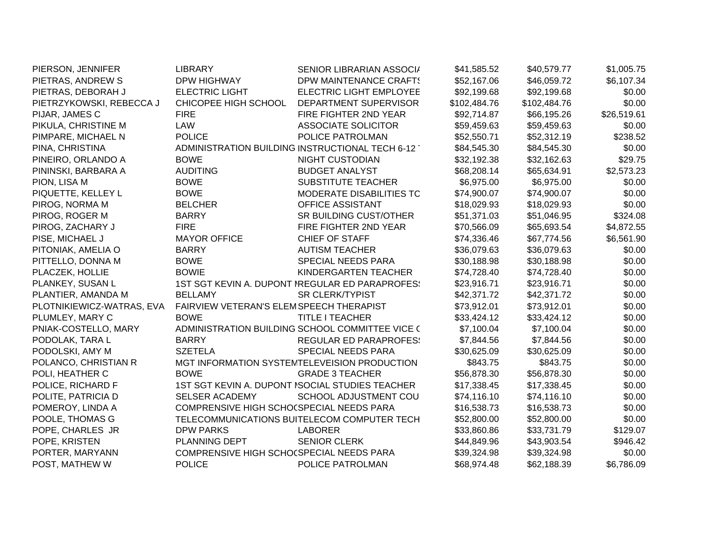| PIERSON, JENNIFER         | <b>LIBRARY</b>                           | SENIOR LIBRARIAN ASSOCI/                        | \$41,585.52  | \$40,579.77  | \$1,005.75  |
|---------------------------|------------------------------------------|-------------------------------------------------|--------------|--------------|-------------|
| PIETRAS, ANDREW S         | <b>DPW HIGHWAY</b>                       | DPW MAINTENANCE CRAFTS                          | \$52,167.06  | \$46,059.72  | \$6,107.34  |
| PIETRAS, DEBORAH J        | <b>ELECTRIC LIGHT</b>                    | ELECTRIC LIGHT EMPLOYEE                         | \$92,199.68  | \$92,199.68  | \$0.00      |
| PIETRZYKOWSKI, REBECCA J  | CHICOPEE HIGH SCHOOL                     | DEPARTMENT SUPERVISOR                           | \$102,484.76 | \$102,484.76 | \$0.00      |
| PIJAR, JAMES C            | <b>FIRE</b>                              | FIRE FIGHTER 2ND YEAR                           | \$92,714.87  | \$66,195.26  | \$26,519.61 |
| PIKULA, CHRISTINE M       | LAW                                      | <b>ASSOCIATE SOLICITOR</b>                      | \$59,459.63  | \$59,459.63  | \$0.00      |
| PIMPARE, MICHAEL N        | <b>POLICE</b>                            | POLICE PATROLMAN                                | \$52,550.71  | \$52,312.19  | \$238.52    |
| PINA, CHRISTINA           |                                          | ADMINISTRATION BUILDING INSTRUCTIONAL TECH 6-12 | \$84,545.30  | \$84,545.30  | \$0.00      |
| PINEIRO, ORLANDO A        | <b>BOWE</b>                              | <b>NIGHT CUSTODIAN</b>                          | \$32,192.38  | \$32,162.63  | \$29.75     |
| PININSKI, BARBARA A       | <b>AUDITING</b>                          | <b>BUDGET ANALYST</b>                           | \$68,208.14  | \$65,634.91  | \$2,573.23  |
| PION, LISA M              | <b>BOWE</b>                              | SUBSTITUTE TEACHER                              | \$6,975.00   | \$6,975.00   | \$0.00      |
| PIQUETTE, KELLEY L        | <b>BOWE</b>                              | MODERATE DISABILITIES TC                        | \$74,900.07  | \$74,900.07  | \$0.00      |
| PIROG, NORMA M            | <b>BELCHER</b>                           | OFFICE ASSISTANT                                | \$18,029.93  | \$18,029.93  | \$0.00      |
| PIROG, ROGER M            | <b>BARRY</b>                             | SR BUILDING CUST/OTHER                          | \$51,371.03  | \$51,046.95  | \$324.08    |
| PIROG, ZACHARY J          | <b>FIRE</b>                              | FIRE FIGHTER 2ND YEAR                           | \$70,566.09  | \$65,693.54  | \$4,872.55  |
| PISE, MICHAEL J           | <b>MAYOR OFFICE</b>                      | <b>CHIEF OF STAFF</b>                           | \$74,336.46  | \$67,774.56  | \$6,561.90  |
| PITONIAK, AMELIA O        | <b>BARRY</b>                             | <b>AUTISM TEACHER</b>                           | \$36,079.63  | \$36,079.63  | \$0.00      |
| PITTELLO, DONNA M         | <b>BOWE</b>                              | SPECIAL NEEDS PARA                              | \$30,188.98  | \$30,188.98  | \$0.00      |
| PLACZEK, HOLLIE           | <b>BOWIE</b>                             | KINDERGARTEN TEACHER                            | \$74,728.40  | \$74,728.40  | \$0.00      |
| PLANKEY, SUSAN L          |                                          | 1ST SGT KEVIN A. DUPONT IREGULAR ED PARAPROFES! | \$23,916.71  | \$23,916.71  | \$0.00      |
| PLANTIER, AMANDA M        | <b>BELLAMY</b>                           | <b>SR CLERK/TYPIST</b>                          | \$42,371.72  | \$42,371.72  | \$0.00      |
| PLOTNIKIEWICZ-WATRAS, EVA | FAIRVIEW VETERAN'S ELEMSPEECH THERAPIST  |                                                 | \$73,912.01  | \$73,912.01  | \$0.00      |
| PLUMLEY, MARY C           | <b>BOWE</b>                              | <b>TITLE I TEACHER</b>                          | \$33,424.12  | \$33,424.12  | \$0.00      |
| PNIAK-COSTELLO, MARY      |                                          | ADMINISTRATION BUILDING SCHOOL COMMITTEE VICE ( | \$7,100.04   | \$7,100.04   | \$0.00      |
| PODOLAK, TARA L           | <b>BARRY</b>                             | <b>REGULAR ED PARAPROFES:</b>                   | \$7,844.56   | \$7,844.56   | \$0.00      |
| PODOLSKI, AMY M           | <b>SZETELA</b>                           | SPECIAL NEEDS PARA                              | \$30,625.09  | \$30,625.09  | \$0.00      |
| POLANCO, CHRISTIAN R      |                                          | MGT INFORMATION SYSTEMTELEVEISION PRODUCTION    | \$843.75     | \$843.75     | \$0.00      |
| POLI, HEATHER C           | <b>BOWE</b>                              | <b>GRADE 3 TEACHER</b>                          | \$56,878.30  | \$56,878.30  | \$0.00      |
| POLICE, RICHARD F         |                                          | 1ST SGT KEVIN A. DUPONT ISOCIAL STUDIES TEACHER | \$17,338.45  | \$17,338.45  | \$0.00      |
| POLITE, PATRICIA D        | <b>SELSER ACADEMY</b>                    | SCHOOL ADJUSTMENT COU                           | \$74,116.10  | \$74,116.10  | \$0.00      |
| POMEROY, LINDA A          | COMPRENSIVE HIGH SCHO(SPECIAL NEEDS PARA |                                                 | \$16,538.73  | \$16,538.73  | \$0.00      |
| POOLE, THOMAS G           |                                          | TELECOMMUNICATIONS BUITELECOM COMPUTER TECH     | \$52,800.00  | \$52,800.00  | \$0.00      |
| POPE, CHARLES JR          | <b>DPW PARKS</b>                         | <b>LABORER</b>                                  | \$33,860.86  | \$33,731.79  | \$129.07    |
| POPE, KRISTEN             | PLANNING DEPT                            | <b>SENIOR CLERK</b>                             | \$44,849.96  | \$43,903.54  | \$946.42    |
| PORTER, MARYANN           | COMPRENSIVE HIGH SCHO(SPECIAL NEEDS PARA |                                                 | \$39,324.98  | \$39,324.98  | \$0.00      |
| POST, MATHEW W            | <b>POLICE</b>                            | POLICE PATROLMAN                                | \$68,974.48  | \$62,188.39  | \$6,786.09  |
|                           |                                          |                                                 |              |              |             |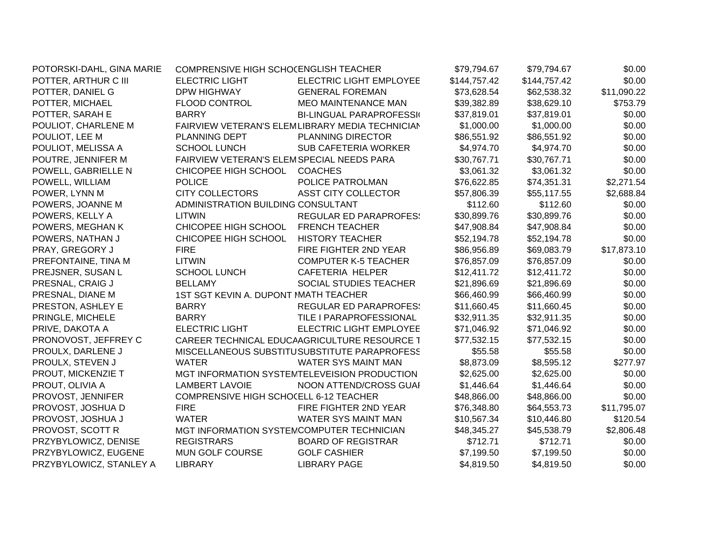| POTORSKI-DAHL, GINA MARIE | COMPRENSIVE HIGH SCHOCENGLISH TEACHER     |                                                 | \$79,794.67  | \$79,794.67  | \$0.00      |
|---------------------------|-------------------------------------------|-------------------------------------------------|--------------|--------------|-------------|
| POTTER, ARTHUR C III      | <b>ELECTRIC LIGHT</b>                     | ELECTRIC LIGHT EMPLOYEE                         | \$144,757.42 | \$144,757.42 | \$0.00      |
| POTTER, DANIEL G          | <b>DPW HIGHWAY</b>                        | <b>GENERAL FOREMAN</b>                          | \$73,628.54  | \$62,538.32  | \$11,090.22 |
| POTTER, MICHAEL           | FLOOD CONTROL                             | <b>MEO MAINTENANCE MAN</b>                      | \$39,382.89  | \$38,629.10  | \$753.79    |
| POTTER, SARAH E           | <b>BARRY</b>                              | <b>BI-LINGUAL PARAPROFESSI</b>                  | \$37,819.01  | \$37,819.01  | \$0.00      |
| POULIOT, CHARLENE M       |                                           | FAIRVIEW VETERAN'S ELEMLIBRARY MEDIA TECHNICIAN | \$1,000.00   | \$1,000.00   | \$0.00      |
| POULIOT, LEE M            | PLANNING DEPT                             | <b>PLANNING DIRECTOR</b>                        | \$86,551.92  | \$86,551.92  | \$0.00      |
| POULIOT, MELISSA A        | <b>SCHOOL LUNCH</b>                       | <b>SUB CAFETERIA WORKER</b>                     | \$4,974.70   | \$4,974.70   | \$0.00      |
| POUTRE, JENNIFER M        | FAIRVIEW VETERAN'S ELEMSPECIAL NEEDS PARA |                                                 | \$30,767.71  | \$30,767.71  | \$0.00      |
| POWELL, GABRIELLE N       | CHICOPEE HIGH SCHOOL                      | <b>COACHES</b>                                  | \$3,061.32   | \$3,061.32   | \$0.00      |
| POWELL, WILLIAM           | <b>POLICE</b>                             | POLICE PATROLMAN                                | \$76,622.85  | \$74,351.31  | \$2,271.54  |
| POWER, LYNN M             | <b>CITY COLLECTORS</b>                    | ASST CITY COLLECTOR                             | \$57,806.39  | \$55,117.55  | \$2,688.84  |
| POWERS, JOANNE M          | ADMINISTRATION BUILDING CONSULTANT        |                                                 | \$112.60     | \$112.60     | \$0.00      |
| POWERS, KELLY A           | <b>LITWIN</b>                             | <b>REGULAR ED PARAPROFES:</b>                   | \$30,899.76  | \$30,899.76  | \$0.00      |
| POWERS, MEGHAN K          | CHICOPEE HIGH SCHOOL                      | <b>FRENCH TEACHER</b>                           | \$47,908.84  | \$47,908.84  | \$0.00      |
| POWERS, NATHAN J          | CHICOPEE HIGH SCHOOL                      | <b>HISTORY TEACHER</b>                          | \$52,194.78  | \$52,194.78  | \$0.00      |
| PRAY, GREGORY J           | <b>FIRE</b>                               | FIRE FIGHTER 2ND YEAR                           | \$86,956.89  | \$69,083.79  | \$17,873.10 |
| PREFONTAINE, TINA M       | <b>LITWIN</b>                             | <b>COMPUTER K-5 TEACHER</b>                     | \$76,857.09  | \$76,857.09  | \$0.00      |
| PREJSNER, SUSAN L         | <b>SCHOOL LUNCH</b>                       | CAFETERIA HELPER                                | \$12,411.72  | \$12,411.72  | \$0.00      |
| PRESNAL, CRAIG J          | <b>BELLAMY</b>                            | SOCIAL STUDIES TEACHER                          | \$21,896.69  | \$21,896.69  | \$0.00      |
| PRESNAL, DIANE M          | 1ST SGT KEVIN A. DUPONT MATH TEACHER      |                                                 | \$66,460.99  | \$66,460.99  | \$0.00      |
| PRESTON, ASHLEY E         | <b>BARRY</b>                              | <b>REGULAR ED PARAPROFES:</b>                   | \$11,660.45  | \$11,660.45  | \$0.00      |
| PRINGLE, MICHELE          | <b>BARRY</b>                              | TILE I PARAPROFESSIONAL                         | \$32,911.35  | \$32,911.35  | \$0.00      |
| PRIVE, DAKOTA A           | <b>ELECTRIC LIGHT</b>                     | ELECTRIC LIGHT EMPLOYEE                         | \$71,046.92  | \$71,046.92  | \$0.00      |
| PRONOVOST, JEFFREY C      |                                           | CAREER TECHNICAL EDUCAAGRICULTURE RESOURCE T    | \$77,532.15  | \$77,532.15  | \$0.00      |
| PROULX, DARLENE J         |                                           | MISCELLANEOUS SUBSTITUSUBSTITUTE PARAPROFESS    | \$55.58      | \$55.58      | \$0.00      |
| PROULX, STEVEN J          | <b>WATER</b>                              | WATER SYS MAINT MAN                             | \$8,873.09   | \$8,595.12   | \$277.97    |
| PROUT, MICKENZIE T        |                                           | MGT INFORMATION SYSTEMTELEVEISION PRODUCTION    | \$2,625.00   | \$2,625.00   | \$0.00      |
| PROUT, OLIVIA A           | <b>LAMBERT LAVOIE</b>                     | NOON ATTEND/CROSS GUAI                          | \$1,446.64   | \$1,446.64   | \$0.00      |
| PROVOST, JENNIFER         | COMPRENSIVE HIGH SCHOCELL 6-12 TEACHER    |                                                 | \$48,866.00  | \$48,866.00  | \$0.00      |
| PROVOST, JOSHUA D         | <b>FIRE</b>                               | FIRE FIGHTER 2ND YEAR                           | \$76,348.80  | \$64,553.73  | \$11,795.07 |
| PROVOST, JOSHUA J         | <b>WATER</b>                              | WATER SYS MAINT MAN                             | \$10,567.34  | \$10,446.80  | \$120.54    |
| PROVOST, SCOTT R          | MGT INFORMATION SYSTEMCOMPUTER TECHNICIAN |                                                 | \$48,345.27  | \$45,538.79  | \$2,806.48  |
| PRZYBYLOWICZ, DENISE      | <b>REGISTRARS</b>                         | <b>BOARD OF REGISTRAR</b>                       | \$712.71     | \$712.71     | \$0.00      |
| PRZYBYLOWICZ, EUGENE      | MUN GOLF COURSE                           | <b>GOLF CASHIER</b>                             | \$7,199.50   | \$7,199.50   | \$0.00      |
| PRZYBYLOWICZ, STANLEY A   | <b>LIBRARY</b>                            | <b>LIBRARY PAGE</b>                             | \$4,819.50   | \$4,819.50   | \$0.00      |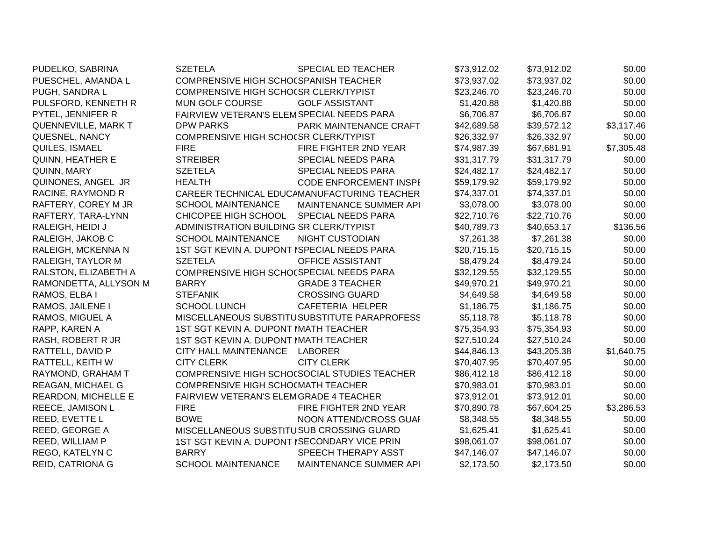| PUDELKO, SABRINA           | <b>SZETELA</b>                               | <b>SPECIAL ED TEACHER</b>                    | \$73,912.02 | \$73,912.02 | \$0.00     |
|----------------------------|----------------------------------------------|----------------------------------------------|-------------|-------------|------------|
| PUESCHEL, AMANDA L         | COMPRENSIVE HIGH SCHO(SPANISH TEACHER        |                                              | \$73,937.02 | \$73,937.02 | \$0.00     |
| PUGH, SANDRA L             | COMPRENSIVE HIGH SCHOCSR CLERK/TYPIST        |                                              | \$23,246.70 | \$23,246.70 | \$0.00     |
| PULSFORD, KENNETH R        | <b>MUN GOLF COURSE</b>                       | <b>GOLF ASSISTANT</b>                        | \$1,420.88  | \$1,420.88  | \$0.00     |
| PYTEL, JENNIFER R          | FAIRVIEW VETERAN'S ELEMSPECIAL NEEDS PARA    |                                              | \$6,706.87  | \$6,706.87  | \$0.00     |
| <b>QUENNEVILLE, MARK T</b> | <b>DPW PARKS</b>                             | PARK MAINTENANCE CRAFT                       | \$42,689.58 | \$39,572.12 | \$3,117.46 |
| QUESNEL, NANCY             | COMPRENSIVE HIGH SCHOCSR CLERK/TYPIST        |                                              | \$26,332.97 | \$26,332.97 | \$0.00     |
| QUILES, ISMAEL             | <b>FIRE</b>                                  | FIRE FIGHTER 2ND YEAR                        | \$74,987.39 | \$67,681.91 | \$7,305.48 |
| QUINN, HEATHER E           | <b>STREIBER</b>                              | SPECIAL NEEDS PARA                           | \$31,317.79 | \$31,317.79 | \$0.00     |
| QUINN, MARY                | <b>SZETELA</b>                               | SPECIAL NEEDS PARA                           | \$24,482.17 | \$24,482.17 | \$0.00     |
| QUINONES, ANGEL JR         | <b>HEALTH</b>                                | <b>CODE ENFORCEMENT INSPI</b>                | \$59,179.92 | \$59,179.92 | \$0.00     |
| RACINE, RAYMOND R          |                                              | CAREER TECHNICAL EDUCAMANUFACTURING TEACHER  | \$74,337.01 | \$74,337.01 | \$0.00     |
| RAFTERY, COREY M JR        | <b>SCHOOL MAINTENANCE</b>                    | MAINTENANCE SUMMER API                       | \$3,078.00  | \$3,078.00  | \$0.00     |
| RAFTERY, TARA-LYNN         | CHICOPEE HIGH SCHOOL                         | <b>SPECIAL NEEDS PARA</b>                    | \$22,710.76 | \$22,710.76 | \$0.00     |
| RALEIGH, HEIDI J           | ADMINISTRATION BUILDING SR CLERK/TYPIST      |                                              | \$40,789.73 | \$40,653.17 | \$136.56   |
| RALEIGH, JAKOB C           | <b>SCHOOL MAINTENANCE</b>                    | <b>NIGHT CUSTODIAN</b>                       | \$7,261.38  | \$7,261.38  | \$0.00     |
| RALEIGH, MCKENNA N         | 1ST SGT KEVIN A. DUPONT ISPECIAL NEEDS PARA  |                                              | \$20,715.15 | \$20,715.15 | \$0.00     |
| RALEIGH, TAYLOR M          | <b>SZETELA</b>                               | OFFICE ASSISTANT                             | \$8,479.24  | \$8,479.24  | \$0.00     |
| RALSTON, ELIZABETH A       | COMPRENSIVE HIGH SCHO(SPECIAL NEEDS PARA     |                                              | \$32,129.55 | \$32,129.55 | \$0.00     |
| RAMONDETTA, ALLYSON M      | <b>BARRY</b>                                 | <b>GRADE 3 TEACHER</b>                       | \$49,970.21 | \$49,970.21 | \$0.00     |
| RAMOS, ELBA I              | <b>STEFANIK</b>                              | <b>CROSSING GUARD</b>                        | \$4,649.58  | \$4,649.58  | \$0.00     |
| RAMOS, JAILENE I           | <b>SCHOOL LUNCH</b>                          | CAFETERIA HELPER                             | \$1,186.75  | \$1,186.75  | \$0.00     |
| RAMOS, MIGUEL A            |                                              | MISCELLANEOUS SUBSTITUSUBSTITUTE PARAPROFESS | \$5,118.78  | \$5,118.78  | \$0.00     |
| RAPP, KAREN A              | 1ST SGT KEVIN A. DUPONT MATH TEACHER         |                                              | \$75,354.93 | \$75,354.93 | \$0.00     |
| RASH, ROBERT R JR          | 1ST SGT KEVIN A. DUPONT MATH TEACHER         |                                              | \$27,510.24 | \$27,510.24 | \$0.00     |
| RATTELL, DAVID P           | CITY HALL MAINTENANCE                        | LABORER                                      | \$44,846.13 | \$43,205.38 | \$1,640.75 |
| RATTELL, KEITH W           | <b>CITY CLERK</b>                            | <b>CITY CLERK</b>                            | \$70,407.95 | \$70,407.95 | \$0.00     |
| RAYMOND, GRAHAM T          |                                              | COMPRENSIVE HIGH SCHO(SOCIAL STUDIES TEACHER | \$86,412.18 | \$86,412.18 | \$0.00     |
| REAGAN, MICHAEL G          | COMPRENSIVE HIGH SCHOCMATH TEACHER           |                                              | \$70,983.01 | \$70,983.01 | \$0.00     |
| REARDON, MICHELLE E        | FAIRVIEW VETERAN'S ELEMGRADE 4 TEACHER       |                                              | \$73,912.01 | \$73,912.01 | \$0.00     |
| REECE, JAMISON L           | <b>FIRE</b>                                  | FIRE FIGHTER 2ND YEAR                        | \$70,890.78 | \$67,604.25 | \$3,286.53 |
| REED, EVETTE L             | <b>BOWE</b>                                  | NOON ATTEND/CROSS GUAI                       | \$8,348.55  | \$8,348.55  | \$0.00     |
| REED, GEORGE A             | MISCELLANEOUS SUBSTITUSUB CROSSING GUARD     |                                              | \$1,625.41  | \$1,625.41  | \$0.00     |
| REED, WILLIAM P            | 1ST SGT KEVIN A. DUPONT ISECONDARY VICE PRIN |                                              | \$98,061.07 | \$98,061.07 | \$0.00     |
| REGO, KATELYN C            | <b>BARRY</b>                                 | SPEECH THERAPY ASST                          | \$47,146.07 | \$47,146.07 | \$0.00     |
| <b>REID, CATRIONA G</b>    | <b>SCHOOL MAINTENANCE</b>                    | MAINTENANCE SUMMER API                       | \$2,173.50  | \$2,173.50  | \$0.00     |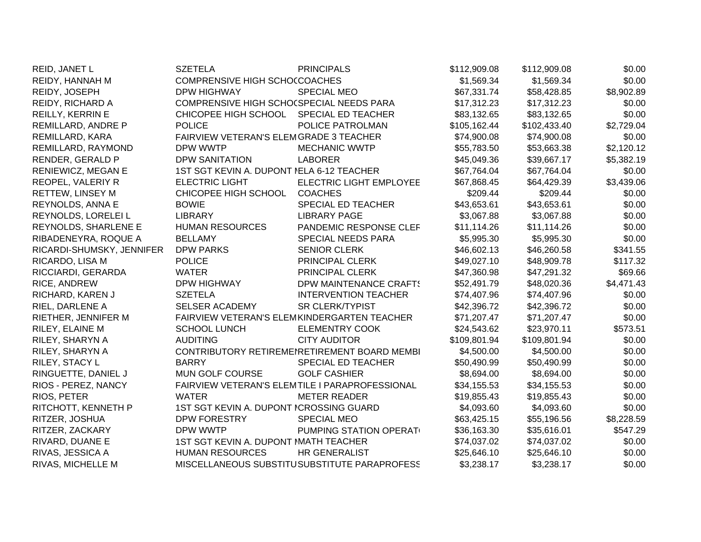| REID, JANET L             | <b>SZETELA</b>                            | <b>PRINCIPALS</b>                              | \$112,909.08 | \$112,909.08 | \$0.00     |
|---------------------------|-------------------------------------------|------------------------------------------------|--------------|--------------|------------|
| REIDY, HANNAH M           | COMPRENSIVE HIGH SCHOCCOACHES             |                                                | \$1,569.34   | \$1,569.34   | \$0.00     |
| REIDY, JOSEPH             | <b>DPW HIGHWAY</b>                        | <b>SPECIAL MEO</b>                             | \$67,331.74  | \$58,428.85  | \$8,902.89 |
| REIDY, RICHARD A          | COMPRENSIVE HIGH SCHO(SPECIAL NEEDS PARA  |                                                | \$17,312.23  | \$17,312.23  | \$0.00     |
| REILLY, KERRIN E          | CHICOPEE HIGH SCHOOL                      | SPECIAL ED TEACHER                             | \$83,132.65  | \$83,132.65  | \$0.00     |
| REMILLARD, ANDRE P        | <b>POLICE</b>                             | POLICE PATROLMAN                               | \$105,162.44 | \$102,433.40 | \$2,729.04 |
| REMILLARD, KARA           | FAIRVIEW VETERAN'S ELEMGRADE 3 TEACHER    |                                                | \$74,900.08  | \$74,900.08  | \$0.00     |
| REMILLARD, RAYMOND        | DPW WWTP                                  | <b>MECHANIC WWTP</b>                           | \$55,783.50  | \$53,663.38  | \$2,120.12 |
| RENDER, GERALD P          | <b>DPW SANITATION</b>                     | <b>LABORER</b>                                 | \$45,049.36  | \$39,667.17  | \$5,382.19 |
| RENIEWICZ, MEGAN E        | 1ST SGT KEVIN A. DUPONT NELA 6-12 TEACHER |                                                | \$67,764.04  | \$67,764.04  | \$0.00     |
| REOPEL, VALERIY R         | <b>ELECTRIC LIGHT</b>                     | ELECTRIC LIGHT EMPLOYEE                        | \$67,868.45  | \$64,429.39  | \$3,439.06 |
| RETTEW, LINSEY M          | CHICOPEE HIGH SCHOOL                      | <b>COACHES</b>                                 | \$209.44     | \$209.44     | \$0.00     |
| REYNOLDS, ANNA E          | <b>BOWIE</b>                              | <b>SPECIAL ED TEACHER</b>                      | \$43,653.61  | \$43,653.61  | \$0.00     |
| REYNOLDS, LORELEI L       | <b>LIBRARY</b>                            | <b>LIBRARY PAGE</b>                            | \$3,067.88   | \$3,067.88   | \$0.00     |
| REYNOLDS, SHARLENE E      | <b>HUMAN RESOURCES</b>                    | PANDEMIC RESPONSE CLEF                         | \$11,114.26  | \$11,114.26  | \$0.00     |
| RIBADENEYRA, ROQUE A      | <b>BELLAMY</b>                            | SPECIAL NEEDS PARA                             | \$5,995.30   | \$5,995.30   | \$0.00     |
| RICARDI-SHUMSKY, JENNIFER | <b>DPW PARKS</b>                          | <b>SENIOR CLERK</b>                            | \$46,602.13  | \$46,260.58  | \$341.55   |
| RICARDO, LISA M           | <b>POLICE</b>                             | PRINCIPAL CLERK                                | \$49,027.10  | \$48,909.78  | \$117.32   |
| RICCIARDI, GERARDA        | <b>WATER</b>                              | PRINCIPAL CLERK                                | \$47,360.98  | \$47,291.32  | \$69.66    |
| RICE, ANDREW              | <b>DPW HIGHWAY</b>                        | DPW MAINTENANCE CRAFTS                         | \$52,491.79  | \$48,020.36  | \$4,471.43 |
| RICHARD, KAREN J          | <b>SZETELA</b>                            | <b>INTERVENTION TEACHER</b>                    | \$74,407.96  | \$74,407.96  | \$0.00     |
| RIEL, DARLENE A           | <b>SELSER ACADEMY</b>                     | <b>SR CLERK/TYPIST</b>                         | \$42,396.72  | \$42,396.72  | \$0.00     |
| RIETHER, JENNIFER M       |                                           | FAIRVIEW VETERAN'S ELEMKINDERGARTEN TEACHER    | \$71,207.47  | \$71,207.47  | \$0.00     |
| RILEY, ELAINE M           | <b>SCHOOL LUNCH</b>                       | <b>ELEMENTRY COOK</b>                          | \$24,543.62  | \$23,970.11  | \$573.51   |
| RILEY, SHARYN A           | <b>AUDITING</b>                           | <b>CITY AUDITOR</b>                            | \$109,801.94 | \$109,801.94 | \$0.00     |
| RILEY, SHARYN A           |                                           | CONTRIBUTORY RETIREMENRETIREMENT BOARD MEMBI   | \$4,500.00   | \$4,500.00   | \$0.00     |
| RILEY, STACY L            | <b>BARRY</b>                              | SPECIAL ED TEACHER                             | \$50,490.99  | \$50,490.99  | \$0.00     |
| RINGUETTE, DANIEL J       | MUN GOLF COURSE                           | <b>GOLF CASHIER</b>                            | \$8,694.00   | \$8,694.00   | \$0.00     |
| RIOS - PEREZ, NANCY       |                                           | FAIRVIEW VETERAN'S ELEMTILE I PARAPROFESSIONAL | \$34,155.53  | \$34,155.53  | \$0.00     |
| RIOS, PETER               | <b>WATER</b>                              | <b>METER READER</b>                            | \$19,855.43  | \$19,855.43  | \$0.00     |
| RITCHOTT, KENNETH P       | 1ST SGT KEVIN A. DUPONT ICROSSING GUARD   |                                                | \$4,093.60   | \$4,093.60   | \$0.00     |
| RITZER, JOSHUA            | <b>DPW FORESTRY</b>                       | SPECIAL MEO                                    | \$63,425.15  | \$55,196.56  | \$8,228.59 |
| RITZER, ZACKARY           | DPW WWTP                                  | PUMPING STATION OPERAT                         | \$36,163.30  | \$35,616.01  | \$547.29   |
| RIVARD, DUANE E           | 1ST SGT KEVIN A. DUPONT MATH TEACHER      |                                                | \$74,037.02  | \$74,037.02  | \$0.00     |
| RIVAS, JESSICA A          | <b>HUMAN RESOURCES</b>                    | HR GENERALIST                                  | \$25,646.10  | \$25,646.10  | \$0.00     |
| RIVAS, MICHELLE M         |                                           | MISCELLANEOUS SUBSTITUSUBSTITUTE PARAPROFESS   | \$3,238.17   | \$3,238.17   | \$0.00     |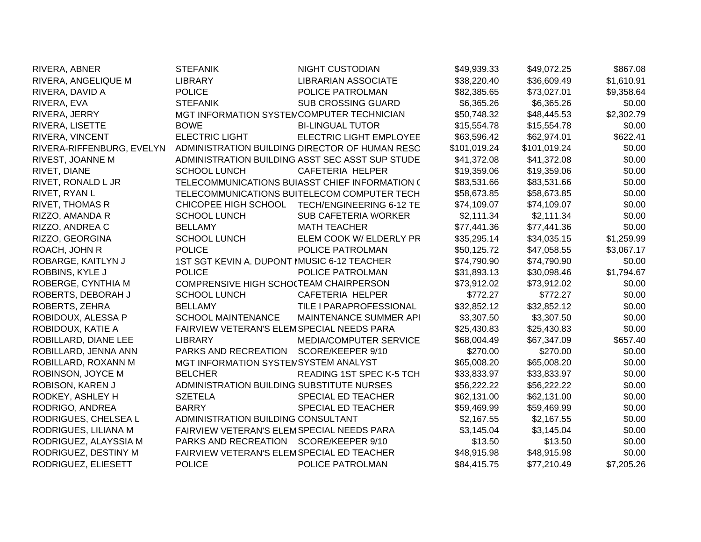| RIVERA, ABNER             | <b>STEFANIK</b>                            | <b>NIGHT CUSTODIAN</b>                          | \$49,939.33  | \$49,072.25  | \$867.08   |
|---------------------------|--------------------------------------------|-------------------------------------------------|--------------|--------------|------------|
| RIVERA, ANGELIQUE M       | <b>LIBRARY</b>                             | <b>LIBRARIAN ASSOCIATE</b>                      | \$38,220.40  | \$36,609.49  | \$1,610.91 |
| RIVERA, DAVID A           | <b>POLICE</b>                              | POLICE PATROLMAN                                | \$82,385.65  | \$73,027.01  | \$9,358.64 |
| RIVERA, EVA               | <b>STEFANIK</b>                            | <b>SUB CROSSING GUARD</b>                       | \$6,365.26   | \$6,365.26   | \$0.00     |
| RIVERA, JERRY             | MGT INFORMATION SYSTEMCOMPUTER TECHNICIAN  |                                                 | \$50,748.32  | \$48,445.53  | \$2,302.79 |
| RIVERA, LISETTE           | <b>BOWE</b>                                | <b>BI-LINGUAL TUTOR</b>                         | \$15,554.78  | \$15,554.78  | \$0.00     |
| RIVERA, VINCENT           | <b>ELECTRIC LIGHT</b>                      | <b>ELECTRIC LIGHT EMPLOYEE</b>                  | \$63,596.42  | \$62,974.01  | \$622.41   |
| RIVERA-RIFFENBURG, EVELYN |                                            | ADMINISTRATION BUILDING DIRECTOR OF HUMAN RESC  | \$101,019.24 | \$101,019.24 | \$0.00     |
| RIVEST, JOANNE M          |                                            | ADMINISTRATION BUILDING ASST SEC ASST SUP STUDE | \$41,372.08  | \$41,372.08  | \$0.00     |
| RIVET, DIANE              | <b>SCHOOL LUNCH</b>                        | CAFETERIA HELPER                                | \$19,359.06  | \$19,359.06  | \$0.00     |
| RIVET, RONALD L JR        |                                            | TELECOMMUNICATIONS BUIASST CHIEF INFORMATION (  | \$83,531.66  | \$83,531.66  | \$0.00     |
| RIVET, RYAN L             |                                            | TELECOMMUNICATIONS BUITELECOM COMPUTER TECH     | \$58,673.85  | \$58,673.85  | \$0.00     |
| <b>RIVET, THOMAS R</b>    | CHICOPEE HIGH SCHOOL                       | TECH/ENGINEERING 6-12 TE                        | \$74,109.07  | \$74,109.07  | \$0.00     |
| RIZZO, AMANDA R           | <b>SCHOOL LUNCH</b>                        | <b>SUB CAFETERIA WORKER</b>                     | \$2,111.34   | \$2,111.34   | \$0.00     |
| RIZZO, ANDREA C           | <b>BELLAMY</b>                             | <b>MATH TEACHER</b>                             | \$77,441.36  | \$77,441.36  | \$0.00     |
| RIZZO, GEORGINA           | <b>SCHOOL LUNCH</b>                        | ELEM COOK W/ ELDERLY PR                         | \$35,295.14  | \$34,035.15  | \$1,259.99 |
| ROACH, JOHN R             | <b>POLICE</b>                              | POLICE PATROLMAN                                | \$50,125.72  | \$47,058.55  | \$3,067.17 |
| ROBARGE, KAITLYN J        | 1ST SGT KEVIN A. DUPONT MUSIC 6-12 TEACHER |                                                 | \$74,790.90  | \$74,790.90  | \$0.00     |
| ROBBINS, KYLE J           | <b>POLICE</b>                              | POLICE PATROLMAN                                | \$31,893.13  | \$30,098.46  | \$1,794.67 |
| ROBERGE, CYNTHIA M        | COMPRENSIVE HIGH SCHOCTEAM CHAIRPERSON     |                                                 | \$73,912.02  | \$73,912.02  | \$0.00     |
| ROBERTS, DEBORAH J        | <b>SCHOOL LUNCH</b>                        | <b>CAFETERIA HELPER</b>                         | \$772.27     | \$772.27     | \$0.00     |
| ROBERTS, ZEHRA            | <b>BELLAMY</b>                             | TILE I PARAPROFESSIONAL                         | \$32,852.12  | \$32,852.12  | \$0.00     |
| ROBIDOUX, ALESSA P        | <b>SCHOOL MAINTENANCE</b>                  | MAINTENANCE SUMMER API                          | \$3,307.50   | \$3,307.50   | \$0.00     |
| ROBIDOUX, KATIE A         | FAIRVIEW VETERAN'S ELEMSPECIAL NEEDS PARA  |                                                 | \$25,430.83  | \$25,430.83  | \$0.00     |
| ROBILLARD, DIANE LEE      | <b>LIBRARY</b>                             | MEDIA/COMPUTER SERVICE                          | \$68,004.49  | \$67,347.09  | \$657.40   |
| ROBILLARD, JENNA ANN      | PARKS AND RECREATION                       | SCORE/KEEPER 9/10                               | \$270.00     | \$270.00     | \$0.00     |
| ROBILLARD, ROXANN M       | MGT INFORMATION SYSTEMSYSTEM ANALYST       |                                                 | \$65,008.20  | \$65,008.20  | \$0.00     |
| ROBINSON, JOYCE M         | <b>BELCHER</b>                             | READING 1ST SPEC K-5 TCH                        | \$33,833.97  | \$33,833.97  | \$0.00     |
| ROBISON, KAREN J          | ADMINISTRATION BUILDING SUBSTITUTE NURSES  |                                                 | \$56,222.22  | \$56,222.22  | \$0.00     |
| RODKEY, ASHLEY H          | <b>SZETELA</b>                             | SPECIAL ED TEACHER                              | \$62,131.00  | \$62,131.00  | \$0.00     |
| RODRIGO, ANDREA           | <b>BARRY</b>                               | SPECIAL ED TEACHER                              | \$59,469.99  | \$59,469.99  | \$0.00     |
| RODRIGUES, CHELSEA L      | ADMINISTRATION BUILDING CONSULTANT         |                                                 | \$2,167.55   | \$2,167.55   | \$0.00     |
| RODRIGUES, LILIANA M      | FAIRVIEW VETERAN'S ELEMSPECIAL NEEDS PARA  |                                                 | \$3,145.04   | \$3,145.04   | \$0.00     |
| RODRIGUEZ, ALAYSSIA M     | PARKS AND RECREATION SCORE/KEEPER 9/10     |                                                 | \$13.50      | \$13.50      | \$0.00     |
| RODRIGUEZ, DESTINY M      | FAIRVIEW VETERAN'S ELEMSPECIAL ED TEACHER  |                                                 | \$48,915.98  | \$48,915.98  | \$0.00     |
| RODRIGUEZ, ELIESETT       | <b>POLICE</b>                              | POLICE PATROLMAN                                | \$84,415.75  | \$77,210.49  | \$7,205.26 |
|                           |                                            |                                                 |              |              |            |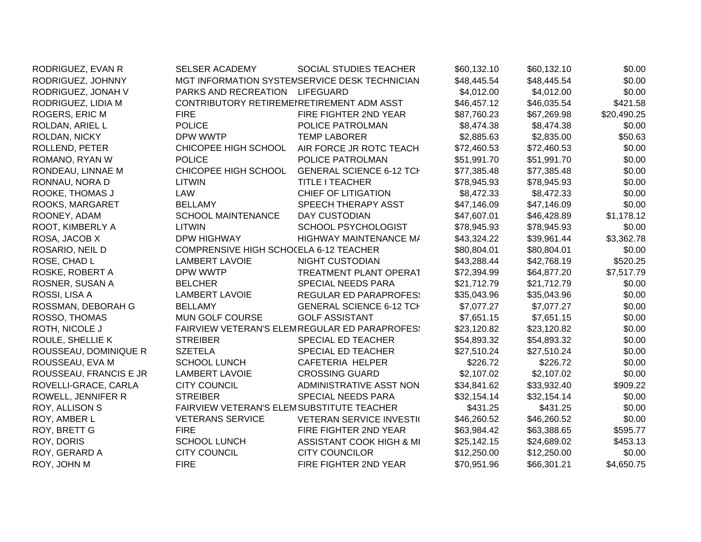| RODRIGUEZ, EVAN R      | <b>SELSER ACADEMY</b>                     | SOCIAL STUDIES TEACHER                        | \$60,132.10 | \$60,132.10 | \$0.00      |
|------------------------|-------------------------------------------|-----------------------------------------------|-------------|-------------|-------------|
| RODRIGUEZ, JOHNNY      |                                           | MGT INFORMATION SYSTEMSERVICE DESK TECHNICIAN | \$48,445.54 | \$48,445.54 | \$0.00      |
| RODRIGUEZ, JONAH V     | PARKS AND RECREATION                      | LIFEGUARD                                     | \$4,012.00  | \$4,012.00  | \$0.00      |
| RODRIGUEZ, LIDIA M     | CONTRIBUTORY RETIREMENRETIREMENT ADM ASST |                                               | \$46,457.12 | \$46,035.54 | \$421.58    |
| <b>ROGERS, ERIC M</b>  | <b>FIRE</b>                               | FIRE FIGHTER 2ND YEAR                         | \$87,760.23 | \$67,269.98 | \$20,490.25 |
| ROLDAN, ARIEL L        | <b>POLICE</b>                             | POLICE PATROLMAN                              | \$8,474.38  | \$8,474.38  | \$0.00      |
| ROLDAN, NICKY          | DPW WWTP                                  | <b>TEMP LABORER</b>                           | \$2,885.63  | \$2,835.00  | \$50.63     |
| ROLLEND, PETER         | CHICOPEE HIGH SCHOOL                      | AIR FORCE JR ROTC TEACH                       | \$72,460.53 | \$72,460.53 | \$0.00      |
| ROMANO, RYAN W         | <b>POLICE</b>                             | POLICE PATROLMAN                              | \$51,991.70 | \$51,991.70 | \$0.00      |
| RONDEAU, LINNAE M      | CHICOPEE HIGH SCHOOL                      | <b>GENERAL SCIENCE 6-12 TCH</b>               | \$77,385.48 | \$77,385.48 | \$0.00      |
| RONNAU, NORA D         | <b>LITWIN</b>                             | TITLE I TEACHER                               | \$78,945.93 | \$78,945.93 | \$0.00      |
| ROOKE, THOMAS J        | LAW                                       | <b>CHIEF OF LITIGATION</b>                    | \$8,472.33  | \$8,472.33  | \$0.00      |
| ROOKS, MARGARET        | <b>BELLAMY</b>                            | SPEECH THERAPY ASST                           | \$47,146.09 | \$47,146.09 | \$0.00      |
| ROONEY, ADAM           | <b>SCHOOL MAINTENANCE</b>                 | <b>DAY CUSTODIAN</b>                          | \$47,607.01 | \$46,428.89 | \$1,178.12  |
| ROOT, KIMBERLY A       | LITWIN                                    | SCHOOL PSYCHOLOGIST                           | \$78,945.93 | \$78,945.93 | \$0.00      |
| ROSA, JACOB X          | DPW HIGHWAY                               | HIGHWAY MAINTENANCE M/                        | \$43,324.22 | \$39,961.44 | \$3,362.78  |
| ROSARIO, NEIL D        | COMPRENSIVE HIGH SCHOCELA 6-12 TEACHER    |                                               | \$80,804.01 | \$80,804.01 | \$0.00      |
| ROSE, CHAD L           | <b>LAMBERT LAVOIE</b>                     | <b>NIGHT CUSTODIAN</b>                        | \$43,288.44 | \$42,768.19 | \$520.25    |
| ROSKE, ROBERT A        | DPW WWTP                                  | <b>TREATMENT PLANT OPERAT</b>                 | \$72,394.99 | \$64,877.20 | \$7,517.79  |
| ROSNER, SUSAN A        | <b>BELCHER</b>                            | SPECIAL NEEDS PARA                            | \$21,712.79 | \$21,712.79 | \$0.00      |
| ROSSI, LISA A          | <b>LAMBERT LAVOIE</b>                     | <b>REGULAR ED PARAPROFES!</b>                 | \$35,043.96 | \$35,043.96 | \$0.00      |
| ROSSMAN, DEBORAH G     | <b>BELLAMY</b>                            | <b>GENERAL SCIENCE 6-12 TCH</b>               | \$7,077.27  | \$7,077.27  | \$0.00      |
| ROSSO, THOMAS          | MUN GOLF COURSE                           | <b>GOLF ASSISTANT</b>                         | \$7,651.15  | \$7,651.15  | \$0.00      |
| ROTH, NICOLE J         |                                           | FAIRVIEW VETERAN'S ELEMREGULAR ED PARAPROFES! | \$23,120.82 | \$23,120.82 | \$0.00      |
| ROULE, SHELLIE K       | <b>STREIBER</b>                           | SPECIAL ED TEACHER                            | \$54,893.32 | \$54,893.32 | \$0.00      |
| ROUSSEAU, DOMINIQUE R  | <b>SZETELA</b>                            | SPECIAL ED TEACHER                            | \$27,510.24 | \$27,510.24 | \$0.00      |
| ROUSSEAU, EVA M        | <b>SCHOOL LUNCH</b>                       | CAFETERIA HELPER                              | \$226.72    | \$226.72    | \$0.00      |
| ROUSSEAU, FRANCIS E JR | <b>LAMBERT LAVOIE</b>                     | <b>CROSSING GUARD</b>                         | \$2,107.02  | \$2,107.02  | \$0.00      |
| ROVELLI-GRACE, CARLA   | <b>CITY COUNCIL</b>                       | ADMINISTRATIVE ASST NON                       | \$34,841.62 | \$33,932.40 | \$909.22    |
| ROWELL, JENNIFER R     | <b>STREIBER</b>                           | SPECIAL NEEDS PARA                            | \$32,154.14 | \$32,154.14 | \$0.00      |
| ROY, ALLISON S         | FAIRVIEW VETERAN'S ELEMSUBSTITUTE TEACHER |                                               | \$431.25    | \$431.25    | \$0.00      |
| ROY, AMBER L           | <b>VETERANS SERVICE</b>                   | <b>VETERAN SERVICE INVESTI(</b>               | \$46,260.52 | \$46,260.52 | \$0.00      |
| ROY, BRETT G           | <b>FIRE</b>                               | FIRE FIGHTER 2ND YEAR                         | \$63,984.42 | \$63,388.65 | \$595.77    |
| ROY, DORIS             | <b>SCHOOL LUNCH</b>                       | <b>ASSISTANT COOK HIGH &amp; MI</b>           | \$25,142.15 | \$24,689.02 | \$453.13    |
| ROY, GERARD A          | <b>CITY COUNCIL</b>                       | <b>CITY COUNCILOR</b>                         | \$12,250.00 | \$12,250.00 | \$0.00      |
| ROY, JOHN M            | <b>FIRE</b>                               | FIRE FIGHTER 2ND YEAR                         | \$70,951.96 | \$66,301.21 | \$4,650.75  |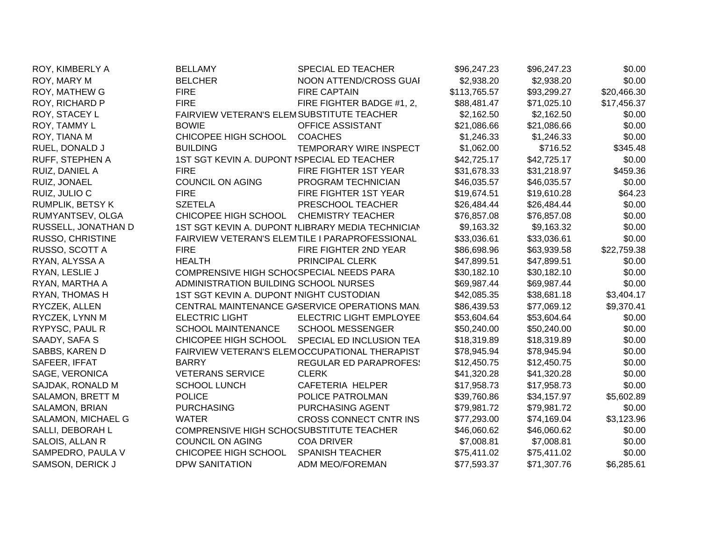| ROY, KIMBERLY A     | <b>BELLAMY</b>                              | SPECIAL ED TEACHER                                | \$96,247.23  | \$96,247.23 | \$0.00      |
|---------------------|---------------------------------------------|---------------------------------------------------|--------------|-------------|-------------|
| ROY, MARY M         | <b>BELCHER</b>                              | NOON ATTEND/CROSS GUAI                            | \$2,938.20   | \$2,938.20  | \$0.00      |
| ROY, MATHEW G       | <b>FIRE</b>                                 | <b>FIRE CAPTAIN</b>                               | \$113,765.57 | \$93,299.27 | \$20,466.30 |
| ROY, RICHARD P      | <b>FIRE</b>                                 | FIRE FIGHTER BADGE #1, 2,                         | \$88,481.47  | \$71,025.10 | \$17,456.37 |
| ROY, STACEY L       |                                             | FAIRVIEW VETERAN'S ELEMSUBSTITUTE TEACHER         | \$2,162.50   | \$2,162.50  | \$0.00      |
| ROY, TAMMY L        | <b>BOWIE</b>                                | OFFICE ASSISTANT                                  | \$21,086.66  | \$21,086.66 | \$0.00      |
| ROY, TIANA M        | CHICOPEE HIGH SCHOOL                        | <b>COACHES</b>                                    | \$1,246.33   | \$1,246.33  | \$0.00      |
| RUEL, DONALD J      | <b>BUILDING</b>                             | TEMPORARY WIRE INSPECT                            | \$1,062.00   | \$716.52    | \$345.48    |
| RUFF, STEPHEN A     | 1ST SGT KEVIN A. DUPONT ISPECIAL ED TEACHER |                                                   | \$42,725.17  | \$42,725.17 | \$0.00      |
| RUIZ, DANIEL A      | <b>FIRE</b>                                 | FIRE FIGHTER 1ST YEAR                             | \$31,678.33  | \$31,218.97 | \$459.36    |
| RUIZ, JONAEL        | <b>COUNCIL ON AGING</b>                     | PROGRAM TECHNICIAN                                | \$46,035.57  | \$46,035.57 | \$0.00      |
| RUIZ, JULIO C       | <b>FIRE</b>                                 | FIRE FIGHTER 1ST YEAR                             | \$19,674.51  | \$19,610.28 | \$64.23     |
| RUMPLIK, BETSY K    | <b>SZETELA</b>                              | PRESCHOOL TEACHER                                 | \$26,484.44  | \$26,484.44 | \$0.00      |
| RUMYANTSEV, OLGA    | CHICOPEE HIGH SCHOOL                        | <b>CHEMISTRY TEACHER</b>                          | \$76,857.08  | \$76,857.08 | \$0.00      |
| RUSSELL, JONATHAN D |                                             | 1ST SGT KEVIN A. DUPONT ILIBRARY MEDIA TECHNICIAN | \$9,163.32   | \$9,163.32  | \$0.00      |
| RUSSO, CHRISTINE    |                                             | FAIRVIEW VETERAN'S ELEMTILE I PARAPROFESSIONAL    | \$33,036.61  | \$33,036.61 | \$0.00      |
| RUSSO, SCOTT A      | <b>FIRE</b>                                 | FIRE FIGHTER 2ND YEAR                             | \$86,698.96  | \$63,939.58 | \$22,759.38 |
| RYAN, ALYSSA A      | <b>HEALTH</b>                               | PRINCIPAL CLERK                                   | \$47,899.51  | \$47,899.51 | \$0.00      |
| RYAN, LESLIE J      | COMPRENSIVE HIGH SCHO(SPECIAL NEEDS PARA    |                                                   | \$30,182.10  | \$30,182.10 | \$0.00      |
| RYAN, MARTHA A      | ADMINISTRATION BUILDING SCHOOL NURSES       |                                                   | \$69,987.44  | \$69,987.44 | \$0.00      |
| RYAN, THOMAS H      | 1ST SGT KEVIN A. DUPONT INIGHT CUSTODIAN    |                                                   | \$42,085.35  | \$38,681.18 | \$3,404.17  |
| RYCZEK, ALLEN       |                                             | CENTRAL MAINTENANCE GASERVICE OPERATIONS MAN.     | \$86,439.53  | \$77,069.12 | \$9,370.41  |
| RYCZEK, LYNN M      | <b>ELECTRIC LIGHT</b>                       | <b>ELECTRIC LIGHT EMPLOYEE</b>                    | \$53,604.64  | \$53,604.64 | \$0.00      |
| RYPYSC, PAUL R      | <b>SCHOOL MAINTENANCE</b>                   | <b>SCHOOL MESSENGER</b>                           | \$50,240.00  | \$50,240.00 | \$0.00      |
| SAADY, SAFA S       | CHICOPEE HIGH SCHOOL                        | SPECIAL ED INCLUSION TEA                          | \$18,319.89  | \$18,319.89 | \$0.00      |
| SABBS, KAREN D      |                                             | FAIRVIEW VETERAN'S ELEMOCCUPATIONAL THERAPIST     | \$78,945.94  | \$78,945.94 | \$0.00      |
| SAFEER, IFFAT       | <b>BARRY</b>                                | <b>REGULAR ED PARAPROFES:</b>                     | \$12,450.75  | \$12,450.75 | \$0.00      |
| SAGE, VERONICA      | <b>VETERANS SERVICE</b>                     | <b>CLERK</b>                                      | \$41,320.28  | \$41,320.28 | \$0.00      |
| SAJDAK, RONALD M    | <b>SCHOOL LUNCH</b>                         | CAFETERIA HELPER                                  | \$17,958.73  | \$17,958.73 | \$0.00      |
| SALAMON, BRETT M    | <b>POLICE</b>                               | POLICE PATROLMAN                                  | \$39,760.86  | \$34,157.97 | \$5,602.89  |
| SALAMON, BRIAN      | <b>PURCHASING</b>                           | PURCHASING AGENT                                  | \$79,981.72  | \$79,981.72 | \$0.00      |
| SALAMON, MICHAEL G  | <b>WATER</b>                                | <b>CROSS CONNECT CNTR INS</b>                     | \$77,293.00  | \$74,169.04 | \$3,123.96  |
| SALLI, DEBORAH L    |                                             | COMPRENSIVE HIGH SCHO(SUBSTITUTE TEACHER          | \$46,060.62  | \$46,060.62 | \$0.00      |
| SALOIS, ALLAN R     | <b>COUNCIL ON AGING</b>                     | <b>COA DRIVER</b>                                 | \$7,008.81   | \$7,008.81  | \$0.00      |
| SAMPEDRO, PAULA V   | CHICOPEE HIGH SCHOOL                        | <b>SPANISH TEACHER</b>                            | \$75,411.02  | \$75,411.02 | \$0.00      |
| SAMSON, DERICK J    | <b>DPW SANITATION</b>                       | <b>ADM MEO/FOREMAN</b>                            | \$77,593.37  | \$71,307.76 | \$6,285.61  |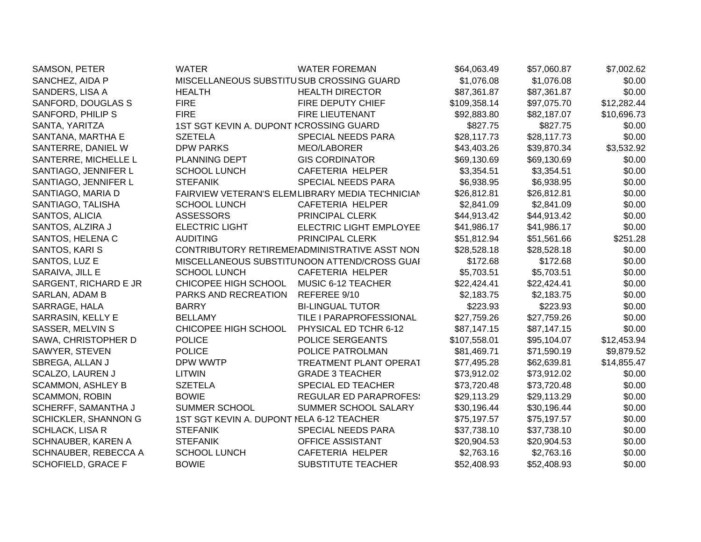| SAMSON, PETER             | <b>WATER</b>                              | <b>WATER FOREMAN</b>                            | \$64,063.49  | \$57,060.87 | \$7,002.62  |
|---------------------------|-------------------------------------------|-------------------------------------------------|--------------|-------------|-------------|
| SANCHEZ, AIDA P           | MISCELLANEOUS SUBSTITUSUB CROSSING GUARD  |                                                 | \$1,076.08   | \$1,076.08  | \$0.00      |
| SANDERS, LISA A           | <b>HEALTH</b>                             | <b>HEALTH DIRECTOR</b>                          | \$87,361.87  | \$87,361.87 | \$0.00      |
| SANFORD, DOUGLAS S        | <b>FIRE</b>                               | <b>FIRE DEPUTY CHIEF</b>                        | \$109,358.14 | \$97,075.70 | \$12,282.44 |
| SANFORD, PHILIP S         | <b>FIRE</b>                               | FIRE LIEUTENANT                                 | \$92,883.80  | \$82,187.07 | \$10,696.73 |
| SANTA, YARITZA            | 1ST SGT KEVIN A. DUPONT ICROSSING GUARD   |                                                 | \$827.75     | \$827.75    | \$0.00      |
| SANTANA, MARTHA E         | <b>SZETELA</b>                            | SPECIAL NEEDS PARA                              | \$28,117.73  | \$28,117.73 | \$0.00      |
| SANTERRE, DANIEL W        | <b>DPW PARKS</b>                          | MEO/LABORER                                     | \$43,403.26  | \$39,870.34 | \$3,532.92  |
| SANTERRE, MICHELLE L      | PLANNING DEPT                             | <b>GIS CORDINATOR</b>                           | \$69,130.69  | \$69,130.69 | \$0.00      |
| SANTIAGO, JENNIFER L      | <b>SCHOOL LUNCH</b>                       | CAFETERIA HELPER                                | \$3,354.51   | \$3,354.51  | \$0.00      |
| SANTIAGO, JENNIFER L      | <b>STEFANIK</b>                           | SPECIAL NEEDS PARA                              | \$6,938.95   | \$6,938.95  | \$0.00      |
| SANTIAGO, MARIA D         |                                           | FAIRVIEW VETERAN'S ELEMLIBRARY MEDIA TECHNICIAN | \$26,812.81  | \$26,812.81 | \$0.00      |
| SANTIAGO, TALISHA         | <b>SCHOOL LUNCH</b>                       | CAFETERIA HELPER                                | \$2,841.09   | \$2,841.09  | \$0.00      |
| SANTOS, ALICIA            | <b>ASSESSORS</b>                          | PRINCIPAL CLERK                                 | \$44,913.42  | \$44,913.42 | \$0.00      |
| SANTOS, ALZIRA J          | <b>ELECTRIC LIGHT</b>                     | <b>ELECTRIC LIGHT EMPLOYEE</b>                  | \$41,986.17  | \$41,986.17 | \$0.00      |
| SANTOS, HELENA C          | <b>AUDITING</b>                           | PRINCIPAL CLERK                                 | \$51,812.94  | \$51,561.66 | \$251.28    |
| SANTOS, KARI S            |                                           | CONTRIBUTORY RETIREMENADMINISTRATIVE ASST NON   | \$28,528.18  | \$28,528.18 | \$0.00      |
| SANTOS, LUZ E             |                                           | MISCELLANEOUS SUBSTITUNOON ATTEND/CROSS GUAI    | \$172.68     | \$172.68    | \$0.00      |
| SARAIVA, JILL E           | <b>SCHOOL LUNCH</b>                       | CAFETERIA HELPER                                | \$5,703.51   | \$5,703.51  | \$0.00      |
| SARGENT, RICHARD E JR     | CHICOPEE HIGH SCHOOL                      | MUSIC 6-12 TEACHER                              | \$22,424.41  | \$22,424.41 | \$0.00      |
| SARLAN, ADAM B            | PARKS AND RECREATION                      | REFEREE 9/10                                    | \$2,183.75   | \$2,183.75  | \$0.00      |
| SARRAGE, HALA             | <b>BARRY</b>                              | <b>BI-LINGUAL TUTOR</b>                         | \$223.93     | \$223.93    | \$0.00      |
| SARRASIN, KELLY E         | <b>BELLAMY</b>                            | TILE I PARAPROFESSIONAL                         | \$27,759.26  | \$27,759.26 | \$0.00      |
| SASSER, MELVIN S          | CHICOPEE HIGH SCHOOL                      | PHYSICAL ED TCHR 6-12                           | \$87,147.15  | \$87,147.15 | \$0.00      |
| SAWA, CHRISTOPHER D       | <b>POLICE</b>                             | POLICE SERGEANTS                                | \$107,558.01 | \$95,104.07 | \$12,453.94 |
| SAWYER, STEVEN            | <b>POLICE</b>                             | POLICE PATROLMAN                                | \$81,469.71  | \$71,590.19 | \$9,879.52  |
| SBREGA, ALLAN J           | DPW WWTP                                  | <b>TREATMENT PLANT OPERAT</b>                   | \$77,495.28  | \$62,639.81 | \$14,855.47 |
| SCALZO, LAUREN J          | <b>LITWIN</b>                             | <b>GRADE 3 TEACHER</b>                          | \$73,912.02  | \$73,912.02 | \$0.00      |
| <b>SCAMMON, ASHLEY B</b>  | <b>SZETELA</b>                            | SPECIAL ED TEACHER                              | \$73,720.48  | \$73,720.48 | \$0.00      |
| <b>SCAMMON, ROBIN</b>     | <b>BOWIE</b>                              | <b>REGULAR ED PARAPROFES:</b>                   | \$29,113.29  | \$29,113.29 | \$0.00      |
| SCHERFF, SAMANTHA J       | SUMMER SCHOOL                             | SUMMER SCHOOL SALARY                            | \$30,196.44  | \$30,196.44 | \$0.00      |
| SCHICKLER, SHANNON G      | 1ST SGT KEVIN A. DUPONT NELA 6-12 TEACHER |                                                 | \$75,197.57  | \$75,197.57 | \$0.00      |
| <b>SCHLACK, LISA R</b>    | <b>STEFANIK</b>                           | SPECIAL NEEDS PARA                              | \$37,738.10  | \$37,738.10 | \$0.00      |
| SCHNAUBER, KAREN A        | <b>STEFANIK</b>                           | OFFICE ASSISTANT                                | \$20,904.53  | \$20,904.53 | \$0.00      |
| SCHNAUBER, REBECCA A      | <b>SCHOOL LUNCH</b>                       | CAFETERIA HELPER                                | \$2,763.16   | \$2,763.16  | \$0.00      |
| <b>SCHOFIELD, GRACE F</b> | <b>BOWIE</b>                              | <b>SUBSTITUTE TEACHER</b>                       | \$52,408.93  | \$52,408.93 | \$0.00      |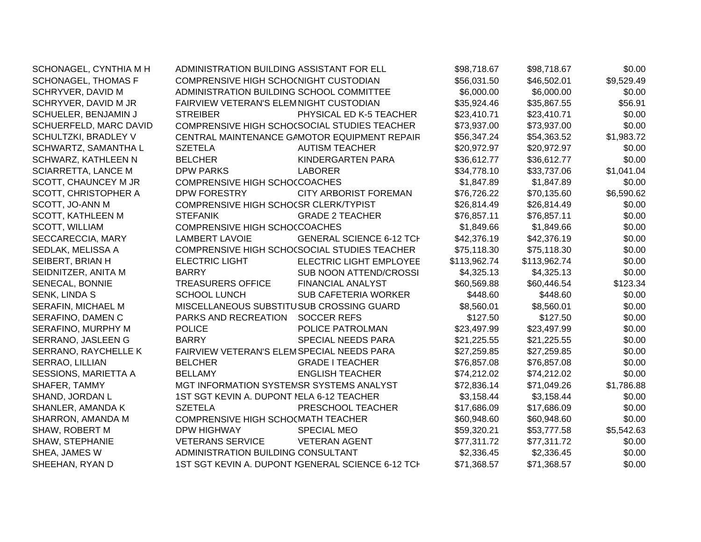| SCHONAGEL, CYNTHIA M H     | ADMINISTRATION BUILDING ASSISTANT FOR ELL |                                                   | \$98,718.67  | \$98,718.67  | \$0.00     |
|----------------------------|-------------------------------------------|---------------------------------------------------|--------------|--------------|------------|
| <b>SCHONAGEL, THOMAS F</b> | COMPRENSIVE HIGH SCHO(NIGHT CUSTODIAN     |                                                   | \$56,031.50  | \$46,502.01  | \$9,529.49 |
| SCHRYVER, DAVID M          | ADMINISTRATION BUILDING SCHOOL COMMITTEE  |                                                   | \$6,000.00   | \$6,000.00   | \$0.00     |
| SCHRYVER, DAVID M JR       | FAIRVIEW VETERAN'S ELEMNIGHT CUSTODIAN    |                                                   | \$35,924.46  | \$35,867.55  | \$56.91    |
| SCHUELER, BENJAMIN J       | <b>STREIBER</b>                           | PHYSICAL ED K-5 TEACHER                           | \$23,410.71  | \$23,410.71  | \$0.00     |
| SCHUERFELD, MARC DAVID     |                                           | COMPRENSIVE HIGH SCHO(SOCIAL STUDIES TEACHER      | \$73,937.00  | \$73,937.00  | \$0.00     |
| SCHULTZKI, BRADLEY V       |                                           | CENTRAL MAINTENANCE GAMOTOR EQUIPMENT REPAIR      | \$56,347.24  | \$54,363.52  | \$1,983.72 |
| SCHWARTZ, SAMANTHA L       | <b>SZETELA</b>                            | <b>AUTISM TEACHER</b>                             | \$20,972.97  | \$20,972.97  | \$0.00     |
| SCHWARZ, KATHLEEN N        | <b>BELCHER</b>                            | KINDERGARTEN PARA                                 | \$36,612.77  | \$36,612.77  | \$0.00     |
| <b>SCIARRETTA, LANCE M</b> | <b>DPW PARKS</b>                          | <b>LABORER</b>                                    | \$34,778.10  | \$33,737.06  | \$1,041.04 |
| SCOTT, CHAUNCEY M JR       | COMPRENSIVE HIGH SCHOCCOACHES             |                                                   | \$1,847.89   | \$1,847.89   | \$0.00     |
| SCOTT, CHRISTOPHER A       | DPW FORESTRY                              | <b>CITY ARBORIST FOREMAN</b>                      | \$76,726.22  | \$70,135.60  | \$6,590.62 |
| SCOTT, JO-ANN M            | COMPRENSIVE HIGH SCHOCSR CLERK/TYPIST     |                                                   | \$26,814.49  | \$26,814.49  | \$0.00     |
| <b>SCOTT, KATHLEEN M</b>   | <b>STEFANIK</b>                           | <b>GRADE 2 TEACHER</b>                            | \$76,857.11  | \$76,857.11  | \$0.00     |
| <b>SCOTT, WILLIAM</b>      | COMPRENSIVE HIGH SCHOCCOACHES             |                                                   | \$1,849.66   | \$1,849.66   | \$0.00     |
| SECCARECCIA, MARY          | <b>LAMBERT LAVOIE</b>                     | <b>GENERAL SCIENCE 6-12 TCH</b>                   | \$42,376.19  | \$42,376.19  | \$0.00     |
| SEDLAK, MELISSA A          |                                           | COMPRENSIVE HIGH SCHOCSOCIAL STUDIES TEACHER      | \$75,118.30  | \$75,118.30  | \$0.00     |
| SEIBERT, BRIAN H           | <b>ELECTRIC LIGHT</b>                     | <b>ELECTRIC LIGHT EMPLOYEE</b>                    | \$113,962.74 | \$113,962.74 | \$0.00     |
| SEIDNITZER, ANITA M        | <b>BARRY</b>                              | <b>SUB NOON ATTEND/CROSSI</b>                     | \$4,325.13   | \$4,325.13   | \$0.00     |
| SENECAL, BONNIE            | <b>TREASURERS OFFICE</b>                  | <b>FINANCIAL ANALYST</b>                          | \$60,569.88  | \$60,446.54  | \$123.34   |
| SENK, LINDA S              | <b>SCHOOL LUNCH</b>                       | <b>SUB CAFETERIA WORKER</b>                       | \$448.60     | \$448.60     | \$0.00     |
| SERAFIN, MICHAEL M         | MISCELLANEOUS SUBSTITUSUB CROSSING GUARD  |                                                   | \$8,560.01   | \$8,560.01   | \$0.00     |
| SERAFINO, DAMEN C          | PARKS AND RECREATION                      | <b>SOCCER REFS</b>                                | \$127.50     | \$127.50     | \$0.00     |
| SERAFINO, MURPHY M         | <b>POLICE</b>                             | POLICE PATROLMAN                                  | \$23,497.99  | \$23,497.99  | \$0.00     |
| SERRANO, JASLEEN G         | <b>BARRY</b>                              | SPECIAL NEEDS PARA                                | \$21,225.55  | \$21,225.55  | \$0.00     |
| SERRANO, RAYCHELLE K       | FAIRVIEW VETERAN'S ELEMSPECIAL NEEDS PARA |                                                   | \$27,259.85  | \$27,259.85  | \$0.00     |
| <b>SERRAO, LILLIAN</b>     | <b>BELCHER</b>                            | <b>GRADE I TEACHER</b>                            | \$76,857.08  | \$76,857.08  | \$0.00     |
| SESSIONS, MARIETTA A       | <b>BELLAMY</b>                            | <b>ENGLISH TEACHER</b>                            | \$74,212.02  | \$74,212.02  | \$0.00     |
| SHAFER, TAMMY              | MGT INFORMATION SYSTEMSR SYSTEMS ANALYST  |                                                   | \$72,836.14  | \$71,049.26  | \$1,786.88 |
| SHAND, JORDAN L            | 1ST SGT KEVIN A. DUPONT NELA 6-12 TEACHER |                                                   | \$3,158.44   | \$3,158.44   | \$0.00     |
| SHANLER, AMANDA K          | <b>SZETELA</b>                            | PRESCHOOL TEACHER                                 | \$17,686.09  | \$17,686.09  | \$0.00     |
| SHARRON, AMANDA M          | COMPRENSIVE HIGH SCHO(MATH TEACHER        |                                                   | \$60,948.60  | \$60,948.60  | \$0.00     |
| SHAW, ROBERT M             | <b>DPW HIGHWAY</b>                        | <b>SPECIAL MEO</b>                                | \$59,320.21  | \$53,777.58  | \$5,542.63 |
| <b>SHAW, STEPHANIE</b>     | <b>VETERANS SERVICE</b>                   | <b>VETERAN AGENT</b>                              | \$77,311.72  | \$77,311.72  | \$0.00     |
| SHEA, JAMES W              | ADMINISTRATION BUILDING CONSULTANT        |                                                   | \$2,336.45   | \$2,336.45   | \$0.00     |
| SHEEHAN, RYAN D            |                                           | 1ST SGT KEVIN A. DUPONT IGENERAL SCIENCE 6-12 TCH | \$71,368.57  | \$71,368.57  | \$0.00     |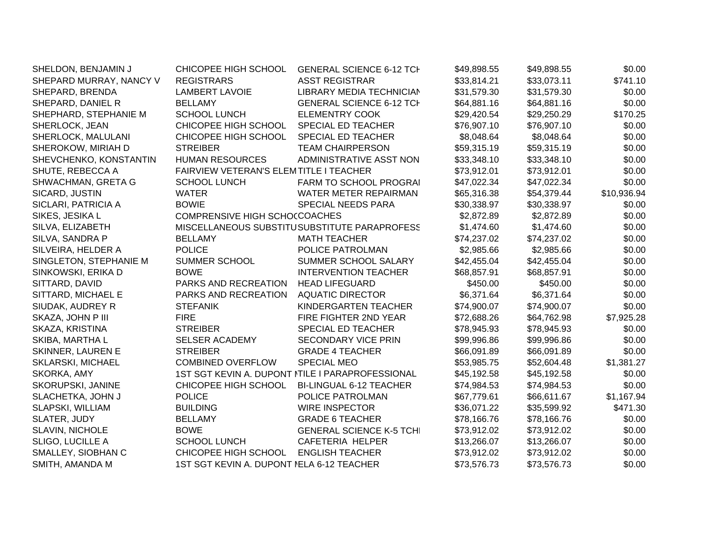| SHELDON, BENJAMIN J      | CHICOPEE HIGH SCHOOL                      | <b>GENERAL SCIENCE 6-12 TCH</b>                  | \$49,898.55 | \$49,898.55 | \$0.00      |
|--------------------------|-------------------------------------------|--------------------------------------------------|-------------|-------------|-------------|
| SHEPARD MURRAY, NANCY V  | <b>REGISTRARS</b>                         | <b>ASST REGISTRAR</b>                            | \$33,814.21 | \$33,073.11 | \$741.10    |
| SHEPARD, BRENDA          | <b>LAMBERT LAVOIE</b>                     | LIBRARY MEDIA TECHNICIAN                         | \$31,579.30 | \$31,579.30 | \$0.00      |
| SHEPARD, DANIEL R        | <b>BELLAMY</b>                            | <b>GENERAL SCIENCE 6-12 TCH</b>                  | \$64,881.16 | \$64,881.16 | \$0.00      |
| SHEPHARD, STEPHANIE M    | <b>SCHOOL LUNCH</b>                       | <b>ELEMENTRY COOK</b>                            | \$29,420.54 | \$29,250.29 | \$170.25    |
| SHERLOCK, JEAN           | CHICOPEE HIGH SCHOOL                      | SPECIAL ED TEACHER                               | \$76,907.10 | \$76,907.10 | \$0.00      |
| SHERLOCK, MALULANI       | CHICOPEE HIGH SCHOOL                      | SPECIAL ED TEACHER                               | \$8,048.64  | \$8,048.64  | \$0.00      |
| SHEROKOW, MIRIAH D       | <b>STREIBER</b>                           | <b>TEAM CHAIRPERSON</b>                          | \$59,315.19 | \$59,315.19 | \$0.00      |
| SHEVCHENKO, KONSTANTIN   | <b>HUMAN RESOURCES</b>                    | ADMINISTRATIVE ASST NON                          | \$33,348.10 | \$33,348.10 | \$0.00      |
| SHUTE, REBECCA A         | FAIRVIEW VETERAN'S ELEMTITLE I TEACHER    |                                                  | \$73,912.01 | \$73,912.01 | \$0.00      |
| SHWACHMAN, GRETA G       | <b>SCHOOL LUNCH</b>                       | <b>FARM TO SCHOOL PROGRAI</b>                    | \$47,022.34 | \$47,022.34 | \$0.00      |
| SICARD, JUSTIN           | <b>WATER</b>                              | WATER METER REPAIRMAN                            | \$65,316.38 | \$54,379.44 | \$10,936.94 |
| SICLARI, PATRICIA A      | <b>BOWIE</b>                              | <b>SPECIAL NEEDS PARA</b>                        | \$30,338.97 | \$30,338.97 | \$0.00      |
| SIKES, JESIKA L          | COMPRENSIVE HIGH SCHO(COACHES             |                                                  | \$2,872.89  | \$2,872.89  | \$0.00      |
| SILVA, ELIZABETH         |                                           | MISCELLANEOUS SUBSTITUSUBSTITUTE PARAPROFESS     | \$1,474.60  | \$1,474.60  | \$0.00      |
| SILVA, SANDRA P          | <b>BELLAMY</b>                            | <b>MATH TEACHER</b>                              | \$74,237.02 | \$74,237.02 | \$0.00      |
| SILVEIRA, HELDER A       | <b>POLICE</b>                             | POLICE PATROLMAN                                 | \$2,985.66  | \$2,985.66  | \$0.00      |
| SINGLETON, STEPHANIE M   | SUMMER SCHOOL                             | SUMMER SCHOOL SALARY                             | \$42,455.04 | \$42,455.04 | \$0.00      |
| SINKOWSKI, ERIKA D       | <b>BOWE</b>                               | <b>INTERVENTION TEACHER</b>                      | \$68,857.91 | \$68,857.91 | \$0.00      |
| SITTARD, DAVID           | PARKS AND RECREATION                      | <b>HEAD LIFEGUARD</b>                            | \$450.00    | \$450.00    | \$0.00      |
| SITTARD, MICHAEL E       | PARKS AND RECREATION                      | <b>AQUATIC DIRECTOR</b>                          | \$6,371.64  | \$6,371.64  | \$0.00      |
| SIUDAK, AUDREY R         | <b>STEFANIK</b>                           | KINDERGARTEN TEACHER                             | \$74,900.07 | \$74,900.07 | \$0.00      |
| SKAZA, JOHN P III        | <b>FIRE</b>                               | FIRE FIGHTER 2ND YEAR                            | \$72,688.26 | \$64,762.98 | \$7,925.28  |
| SKAZA, KRISTINA          | <b>STREIBER</b>                           | SPECIAL ED TEACHER                               | \$78,945.93 | \$78,945.93 | \$0.00      |
| SKIBA, MARTHA L          | <b>SELSER ACADEMY</b>                     | <b>SECONDARY VICE PRIN</b>                       | \$99,996.86 | \$99,996.86 | \$0.00      |
| SKINNER, LAUREN E        | <b>STREIBER</b>                           | <b>GRADE 4 TEACHER</b>                           | \$66,091.89 | \$66,091.89 | \$0.00      |
| <b>SKLARSKI, MICHAEL</b> | <b>COMBINED OVERFLOW</b>                  | <b>SPECIAL MEO</b>                               | \$53,985.75 | \$52,604.48 | \$1,381.27  |
| SKORKA, AMY              |                                           | 1ST SGT KEVIN A. DUPONT NTILE I PARAPROFESSIONAL | \$45,192.58 | \$45,192.58 | \$0.00      |
| SKORUPSKI, JANINE        | CHICOPEE HIGH SCHOOL                      | <b>BI-LINGUAL 6-12 TEACHER</b>                   | \$74,984.53 | \$74,984.53 | \$0.00      |
| SLACHETKA, JOHN J        | <b>POLICE</b>                             | POLICE PATROLMAN                                 | \$67,779.61 | \$66,611.67 | \$1,167.94  |
| <b>SLAPSKI, WILLIAM</b>  | <b>BUILDING</b>                           | <b>WIRE INSPECTOR</b>                            | \$36,071.22 | \$35,599.92 | \$471.30    |
| SLATER, JUDY             | <b>BELLAMY</b>                            | <b>GRADE 6 TEACHER</b>                           | \$78,166.76 | \$78,166.76 | \$0.00      |
| <b>SLAVIN, NICHOLE</b>   | <b>BOWE</b>                               | <b>GENERAL SCIENCE K-5 TCHI</b>                  | \$73,912.02 | \$73,912.02 | \$0.00      |
| <b>SLIGO, LUCILLE A</b>  | <b>SCHOOL LUNCH</b>                       | CAFETERIA HELPER                                 | \$13,266.07 | \$13,266.07 | \$0.00      |
| SMALLEY, SIOBHAN C       | CHICOPEE HIGH SCHOOL                      | <b>ENGLISH TEACHER</b>                           | \$73,912.02 | \$73,912.02 | \$0.00      |
| SMITH, AMANDA M          | 1ST SGT KEVIN A. DUPONT NELA 6-12 TEACHER |                                                  | \$73,576.73 | \$73,576.73 | \$0.00      |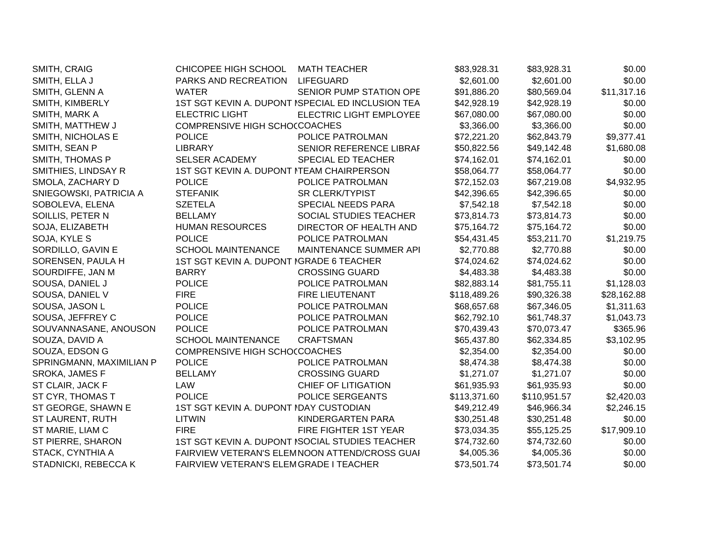| SMITH, CRAIG             | CHICOPEE HIGH SCHOOL                      | <b>MATH TEACHER</b>                               | \$83,928.31  | \$83,928.31  | \$0.00      |
|--------------------------|-------------------------------------------|---------------------------------------------------|--------------|--------------|-------------|
| SMITH, ELLA J            | PARKS AND RECREATION                      | <b>LIFEGUARD</b>                                  | \$2,601.00   | \$2,601.00   | \$0.00      |
| SMITH, GLENN A           | <b>WATER</b>                              | SENIOR PUMP STATION OPE                           | \$91,886.20  | \$80,569.04  | \$11,317.16 |
| SMITH, KIMBERLY          |                                           | 1ST SGT KEVIN A. DUPONT ISPECIAL ED INCLUSION TEA | \$42,928.19  | \$42,928.19  | \$0.00      |
| SMITH, MARK A            | <b>ELECTRIC LIGHT</b>                     | ELECTRIC LIGHT EMPLOYEE                           | \$67,080.00  | \$67,080.00  | \$0.00      |
| SMITH, MATTHEW J         | <b>COMPRENSIVE HIGH SCHOCCOACHES</b>      |                                                   | \$3,366.00   | \$3,366.00   | \$0.00      |
| SMITH, NICHOLAS E        | <b>POLICE</b>                             | POLICE PATROLMAN                                  | \$72,221.20  | \$62,843.79  | \$9,377.41  |
| SMITH, SEAN P            | <b>LIBRARY</b>                            | SENIOR REFERENCE LIBRAF                           | \$50,822.56  | \$49,142.48  | \$1,680.08  |
| SMITH, THOMAS P          | SELSER ACADEMY                            | SPECIAL ED TEACHER                                | \$74,162.01  | \$74,162.01  | \$0.00      |
| SMITHIES, LINDSAY R      | 1ST SGT KEVIN A. DUPONT ITEAM CHAIRPERSON |                                                   | \$58,064.77  | \$58,064.77  | \$0.00      |
| SMOLA, ZACHARY D         | <b>POLICE</b>                             | POLICE PATROLMAN                                  | \$72,152.03  | \$67,219.08  | \$4,932.95  |
| SNIEGOWSKI, PATRICIA A   | <b>STEFANIK</b>                           | <b>SR CLERK/TYPIST</b>                            | \$42,396.65  | \$42,396.65  | \$0.00      |
| SOBOLEVA, ELENA          | <b>SZETELA</b>                            | SPECIAL NEEDS PARA                                | \$7,542.18   | \$7,542.18   | \$0.00      |
| SOILLIS, PETER N         | <b>BELLAMY</b>                            | SOCIAL STUDIES TEACHER                            | \$73,814.73  | \$73,814.73  | \$0.00      |
| SOJA, ELIZABETH          | <b>HUMAN RESOURCES</b>                    | DIRECTOR OF HEALTH AND                            | \$75,164.72  | \$75,164.72  | \$0.00      |
| SOJA, KYLE S             | <b>POLICE</b>                             | POLICE PATROLMAN                                  | \$54,431.45  | \$53,211.70  | \$1,219.75  |
| SORDILLO, GAVIN E        | <b>SCHOOL MAINTENANCE</b>                 | MAINTENANCE SUMMER API                            | \$2,770.88   | \$2,770.88   | \$0.00      |
| SORENSEN, PAULA H        | 1ST SGT KEVIN A. DUPONT IGRADE 6 TEACHER  |                                                   | \$74,024.62  | \$74,024.62  | \$0.00      |
| SOURDIFFE, JAN M         | <b>BARRY</b>                              | <b>CROSSING GUARD</b>                             | \$4,483.38   | \$4,483.38   | \$0.00      |
| SOUSA, DANIEL J          | <b>POLICE</b>                             | POLICE PATROLMAN                                  | \$82,883.14  | \$81,755.11  | \$1,128.03  |
| SOUSA, DANIEL V          | <b>FIRE</b>                               | FIRE LIEUTENANT                                   | \$118,489.26 | \$90,326.38  | \$28,162.88 |
| SOUSA, JASON L           | <b>POLICE</b>                             | POLICE PATROLMAN                                  | \$68,657.68  | \$67,346.05  | \$1,311.63  |
| SOUSA, JEFFREY C         | <b>POLICE</b>                             | POLICE PATROLMAN                                  | \$62,792.10  | \$61,748.37  | \$1,043.73  |
| SOUVANNASANE, ANOUSON    | <b>POLICE</b>                             | POLICE PATROLMAN                                  | \$70,439.43  | \$70,073.47  | \$365.96    |
| SOUZA, DAVID A           | <b>SCHOOL MAINTENANCE</b>                 | <b>CRAFTSMAN</b>                                  | \$65,437.80  | \$62,334.85  | \$3,102.95  |
| SOUZA, EDSON G           | <b>COMPRENSIVE HIGH SCHOCCOACHES</b>      |                                                   | \$2,354.00   | \$2,354.00   | \$0.00      |
| SPRINGMANN, MAXIMILIAN P | <b>POLICE</b>                             | POLICE PATROLMAN                                  | \$8,474.38   | \$8,474.38   | \$0.00      |
| SROKA, JAMES F           | <b>BELLAMY</b>                            | <b>CROSSING GUARD</b>                             | \$1,271.07   | \$1,271.07   | \$0.00      |
| ST CLAIR, JACK F         | LAW                                       | <b>CHIEF OF LITIGATION</b>                        | \$61,935.93  | \$61,935.93  | \$0.00      |
| ST CYR, THOMAS T         | <b>POLICE</b>                             | POLICE SERGEANTS                                  | \$113,371.60 | \$110,951.57 | \$2,420.03  |
| ST GEORGE, SHAWN E       | 1ST SGT KEVIN A. DUPONT IDAY CUSTODIAN    |                                                   | \$49,212.49  | \$46,966.34  | \$2,246.15  |
| ST LAURENT, RUTH         | <b>LITWIN</b>                             | KINDERGARTEN PARA                                 | \$30,251.48  | \$30,251.48  | \$0.00      |
| ST MARIE, LIAM C         | <b>FIRE</b>                               | FIRE FIGHTER 1ST YEAR                             | \$73,034.35  | \$55,125.25  | \$17,909.10 |
| ST PIERRE, SHARON        |                                           | 1ST SGT KEVIN A. DUPONT ISOCIAL STUDIES TEACHER   | \$74,732.60  | \$74,732.60  | \$0.00      |
| STACK, CYNTHIA A         |                                           | FAIRVIEW VETERAN'S ELEMNOON ATTEND/CROSS GUAI     | \$4,005.36   | \$4,005.36   | \$0.00      |
| STADNICKI, REBECCA K     | FAIRVIEW VETERAN'S ELEMGRADE I TEACHER    |                                                   | \$73,501.74  | \$73,501.74  | \$0.00      |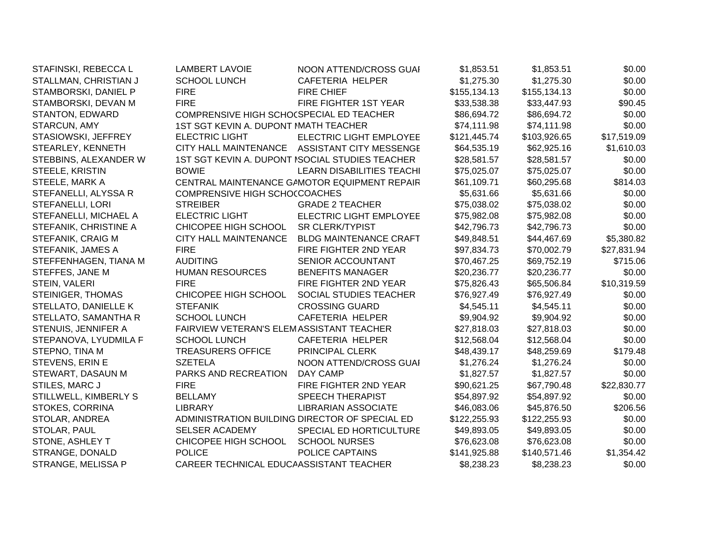| STAFINSKI, REBECCA L     | <b>LAMBERT LAVOIE</b>                    | NOON ATTEND/CROSS GUAI                          | \$1,853.51   | \$1,853.51   | \$0.00      |
|--------------------------|------------------------------------------|-------------------------------------------------|--------------|--------------|-------------|
| STALLMAN, CHRISTIAN J    | <b>SCHOOL LUNCH</b>                      | CAFETERIA HELPER                                | \$1,275.30   | \$1,275.30   | \$0.00      |
| STAMBORSKI, DANIEL P     | <b>FIRE</b>                              | <b>FIRE CHIEF</b>                               | \$155,134.13 | \$155,134.13 | \$0.00      |
| STAMBORSKI, DEVAN M      | <b>FIRE</b>                              | FIRE FIGHTER 1ST YEAR                           | \$33,538.38  | \$33,447.93  | \$90.45     |
| <b>STANTON, EDWARD</b>   | COMPRENSIVE HIGH SCHO(SPECIAL ED TEACHER |                                                 | \$86,694.72  | \$86,694.72  | \$0.00      |
| STARCUN, AMY             | 1ST SGT KEVIN A. DUPONT MATH TEACHER     |                                                 | \$74,111.98  | \$74,111.98  | \$0.00      |
| STASIOWSKI, JEFFREY      | <b>ELECTRIC LIGHT</b>                    | ELECTRIC LIGHT EMPLOYEE                         | \$121,445.74 | \$103,926.65 | \$17,519.09 |
| STEARLEY, KENNETH        |                                          | CITY HALL MAINTENANCE ASSISTANT CITY MESSENGE   | \$64,535.19  | \$62,925.16  | \$1,610.03  |
| STEBBINS, ALEXANDER W    |                                          | 1ST SGT KEVIN A. DUPONT ISOCIAL STUDIES TEACHER | \$28,581.57  | \$28,581.57  | \$0.00      |
| STEELE, KRISTIN          | <b>BOWIE</b>                             | <b>LEARN DISABILITIES TEACHI</b>                | \$75,025.07  | \$75,025.07  | \$0.00      |
| STEELE, MARK A           |                                          | CENTRAL MAINTENANCE GAMOTOR EQUIPMENT REPAIR    | \$61,109.71  | \$60,295.68  | \$814.03    |
| STEFANELLI, ALYSSA R     | COMPRENSIVE HIGH SCHO(COACHES            |                                                 | \$5,631.66   | \$5,631.66   | \$0.00      |
| <b>STEFANELLI, LORI</b>  | <b>STREIBER</b>                          | <b>GRADE 2 TEACHER</b>                          | \$75,038.02  | \$75,038.02  | \$0.00      |
| STEFANELLI, MICHAEL A    | <b>ELECTRIC LIGHT</b>                    | ELECTRIC LIGHT EMPLOYEE                         | \$75,982.08  | \$75,982.08  | \$0.00      |
| STEFANIK, CHRISTINE A    | CHICOPEE HIGH SCHOOL                     | <b>SR CLERK/TYPIST</b>                          | \$42,796.73  | \$42,796.73  | \$0.00      |
| STEFANIK, CRAIG M        | <b>CITY HALL MAINTENANCE</b>             | <b>BLDG MAINTENANCE CRAFT</b>                   | \$49,848.51  | \$44,467.69  | \$5,380.82  |
| STEFANIK, JAMES A        | <b>FIRE</b>                              | FIRE FIGHTER 2ND YEAR                           | \$97,834.73  | \$70,002.79  | \$27,831.94 |
| STEFFENHAGEN, TIANA M    | <b>AUDITING</b>                          | <b>SENIOR ACCOUNTANT</b>                        | \$70,467.25  | \$69,752.19  | \$715.06    |
| STEFFES, JANE M          | <b>HUMAN RESOURCES</b>                   | <b>BENEFITS MANAGER</b>                         | \$20,236.77  | \$20,236.77  | \$0.00      |
| STEIN, VALERI            | <b>FIRE</b>                              | FIRE FIGHTER 2ND YEAR                           | \$75,826.43  | \$65,506.84  | \$10,319.59 |
| <b>STEINIGER, THOMAS</b> | CHICOPEE HIGH SCHOOL                     | SOCIAL STUDIES TEACHER                          | \$76,927.49  | \$76,927.49  | \$0.00      |
| STELLATO, DANIELLE K     | <b>STEFANIK</b>                          | <b>CROSSING GUARD</b>                           | \$4,545.11   | \$4,545.11   | \$0.00      |
| STELLATO, SAMANTHA R     | <b>SCHOOL LUNCH</b>                      | CAFETERIA HELPER                                | \$9,904.92   | \$9,904.92   | \$0.00      |
| STENUIS, JENNIFER A      | FAIRVIEW VETERAN'S ELEMASSISTANT TEACHER |                                                 | \$27,818.03  | \$27,818.03  | \$0.00      |
| STEPANOVA, LYUDMILA F    | <b>SCHOOL LUNCH</b>                      | <b>CAFETERIA HELPER</b>                         | \$12,568.04  | \$12,568.04  | \$0.00      |
| STEPNO, TINA M           | <b>TREASURERS OFFICE</b>                 | PRINCIPAL CLERK                                 | \$48,439.17  | \$48,259.69  | \$179.48    |
| STEVENS, ERIN E          | <b>SZETELA</b>                           | NOON ATTEND/CROSS GUAI                          | \$1,276.24   | \$1,276.24   | \$0.00      |
| STEWART, DASAUN M        | PARKS AND RECREATION                     | DAY CAMP                                        | \$1,827.57   | \$1,827.57   | \$0.00      |
| STILES, MARC J           | <b>FIRE</b>                              | FIRE FIGHTER 2ND YEAR                           | \$90,621.25  | \$67,790.48  | \$22,830.77 |
| STILLWELL, KIMBERLY S    | <b>BELLAMY</b>                           | <b>SPEECH THERAPIST</b>                         | \$54,897.92  | \$54,897.92  | \$0.00      |
| STOKES, CORRINA          | <b>LIBRARY</b>                           | <b>LIBRARIAN ASSOCIATE</b>                      | \$46,083.06  | \$45,876.50  | \$206.56    |
| STOLAR, ANDREA           |                                          | ADMINISTRATION BUILDING DIRECTOR OF SPECIAL ED  | \$122,255.93 | \$122,255.93 | \$0.00      |
| STOLAR, PAUL             | <b>SELSER ACADEMY</b>                    | SPECIAL ED HORTICULTURE                         | \$49,893.05  | \$49,893.05  | \$0.00      |
| STONE, ASHLEY T          | CHICOPEE HIGH SCHOOL                     | <b>SCHOOL NURSES</b>                            | \$76,623.08  | \$76,623.08  | \$0.00      |
| STRANGE, DONALD          | <b>POLICE</b>                            | POLICE CAPTAINS                                 | \$141,925.88 | \$140,571.46 | \$1,354.42  |
| STRANGE, MELISSA P       | CAREER TECHNICAL EDUCAASSISTANT TEACHER  |                                                 | \$8,238.23   | \$8,238.23   | \$0.00      |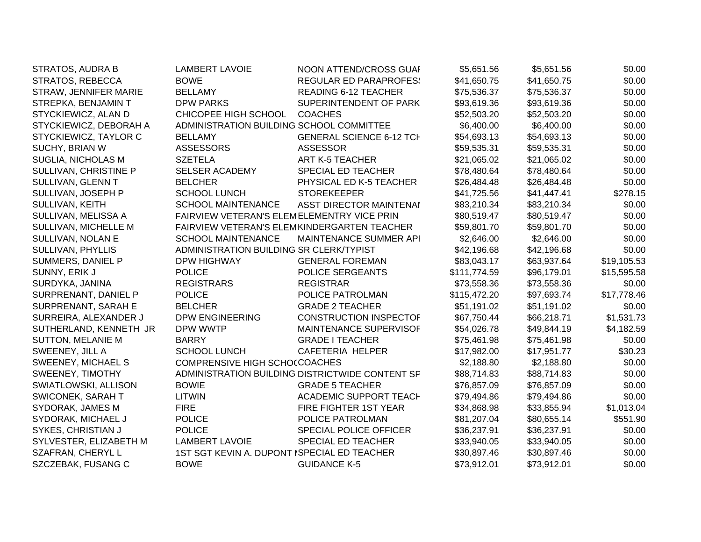| STRATOS, AUDRA B         | <b>LAMBERT LAVOIE</b>                       | NOON ATTEND/CROSS GUAI                          | \$5,651.56   | \$5,651.56  | \$0.00      |
|--------------------------|---------------------------------------------|-------------------------------------------------|--------------|-------------|-------------|
| STRATOS, REBECCA         | <b>BOWE</b>                                 | <b>REGULAR ED PARAPROFES:</b>                   | \$41,650.75  | \$41,650.75 | \$0.00      |
| STRAW, JENNIFER MARIE    | <b>BELLAMY</b>                              | <b>READING 6-12 TEACHER</b>                     | \$75,536.37  | \$75,536.37 | \$0.00      |
| STREPKA, BENJAMIN T      | <b>DPW PARKS</b>                            | SUPERINTENDENT OF PARK                          | \$93,619.36  | \$93,619.36 | \$0.00      |
| STYCKIEWICZ, ALAN D      | CHICOPEE HIGH SCHOOL                        | <b>COACHES</b>                                  | \$52,503.20  | \$52,503.20 | \$0.00      |
| STYCKIEWICZ, DEBORAH A   | ADMINISTRATION BUILDING SCHOOL COMMITTEE    |                                                 | \$6,400.00   | \$6,400.00  | \$0.00      |
| STYCKIEWICZ, TAYLOR C    | <b>BELLAMY</b>                              | <b>GENERAL SCIENCE 6-12 TCH</b>                 | \$54,693.13  | \$54,693.13 | \$0.00      |
| SUCHY, BRIAN W           | <b>ASSESSORS</b>                            | <b>ASSESSOR</b>                                 | \$59,535.31  | \$59,535.31 | \$0.00      |
| SUGLIA, NICHOLAS M       | <b>SZETELA</b>                              | <b>ART K-5 TEACHER</b>                          | \$21,065.02  | \$21,065.02 | \$0.00      |
| SULLIVAN, CHRISTINE P    | <b>SELSER ACADEMY</b>                       | SPECIAL ED TEACHER                              | \$78,480.64  | \$78,480.64 | \$0.00      |
| SULLIVAN, GLENN T        | <b>BELCHER</b>                              | PHYSICAL ED K-5 TEACHER                         | \$26,484.48  | \$26,484.48 | \$0.00      |
| SULLIVAN, JOSEPH P       | <b>SCHOOL LUNCH</b>                         | <b>STOREKEEPER</b>                              | \$41,725.56  | \$41,447.41 | \$278.15    |
| SULLIVAN, KEITH          | <b>SCHOOL MAINTENANCE</b>                   | <b>ASST DIRECTOR MAINTENAI</b>                  | \$83,210.34  | \$83,210.34 | \$0.00      |
| SULLIVAN, MELISSA A      | FAIRVIEW VETERAN'S ELEMELEMENTRY VICE PRIN  |                                                 | \$80,519.47  | \$80,519.47 | \$0.00      |
| SULLIVAN, MICHELLE M     |                                             | FAIRVIEW VETERAN'S ELEMKINDERGARTEN TEACHER     | \$59,801.70  | \$59,801.70 | \$0.00      |
| SULLIVAN, NOLAN E        | <b>SCHOOL MAINTENANCE</b>                   | MAINTENANCE SUMMER API                          | \$2,646.00   | \$2,646.00  | \$0.00      |
| <b>SULLIVAN, PHYLLIS</b> | ADMINISTRATION BUILDING SR CLERK/TYPIST     |                                                 | \$42,196.68  | \$42,196.68 | \$0.00      |
| SUMMERS, DANIEL P        | <b>DPW HIGHWAY</b>                          | <b>GENERAL FOREMAN</b>                          | \$83,043.17  | \$63,937.64 | \$19,105.53 |
| SUNNY, ERIK J            | <b>POLICE</b>                               | POLICE SERGEANTS                                | \$111,774.59 | \$96,179.01 | \$15,595.58 |
| SURDYKA, JANINA          | <b>REGISTRARS</b>                           | <b>REGISTRAR</b>                                | \$73,558.36  | \$73,558.36 | \$0.00      |
| SURPRENANT, DANIEL P     | <b>POLICE</b>                               | POLICE PATROLMAN                                | \$115,472.20 | \$97,693.74 | \$17,778.46 |
| SURPRENANT, SARAH E      | <b>BELCHER</b>                              | <b>GRADE 2 TEACHER</b>                          | \$51,191.02  | \$51,191.02 | \$0.00      |
| SURREIRA, ALEXANDER J    | DPW ENGINEERING                             | <b>CONSTRUCTION INSPECTOF</b>                   | \$67,750.44  | \$66,218.71 | \$1,531.73  |
| SUTHERLAND, KENNETH JR   | DPW WWTP                                    | MAINTENANCE SUPERVISOF                          | \$54,026.78  | \$49,844.19 | \$4,182.59  |
| <b>SUTTON, MELANIE M</b> | <b>BARRY</b>                                | <b>GRADE I TEACHER</b>                          | \$75,461.98  | \$75,461.98 | \$0.00      |
| SWEENEY, JILL A          | <b>SCHOOL LUNCH</b>                         | CAFETERIA HELPER                                | \$17,982.00  | \$17,951.77 | \$30.23     |
| SWEENEY, MICHAEL S       | <b>COMPRENSIVE HIGH SCHO(COACHES</b>        |                                                 | \$2,188.80   | \$2,188.80  | \$0.00      |
| SWEENEY, TIMOTHY         |                                             | ADMINISTRATION BUILDING DISTRICTWIDE CONTENT SF | \$88,714.83  | \$88,714.83 | \$0.00      |
| SWIATLOWSKI, ALLISON     | <b>BOWIE</b>                                | <b>GRADE 5 TEACHER</b>                          | \$76,857.09  | \$76,857.09 | \$0.00      |
| <b>SWICONEK, SARAH T</b> | <b>LITWIN</b>                               | <b>ACADEMIC SUPPORT TEACH</b>                   | \$79,494.86  | \$79,494.86 | \$0.00      |
| SYDORAK, JAMES M         | <b>FIRE</b>                                 | FIRE FIGHTER 1ST YEAR                           | \$34,868.98  | \$33,855.94 | \$1,013.04  |
| SYDORAK, MICHAEL J       | <b>POLICE</b>                               | POLICE PATROLMAN                                | \$81,207.04  | \$80,655.14 | \$551.90    |
| SYKES, CHRISTIAN J       | <b>POLICE</b>                               | SPECIAL POLICE OFFICER                          | \$36,237.91  | \$36,237.91 | \$0.00      |
| SYLVESTER, ELIZABETH M   | <b>LAMBERT LAVOIE</b>                       | SPECIAL ED TEACHER                              | \$33,940.05  | \$33,940.05 | \$0.00      |
| SZAFRAN, CHERYL L        | 1ST SGT KEVIN A. DUPONT ISPECIAL ED TEACHER |                                                 | \$30,897.46  | \$30,897.46 | \$0.00      |
| SZCZEBAK, FUSANG C       | <b>BOWE</b>                                 | <b>GUIDANCE K-5</b>                             | \$73,912.01  | \$73,912.01 | \$0.00      |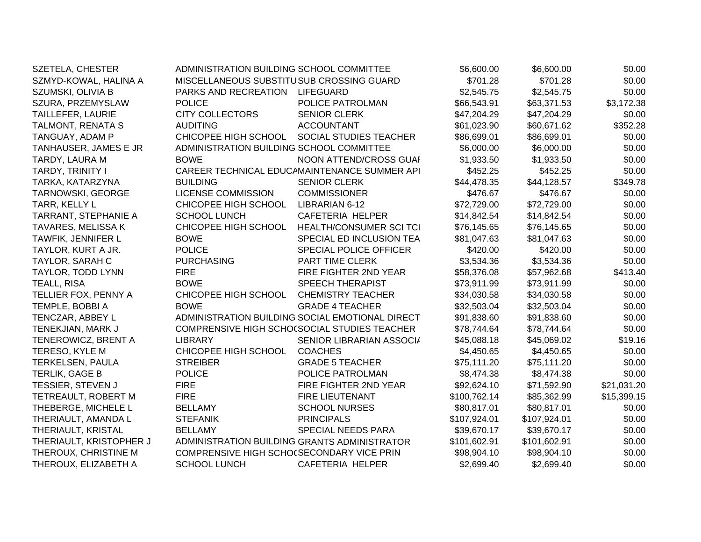| <b>SZETELA, CHESTER</b>  | ADMINISTRATION BUILDING SCHOOL COMMITTEE     |                                                 | \$6,600.00   | \$6,600.00   | \$0.00      |
|--------------------------|----------------------------------------------|-------------------------------------------------|--------------|--------------|-------------|
| SZMYD-KOWAL, HALINA A    | MISCELLANEOUS SUBSTITUSUB CROSSING GUARD     |                                                 | \$701.28     | \$701.28     | \$0.00      |
| SZUMSKI, OLIVIA B        | PARKS AND RECREATION                         | <b>LIFEGUARD</b>                                | \$2,545.75   | \$2,545.75   | \$0.00      |
| SZURA, PRZEMYSLAW        | <b>POLICE</b>                                | POLICE PATROLMAN                                | \$66,543.91  | \$63,371.53  | \$3,172.38  |
| <b>TAILLEFER, LAURIE</b> | <b>CITY COLLECTORS</b>                       | <b>SENIOR CLERK</b>                             | \$47,204.29  | \$47,204.29  | \$0.00      |
| TALMONT, RENATA S        | <b>AUDITING</b>                              | <b>ACCOUNTANT</b>                               | \$61,023.90  | \$60,671.62  | \$352.28    |
| TANGUAY, ADAM P          | CHICOPEE HIGH SCHOOL                         | SOCIAL STUDIES TEACHER                          | \$86,699.01  | \$86,699.01  | \$0.00      |
| TANHAUSER, JAMES E JR    | ADMINISTRATION BUILDING SCHOOL COMMITTEE     |                                                 | \$6,000.00   | \$6,000.00   | \$0.00      |
| TARDY, LAURA M           | <b>BOWE</b>                                  | NOON ATTEND/CROSS GUAI                          | \$1,933.50   | \$1,933.50   | \$0.00      |
| TARDY, TRINITY I         |                                              | CAREER TECHNICAL EDUCAMAINTENANCE SUMMER API    | \$452.25     | \$452.25     | \$0.00      |
| TARKA, KATARZYNA         | <b>BUILDING</b>                              | <b>SENIOR CLERK</b>                             | \$44,478.35  | \$44,128.57  | \$349.78    |
| <b>TARNOWSKI, GEORGE</b> | <b>LICENSE COMMISSION</b>                    | <b>COMMISSIONER</b>                             | \$476.67     | \$476.67     | \$0.00      |
| TARR, KELLY L            | CHICOPEE HIGH SCHOOL                         | LIBRARIAN 6-12                                  | \$72,729.00  | \$72,729.00  | \$0.00      |
| TARRANT, STEPHANIE A     | <b>SCHOOL LUNCH</b>                          | CAFETERIA HELPER                                | \$14,842.54  | \$14,842.54  | \$0.00      |
| TAVARES, MELISSA K       | CHICOPEE HIGH SCHOOL                         | HEALTH/CONSUMER SCI TCI                         | \$76,145.65  | \$76,145.65  | \$0.00      |
| TAWFIK, JENNIFER L       | <b>BOWE</b>                                  | SPECIAL ED INCLUSION TEA                        | \$81,047.63  | \$81,047.63  | \$0.00      |
| TAYLOR, KURT A JR.       | <b>POLICE</b>                                | <b>SPECIAL POLICE OFFICER</b>                   | \$420.00     | \$420.00     | \$0.00      |
| <b>TAYLOR, SARAH C</b>   | <b>PURCHASING</b>                            | PART TIME CLERK                                 | \$3,534.36   | \$3,534.36   | \$0.00      |
| TAYLOR, TODD LYNN        | <b>FIRE</b>                                  | FIRE FIGHTER 2ND YEAR                           | \$58,376.08  | \$57,962.68  | \$413.40    |
| TEALL, RISA              | <b>BOWE</b>                                  | <b>SPEECH THERAPIST</b>                         | \$73,911.99  | \$73,911.99  | \$0.00      |
| TELLIER FOX, PENNY A     | CHICOPEE HIGH SCHOOL                         | <b>CHEMISTRY TEACHER</b>                        | \$34,030.58  | \$34,030.58  | \$0.00      |
| TEMPLE, BOBBI A          | <b>BOWE</b>                                  | <b>GRADE 4 TEACHER</b>                          | \$32,503.04  | \$32,503.04  | \$0.00      |
| TENCZAR, ABBEY L         |                                              | ADMINISTRATION BUILDING SOCIAL EMOTIONAL DIRECT | \$91,838.60  | \$91,838.60  | \$0.00      |
| TENEKJIAN, MARK J        |                                              | COMPRENSIVE HIGH SCHO(SOCIAL STUDIES TEACHER    | \$78,744.64  | \$78,744.64  | \$0.00      |
| TENEROWICZ, BRENT A      | <b>LIBRARY</b>                               | SENIOR LIBRARIAN ASSOCI/                        | \$45,088.18  | \$45,069.02  | \$19.16     |
| TERESO, KYLE M           | CHICOPEE HIGH SCHOOL                         | <b>COACHES</b>                                  | \$4,450.65   | \$4,450.65   | \$0.00      |
| TERKELSEN, PAULA         | <b>STREIBER</b>                              | <b>GRADE 5 TEACHER</b>                          | \$75,111.20  | \$75,111.20  | \$0.00      |
| <b>TERLIK, GAGE B</b>    | <b>POLICE</b>                                | POLICE PATROLMAN                                | \$8,474.38   | \$8,474.38   | \$0.00      |
| <b>TESSIER, STEVEN J</b> | <b>FIRE</b>                                  | FIRE FIGHTER 2ND YEAR                           | \$92,624.10  | \$71,592.90  | \$21,031.20 |
| TETREAULT, ROBERT M      | <b>FIRE</b>                                  | FIRE LIEUTENANT                                 | \$100,762.14 | \$85,362.99  | \$15,399.15 |
| THEBERGE, MICHELE L      | <b>BELLAMY</b>                               | <b>SCHOOL NURSES</b>                            | \$80,817.01  | \$80,817.01  | \$0.00      |
| THERIAULT, AMANDA L      | <b>STEFANIK</b>                              | <b>PRINCIPALS</b>                               | \$107,924.01 | \$107,924.01 | \$0.00      |
| THERIAULT, KRISTAL       | <b>BELLAMY</b>                               | SPECIAL NEEDS PARA                              | \$39,670.17  | \$39,670.17  | \$0.00      |
| THERIAULT, KRISTOPHER J  | ADMINISTRATION BUILDING GRANTS ADMINISTRATOR |                                                 | \$101,602.91 | \$101,602.91 | \$0.00      |
| THEROUX, CHRISTINE M     | COMPRENSIVE HIGH SCHO(SECONDARY VICE PRIN    |                                                 | \$98,904.10  | \$98,904.10  | \$0.00      |
| THEROUX, ELIZABETH A     | <b>SCHOOL LUNCH</b>                          | <b>CAFETERIA HELPER</b>                         | \$2,699.40   | \$2,699.40   | \$0.00      |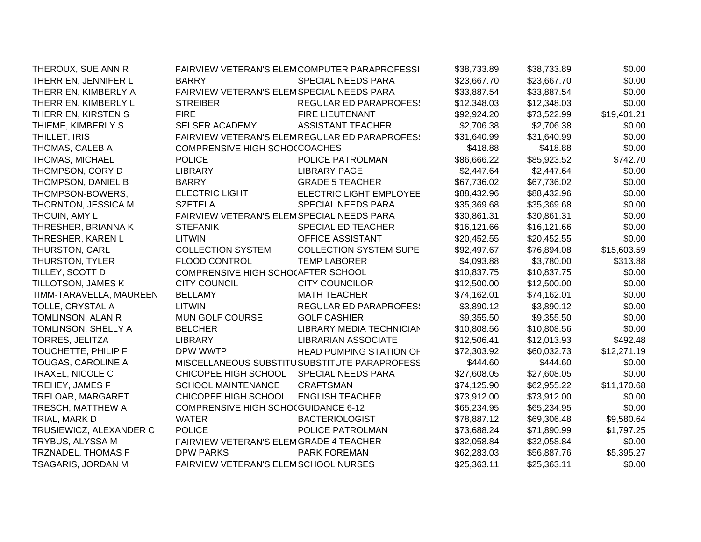| THEROUX, SUE ANN R        |                                           | FAIRVIEW VETERAN'S ELEMCOMPUTER PARAPROFESSI  | \$38,733.89 | \$38,733.89 | \$0.00      |
|---------------------------|-------------------------------------------|-----------------------------------------------|-------------|-------------|-------------|
| THERRIEN, JENNIFER L      | <b>BARRY</b>                              | <b>SPECIAL NEEDS PARA</b>                     | \$23,667.70 | \$23,667.70 | \$0.00      |
| THERRIEN, KIMBERLY A      | FAIRVIEW VETERAN'S ELEMSPECIAL NEEDS PARA |                                               | \$33,887.54 | \$33,887.54 | \$0.00      |
| THERRIEN, KIMBERLY L      | <b>STREIBER</b>                           | <b>REGULAR ED PARAPROFES:</b>                 | \$12,348.03 | \$12,348.03 | \$0.00      |
| THERRIEN, KIRSTEN S       | <b>FIRE</b>                               | <b>FIRE LIEUTENANT</b>                        | \$92,924.20 | \$73,522.99 | \$19,401.21 |
| THIEME, KIMBERLY S        | <b>SELSER ACADEMY</b>                     | <b>ASSISTANT TEACHER</b>                      | \$2,706.38  | \$2,706.38  | \$0.00      |
| THILLET, IRIS             |                                           | FAIRVIEW VETERAN'S ELEMREGULAR ED PARAPROFES! | \$31,640.99 | \$31,640.99 | \$0.00      |
| THOMAS, CALEB A           | COMPRENSIVE HIGH SCHO(COACHES             |                                               | \$418.88    | \$418.88    | \$0.00      |
| THOMAS, MICHAEL           | <b>POLICE</b>                             | POLICE PATROLMAN                              | \$86,666.22 | \$85,923.52 | \$742.70    |
| THOMPSON, CORY D          | <b>LIBRARY</b>                            | <b>LIBRARY PAGE</b>                           | \$2,447.64  | \$2,447.64  | \$0.00      |
| THOMPSON, DANIEL B        | <b>BARRY</b>                              | <b>GRADE 5 TEACHER</b>                        | \$67,736.02 | \$67,736.02 | \$0.00      |
| THOMPSON-BOWERS,          | <b>ELECTRIC LIGHT</b>                     | <b>ELECTRIC LIGHT EMPLOYEE</b>                | \$88,432.96 | \$88,432.96 | \$0.00      |
| THORNTON, JESSICA M       | <b>SZETELA</b>                            | <b>SPECIAL NEEDS PARA</b>                     | \$35,369.68 | \$35,369.68 | \$0.00      |
| THOUIN, AMY L             | FAIRVIEW VETERAN'S ELEMSPECIAL NEEDS PARA |                                               | \$30,861.31 | \$30,861.31 | \$0.00      |
| THRESHER, BRIANNA K       | <b>STEFANIK</b>                           | SPECIAL ED TEACHER                            | \$16,121.66 | \$16,121.66 | \$0.00      |
| THRESHER, KAREN L         | <b>LITWIN</b>                             | OFFICE ASSISTANT                              | \$20,452.55 | \$20,452.55 | \$0.00      |
| THURSTON, CARL            | <b>COLLECTION SYSTEM</b>                  | <b>COLLECTION SYSTEM SUPE</b>                 | \$92,497.67 | \$76,894.08 | \$15,603.59 |
| THURSTON, TYLER           | <b>FLOOD CONTROL</b>                      | <b>TEMP LABORER</b>                           | \$4,093.88  | \$3,780.00  | \$313.88    |
| TILLEY, SCOTT D           | COMPRENSIVE HIGH SCHOCAFTER SCHOOL        |                                               | \$10,837.75 | \$10,837.75 | \$0.00      |
| TILLOTSON, JAMES K        | <b>CITY COUNCIL</b>                       | <b>CITY COUNCILOR</b>                         | \$12,500.00 | \$12,500.00 | \$0.00      |
| TIMM-TARAVELLA, MAUREEN   | <b>BELLAMY</b>                            | <b>MATH TEACHER</b>                           | \$74,162.01 | \$74,162.01 | \$0.00      |
| TOLLE, CRYSTAL A          | <b>LITWIN</b>                             | <b>REGULAR ED PARAPROFES:</b>                 | \$3,890.12  | \$3,890.12  | \$0.00      |
| TOMLINSON, ALAN R         | MUN GOLF COURSE                           | <b>GOLF CASHIER</b>                           | \$9,355.50  | \$9,355.50  | \$0.00      |
| TOMLINSON, SHELLY A       | <b>BELCHER</b>                            | <b>LIBRARY MEDIA TECHNICIAN</b>               | \$10,808.56 | \$10,808.56 | \$0.00      |
| <b>TORRES, JELITZA</b>    | <b>LIBRARY</b>                            | <b>LIBRARIAN ASSOCIATE</b>                    | \$12,506.41 | \$12,013.93 | \$492.48    |
| TOUCHETTE, PHILIP F       | DPW WWTP                                  | <b>HEAD PUMPING STATION OF</b>                | \$72,303.92 | \$60,032.73 | \$12,271.19 |
| TOUGAS, CAROLINE A        |                                           | MISCELLANEOUS SUBSTITUSUBSTITUTE PARAPROFESS  | \$444.60    | \$444.60    | \$0.00      |
| TRAXEL, NICOLE C          | CHICOPEE HIGH SCHOOL                      | <b>SPECIAL NEEDS PARA</b>                     | \$27,608.05 | \$27,608.05 | \$0.00      |
| TREHEY, JAMES F           | <b>SCHOOL MAINTENANCE</b>                 | <b>CRAFTSMAN</b>                              | \$74,125.90 | \$62,955.22 | \$11,170.68 |
| TRELOAR, MARGARET         | CHICOPEE HIGH SCHOOL                      | <b>ENGLISH TEACHER</b>                        | \$73,912.00 | \$73,912.00 | \$0.00      |
| TRESCH, MATTHEW A         | COMPRENSIVE HIGH SCHOCGUIDANCE 6-12       |                                               | \$65,234.95 | \$65,234.95 | \$0.00      |
| TRIAL, MARK D             | <b>WATER</b>                              | <b>BACTERIOLOGIST</b>                         | \$78,887.12 | \$69,306.48 | \$9,580.64  |
| TRUSIEWICZ, ALEXANDER C   | <b>POLICE</b>                             | POLICE PATROLMAN                              | \$73,688.24 | \$71,890.99 | \$1,797.25  |
| TRYBUS, ALYSSA M          | FAIRVIEW VETERAN'S ELEMGRADE 4 TEACHER    |                                               | \$32,058.84 | \$32,058.84 | \$0.00      |
| <b>TRZNADEL, THOMAS F</b> | <b>DPW PARKS</b>                          | PARK FOREMAN                                  | \$62,283.03 | \$56,887.76 | \$5,395.27  |
| TSAGARIS, JORDAN M        | FAIRVIEW VETERAN'S ELEMSCHOOL NURSES      |                                               | \$25,363.11 | \$25,363.11 | \$0.00      |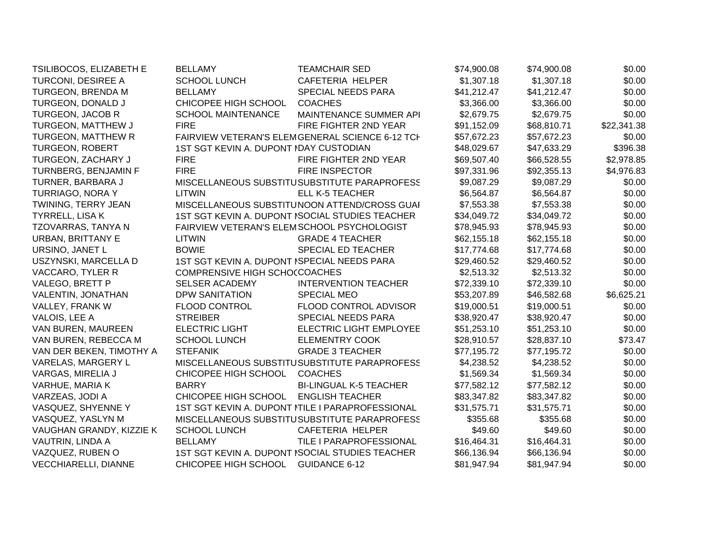| TSILIBOCOS, ELIZABETH E     | <b>BELLAMY</b>                         | <b>TEAMCHAIR SED</b>                             | \$74,900.08 | \$74,900.08 | \$0.00      |
|-----------------------------|----------------------------------------|--------------------------------------------------|-------------|-------------|-------------|
| TURCONI, DESIREE A          | SCHOOL LUNCH                           | CAFETERIA HELPER                                 | \$1,307.18  | \$1,307.18  | \$0.00      |
| TURGEON, BRENDA M           | <b>BELLAMY</b>                         | SPECIAL NEEDS PARA                               | \$41,212.47 | \$41,212.47 | \$0.00      |
| TURGEON, DONALD J           | CHICOPEE HIGH SCHOOL                   | <b>COACHES</b>                                   | \$3,366.00  | \$3,366.00  | \$0.00      |
| <b>TURGEON, JACOB R</b>     | <b>SCHOOL MAINTENANCE</b>              | MAINTENANCE SUMMER API                           | \$2,679.75  | \$2,679.75  | \$0.00      |
| TURGEON, MATTHEW J          | <b>FIRE</b>                            | FIRE FIGHTER 2ND YEAR                            | \$91,152.09 | \$68,810.71 | \$22,341.38 |
| <b>TURGEON, MATTHEW R</b>   |                                        | FAIRVIEW VETERAN'S ELEMGENERAL SCIENCE 6-12 TCH  | \$57,672.23 | \$57,672.23 | \$0.00      |
| <b>TURGEON, ROBERT</b>      | 1ST SGT KEVIN A. DUPONT IDAY CUSTODIAN |                                                  | \$48,029.67 | \$47,633.29 | \$396.38    |
| TURGEON, ZACHARY J          | <b>FIRE</b>                            | FIRE FIGHTER 2ND YEAR                            | \$69,507.40 | \$66,528.55 | \$2,978.85  |
| TURNBERG, BENJAMIN F        | <b>FIRE</b>                            | <b>FIRE INSPECTOR</b>                            | \$97,331.96 | \$92,355.13 | \$4,976.83  |
| TURNER, BARBARA J           |                                        | MISCELLANEOUS SUBSTITUSUBSTITUTE PARAPROFESS     | \$9,087.29  | \$9,087.29  | \$0.00      |
| TURRIAGO, NORA Y            | <b>LITWIN</b>                          | <b>ELL K-5 TEACHER</b>                           | \$6,564.87  | \$6,564.87  | \$0.00      |
| TWINING, TERRY JEAN         |                                        | MISCELLANEOUS SUBSTITUNOON ATTEND/CROSS GUAI     | \$7,553.38  | \$7,553.38  | \$0.00      |
| <b>TYRRELL, LISA K</b>      |                                        | 1ST SGT KEVIN A. DUPONT ISOCIAL STUDIES TEACHER  | \$34,049.72 | \$34,049.72 | \$0.00      |
| TZOVARRAS, TANYA N          |                                        | FAIRVIEW VETERAN'S ELEMSCHOOL PSYCHOLOGIST       | \$78,945.93 | \$78,945.93 | \$0.00      |
| URBAN, BRITTANY E           | <b>LITWIN</b>                          | <b>GRADE 4 TEACHER</b>                           | \$62,155.18 | \$62,155.18 | \$0.00      |
| URSINO, JANET L             | <b>BOWIE</b>                           | SPECIAL ED TEACHER                               | \$17,774.68 | \$17,774.68 | \$0.00      |
| USZYNSKI, MARCELLA D        |                                        | 1ST SGT KEVIN A. DUPONT ISPECIAL NEEDS PARA      |             | \$29,460.52 | \$0.00      |
| VACCARO, TYLER R            | COMPRENSIVE HIGH SCHOCCOACHES          |                                                  | \$2,513.32  | \$2,513.32  | \$0.00      |
| VALEGO, BRETT P             | SELSER ACADEMY                         | <b>INTERVENTION TEACHER</b>                      | \$72,339.10 | \$72,339.10 | \$0.00      |
| VALENTIN, JONATHAN          | <b>DPW SANITATION</b>                  | <b>SPECIAL MEO</b>                               | \$53,207.89 | \$46,582.68 | \$6,625.21  |
| VALLEY, FRANK W             | FLOOD CONTROL                          | FLOOD CONTROL ADVISOR                            | \$19,000.51 | \$19,000.51 | \$0.00      |
| VALOIS, LEE A               | <b>STREIBER</b>                        | <b>SPECIAL NEEDS PARA</b>                        | \$38,920.47 | \$38,920.47 | \$0.00      |
| VAN BUREN, MAUREEN          | <b>ELECTRIC LIGHT</b>                  | <b>ELECTRIC LIGHT EMPLOYEE</b>                   | \$51,253.10 | \$51,253.10 | \$0.00      |
| VAN BUREN, REBECCA M        | <b>SCHOOL LUNCH</b>                    | <b>ELEMENTRY COOK</b>                            | \$28,910.57 | \$28,837.10 | \$73.47     |
| VAN DER BEKEN, TIMOTHY A    | <b>STEFANIK</b>                        | <b>GRADE 3 TEACHER</b>                           | \$77,195.72 | \$77,195.72 | \$0.00      |
| VARELAS, MARGERY L          |                                        | MISCELLANEOUS SUBSTITUSUBSTITUTE PARAPROFESS     | \$4,238.52  | \$4,238.52  | \$0.00      |
| VARGAS, MIRELIA J           | CHICOPEE HIGH SCHOOL                   | <b>COACHES</b>                                   | \$1,569.34  | \$1,569.34  | \$0.00      |
| VARHUE, MARIA K             | <b>BARRY</b>                           | <b>BI-LINGUAL K-5 TEACHER</b>                    | \$77,582.12 | \$77,582.12 | \$0.00      |
| VARZEAS, JODI A             | CHICOPEE HIGH SCHOOL                   | <b>ENGLISH TEACHER</b>                           | \$83,347.82 | \$83,347.82 | \$0.00      |
| VASQUEZ, SHYENNE Y          |                                        | 1ST SGT KEVIN A. DUPONT NTILE I PARAPROFESSIONAL | \$31,575.71 | \$31,575.71 | \$0.00      |
| VASQUEZ, YASLYN M           |                                        | MISCELLANEOUS SUBSTITUSUBSTITUTE PARAPROFESS     | \$355.68    | \$355.68    | \$0.00      |
| VAUGHAN GRANDY, KIZZIE K    | <b>SCHOOL LUNCH</b>                    | <b>CAFETERIA HELPER</b>                          | \$49.60     | \$49.60     | \$0.00      |
| VAUTRIN, LINDA A            | <b>BELLAMY</b>                         | TILE I PARAPROFESSIONAL                          | \$16,464.31 | \$16,464.31 | \$0.00      |
| VAZQUEZ, RUBEN O            |                                        | 1ST SGT KEVIN A. DUPONT ISOCIAL STUDIES TEACHER  | \$66,136.94 | \$66,136.94 | \$0.00      |
| <b>VECCHIARELLI, DIANNE</b> | CHICOPEE HIGH SCHOOL                   | <b>GUIDANCE 6-12</b>                             | \$81,947.94 | \$81,947.94 | \$0.00      |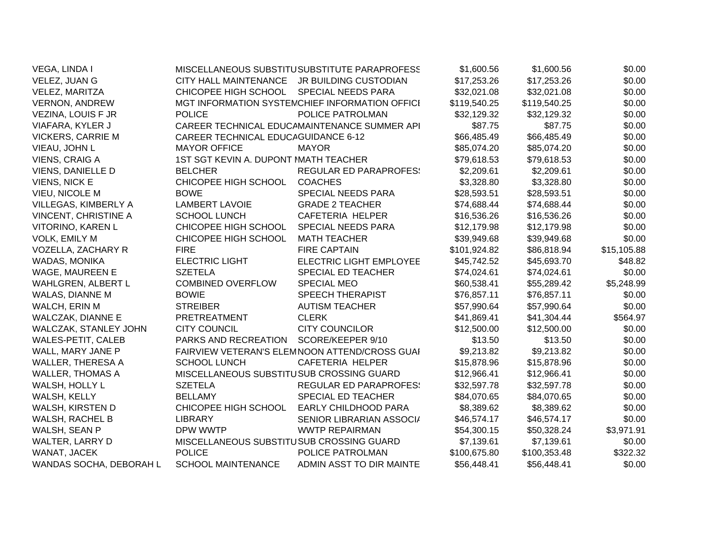| VEGA, LINDA I                |                                            | MISCELLANEOUS SUBSTITUSUBSTITUTE PARAPROFESS   | \$1,600.56   | \$1,600.56   | \$0.00      |
|------------------------------|--------------------------------------------|------------------------------------------------|--------------|--------------|-------------|
| VELEZ, JUAN G                | CITY HALL MAINTENANCE                      | JR BUILDING CUSTODIAN                          | \$17,253.26  | \$17,253.26  | \$0.00      |
| VELEZ, MARITZA               | CHICOPEE HIGH SCHOOL                       | SPECIAL NEEDS PARA                             | \$32,021.08  | \$32,021.08  | \$0.00      |
| <b>VERNON, ANDREW</b>        |                                            | MGT INFORMATION SYSTEMCHIEF INFORMATION OFFICI | \$119,540.25 | \$119,540.25 | \$0.00      |
| VEZINA, LOUIS F JR           | <b>POLICE</b>                              | POLICE PATROLMAN                               | \$32,129.32  | \$32,129.32  | \$0.00      |
| VIAFARA, KYLER J             |                                            | CAREER TECHNICAL EDUCAMAINTENANCE SUMMER API   | \$87.75      | \$87.75      | \$0.00      |
| <b>VICKERS, CARRIE M</b>     | <b>CAREER TECHNICAL EDUCAGUIDANCE 6-12</b> |                                                | \$66,485.49  | \$66,485.49  | \$0.00      |
| VIEAU, JOHN L                | <b>MAYOR OFFICE</b>                        | <b>MAYOR</b>                                   | \$85,074.20  | \$85,074.20  | \$0.00      |
| VIENS, CRAIG A               | 1ST SGT KEVIN A. DUPONT MATH TEACHER       |                                                | \$79,618.53  | \$79,618.53  | \$0.00      |
| <b>VIENS, DANIELLE D</b>     | <b>BELCHER</b>                             | <b>REGULAR ED PARAPROFES:</b>                  | \$2,209.61   | \$2,209.61   | \$0.00      |
| <b>VIENS, NICK E</b>         | CHICOPEE HIGH SCHOOL                       | <b>COACHES</b>                                 | \$3,328.80   | \$3,328.80   | \$0.00      |
| VIEU, NICOLE M               | <b>BOWE</b>                                | SPECIAL NEEDS PARA                             | \$28,593.51  | \$28,593.51  | \$0.00      |
| VILLEGAS, KIMBERLY A         | <b>LAMBERT LAVOIE</b>                      | <b>GRADE 2 TEACHER</b>                         | \$74,688.44  | \$74,688.44  | \$0.00      |
| <b>VINCENT, CHRISTINE A</b>  | <b>SCHOOL LUNCH</b>                        | CAFETERIA HELPER                               | \$16,536.26  | \$16,536.26  | \$0.00      |
| VITORINO, KAREN L            | CHICOPEE HIGH SCHOOL                       | <b>SPECIAL NEEDS PARA</b>                      | \$12,179.98  | \$12,179.98  | \$0.00      |
| VOLK, EMILY M                | CHICOPEE HIGH SCHOOL                       | <b>MATH TEACHER</b>                            | \$39,949.68  | \$39,949.68  | \$0.00      |
| VOZELLA, ZACHARY R           | <b>FIRE</b>                                | <b>FIRE CAPTAIN</b>                            | \$101,924.82 | \$86,818.94  | \$15,105.88 |
| <b>WADAS, MONIKA</b>         | <b>ELECTRIC LIGHT</b>                      | ELECTRIC LIGHT EMPLOYEE                        | \$45,742.52  | \$45,693.70  | \$48.82     |
| <b>WAGE, MAUREEN E</b>       | <b>SZETELA</b>                             | <b>SPECIAL ED TEACHER</b>                      | \$74,024.61  | \$74,024.61  | \$0.00      |
| WAHLGREN, ALBERT L           | <b>COMBINED OVERFLOW</b>                   | <b>SPECIAL MEO</b>                             | \$60,538.41  | \$55,289.42  | \$5,248.99  |
| WALAS, DIANNE M              | <b>BOWIE</b>                               | <b>SPEECH THERAPIST</b>                        | \$76,857.11  | \$76,857.11  | \$0.00      |
| WALCH, ERIN M                | <b>STREIBER</b>                            | <b>AUTISM TEACHER</b>                          | \$57,990.64  | \$57,990.64  | \$0.00      |
| <b>WALCZAK, DIANNE E</b>     | PRETREATMENT                               | <b>CLERK</b>                                   | \$41,869.41  | \$41,304.44  | \$564.97    |
| <b>WALCZAK, STANLEY JOHN</b> | <b>CITY COUNCIL</b>                        | <b>CITY COUNCILOR</b>                          | \$12,500.00  | \$12,500.00  | \$0.00      |
| <b>WALES-PETIT, CALEB</b>    | PARKS AND RECREATION                       | SCORE/KEEPER 9/10                              | \$13.50      | \$13.50      | \$0.00      |
| WALL, MARY JANE P            |                                            | FAIRVIEW VETERAN'S ELEMNOON ATTEND/CROSS GUAI  | \$9,213.82   | \$9,213.82   | \$0.00      |
| <b>WALLER, THERESA A</b>     | <b>SCHOOL LUNCH</b>                        | <b>CAFETERIA HELPER</b>                        | \$15,878.96  | \$15,878.96  | \$0.00      |
| <b>WALLER, THOMAS A</b>      | MISCELLANEOUS SUBSTITUSUB CROSSING GUARD   |                                                | \$12,966.41  | \$12,966.41  | \$0.00      |
| WALSH, HOLLY L               | <b>SZETELA</b>                             | <b>REGULAR ED PARAPROFES:</b>                  | \$32,597.78  | \$32,597.78  | \$0.00      |
| WALSH, KELLY                 | <b>BELLAMY</b>                             | <b>SPECIAL ED TEACHER</b>                      | \$84,070.65  | \$84,070.65  | \$0.00      |
| WALSH, KIRSTEN D             | CHICOPEE HIGH SCHOOL                       | EARLY CHILDHOOD PARA                           | \$8,389.62   | \$8,389.62   | \$0.00      |
| WALSH, RACHEL B              | <b>LIBRARY</b>                             | SENIOR LIBRARIAN ASSOCI/                       | \$46,574.17  | \$46,574.17  | \$0.00      |
| WALSH, SEAN P                | DPW WWTP                                   | <b>WWTP REPAIRMAN</b>                          | \$54,300.15  | \$50,328.24  | \$3,971.91  |
| WALTER, LARRY D              | MISCELLANEOUS SUBSTITUSUB CROSSING GUARD   |                                                | \$7,139.61   | \$7,139.61   | \$0.00      |
| WANAT, JACEK                 | <b>POLICE</b>                              | POLICE PATROLMAN                               | \$100,675.80 | \$100,353.48 | \$322.32    |
| WANDAS SOCHA, DEBORAH L      | <b>SCHOOL MAINTENANCE</b>                  | ADMIN ASST TO DIR MAINTE                       | \$56,448.41  | \$56,448.41  | \$0.00      |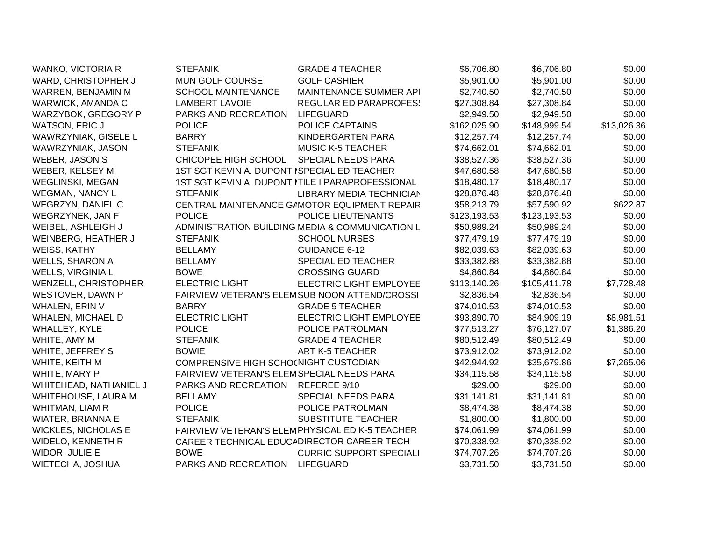| WANKO, VICTORIA R           | <b>STEFANIK</b>                             | <b>GRADE 4 TEACHER</b>                           | \$6,706.80   | \$6,706.80   | \$0.00      |
|-----------------------------|---------------------------------------------|--------------------------------------------------|--------------|--------------|-------------|
| WARD, CHRISTOPHER J         | MUN GOLF COURSE                             | <b>GOLF CASHIER</b>                              | \$5,901.00   | \$5,901.00   | \$0.00      |
| WARREN, BENJAMIN M          | <b>SCHOOL MAINTENANCE</b>                   | MAINTENANCE SUMMER API                           | \$2,740.50   | \$2,740.50   | \$0.00      |
| WARWICK, AMANDA C           | <b>LAMBERT LAVOIE</b>                       | <b>REGULAR ED PARAPROFES!</b>                    | \$27,308.84  | \$27,308.84  | \$0.00      |
| WARZYBOK, GREGORY P         | PARKS AND RECREATION                        | LIFEGUARD                                        | \$2,949.50   | \$2,949.50   | \$0.00      |
| <b>WATSON, ERIC J</b>       | <b>POLICE</b>                               | POLICE CAPTAINS                                  | \$162,025.90 | \$148,999.54 | \$13,026.36 |
| WAWRZYNIAK, GISELE L        | <b>BARRY</b>                                | KINDERGARTEN PARA                                | \$12,257.74  | \$12,257.74  | \$0.00      |
| WAWRZYNIAK, JASON           | <b>STEFANIK</b>                             | <b>MUSIC K-5 TEACHER</b>                         | \$74,662.01  | \$74,662.01  | \$0.00      |
| <b>WEBER, JASON S</b>       | CHICOPEE HIGH SCHOOL                        | <b>SPECIAL NEEDS PARA</b>                        | \$38,527.36  | \$38,527.36  | \$0.00      |
| WEBER, KELSEY M             | 1ST SGT KEVIN A. DUPONT ISPECIAL ED TEACHER |                                                  | \$47,680.58  | \$47,680.58  | \$0.00      |
| <b>WEGLINSKI, MEGAN</b>     |                                             | 1ST SGT KEVIN A. DUPONT ITILE I PARAPROFESSIONAL | \$18,480.17  | \$18,480.17  | \$0.00      |
| <b>WEGMAN, NANCY L</b>      | <b>STEFANIK</b>                             | <b>LIBRARY MEDIA TECHNICIAN</b>                  | \$28,876.48  | \$28,876.48  | \$0.00      |
| WEGRZYN, DANIEL C           |                                             | CENTRAL MAINTENANCE GAMOTOR EQUIPMENT REPAIR     | \$58,213.79  | \$57,590.92  | \$622.87    |
| <b>WEGRZYNEK, JAN F</b>     | <b>POLICE</b>                               | POLICE LIEUTENANTS                               | \$123,193.53 | \$123,193.53 | \$0.00      |
| WEIBEL, ASHLEIGH J          |                                             | ADMINISTRATION BUILDING MEDIA & COMMUNICATION L  | \$50,989.24  | \$50,989.24  | \$0.00      |
| WEINBERG, HEATHER J         | <b>STEFANIK</b>                             | <b>SCHOOL NURSES</b>                             | \$77,479.19  | \$77,479.19  | \$0.00      |
| <b>WEISS, KATHY</b>         | <b>BELLAMY</b>                              | <b>GUIDANCE 6-12</b>                             | \$82,039.63  | \$82,039.63  | \$0.00      |
| <b>WELLS, SHARON A</b>      | <b>BELLAMY</b>                              | SPECIAL ED TEACHER                               | \$33,382.88  | \$33,382.88  | \$0.00      |
| <b>WELLS, VIRGINIA L</b>    | <b>BOWE</b>                                 | <b>CROSSING GUARD</b>                            | \$4,860.84   | \$4,860.84   | \$0.00      |
| <b>WENZELL, CHRISTOPHER</b> | <b>ELECTRIC LIGHT</b>                       | ELECTRIC LIGHT EMPLOYEE                          | \$113,140.26 | \$105,411.78 | \$7,728.48  |
| WESTOVER, DAWN P            |                                             | FAIRVIEW VETERAN'S ELEMSUB NOON ATTEND/CROSSI    | \$2,836.54   | \$2,836.54   | \$0.00      |
| <b>WHALEN, ERIN V</b>       | <b>BARRY</b>                                | <b>GRADE 5 TEACHER</b>                           | \$74,010.53  | \$74,010.53  | \$0.00      |
| <b>WHALEN, MICHAEL D</b>    | <b>ELECTRIC LIGHT</b>                       | ELECTRIC LIGHT EMPLOYEE                          | \$93,890.70  | \$84,909.19  | \$8,981.51  |
| WHALLEY, KYLE               | <b>POLICE</b>                               | POLICE PATROLMAN                                 | \$77,513.27  | \$76,127.07  | \$1,386.20  |
| WHITE, AMY M                | <b>STEFANIK</b>                             | <b>GRADE 4 TEACHER</b>                           | \$80,512.49  | \$80,512.49  | \$0.00      |
| WHITE, JEFFREY S            | <b>BOWIE</b>                                | ART K-5 TEACHER                                  | \$73,912.02  | \$73,912.02  | \$0.00      |
| WHITE, KEITH M              | COMPRENSIVE HIGH SCHO(NIGHT CUSTODIAN       |                                                  | \$42,944.92  | \$35,679.86  | \$7,265.06  |
| WHITE, MARY P               | FAIRVIEW VETERAN'S ELEMSPECIAL NEEDS PARA   |                                                  | \$34,115.58  | \$34,115.58  | \$0.00      |
| WHITEHEAD, NATHANIEL J      | PARKS AND RECREATION                        | REFEREE 9/10                                     | \$29.00      | \$29.00      | \$0.00      |
| WHITEHOUSE, LAURA M         | <b>BELLAMY</b>                              | SPECIAL NEEDS PARA                               | \$31,141.81  | \$31,141.81  | \$0.00      |
| WHITMAN, LIAM R             | <b>POLICE</b>                               | POLICE PATROLMAN                                 | \$8,474.38   | \$8,474.38   | \$0.00      |
| <b>WIATER, BRIANNA E</b>    | <b>STEFANIK</b>                             | SUBSTITUTE TEACHER                               | \$1,800.00   | \$1,800.00   | \$0.00      |
| <b>WICKLES, NICHOLAS E</b>  |                                             | FAIRVIEW VETERAN'S ELEMPHYSICAL ED K-5 TEACHER   | \$74,061.99  | \$74,061.99  | \$0.00      |
| WIDELO, KENNETH R           | CAREER TECHNICAL EDUCADIRECTOR CAREER TECH  |                                                  | \$70,338.92  | \$70,338.92  | \$0.00      |
| WIDOR, JULIE E              | <b>BOWE</b>                                 | <b>CURRIC SUPPORT SPECIALI</b>                   | \$74,707.26  | \$74,707.26  | \$0.00      |
| WIETECHA, JOSHUA            | PARKS AND RECREATION                        | <b>LIFEGUARD</b>                                 | \$3,731.50   | \$3,731.50   | \$0.00      |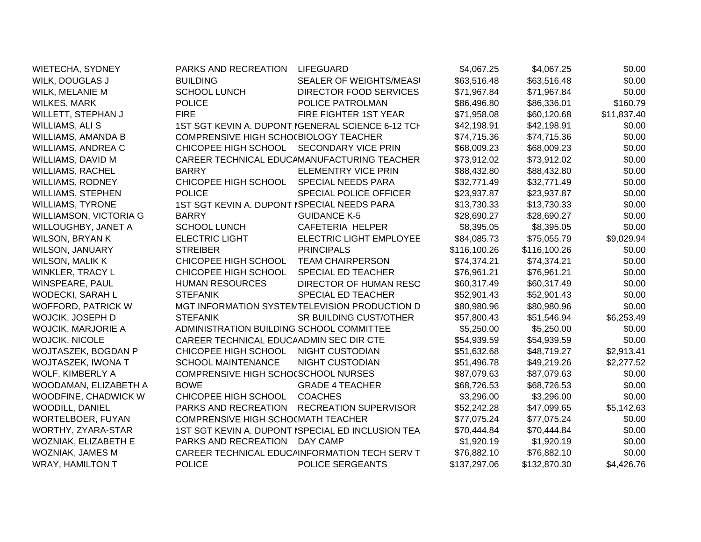| <b>WIETECHA, SYDNEY</b>       | PARKS AND RECREATION                        | LIFEGUARD                                         | \$4,067.25   | \$4,067.25   | \$0.00      |
|-------------------------------|---------------------------------------------|---------------------------------------------------|--------------|--------------|-------------|
| WILK, DOUGLAS J               | <b>BUILDING</b>                             | SEALER OF WEIGHTS/MEAS                            | \$63,516.48  | \$63,516.48  | \$0.00      |
| WILK, MELANIE M               | <b>SCHOOL LUNCH</b>                         | <b>DIRECTOR FOOD SERVICES</b>                     | \$71,967.84  | \$71,967.84  | \$0.00      |
| <b>WILKES, MARK</b>           | <b>POLICE</b>                               | POLICE PATROLMAN                                  | \$86,496.80  | \$86,336.01  | \$160.79    |
| WILLETT, STEPHAN J            | <b>FIRE</b>                                 | FIRE FIGHTER 1ST YEAR                             | \$71,958.08  | \$60,120.68  | \$11,837.40 |
| WILLIAMS, ALI S               |                                             | 1ST SGT KEVIN A. DUPONT IGENERAL SCIENCE 6-12 TCH | \$42,198.91  | \$42,198.91  | \$0.00      |
| WILLIAMS, AMANDA B            | COMPRENSIVE HIGH SCHO(BIOLOGY TEACHER       |                                                   | \$74,715.36  | \$74,715.36  | \$0.00      |
| WILLIAMS, ANDREA C            | CHICOPEE HIGH SCHOOL                        | <b>SECONDARY VICE PRIN</b>                        | \$68,009.23  | \$68,009.23  | \$0.00      |
| WILLIAMS, DAVID M             |                                             | CAREER TECHNICAL EDUCAMANUFACTURING TEACHER       | \$73,912.02  | \$73,912.02  | \$0.00      |
| <b>WILLIAMS, RACHEL</b>       | <b>BARRY</b>                                | <b>ELEMENTRY VICE PRIN</b>                        | \$88,432.80  | \$88,432.80  | \$0.00      |
| <b>WILLIAMS, RODNEY</b>       | CHICOPEE HIGH SCHOOL                        | <b>SPECIAL NEEDS PARA</b>                         | \$32,771.49  | \$32,771.49  | \$0.00      |
| <b>WILLIAMS, STEPHEN</b>      | <b>POLICE</b>                               | SPECIAL POLICE OFFICER                            | \$23,937.87  | \$23,937.87  | \$0.00      |
| <b>WILLIAMS, TYRONE</b>       | 1ST SGT KEVIN A. DUPONT ISPECIAL NEEDS PARA |                                                   | \$13,730.33  | \$13,730.33  | \$0.00      |
| <b>WILLIAMSON, VICTORIA G</b> | <b>BARRY</b>                                | <b>GUIDANCE K-5</b>                               | \$28,690.27  | \$28,690.27  | \$0.00      |
| WILLOUGHBY, JANET A           | <b>SCHOOL LUNCH</b>                         | CAFETERIA HELPER                                  | \$8,395.05   | \$8,395.05   | \$0.00      |
| <b>WILSON, BRYAN K</b>        | <b>ELECTRIC LIGHT</b>                       | <b>ELECTRIC LIGHT EMPLOYEE</b>                    | \$84,085.73  | \$75,055.79  | \$9,029.94  |
| WILSON, JANUARY               | <b>STREIBER</b>                             | <b>PRINCIPALS</b>                                 | \$116,100.26 | \$116,100.26 | \$0.00      |
| <b>WILSON, MALIK K</b>        | CHICOPEE HIGH SCHOOL                        | <b>TEAM CHAIRPERSON</b>                           | \$74,374.21  | \$74,374.21  | \$0.00      |
| WINKLER, TRACY L              | CHICOPEE HIGH SCHOOL                        | <b>SPECIAL ED TEACHER</b>                         | \$76,961.21  | \$76,961.21  | \$0.00      |
| WINSPEARE, PAUL               | <b>HUMAN RESOURCES</b>                      | DIRECTOR OF HUMAN RESC                            | \$60,317.49  | \$60,317.49  | \$0.00      |
| <b>WODECKI, SARAH L</b>       | <b>STEFANIK</b>                             | SPECIAL ED TEACHER                                | \$52,901.43  | \$52,901.43  | \$0.00      |
| <b>WOFFORD, PATRICK W</b>     |                                             | MGT INFORMATION SYSTEMTELEVISION PRODUCTION D     | \$80,980.96  | \$80,980.96  | \$0.00      |
| WOJCIK, JOSEPH D              | <b>STEFANIK</b>                             | <b>SR BUILDING CUST/OTHER</b>                     | \$57,800.43  | \$51,546.94  | \$6,253.49  |
| <b>WOJCIK, MARJORIE A</b>     | ADMINISTRATION BUILDING SCHOOL COMMITTEE    |                                                   | \$5,250.00   | \$5,250.00   | \$0.00      |
| <b>WOJCIK, NICOLE</b>         | CAREER TECHNICAL EDUCAADMIN SEC DIR CTE     |                                                   | \$54,939.59  | \$54,939.59  | \$0.00      |
| WOJTASZEK, BOGDAN P           | CHICOPEE HIGH SCHOOL                        | <b>NIGHT CUSTODIAN</b>                            | \$51,632.68  | \$48,719.27  | \$2,913.41  |
| WOJTASZEK, IWONA T            | <b>SCHOOL MAINTENANCE</b>                   | NIGHT CUSTODIAN                                   | \$51,496.78  | \$49,219.26  | \$2,277.52  |
| WOLF, KIMBERLY A              | COMPRENSIVE HIGH SCHOCSCHOOL NURSES         |                                                   | \$87,079.63  | \$87,079.63  | \$0.00      |
| WOODAMAN, ELIZABETH A         | <b>BOWE</b>                                 | <b>GRADE 4 TEACHER</b>                            | \$68,726.53  | \$68,726.53  | \$0.00      |
| WOODFINE, CHADWICK W          | CHICOPEE HIGH SCHOOL                        | <b>COACHES</b>                                    | \$3,296.00   | \$3,296.00   | \$0.00      |
| <b>WOODILL, DANIEL</b>        | PARKS AND RECREATION                        | <b>RECREATION SUPERVISOR</b>                      | \$52,242.28  | \$47,099.65  | \$5,142.63  |
| WORTELBOER, FUYAN             | COMPRENSIVE HIGH SCHO(MATH TEACHER          |                                                   | \$77,075.24  | \$77,075.24  | \$0.00      |
| WORTHY, ZYARA-STAR            |                                             | 1ST SGT KEVIN A. DUPONT ISPECIAL ED INCLUSION TEA | \$70,444.84  | \$70,444.84  | \$0.00      |
| WOZNIAK, ELIZABETH E          | PARKS AND RECREATION                        | DAY CAMP                                          | \$1,920.19   | \$1,920.19   | \$0.00      |
| WOZNIAK, JAMES M              |                                             | CAREER TECHNICAL EDUCAINFORMATION TECH SERV T     | \$76,882.10  | \$76,882.10  | \$0.00      |
| <b>WRAY, HAMILTON T</b>       | <b>POLICE</b>                               | POLICE SERGEANTS                                  | \$137,297.06 | \$132,870.30 | \$4,426.76  |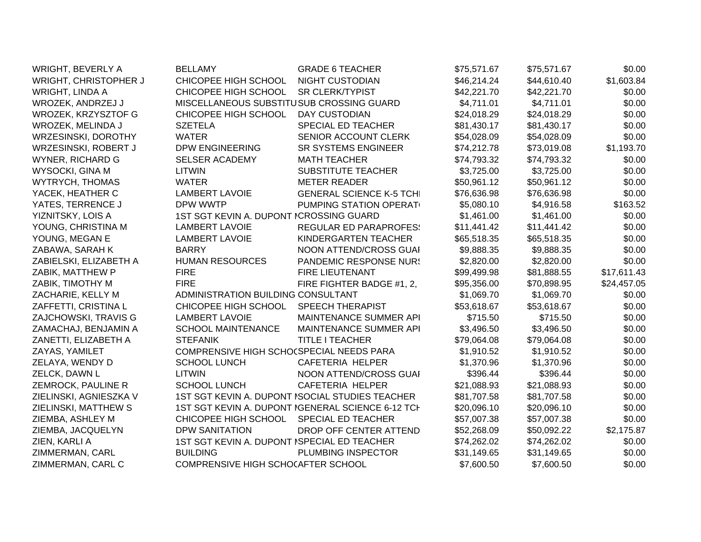| <b>WRIGHT, BEVERLY A</b>   | <b>BELLAMY</b>                                    | <b>GRADE 6 TEACHER</b>                          | \$75,571.67 | \$75,571.67 | \$0.00      |
|----------------------------|---------------------------------------------------|-------------------------------------------------|-------------|-------------|-------------|
| WRIGHT, CHRISTOPHER J      | CHICOPEE HIGH SCHOOL                              | <b>NIGHT CUSTODIAN</b>                          | \$46,214.24 | \$44,610.40 | \$1,603.84  |
| <b>WRIGHT, LINDA A</b>     | CHICOPEE HIGH SCHOOL                              | <b>SR CLERK/TYPIST</b>                          | \$42,221.70 | \$42,221.70 | \$0.00      |
| WROZEK, ANDRZEJ J          | MISCELLANEOUS SUBSTITUSUB CROSSING GUARD          |                                                 | \$4,711.01  | \$4,711.01  | \$0.00      |
| <b>WROZEK, KRZYSZTOF G</b> | CHICOPEE HIGH SCHOOL                              | <b>DAY CUSTODIAN</b>                            | \$24,018.29 | \$24,018.29 | \$0.00      |
| WROZEK, MELINDA J          | <b>SZETELA</b>                                    | SPECIAL ED TEACHER                              | \$81,430.17 | \$81,430.17 | \$0.00      |
| WRZESINSKI, DOROTHY        | <b>WATER</b>                                      | SENIOR ACCOUNT CLERK                            | \$54,028.09 | \$54,028.09 | \$0.00      |
| WRZESINSKI, ROBERT J       | <b>DPW ENGINEERING</b>                            | <b>SR SYSTEMS ENGINEER</b>                      | \$74,212.78 | \$73,019.08 | \$1,193.70  |
| <b>WYNER, RICHARD G</b>    | <b>SELSER ACADEMY</b>                             | <b>MATH TEACHER</b>                             | \$74,793.32 | \$74,793.32 | \$0.00      |
| WYSOCKI, GINA M            | <b>LITWIN</b>                                     | SUBSTITUTE TEACHER                              | \$3,725.00  | \$3,725.00  | \$0.00      |
| <b>WYTRYCH, THOMAS</b>     | <b>WATER</b>                                      | <b>METER READER</b>                             | \$50,961.12 | \$50,961.12 | \$0.00      |
| YACEK, HEATHER C           | <b>LAMBERT LAVOIE</b>                             | <b>GENERAL SCIENCE K-5 TCHI</b>                 | \$76,636.98 | \$76,636.98 | \$0.00      |
| YATES, TERRENCE J          | DPW WWTP                                          | PUMPING STATION OPERAT                          | \$5,080.10  | \$4,916.58  | \$163.52    |
| YIZNITSKY, LOIS A          | 1ST SGT KEVIN A. DUPONT ICROSSING GUARD           |                                                 | \$1,461.00  | \$1,461.00  | \$0.00      |
| YOUNG, CHRISTINA M         | <b>LAMBERT LAVOIE</b>                             | <b>REGULAR ED PARAPROFES:</b>                   | \$11,441.42 | \$11,441.42 | \$0.00      |
| YOUNG, MEGAN E             | <b>LAMBERT LAVOIE</b>                             | KINDERGARTEN TEACHER                            | \$65,518.35 | \$65,518.35 | \$0.00      |
| ZABAWA, SARAH K            | <b>BARRY</b>                                      | NOON ATTEND/CROSS GUAI                          | \$9,888.35  | \$9,888.35  | \$0.00      |
| ZABIELSKI, ELIZABETH A     | <b>HUMAN RESOURCES</b>                            | <b>PANDEMIC RESPONSE NUR!</b>                   | \$2,820.00  | \$2,820.00  | \$0.00      |
| ZABIK, MATTHEW P           | <b>FIRE</b>                                       | FIRE LIEUTENANT                                 | \$99,499.98 | \$81,888.55 | \$17,611.43 |
| ZABIK, TIMOTHY M           | <b>FIRE</b>                                       | FIRE FIGHTER BADGE #1, 2,                       | \$95,356.00 | \$70,898.95 | \$24,457.05 |
| ZACHARIE, KELLY M          | ADMINISTRATION BUILDING CONSULTANT                |                                                 | \$1,069.70  | \$1,069.70  | \$0.00      |
| ZAFFETTI, CRISTINA L       | CHICOPEE HIGH SCHOOL                              | <b>SPEECH THERAPIST</b>                         | \$53,618.67 | \$53,618.67 | \$0.00      |
| ZAJCHOWSKI, TRAVIS G       | <b>LAMBERT LAVOIE</b>                             | MAINTENANCE SUMMER API                          | \$715.50    | \$715.50    | \$0.00      |
| ZAMACHAJ, BENJAMIN A       | <b>SCHOOL MAINTENANCE</b>                         | MAINTENANCE SUMMER API                          | \$3,496.50  | \$3,496.50  | \$0.00      |
| ZANETTI, ELIZABETH A       | <b>STEFANIK</b>                                   | <b>TITLE I TEACHER</b>                          | \$79,064.08 | \$79,064.08 | \$0.00      |
| ZAYAS, YAMILET             | COMPRENSIVE HIGH SCHO(SPECIAL NEEDS PARA          |                                                 | \$1,910.52  | \$1,910.52  | \$0.00      |
| ZELAYA, WENDY D            | <b>SCHOOL LUNCH</b>                               | CAFETERIA HELPER                                | \$1,370.96  | \$1,370.96  | \$0.00      |
| ZELCK, DAWN L              | <b>LITWIN</b>                                     | NOON ATTEND/CROSS GUAI                          | \$396.44    | \$396.44    | \$0.00      |
| ZEMROCK, PAULINE R         | <b>SCHOOL LUNCH</b>                               | <b>CAFETERIA HELPER</b>                         | \$21,088.93 | \$21,088.93 | \$0.00      |
| ZIELINSKI, AGNIESZKA V     |                                                   | 1ST SGT KEVIN A. DUPONT ISOCIAL STUDIES TEACHER | \$81,707.58 | \$81,707.58 | \$0.00      |
| ZIELINSKI, MATTHEW S       | 1ST SGT KEVIN A. DUPONT IGENERAL SCIENCE 6-12 TCH |                                                 | \$20,096.10 | \$20,096.10 | \$0.00      |
| ZIEMBA, ASHLEY M           | CHICOPEE HIGH SCHOOL                              | SPECIAL ED TEACHER                              | \$57,007.38 | \$57,007.38 | \$0.00      |
| ZIEMBA, JACQUELYN          | <b>DPW SANITATION</b>                             | DROP OFF CENTER ATTEND                          | \$52,268.09 | \$50,092.22 | \$2,175.87  |
| ZIEN, KARLI A              | 1ST SGT KEVIN A. DUPONT ISPECIAL ED TEACHER       |                                                 | \$74,262.02 | \$74,262.02 | \$0.00      |
| ZIMMERMAN, CARL            | <b>BUILDING</b>                                   | PLUMBING INSPECTOR                              | \$31,149.65 | \$31,149.65 | \$0.00      |
| ZIMMERMAN, CARL C          | COMPRENSIVE HIGH SCHOCAFTER SCHOOL                |                                                 | \$7,600.50  | \$7,600.50  | \$0.00      |